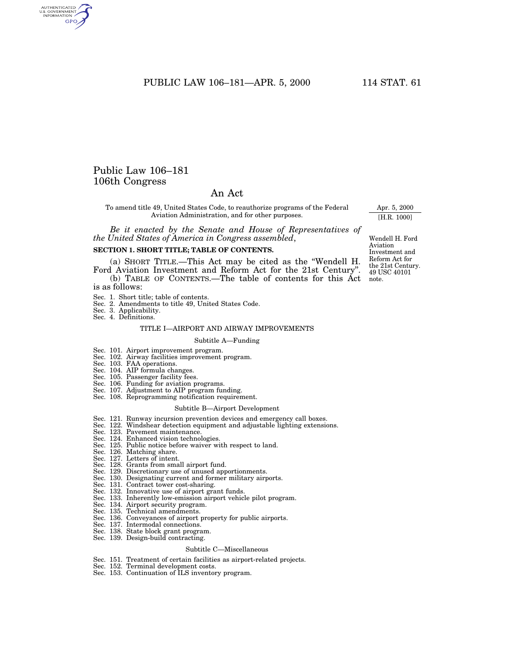# PUBLIC LAW 106-181-APR. 5, 2000 114 STAT. 61

# Public Law 106–181 106th Congress

# An Act

To amend title 49, United States Code, to reauthorize programs of the Federal Aviation Administration, and for other purposes.

*Be it enacted by the Senate and House of Representatives of the United States of America in Congress assembled*,

# **SECTION 1. SHORT TITLE; TABLE OF CONTENTS.**

(a) SHORT TITLE.—This Act may be cited as the ''Wendell H. Ford Aviation Investment and Reform Act for the 21st Century''. (b) TABLE OF CONTENTS.—The table of contents for this Act

is as follows:

- Sec. 1. Short title; table of contents.
- Sec. 2. Amendments to title 49, United States Code. Sec. 3. Applicability.
- 
- Sec. 4. Definitions.

## TITLE I—AIRPORT AND AIRWAY IMPROVEMENTS

#### Subtitle A—Funding

- Sec. 101. Airport improvement program.
- Sec. 102. Airway facilities improvement program.
- 
- 
- Sec. 103. FAA operations. Sec. 104. AIP formula changes. Sec. 105. Passenger facility fees.
- 
- Sec. 106. Funding for aviation programs. Sec. 107. Adjustment to AIP program funding.
- Sec. 108. Reprogramming notification requirement.

#### Subtitle B—Airport Development

- Sec. 121. Runway incursion prevention devices and emergency call boxes.
- Sec. 122. Windshear detection equipment and adjustable lighting extensions.
- Sec. 123. Pavement maintenance.
- Sec. 124. Enhanced vision technologies.
- Sec. 125. Public notice before waiver with respect to land.
- Sec. 126. Matching share.
- Sec. 127. Letters of intent.
- Sec. 128. Grants from small airport fund.
- Sec. 129. Discretionary use of unused apportionments.
- Sec. 130. Designating current and former military airports.
- Sec. 131. Contract tower cost-sharing.
- Sec. 132. Innovative use of airport grant funds.
- Sec. 133. Inherently low-emission airport vehicle pilot program.
- Sec. 134. Airport security program.
- Sec. 135. Technical amendments.
- Sec. 136. Conveyances of airport property for public airports.
	-
- Sec. 137. Intermodal connections. Sec. 138. State block grant program.
- Sec. 139. Design-build contracting.

#### Subtitle C—Miscellaneous

- Sec. 151. Treatment of certain facilities as airport-related projects. Sec. 152. Terminal development costs.
- 
- Sec. 153. Continuation of ILS inventory program.

49 USC 40101 note. Wendell H. Ford Aviation Investment and Reform Act for the 21st Century.

Apr. 5, 2000 [H.R. 1000]

AUTHENTICATED<br>U.S. GOVERNMENT<br>INFORMATION **GPO**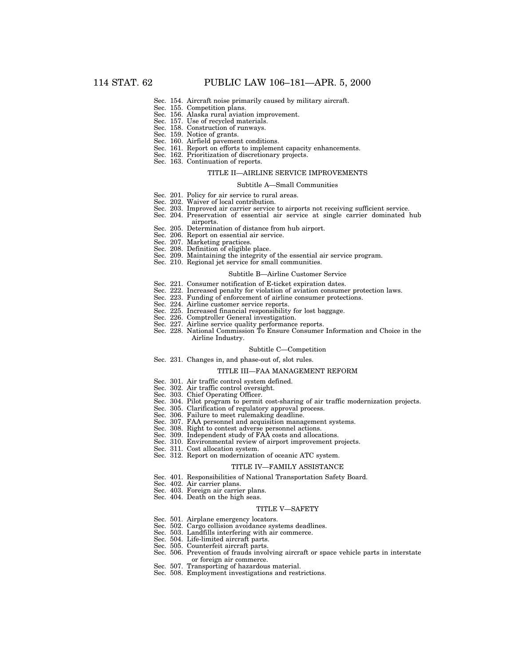- Sec. 154. Aircraft noise primarily caused by military aircraft.
- Sec. 155. Competition plans.
- Sec. 156. Alaska rural aviation improvement.
- Sec. 157. Use of recycled materials.
- Sec. 158. Construction of runways.
- Sec. 159. Notice of grants.
- Sec. 160. Airfield pavement conditions.
- Sec. 161. Report on efforts to implement capacity enhancements. Sec. 162. Prioritization of discretionary projects.
- Sec. 163. Continuation of reports.

#### TITLE II—AIRLINE SERVICE IMPROVEMENTS

## Subtitle A—Small Communities

- Sec. 201. Policy for air service to rural areas.
- Sec. 202. Waiver of local contribution.
- Sec. 203. Improved air carrier service to airports not receiving sufficient service.
- Sec. 204. Preservation of essential air service at single carrier dominated hub airports.
- Sec. 205. Determination of distance from hub airport.
- Sec. 206. Report on essential air service.
- Sec. 207. Marketing practices.
- Sec. 208. Definition of eligible place.
- Sec. 209. Maintaining the integrity of the essential air service program.
- Sec. 210. Regional jet service for small communities.

#### Subtitle B—Airline Customer Service

- Sec. 221. Consumer notification of E-ticket expiration dates.
- Sec. 222. Increased penalty for violation of aviation consumer protection laws.
- Sec. 223. Funding of enforcement of airline consumer protections.
- Sec. 224. Airline customer service reports.
- Sec. 225. Increased financial responsibility for lost baggage.
- Sec. 226. Comptroller General investigation.
- Sec. 227. Airline service quality performance reports.
- Sec. 228. National Commission To Ensure Consumer Information and Choice in the Airline Industry.

#### Subtitle C—Competition

Sec. 231. Changes in, and phase-out of, slot rules.

#### TITLE III—FAA MANAGEMENT REFORM

- Sec. 301. Air traffic control system defined.
- Sec. 302. Air traffic control oversight.
- Sec. 303. Chief Operating Officer.
- Sec. 304. Pilot program to permit cost-sharing of air traffic modernization projects.
- Sec. 305. Clarification of regulatory approval process.
- Sec. 306. Failure to meet rulemaking deadline.
- Sec. 307. FAA personnel and acquisition management systems.
- Sec. 308. Right to contest adverse personnel actions.
- Sec. 309. Independent study of FAA costs and allocations.
- Sec. 310. Environmental review of airport improvement projects.
- Sec. 311. Cost allocation system.
- Sec. 312. Report on modernization of oceanic ATC system.

#### TITLE IV—FAMILY ASSISTANCE

- Sec. 401. Responsibilities of National Transportation Safety Board.
- Sec. 402. Air carrier plans.
- Sec. 403. Foreign air carrier plans.
- Sec. 404. Death on the high seas.

#### TITLE V—SAFETY

- Sec. 501. Airplane emergency locators.
- Sec. 502. Cargo collision avoidance systems deadlines.
- Sec. 503. Landfills interfering with air commerce.
- Sec. 504. Life-limited aircraft parts.
- Sec. 505. Counterfeit aircraft parts.
- Sec. 506. Prevention of frauds involving aircraft or space vehicle parts in interstate or foreign air commerce.
- Sec. 507. Transporting of hazardous material.
- Sec. 508. Employment investigations and restrictions.
-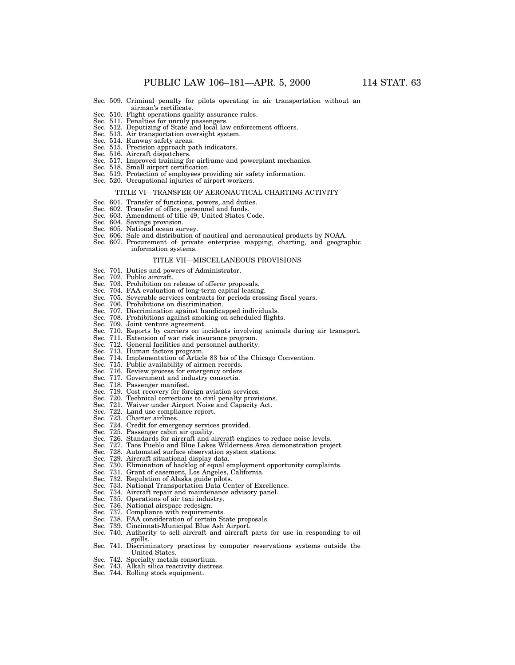- Sec. 509. Criminal penalty for pilots operating in air transportation without an airman's certificate.
- Sec. 510. Flight operations quality assurance rules.
- Sec. 511. Penalties for unruly passengers.
- Sec. 512. Deputizing of State and local law enforcement officers.
- Sec. 513. Air transportation oversight system. Sec. 514. Runway safety areas.
- 
- Sec. 515. Precision approach path indicators. Sec. 516. Aircraft dispatchers.
- Sec. 517. Improved training for airframe and powerplant mechanics. Sec. 518. Small airport certification.
- 
- Sec. 519. Protection of employees providing air safety information.
- Sec. 520. Occupational injuries of airport workers.

#### TITLE VI—TRANSFER OF AERONAUTICAL CHARTING ACTIVITY

- 
- 
- Sec. 601. Transfer of functions, powers, and duties. Sec. 602. Transfer of office, personnel and funds. Sec. 603. Amendment of title 49, United States Code.
- 
- Sec. 604. Savings provision. Sec. 605. National ocean survey.
- 
- Sec. 606. Sale and distribution of nautical and aeronautical products by NOAA. Sec. 607. Procurement of private enterprise mapping, charting, and geographic information systems.

#### TITLE VII—MISCELLANEOUS PROVISIONS

- Sec. 701. Duties and powers of Administrator.
- Sec. 702. Public aircraft.
- Sec. 703. Prohibition on release of offeror proposals.
- Sec. 704. FAA evaluation of long-term capital leasing.
- Sec. 705. Severable services contracts for periods crossing fiscal years.
- Sec. 706. Prohibitions on discrimination.
- Sec. 707. Discrimination against handicapped individuals.
- Sec. 708. Prohibitions against smoking on scheduled flights.
- Sec. 709. Joint venture agreement.
- Sec. 710. Reports by carriers on incidents involving animals during air transport.
- Sec. 711. Extension of war risk insurance program.
- Sec. 712. General facilities and personnel authority.
- Sec. 713. Human factors program.
- Sec. 714. Implementation of Article 83 bis of the Chicago Convention.
- Sec. 715. Public availability of airmen records.
- Sec. 716. Review process for emergency orders.
- Sec. 717. Government and industry consortia.
- Sec. 718. Passenger manifest.
- Sec. 719. Cost recovery for foreign aviation services.
- Sec. 720. Technical corrections to civil penalty provisions.
- Sec. 721. Waiver under Airport Noise and Capacity Act.
- Sec. 722. Land use compliance report.
- Sec. 723. Charter airlines.
- Sec. 724. Credit for emergency services provided.
- Sec. 725. Passenger cabin air quality.
- Sec. 726. Standards for aircraft and aircraft engines to reduce noise levels.
- Sec. 727. Taos Pueblo and Blue Lakes Wilderness Area demonstration project.
- Sec. 728. Automated surface observation system stations.
- Sec. 729. Aircraft situational display data.
- Sec. 730. Elimination of backlog of equal employment opportunity complaints.
- Sec. 731. Grant of easement, Los Angeles, California.
- Sec. 732. Regulation of Alaska guide pilots.
- Sec. 733. National Transportation Data Center of Excellence.
- Sec. 734. Aircraft repair and maintenance advisory panel.
- Sec. 735. Operations of air taxi industry.
- Sec. 736. National airspace redesign.
- Sec. 737. Compliance with requirements.
- Sec. 738. FAA consideration of certain State proposals.
- Sec. 739. Cincinnati-Municipal Blue Ash Airport.
- Sec. 740. Authority to sell aircraft and aircraft parts for use in responding to oil spills.
- Sec. 741. Discriminatory practices by computer reservations systems outside the United States.
- Sec. 742. Specialty metals consortium.
- Sec. 743. Alkali silica reactivity distress.
- Sec. 744. Rolling stock equipment.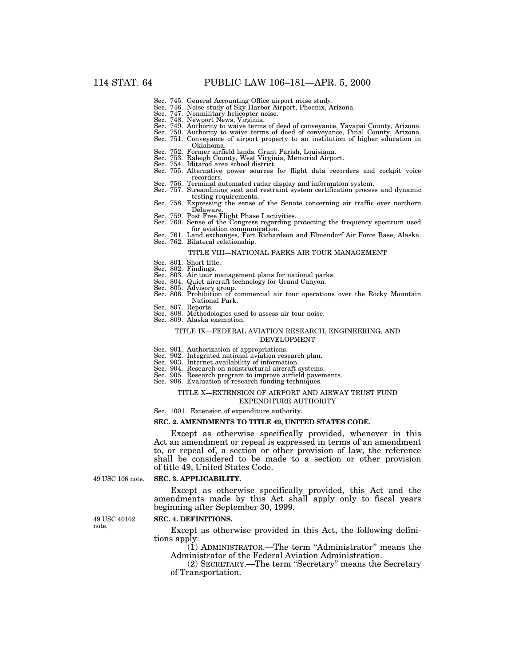- 
- Sec. 745. General Accounting Office airport noise study. Sec. 746. Noise study of Sky Harbor Airport, Phoenix, Arizona. Sec. 747. Nonmilitary helicopter noise.
- 
- 
- Sec. 748. Newport News, Virginia. Sec. 749. Authority to waive terms of deed of conveyance, Yavapai County, Arizona.
- Sec. 750. Authority to waive terms of deed of conveyance, Pinal County, Arizona. Sec. 751. Conveyance of airport property to an institution of higher education in
- Oklahoma.
- 
- 
- 
- Sec. 752. Former airfield lands, Grant Parish, Louisiana.<br>Sec. 753. Raleigh County, West Virginia, Memorial Airport.<br>Sec. 754. Iditarod area school district.<br>Sec. 755. Alternative power sources for flight data recorders an recorders.
- Sec. 756. Terminal automated radar display and information system.
- Sec. 757. Streamlining seat and restraint system certification process and dynamic
- Sec. 758. Expressing the sense of the Senate concerning air traffic over northern Delaware.
- 
- Sec. 759. Post Free Flight Phase I activities. Sec. 760. Sense of the Congress regarding protecting the frequency spectrum used for aviation communication.
- Sec. 761. Land exchanges, Fort Richardson and Elmendorf Air Force Base, Alaska. Sec. 762. Bilateral relationship.

#### TITLE VIII—NATIONAL PARKS AIR TOUR MANAGEMENT

- Sec. 801. Short title.
- Sec. 802. Findings.
- Sec. 803. Air tour management plans for national parks. Sec. 804. Quiet aircraft technology for Grand Canyon.
- 
- Sec. 805. Advisory group.
- Sec. 806. Prohibition of commercial air tour operations over the Rocky Mountain National Park.
- Sec. 807. Reports.
- Sec. 808. Methodologies used to assess air tour noise.
- Sec. 809. Alaska exemption.

#### TITLE IX—FEDERAL AVIATION RESEARCH, ENGINEERING, AND DEVELOPMENT

- Sec. 901. Authorization of appropriations.
- Sec. 902. Integrated national aviation research plan.
- Sec. 903. Internet availability of information.
- Sec. 904. Research on nonstructural aircraft systems.
- Sec. 905. Research program to improve airfield pavements.
- Sec. 906. Evaluation of research funding techniques.

### TITLE X—EXTENSION OF AIRPORT AND AIRWAY TRUST FUND

- EXPENDITURE AUTHORITY
- Sec. 1001. Extension of expenditure authority.

## **SEC. 2. AMENDMENTS TO TITLE 49, UNITED STATES CODE.**

Except as otherwise specifically provided, whenever in this Act an amendment or repeal is expressed in terms of an amendment to, or repeal of, a section or other provision of law, the reference shall be considered to be made to a section or other provision of title 49, United States Code.

49 USC 106 note.

#### **SEC. 3. APPLICABILITY.**

Except as otherwise specifically provided, this Act and the amendments made by this Act shall apply only to fiscal years beginning after September 30, 1999.

49 USC 40102 note.

#### **SEC. 4. DEFINITIONS.**

Except as otherwise provided in this Act, the following definitions apply:

(1) ADMINISTRATOR.—The term ''Administrator'' means the Administrator of the Federal Aviation Administration.

(2) SECRETARY.—The term ''Secretary'' means the Secretary of Transportation.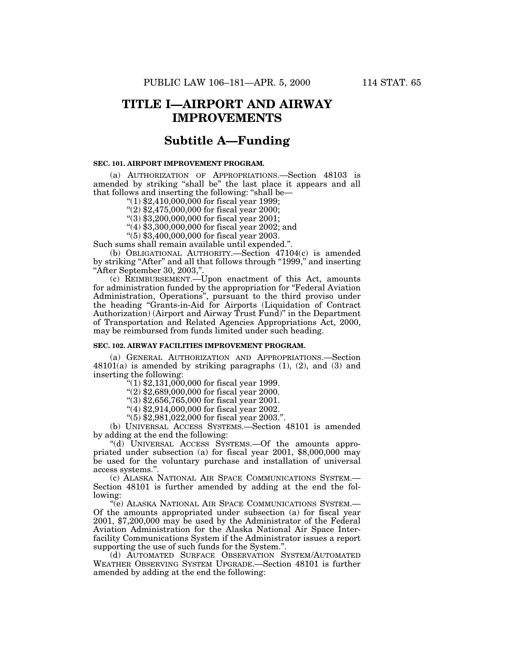# **TITLE I—AIRPORT AND AIRWAY IMPROVEMENTS**

# **Subtitle A—Funding**

## **SEC. 101. AIRPORT IMPROVEMENT PROGRAM.**

(a) AUTHORIZATION OF APPROPRIATIONS.—Section 48103 is amended by striking "shall be" the last place it appears and all that follows and inserting the following: ''shall be—

 $(1)$  \$2,410,000,000 for fiscal year 1999;

''(2) \$2,475,000,000 for fiscal year 2000;

''(3) \$3,200,000,000 for fiscal year 2001;

 $(4)$ \$3,300,000,000 for fiscal year 2002; and

''(5) \$3,400,000,000 for fiscal year 2003.

Such sums shall remain available until expended.''.

(b) OBLIGATIONAL AUTHORITY.—Section 47104(c) is amended by striking "After" and all that follows through "1999," and inserting ''After September 30, 2003,''.

(c) REIMBURSEMENT.—Upon enactment of this Act, amounts for administration funded by the appropriation for ''Federal Aviation Administration, Operations'', pursuant to the third proviso under the heading ''Grants-in-Aid for Airports (Liquidation of Contract Authorization) (Airport and Airway Trust Fund)'' in the Department of Transportation and Related Agencies Appropriations Act, 2000, may be reimbursed from funds limited under such heading.

# **SEC. 102. AIRWAY FACILITIES IMPROVEMENT PROGRAM.**

(a) GENERAL AUTHORIZATION AND APPROPRIATIONS.—Section  $48101(a)$  is amended by striking paragraphs  $(1)$ ,  $(2)$ , and  $(3)$  and inserting the following:

 $(1)$  \$2,131,000,000 for fiscal year 1999.

''(2) \$2,689,000,000 for fiscal year 2000.

''(3) \$2,656,765,000 for fiscal year 2001.

''(4) \$2,914,000,000 for fiscal year 2002.

''(5) \$2,981,022,000 for fiscal year 2003.''.

(b) UNIVERSAL ACCESS SYSTEMS.—Section 48101 is amended by adding at the end the following:

''(d) UNIVERSAL ACCESS SYSTEMS.—Of the amounts appropriated under subsection (a) for fiscal year 2001, \$8,000,000 may be used for the voluntary purchase and installation of universal access systems.'

(c) ALASKA NATIONAL AIR SPACE COMMUNICATIONS SYSTEM.— Section 48101 is further amended by adding at the end the following:

''(e) ALASKA NATIONAL AIR SPACE COMMUNICATIONS SYSTEM.— Of the amounts appropriated under subsection (a) for fiscal year 2001, \$7,200,000 may be used by the Administrator of the Federal Aviation Administration for the Alaska National Air Space Interfacility Communications System if the Administrator issues a report supporting the use of such funds for the System.''.

(d) AUTOMATED SURFACE OBSERVATION SYSTEM/AUTOMATED WEATHER OBSERVING SYSTEM UPGRADE.—Section 48101 is further amended by adding at the end the following: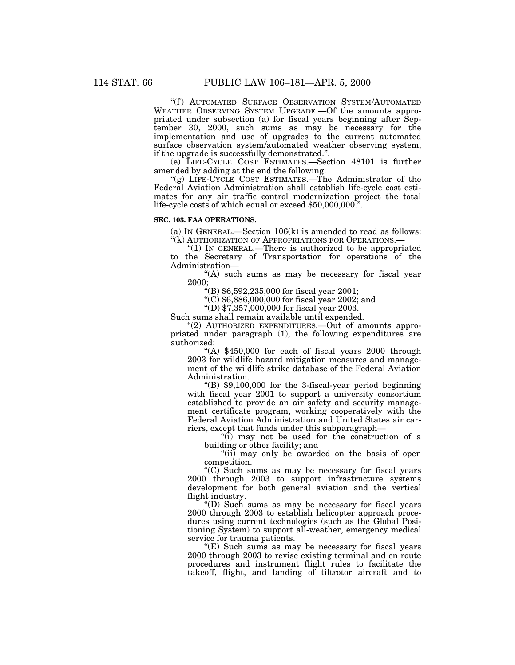"(f) AUTOMATED SURFACE OBSERVATION SYSTEM/AUTOMATED WEATHER OBSERVING SYSTEM UPGRADE.—Of the amounts appropriated under subsection (a) for fiscal years beginning after September 30, 2000, such sums as may be necessary for the implementation and use of upgrades to the current automated surface observation system/automated weather observing system, if the upgrade is successfully demonstrated.''.

(e) LIFE-CYCLE COST ESTIMATES.—Section 48101 is further amended by adding at the end the following:

"(g) LIFE-CYCLE COST ESTIMATES.—The Administrator of the Federal Aviation Administration shall establish life-cycle cost estimates for any air traffic control modernization project the total life-cycle costs of which equal or exceed \$50,000,000.''.

## **SEC. 103. FAA OPERATIONS.**

(a) IN GENERAL.—Section  $106(k)$  is amended to read as follows: "(k) AUTHORIZATION OF APPROPRIATIONS FOR OPERATIONS.-

''(1) IN GENERAL.—There is authorized to be appropriated to the Secretary of Transportation for operations of the Administration—

"(A) such sums as may be necessary for fiscal year 2000;

 $(4)$  \$6,592,235,000 for fiscal year 2001;

''(C) \$6,886,000,000 for fiscal year 2002; and

"(D)  $$7,357,000,000$  for fiscal year 2003.

Such sums shall remain available until expended.

" $(2)$  AUTHORIZED EXPENDITURES.—Out of amounts appropriated under paragraph (1), the following expenditures are authorized:

"(A)  $$450,000$  for each of fiscal years 2000 through 2003 for wildlife hazard mitigation measures and management of the wildlife strike database of the Federal Aviation Administration.

 $\degree$ (B) \$9,100,000 for the 3-fiscal-year period beginning with fiscal year 2001 to support a university consortium established to provide an air safety and security management certificate program, working cooperatively with the Federal Aviation Administration and United States air carriers, except that funds under this subparagraph—

''(i) may not be used for the construction of a building or other facility; and

"(ii) may only be awarded on the basis of open competition.

" $(C)$  Such sums as may be necessary for fiscal years 2000 through 2003 to support infrastructure systems development for both general aviation and the vertical flight industry.

''(D) Such sums as may be necessary for fiscal years 2000 through 2003 to establish helicopter approach procedures using current technologies (such as the Global Positioning System) to support all-weather, emergency medical service for trauma patients.

"(E) Such sums as may be necessary for fiscal years 2000 through 2003 to revise existing terminal and en route procedures and instrument flight rules to facilitate the takeoff, flight, and landing of tiltrotor aircraft and to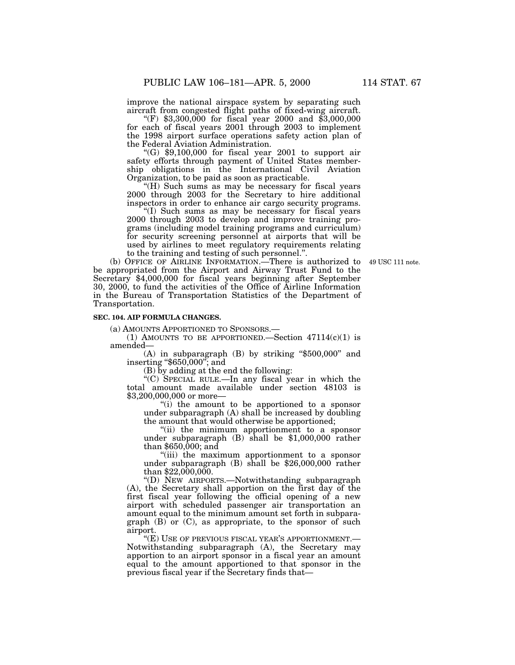improve the national airspace system by separating such aircraft from congested flight paths of fixed-wing aircraft. ''(F) \$3,300,000 for fiscal year 2000 and \$3,000,000

for each of fiscal years 2001 through 2003 to implement the 1998 airport surface operations safety action plan of the Federal Aviation Administration.

"(G)  $$9,100,000$  for fiscal year 2001 to support air safety efforts through payment of United States membership obligations in the International Civil Aviation Organization, to be paid as soon as practicable.

''(H) Such sums as may be necessary for fiscal years 2000 through 2003 for the Secretary to hire additional inspectors in order to enhance air cargo security programs.

''(I) Such sums as may be necessary for fiscal years 2000 through 2003 to develop and improve training programs (including model training programs and curriculum) for security screening personnel at airports that will be used by airlines to meet regulatory requirements relating to the training and testing of such personnel.".

(b) OFFICE OF AIRLINE INFORMATION.—There is authorized to 49 USC 111 note. be appropriated from the Airport and Airway Trust Fund to the Secretary \$4,000,000 for fiscal years beginning after September 30, 2000, to fund the activities of the Office of Airline Information in the Bureau of Transportation Statistics of the Department of Transportation.

# **SEC. 104. AIP FORMULA CHANGES.**

(a) AMOUNTS APPORTIONED TO SPONSORS.—

(1) AMOUNTS TO BE APPORTIONED. Section  $47114(c)(1)$  is amended—

(A) in subparagraph (B) by striking ''\$500,000'' and inserting "\$650,000"; and

(B) by adding at the end the following:

''(C) SPECIAL RULE.—In any fiscal year in which the total amount made available under section 48103 is \$3,200,000,000 or more—

''(i) the amount to be apportioned to a sponsor under subparagraph (A) shall be increased by doubling the amount that would otherwise be apportioned;

''(ii) the minimum apportionment to a sponsor under subparagraph (B) shall be \$1,000,000 rather than \$650,000; and

''(iii) the maximum apportionment to a sponsor under subparagraph (B) shall be \$26,000,000 rather than \$22,000,000.

''(D) NEW AIRPORTS.—Notwithstanding subparagraph (A), the Secretary shall apportion on the first day of the first fiscal year following the official opening of a new airport with scheduled passenger air transportation an amount equal to the minimum amount set forth in subparagraph  $(B)$  or  $(C)$ , as appropriate, to the sponsor of such airport.

''(E) USE OF PREVIOUS FISCAL YEAR'S APPORTIONMENT.— Notwithstanding subparagraph (A), the Secretary may apportion to an airport sponsor in a fiscal year an amount equal to the amount apportioned to that sponsor in the previous fiscal year if the Secretary finds that—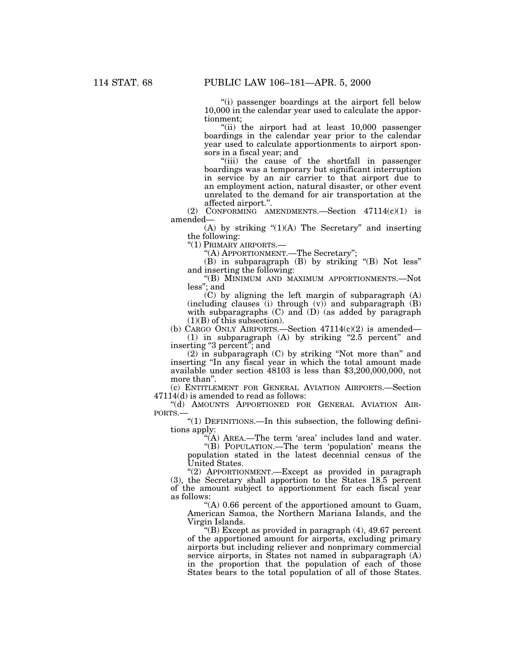''(i) passenger boardings at the airport fell below 10,000 in the calendar year used to calculate the apportionment;

''(ii) the airport had at least 10,000 passenger boardings in the calendar year prior to the calendar year used to calculate apportionments to airport sponsors in a fiscal year; and

''(iii) the cause of the shortfall in passenger boardings was a temporary but significant interruption in service by an air carrier to that airport due to an employment action, natural disaster, or other event unrelated to the demand for air transportation at the affected airport.''.

(2) CONFORMING AMENDMENTS.—Section 47114(c)(1) is amended—

(A) by striking  $(1)(A)$  The Secretary" and inserting the following:

''(1) PRIMARY AIRPORTS.—

''(A) APPORTIONMENT.—The Secretary'';

(B) in subparagraph (B) by striking ''(B) Not less'' and inserting the following:

''(B) MINIMUM AND MAXIMUM APPORTIONMENTS.—Not less''; and

(C) by aligning the left margin of subparagraph (A) (including clauses (i) through (v)) and subparagraph (B) with subparagraphs (C) and (D) (as added by paragraph  $(1)(B)$  of this subsection).

(b) CARGO ONLY AIRPORTS.—Section  $47114(c)(2)$  is amended— (1) in subparagraph (A) by striking ''2.5 percent'' and inserting ''3 percent''; and

(2) in subparagraph (C) by striking ''Not more than'' and inserting ''In any fiscal year in which the total amount made available under section 48103 is less than \$3,200,000,000, not more than''.

(c) ENTITLEMENT FOR GENERAL AVIATION AIRPORTS.—Section 47114(d) is amended to read as follows:

''(d) AMOUNTS APPORTIONED FOR GENERAL AVIATION AIR-PORTS.—

''(1) DEFINITIONS.—In this subsection, the following definitions apply:

"(A) AREA.—The term 'area' includes land and water.

''(B) POPULATION.—The term 'population' means the population stated in the latest decennial census of the United States.

''(2) APPORTIONMENT.—Except as provided in paragraph (3), the Secretary shall apportion to the States 18.5 percent of the amount subject to apportionment for each fiscal year as follows:

''(A) 0.66 percent of the apportioned amount to Guam, American Samoa, the Northern Mariana Islands, and the Virgin Islands.

''(B) Except as provided in paragraph (4), 49.67 percent of the apportioned amount for airports, excluding primary airports but including reliever and nonprimary commercial service airports, in States not named in subparagraph (A) in the proportion that the population of each of those States bears to the total population of all of those States.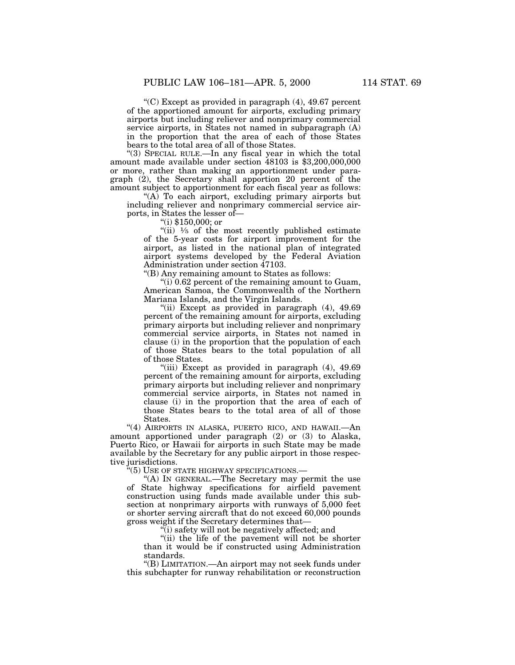''(C) Except as provided in paragraph (4), 49.67 percent of the apportioned amount for airports, excluding primary airports but including reliever and nonprimary commercial service airports, in States not named in subparagraph (A) in the proportion that the area of each of those States bears to the total area of all of those States.

''(3) SPECIAL RULE.—In any fiscal year in which the total amount made available under section 48103 is \$3,200,000,000 or more, rather than making an apportionment under paragraph (2), the Secretary shall apportion 20 percent of the amount subject to apportionment for each fiscal year as follows:

''(A) To each airport, excluding primary airports but including reliever and nonprimary commercial service airports, in States the lesser of—

''(i) \$150,000; or

"(ii)  $\frac{1}{5}$  of the most recently published estimate of the 5-year costs for airport improvement for the airport, as listed in the national plan of integrated airport systems developed by the Federal Aviation Administration under section 47103.

''(B) Any remaining amount to States as follows:

 $''(i)$  0.62 percent of the remaining amount to Guam, American Samoa, the Commonwealth of the Northern Mariana Islands, and the Virgin Islands.

"(ii) Except as provided in paragraph (4), 49.69" percent of the remaining amount for airports, excluding primary airports but including reliever and nonprimary commercial service airports, in States not named in clause (i) in the proportion that the population of each of those States bears to the total population of all of those States.

"(iii) Except as provided in paragraph (4), 49.69" percent of the remaining amount for airports, excluding primary airports but including reliever and nonprimary commercial service airports, in States not named in clause (i) in the proportion that the area of each of those States bears to the total area of all of those States.

''(4) AIRPORTS IN ALASKA, PUERTO RICO, AND HAWAII.—An amount apportioned under paragraph (2) or (3) to Alaska, Puerto Rico, or Hawaii for airports in such State may be made available by the Secretary for any public airport in those respective jurisdictions.

'(5) USE OF STATE HIGHWAY SPECIFICATIONS.

''(A) IN GENERAL.—The Secretary may permit the use of State highway specifications for airfield pavement construction using funds made available under this subsection at nonprimary airports with runways of 5,000 feet or shorter serving aircraft that do not exceed 60,000 pounds gross weight if the Secretary determines that—

''(i) safety will not be negatively affected; and

"(ii) the life of the pavement will not be shorter than it would be if constructed using Administration standards.

''(B) LIMITATION.—An airport may not seek funds under this subchapter for runway rehabilitation or reconstruction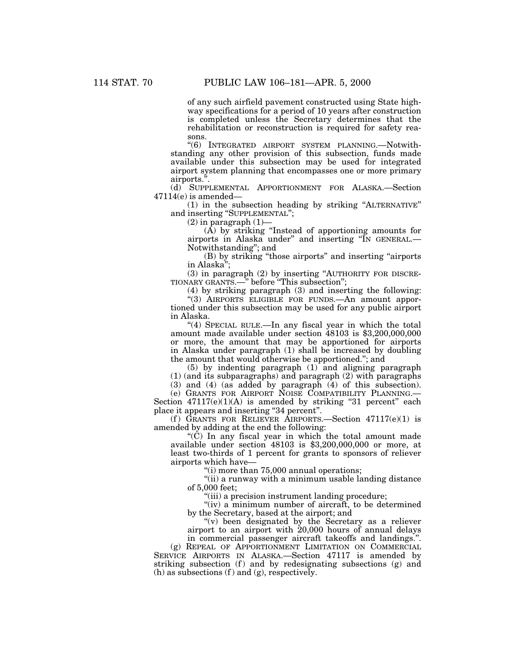of any such airfield pavement constructed using State highway specifications for a period of 10 years after construction is completed unless the Secretary determines that the rehabilitation or reconstruction is required for safety reasons.

''(6) INTEGRATED AIRPORT SYSTEM PLANNING.—Notwithstanding any other provision of this subsection, funds made available under this subsection may be used for integrated airport system planning that encompasses one or more primary airports.''.

(d) SUPPLEMENTAL APPORTIONMENT FOR ALASKA.—Section  $47114(e)$  is amended—

(1) in the subsection heading by striking ''ALTERNATIVE'' and inserting ''SUPPLEMENTAL'';

 $(2)$  in paragraph  $(1)$ —

(A) by striking ''Instead of apportioning amounts for airports in Alaska under'' and inserting ''IN GENERAL.— Notwithstanding''; and

(B) by striking ''those airports'' and inserting ''airports in Alaska'';

(3) in paragraph (2) by inserting ''AUTHORITY FOR DISCRE-TIONARY GRANTS.—'' before ''This subsection'';

(4) by striking paragraph (3) and inserting the following:

''(3) AIRPORTS ELIGIBLE FOR FUNDS.—An amount apportioned under this subsection may be used for any public airport in Alaska.

"(4) SPECIAL RULE.—In any fiscal year in which the total amount made available under section 48103 is \$3,200,000,000 or more, the amount that may be apportioned for airports in Alaska under paragraph (1) shall be increased by doubling the amount that would otherwise be apportioned.''; and

(5) by indenting paragraph (1) and aligning paragraph (1) (and its subparagraphs) and paragraph (2) with paragraphs

(3) and (4) (as added by paragraph (4) of this subsection).

(e) GRANTS FOR AIRPORT NOISE COMPATIBILITY PLANNING.— Section  $47117(e)(1)(A)$  is amended by striking "31 percent" each place it appears and inserting "34 percent".

(f) GRANTS FOR RELIEVER AIRPORTS.—Section  $47117(e)(1)$  is amended by adding at the end the following:

''(C) In any fiscal year in which the total amount made available under section 48103 is \$3,200,000,000 or more, at least two-thirds of 1 percent for grants to sponsors of reliever airports which have—

''(i) more than 75,000 annual operations;

"(ii) a runway with a minimum usable landing distance of 5,000 feet;

''(iii) a precision instrument landing procedure;

"(iv) a minimum number of aircraft, to be determined by the Secretary, based at the airport; and

''(v) been designated by the Secretary as a reliever airport to an airport with 20,000 hours of annual delays in commercial passenger aircraft takeoffs and landings.''.

(g) REPEAL OF APPORTIONMENT LIMITATION ON COMMERCIAL SERVICE AIRPORTS IN ALASKA.—Section 47117 is amended by striking subsection  $(f)$  and by redesignating subsections  $(g)$  and (h) as subsections  $(f)$  and  $(g)$ , respectively.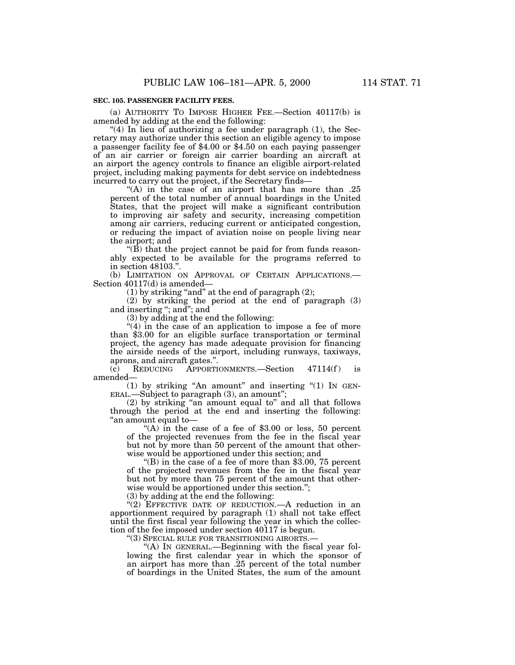# **SEC. 105. PASSENGER FACILITY FEES.**

(a) AUTHORITY TO IMPOSE HIGHER FEE.—Section 40117(b) is amended by adding at the end the following:

"(4) In lieu of authorizing a fee under paragraph  $(1)$ , the Secretary may authorize under this section an eligible agency to impose a passenger facility fee of \$4.00 or \$4.50 on each paying passenger of an air carrier or foreign air carrier boarding an aircraft at an airport the agency controls to finance an eligible airport-related project, including making payments for debt service on indebtedness incurred to carry out the project, if the Secretary finds—

"(A) in the case of an airport that has more than .25 percent of the total number of annual boardings in the United States, that the project will make a significant contribution to improving air safety and security, increasing competition among air carriers, reducing current or anticipated congestion, or reducing the impact of aviation noise on people living near the airport; and

''(B) that the project cannot be paid for from funds reasonably expected to be available for the programs referred to in section 48103.''.

(b) LIMITATION ON APPROVAL OF CERTAIN APPLICATIONS.— Section 40117(d) is amended—

 $(1)$  by striking "and" at the end of paragraph  $(2)$ ;

(2) by striking the period at the end of paragraph (3) and inserting ''; and''; and

(3) by adding at the end the following:

"(4) in the case of an application to impose a fee of more than \$3.00 for an eligible surface transportation or terminal project, the agency has made adequate provision for financing the airside needs of the airport, including runways, taxiways, aprons, and aircraft gates.".<br>(c) REDUCING APPORTI

 $(c)$  REDUCING APPORTIONMENTS.—Section 47114 $(f)$  is amended—

(1) by striking "An amount" and inserting " $(1)$  In GEN-ERAL.—Subject to paragraph (3), an amount";

(2) by striking ''an amount equal to'' and all that follows through the period at the end and inserting the following: ''an amount equal to—

"(A) in the case of a fee of  $$3.00$  or less, 50 percent of the projected revenues from the fee in the fiscal year but not by more than 50 percent of the amount that otherwise would be apportioned under this section; and

"(B) in the case of a fee of more than  $$3.00, 75$  percent of the projected revenues from the fee in the fiscal year but not by more than 75 percent of the amount that otherwise would be apportioned under this section.'';

(3) by adding at the end the following:

"(2) EFFECTIVE DATE OF REDUCTION.—A reduction in an apportionment required by paragraph (1) shall not take effect until the first fiscal year following the year in which the collection of the fee imposed under section 40117 is begun.

''(3) SPECIAL RULE FOR TRANSITIONING AIRORTS.—

''(A) IN GENERAL.—Beginning with the fiscal year following the first calendar year in which the sponsor of an airport has more than .25 percent of the total number of boardings in the United States, the sum of the amount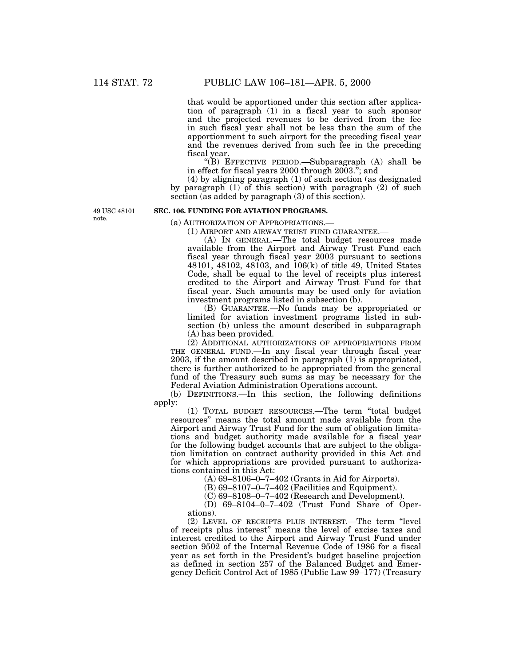that would be apportioned under this section after application of paragraph (1) in a fiscal year to such sponsor and the projected revenues to be derived from the fee in such fiscal year shall not be less than the sum of the apportionment to such airport for the preceding fiscal year and the revenues derived from such fee in the preceding fiscal year.

''(B) EFFECTIVE PERIOD.—Subparagraph (A) shall be in effect for fiscal years 2000 through 2003.''; and

(4) by aligning paragraph (1) of such section (as designated by paragraph (1) of this section) with paragraph (2) of such section (as added by paragraph (3) of this section).

49 USC 48101 note.

# **SEC. 106. FUNDING FOR AVIATION PROGRAMS.**

(a) AUTHORIZATION OF APPROPRIATIONS.—

(1) AIRPORT AND AIRWAY TRUST FUND GUARANTEE.—

(A) IN GENERAL.—The total budget resources made available from the Airport and Airway Trust Fund each fiscal year through fiscal year 2003 pursuant to sections 48101, 48102, 48103, and 106(k) of title 49, United States Code, shall be equal to the level of receipts plus interest credited to the Airport and Airway Trust Fund for that fiscal year. Such amounts may be used only for aviation investment programs listed in subsection (b).

(B) GUARANTEE.—No funds may be appropriated or limited for aviation investment programs listed in subsection (b) unless the amount described in subparagraph (A) has been provided.

(2) ADDITIONAL AUTHORIZATIONS OF APPROPRIATIONS FROM THE GENERAL FUND.—In any fiscal year through fiscal year 2003, if the amount described in paragraph (1) is appropriated, there is further authorized to be appropriated from the general fund of the Treasury such sums as may be necessary for the Federal Aviation Administration Operations account.

(b) DEFINITIONS.—In this section, the following definitions apply:

(1) TOTAL BUDGET RESOURCES.—The term ''total budget resources'' means the total amount made available from the Airport and Airway Trust Fund for the sum of obligation limitations and budget authority made available for a fiscal year for the following budget accounts that are subject to the obligation limitation on contract authority provided in this Act and for which appropriations are provided pursuant to authorizations contained in this Act:

(A) 69–8106–0–7–402 (Grants in Aid for Airports).

(B) 69–8107–0–7–402 (Facilities and Equipment).

(C) 69–8108–0–7–402 (Research and Development).

(D) 69–8104–0–7–402 (Trust Fund Share of Operations).

(2) LEVEL OF RECEIPTS PLUS INTEREST.—The term ''level of receipts plus interest'' means the level of excise taxes and interest credited to the Airport and Airway Trust Fund under section 9502 of the Internal Revenue Code of 1986 for a fiscal year as set forth in the President's budget baseline projection as defined in section 257 of the Balanced Budget and Emergency Deficit Control Act of 1985 (Public Law 99–177) (Treasury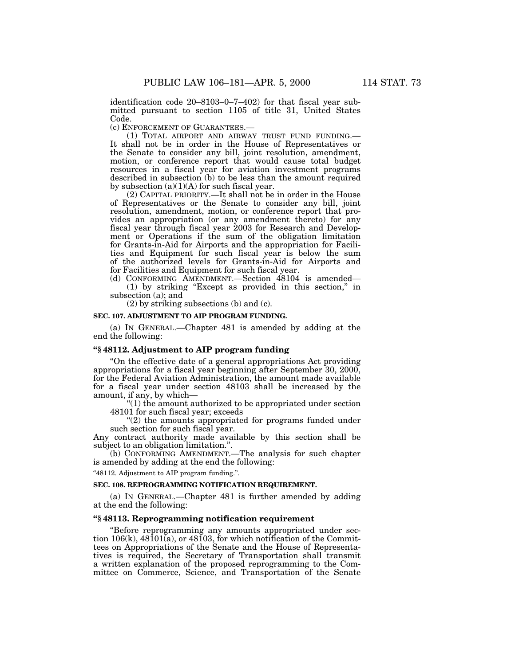identification code 20–8103–0–7–402) for that fiscal year submitted pursuant to section 1105 of title 31, United States Code.

(c) ENFORCEMENT OF GUARANTEES.—

(1) TOTAL AIRPORT AND AIRWAY TRUST FUND FUNDING.— It shall not be in order in the House of Representatives or the Senate to consider any bill, joint resolution, amendment, motion, or conference report that would cause total budget resources in a fiscal year for aviation investment programs described in subsection (b) to be less than the amount required by subsection  $(a)(1)(A)$  for such fiscal year.

(2) CAPITAL PRIORITY.—It shall not be in order in the House of Representatives or the Senate to consider any bill, joint resolution, amendment, motion, or conference report that provides an appropriation (or any amendment thereto) for any fiscal year through fiscal year 2003 for Research and Development or Operations if the sum of the obligation limitation for Grants-in-Aid for Airports and the appropriation for Facilities and Equipment for such fiscal year is below the sum of the authorized levels for Grants-in-Aid for Airports and for Facilities and Equipment for such fiscal year.

(d) CONFORMING AMENDMENT.—Section 48104 is amended— (1) by striking ''Except as provided in this section,'' in subsection (a); and

(2) by striking subsections (b) and (c).

#### **SEC. 107. ADJUSTMENT TO AIP PROGRAM FUNDING.**

(a) IN GENERAL.—Chapter 481 is amended by adding at the end the following:

## **''§ 48112. Adjustment to AIP program funding**

''On the effective date of a general appropriations Act providing appropriations for a fiscal year beginning after September 30, 2000, for the Federal Aviation Administration, the amount made available for a fiscal year under section 48103 shall be increased by the amount, if any, by which—

''(1) the amount authorized to be appropriated under section 48101 for such fiscal year; exceeds

"(2) the amounts appropriated for programs funded under such section for such fiscal year.

Any contract authority made available by this section shall be subject to an obligation limitation.''.

(b) CONFORMING AMENDMENT.—The analysis for such chapter is amended by adding at the end the following:

''48112. Adjustment to AIP program funding.''.

#### **SEC. 108. REPROGRAMMING NOTIFICATION REQUIREMENT.**

(a) IN GENERAL.—Chapter 481 is further amended by adding at the end the following:

# **''§ 48113. Reprogramming notification requirement**

''Before reprogramming any amounts appropriated under section  $106(k)$ ,  $48101(a)$ , or  $48103$ , for which notification of the Committees on Appropriations of the Senate and the House of Representatives is required, the Secretary of Transportation shall transmit a written explanation of the proposed reprogramming to the Committee on Commerce, Science, and Transportation of the Senate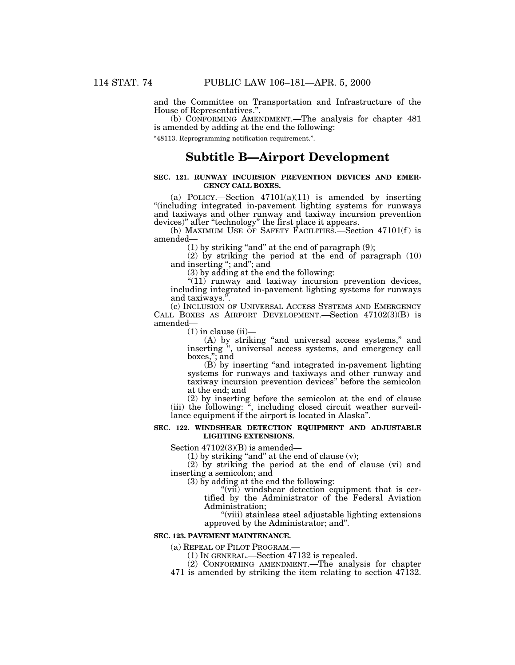and the Committee on Transportation and Infrastructure of the House of Representatives.''.

(b) CONFORMING AMENDMENT.—The analysis for chapter 481 is amended by adding at the end the following:

''48113. Reprogramming notification requirement.''.

# **Subtitle B—Airport Development**

## **SEC. 121. RUNWAY INCURSION PREVENTION DEVICES AND EMER-GENCY CALL BOXES.**

(a) POLICY.—Section  $47101(a)(11)$  is amended by inserting ''(including integrated in-pavement lighting systems for runways and taxiways and other runway and taxiway incursion prevention devices)'' after ''technology'' the first place it appears.

(b) MAXIMUM USE OF SAFETY FACILITIES.—Section  $47101(f)$  is amended—

 $(1)$  by striking "and" at the end of paragraph  $(9)$ ;

(2) by striking the period at the end of paragraph (10) and inserting ''; and''; and

(3) by adding at the end the following:

"(11) runway and taxiway incursion prevention devices, including integrated in-pavement lighting systems for runways and taxiways.''.

(c) INCLUSION OF UNIVERSAL ACCESS SYSTEMS AND EMERGENCY CALL BOXES AS AIRPORT DEVELOPMENT.—Section 47102(3)(B) is amended—

 $(1)$  in clause  $(ii)$ —

(A) by striking ''and universal access systems,'' and inserting '', universal access systems, and emergency call boxes,''; and

(B) by inserting ''and integrated in-pavement lighting systems for runways and taxiways and other runway and taxiway incursion prevention devices'' before the semicolon at the end; and

(2) by inserting before the semicolon at the end of clause (iii) the following: '', including closed circuit weather surveillance equipment if the airport is located in Alaska''.

## **SEC. 122. WINDSHEAR DETECTION EQUIPMENT AND ADJUSTABLE LIGHTING EXTENSIONS.**

Section 47102(3)(B) is amended—

 $(1)$  by striking "and" at the end of clause  $(v)$ ;

(2) by striking the period at the end of clause (vi) and inserting a semicolon; and

(3) by adding at the end the following:

"(vii) windshear detection equipment that is certified by the Administrator of the Federal Aviation Administration;

''(viii) stainless steel adjustable lighting extensions approved by the Administrator; and''.

#### **SEC. 123. PAVEMENT MAINTENANCE.**

(a) REPEAL OF PILOT PROGRAM.—

(1) IN GENERAL.—Section 47132 is repealed.

(2) CONFORMING AMENDMENT.—The analysis for chapter

471 is amended by striking the item relating to section 47132.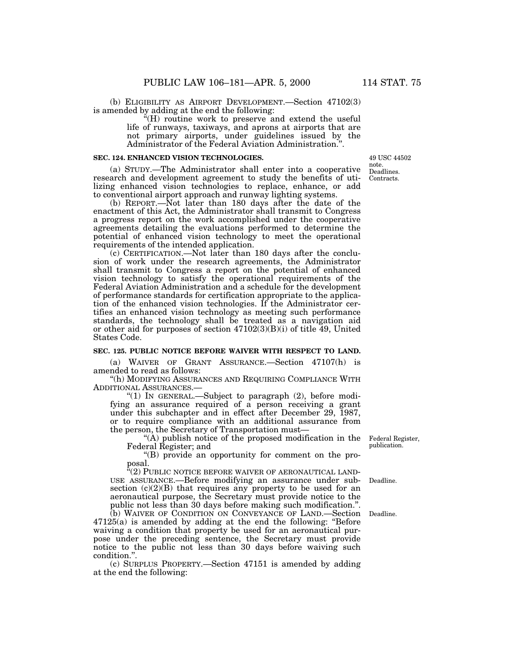(b) ELIGIBILITY AS AIRPORT DEVELOPMENT.—Section 47102(3) is amended by adding at the end the following:

''(H) routine work to preserve and extend the useful life of runways, taxiways, and aprons at airports that are not primary airports, under guidelines issued by the Administrator of the Federal Aviation Administration.''.

# **SEC. 124. ENHANCED VISION TECHNOLOGIES.**

(a) STUDY.—The Administrator shall enter into a cooperative research and development agreement to study the benefits of utilizing enhanced vision technologies to replace, enhance, or add to conventional airport approach and runway lighting systems.

(b) REPORT.—Not later than 180 days after the date of the enactment of this Act, the Administrator shall transmit to Congress a progress report on the work accomplished under the cooperative agreements detailing the evaluations performed to determine the potential of enhanced vision technology to meet the operational requirements of the intended application.

(c) CERTIFICATION.—Not later than 180 days after the conclusion of work under the research agreements, the Administrator shall transmit to Congress a report on the potential of enhanced vision technology to satisfy the operational requirements of the Federal Aviation Administration and a schedule for the development of performance standards for certification appropriate to the application of the enhanced vision technologies. If the Administrator certifies an enhanced vision technology as meeting such performance standards, the technology shall be treated as a navigation aid or other aid for purposes of section  $47102(3)(B)(i)$  of title 49, United States Code.

## **SEC. 125. PUBLIC NOTICE BEFORE WAIVER WITH RESPECT TO LAND.**

(a) WAIVER OF GRANT ASSURANCE.—Section 47107(h) is amended to read as follows:

''(h) MODIFYING ASSURANCES AND REQUIRING COMPLIANCE WITH ADDITIONAL ASSURANCES.—

" $(1)$  In GENERAL.—Subject to paragraph  $(2)$ , before modifying an assurance required of a person receiving a grant under this subchapter and in effect after December 29, 1987, or to require compliance with an additional assurance from the person, the Secretary of Transportation must—

''(A) publish notice of the proposed modification in the Federal Register; and

''(B) provide an opportunity for comment on the proposal.

 $\mathbf{F}(2)$  PUBLIC NOTICE BEFORE WAIVER OF AERONAUTICAL LAND-USE ASSURANCE.—Before modifying an assurance under subsection (c)(2)(B) that requires any property to be used for an aeronautical purpose, the Secretary must provide notice to the public not less than 30 days before making such modification.''.

(b) WAIVER OF CONDITION ON CONVEYANCE OF LAND.—Section 47125(a) is amended by adding at the end the following: ''Before waiving a condition that property be used for an aeronautical purpose under the preceding sentence, the Secretary must provide notice to the public not less than 30 days before waiving such condition.''.

(c) SURPLUS PROPERTY.—Section 47151 is amended by adding at the end the following:

Federal Register, publication.

Deadline.

Deadline.

Contracts. 49 USC 44502 note. Deadlines.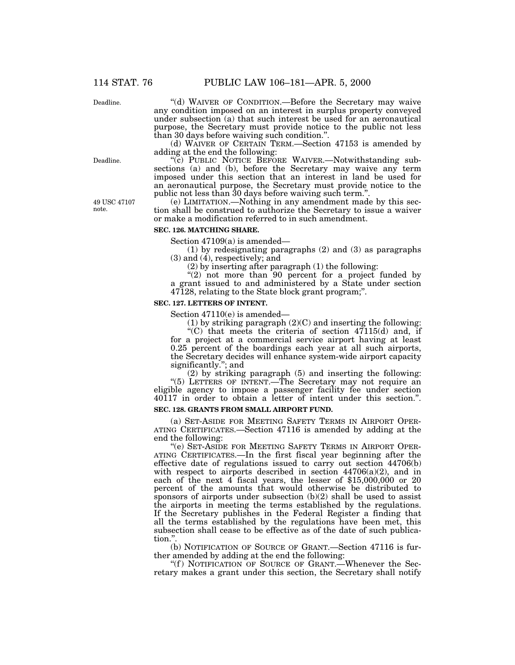Deadline.

''(d) WAIVER OF CONDITION.—Before the Secretary may waive any condition imposed on an interest in surplus property conveyed under subsection (a) that such interest be used for an aeronautical purpose, the Secretary must provide notice to the public not less than 30 days before waiving such condition.''.

(d) WAIVER OF CERTAIN TERM.—Section 47153 is amended by adding at the end the following:

"(c) PUBLIC NOTICE BEFORE WAIVER.—Notwithstanding subsections (a) and (b), before the Secretary may waive any term imposed under this section that an interest in land be used for an aeronautical purpose, the Secretary must provide notice to the public not less than 30 days before waiving such term."

(e) LIMITATION.—Nothing in any amendment made by this section shall be construed to authorize the Secretary to issue a waiver or make a modification referred to in such amendment.

# **SEC. 126. MATCHING SHARE.**

Section 47109(a) is amended—

(1) by redesignating paragraphs (2) and (3) as paragraphs  $(3)$  and  $(4)$ , respectively; and

(2) by inserting after paragraph (1) the following:

"(2) not more than 90 percent for a project funded by a grant issued to and administered by a State under section 47128, relating to the State block grant program;''.

# **SEC. 127. LETTERS OF INTENT.**

Section 47110(e) is amended—

(1) by striking paragraph  $(2)$ (C) and inserting the following: "(C) that meets the criteria of section  $47115(d)$  and, if

for a project at a commercial service airport having at least 0.25 percent of the boardings each year at all such airports, the Secretary decides will enhance system-wide airport capacity significantly.''; and

(2) by striking paragraph (5) and inserting the following: ''(5) LETTERS OF INTENT.—The Secretary may not require an eligible agency to impose a passenger facility fee under section 40117 in order to obtain a letter of intent under this section.''.

# **SEC. 128. GRANTS FROM SMALL AIRPORT FUND.**

(a) SET-ASIDE FOR MEETING SAFETY TERMS IN AIRPORT OPER-ATING CERTIFICATES.—Section 47116 is amended by adding at the end the following:

"(e) SET-ASIDE FOR MEETING SAFETY TERMS IN AIRPORT OPER-ATING CERTIFICATES.—In the first fiscal year beginning after the effective date of regulations issued to carry out section 44706(b) with respect to airports described in section  $44706(a)(2)$ , and in each of the next 4 fiscal years, the lesser of \$15,000,000 or 20 percent of the amounts that would otherwise be distributed to sponsors of airports under subsection (b)(2) shall be used to assist the airports in meeting the terms established by the regulations. If the Secretary publishes in the Federal Register a finding that all the terms established by the regulations have been met, this subsection shall cease to be effective as of the date of such publication."

(b) NOTIFICATION OF SOURCE OF GRANT.—Section 47116 is further amended by adding at the end the following:

"(f) NOTIFICATION OF SOURCE OF GRANT.—Whenever the Secretary makes a grant under this section, the Secretary shall notify

Deadline.

49 USC 47107 note.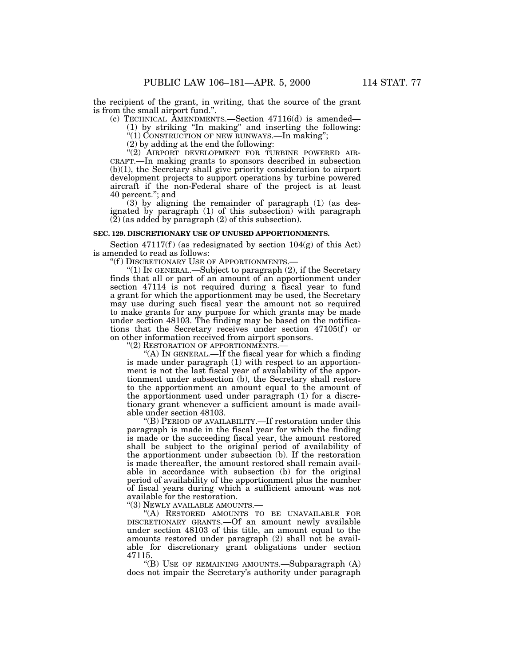the recipient of the grant, in writing, that the source of the grant is from the small airport fund.''.

(c) TECHNICAL AMENDMENTS.—Section 47116(d) is amended—

(1) by striking ''In making'' and inserting the following:

''(1) CONSTRUCTION OF NEW RUNWAYS.—In making'';

(2) by adding at the end the following:

 $\cdot$ (2) AIRPORT DEVELOPMENT FOR TURBINE POWERED AIR-CRAFT.—In making grants to sponsors described in subsection (b)(1), the Secretary shall give priority consideration to airport development projects to support operations by turbine powered aircraft if the non-Federal share of the project is at least 40 percent.''; and

(3) by aligning the remainder of paragraph (1) (as designated by paragraph (1) of this subsection) with paragraph  $(2)$  (as added by paragraph (2) of this subsection).

# **SEC. 129. DISCRETIONARY USE OF UNUSED APPORTIONMENTS.**

Section 47117(f) (as redesignated by section  $104(g)$  of this Act) is amended to read as follows:

"(f) DISCRETIONARY USE OF APPORTIONMENTS.-

 $(1)$  In GENERAL.—Subject to paragraph  $(2)$ , if the Secretary finds that all or part of an amount of an apportionment under section 47114 is not required during a fiscal year to fund a grant for which the apportionment may be used, the Secretary may use during such fiscal year the amount not so required to make grants for any purpose for which grants may be made under section 48103. The finding may be based on the notifications that the Secretary receives under section  $47105(f)$  or on other information received from airport sponsors.

"(2) RESTORATION OF APPORTIONMENTS.

"(A) IN GENERAL.—If the fiscal year for which a finding is made under paragraph (1) with respect to an apportionment is not the last fiscal year of availability of the apportionment under subsection (b), the Secretary shall restore to the apportionment an amount equal to the amount of the apportionment used under paragraph (1) for a discretionary grant whenever a sufficient amount is made available under section 48103.

''(B) PERIOD OF AVAILABILITY.—If restoration under this paragraph is made in the fiscal year for which the finding is made or the succeeding fiscal year, the amount restored shall be subject to the original period of availability of the apportionment under subsection (b). If the restoration is made thereafter, the amount restored shall remain available in accordance with subsection (b) for the original period of availability of the apportionment plus the number of fiscal years during which a sufficient amount was not available for the restoration.

''(3) NEWLY AVAILABLE AMOUNTS.—

''(A) RESTORED AMOUNTS TO BE UNAVAILABLE FOR DISCRETIONARY GRANTS.—Of an amount newly available under section 48103 of this title, an amount equal to the amounts restored under paragraph (2) shall not be available for discretionary grant obligations under section 47115.

''(B) USE OF REMAINING AMOUNTS.—Subparagraph (A) does not impair the Secretary's authority under paragraph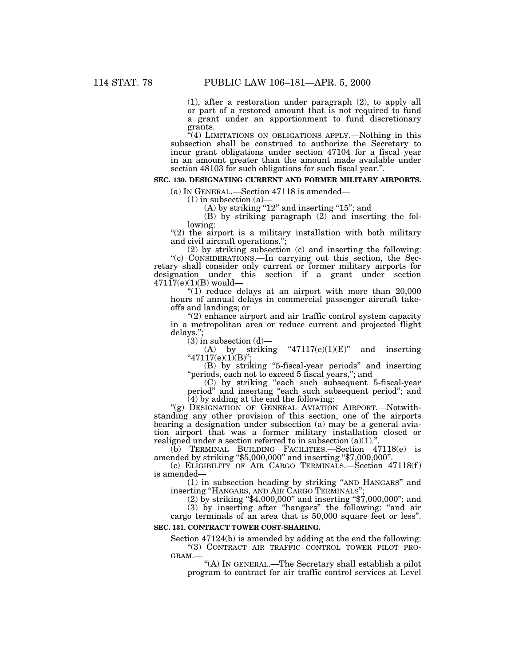(1), after a restoration under paragraph (2), to apply all or part of a restored amount that is not required to fund a grant under an apportionment to fund discretionary grants.

"(4) LIMITATIONS ON OBLIGATIONS APPLY.—Nothing in this subsection shall be construed to authorize the Secretary to incur grant obligations under section 47104 for a fiscal year in an amount greater than the amount made available under section 48103 for such obligations for such fiscal year.''.

# **SEC. 130. DESIGNATING CURRENT AND FORMER MILITARY AIRPORTS.**

(a) IN GENERAL.—Section 47118 is amended—

 $(1)$  in subsection  $(a)$ —

 $(A)$  by striking "12" and inserting "15"; and

(B) by striking paragraph (2) and inserting the following:

 $''(2)$  the airport is a military installation with both military and civil aircraft operations.'';

(2) by striking subsection (c) and inserting the following: ''(c) CONSIDERATIONS.—In carrying out this section, the Secretary shall consider only current or former military airports for designation under this section if a grant under section  $47117(e)(1)(B)$  would-

" $(1)$  reduce delays at an airport with more than  $20,000$ hours of annual delays in commercial passenger aircraft takeoffs and landings; or

"(2) enhance airport and air traffic control system capacity in a metropolitan area or reduce current and projected flight delays.'';

(3) in subsection  $(d)$ —<br>(A) by strikin

striking " $47117(e)(1)(E)$ " and inserting " $47117(e)(1)(B)$ ";

(B) by striking ''5-fiscal-year periods'' and inserting "periods, each not to exceed 5 fiscal years,"; and

(C) by striking ''each such subsequent 5-fiscal-year period" and inserting "each such subsequent period"; and  $(4)$  by adding at the end the following:

"(g) DESIGNATION OF GENERAL AVIATION AIRPORT.—Notwithstanding any other provision of this section, one of the airports bearing a designation under subsection (a) may be a general aviation airport that was a former military installation closed or realigned under a section referred to in subsection  $(a)(1)$ ."

(b) TERMINAL BUILDING FACILITIES.—Section 47118(e) is amended by striking ''\$5,000,000'' and inserting ''\$7,000,000''.

(c) ELIGIBILITY OF AIR CARGO TERMINALS.—Section 47118(f ) is amended—

(1) in subsection heading by striking ''AND HANGARS'' and inserting ''HANGARS, AND AIR CARGO TERMINALS'';

(2) by striking ''\$4,000,000'' and inserting ''\$7,000,000''; and

(3) by inserting after ''hangars'' the following: ''and air cargo terminals of an area that is 50,000 square feet or less''.

# **SEC. 131. CONTRACT TOWER COST-SHARING.**

Section 47124(b) is amended by adding at the end the following: ''(3) CONTRACT AIR TRAFFIC CONTROL TOWER PILOT PRO-GRAM.—

''(A) IN GENERAL.—The Secretary shall establish a pilot program to contract for air traffic control services at Level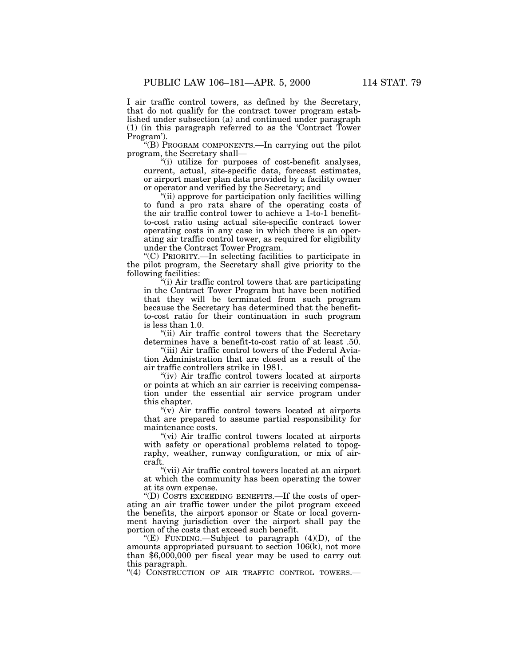I air traffic control towers, as defined by the Secretary, that do not qualify for the contract tower program established under subsection (a) and continued under paragraph (1) (in this paragraph referred to as the 'Contract Tower Program').

''(B) PROGRAM COMPONENTS.—In carrying out the pilot program, the Secretary shall—

''(i) utilize for purposes of cost-benefit analyses, current, actual, site-specific data, forecast estimates, or airport master plan data provided by a facility owner or operator and verified by the Secretary; and

''(ii) approve for participation only facilities willing to fund a pro rata share of the operating costs of the air traffic control tower to achieve a 1-to-1 benefitto-cost ratio using actual site-specific contract tower operating costs in any case in which there is an operating air traffic control tower, as required for eligibility under the Contract Tower Program.

''(C) PRIORITY.—In selecting facilities to participate in the pilot program, the Secretary shall give priority to the following facilities:

''(i) Air traffic control towers that are participating in the Contract Tower Program but have been notified that they will be terminated from such program because the Secretary has determined that the benefitto-cost ratio for their continuation in such program is less than 1.0.

"(ii) Air traffic control towers that the Secretary determines have a benefit-to-cost ratio of at least .50.

"(iii) Air traffic control towers of the Federal Aviation Administration that are closed as a result of the air traffic controllers strike in 1981.

"(iv) Air traffic control towers located at airports" or points at which an air carrier is receiving compensation under the essential air service program under this chapter.

" $(v)$  Air traffic control towers located at airports that are prepared to assume partial responsibility for maintenance costs.

''(vi) Air traffic control towers located at airports with safety or operational problems related to topography, weather, runway configuration, or mix of aircraft.

''(vii) Air traffic control towers located at an airport at which the community has been operating the tower at its own expense.

''(D) COSTS EXCEEDING BENEFITS.—If the costs of operating an air traffic tower under the pilot program exceed the benefits, the airport sponsor or State or local government having jurisdiction over the airport shall pay the portion of the costs that exceed such benefit.

"(E) FUNDING.—Subject to paragraph  $(4)(D)$ , of the amounts appropriated pursuant to section 106(k), not more than  $$6,000,000$  per fiscal year may be used to carry out this paragraph.

"(4) CONSTRUCTION OF AIR TRAFFIC CONTROL TOWERS.-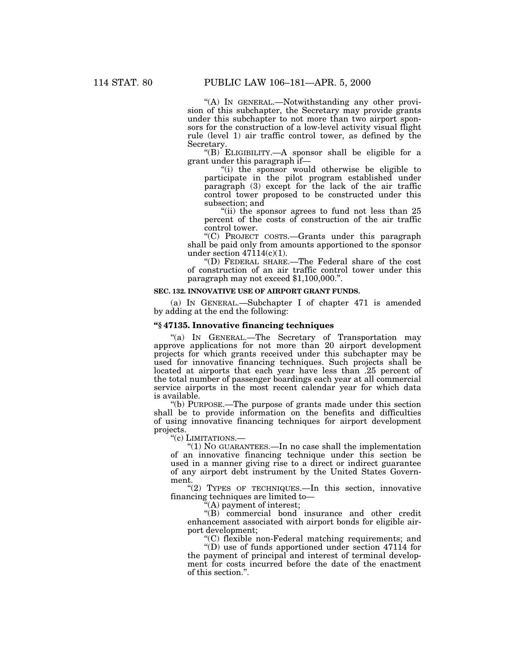''(A) IN GENERAL.—Notwithstanding any other provision of this subchapter, the Secretary may provide grants under this subchapter to not more than two airport sponsors for the construction of a low-level activity visual flight rule (level 1) air traffic control tower, as defined by the Secretary.

''(B) ELIGIBILITY.—A sponsor shall be eligible for a grant under this paragraph if—

"(i) the sponsor would otherwise be eligible to participate in the pilot program established under paragraph (3) except for the lack of the air traffic control tower proposed to be constructed under this subsection; and

"(ii) the sponsor agrees to fund not less than 25 percent of the costs of construction of the air traffic control tower.

''(C) PROJECT COSTS.—Grants under this paragraph shall be paid only from amounts apportioned to the sponsor under section 47114(c)(1).

''(D) FEDERAL SHARE.—The Federal share of the cost of construction of an air traffic control tower under this paragraph may not exceed \$1,100,000.''.

## **SEC. 132. INNOVATIVE USE OF AIRPORT GRANT FUNDS.**

(a) IN GENERAL.—Subchapter I of chapter 471 is amended by adding at the end the following:

# **''§ 47135. Innovative financing techniques**

''(a) IN GENERAL.—The Secretary of Transportation may approve applications for not more than 20 airport development projects for which grants received under this subchapter may be used for innovative financing techniques. Such projects shall be located at airports that each year have less than .25 percent of the total number of passenger boardings each year at all commercial service airports in the most recent calendar year for which data is available.

''(b) PURPOSE.—The purpose of grants made under this section shall be to provide information on the benefits and difficulties of using innovative financing techniques for airport development projects.

''(c) LIMITATIONS.—

''(1) NO GUARANTEES.—In no case shall the implementation of an innovative financing technique under this section be used in a manner giving rise to a direct or indirect guarantee of any airport debt instrument by the United States Government.

"(2) TYPES OF TECHNIQUES.—In this section, innovative financing techniques are limited to—

''(A) payment of interest;

''(B) commercial bond insurance and other credit enhancement associated with airport bonds for eligible airport development;

''(C) flexible non-Federal matching requirements; and

''(D) use of funds apportioned under section 47114 for the payment of principal and interest of terminal development for costs incurred before the date of the enactment of this section.''.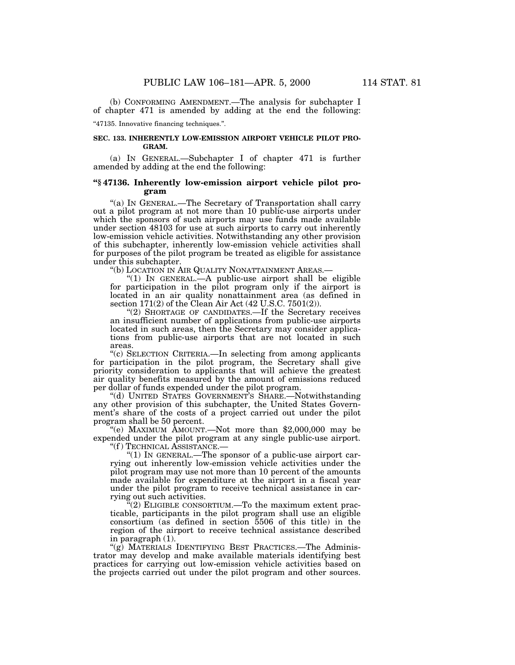(b) CONFORMING AMENDMENT.—The analysis for subchapter I of chapter 471 is amended by adding at the end the following:

''47135. Innovative financing techniques.''.

# **SEC. 133. INHERENTLY LOW-EMISSION AIRPORT VEHICLE PILOT PRO-GRAM.**

(a) IN GENERAL.—Subchapter I of chapter 471 is further amended by adding at the end the following:

# **''§ 47136. Inherently low-emission airport vehicle pilot program**

"(a) In GENERAL.—The Secretary of Transportation shall carry out a pilot program at not more than 10 public-use airports under which the sponsors of such airports may use funds made available under section 48103 for use at such airports to carry out inherently low-emission vehicle activities. Notwithstanding any other provision of this subchapter, inherently low-emission vehicle activities shall for purposes of the pilot program be treated as eligible for assistance under this subchapter.

''(b) LOCATION IN AIR QUALITY NONATTAINMENT AREAS.—

"(1) In GENERAL.—A public-use airport shall be eligible for participation in the pilot program only if the airport is located in an air quality nonattainment area (as defined in section 171(2) of the Clean Air Act (42 U.S.C. 7501(2)).

"(2) SHORTAGE OF CANDIDATES.—If the Secretary receives an insufficient number of applications from public-use airports located in such areas, then the Secretary may consider applications from public-use airports that are not located in such areas.

''(c) SELECTION CRITERIA.—In selecting from among applicants for participation in the pilot program, the Secretary shall give priority consideration to applicants that will achieve the greatest air quality benefits measured by the amount of emissions reduced per dollar of funds expended under the pilot program.

''(d) UNITED STATES GOVERNMENT'S SHARE.—Notwithstanding any other provision of this subchapter, the United States Government's share of the costs of a project carried out under the pilot program shall be 50 percent.

''(e) MAXIMUM AMOUNT.—Not more than \$2,000,000 may be expended under the pilot program at any single public-use airport. ''(f ) TECHNICAL ASSISTANCE.—

"(1) In GENERAL.—The sponsor of a public-use airport carrying out inherently low-emission vehicle activities under the pilot program may use not more than 10 percent of the amounts made available for expenditure at the airport in a fiscal year under the pilot program to receive technical assistance in carrying out such activities.

 $^{\prime\prime}(2)$  ELIGIBLE CONSORTIUM.—To the maximum extent practicable, participants in the pilot program shall use an eligible consortium (as defined in section 5506 of this title) in the region of the airport to receive technical assistance described in paragraph (1).

"(g) MATERIALS IDENTIFYING BEST PRACTICES.—The Administrator may develop and make available materials identifying best practices for carrying out low-emission vehicle activities based on the projects carried out under the pilot program and other sources.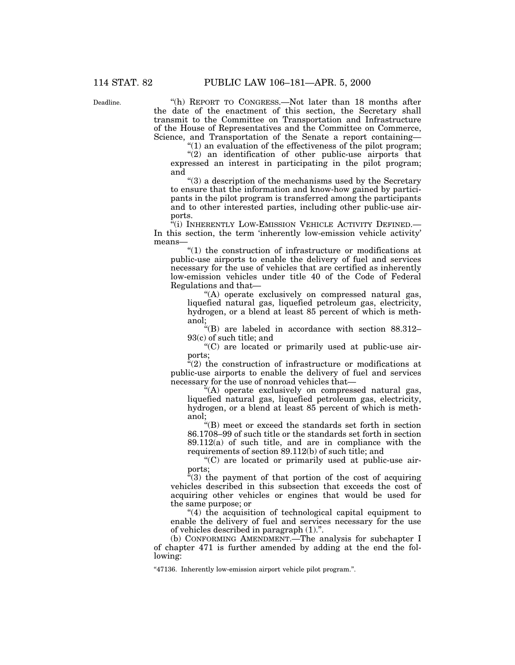Deadline.

''(h) REPORT TO CONGRESS.—Not later than 18 months after the date of the enactment of this section, the Secretary shall transmit to the Committee on Transportation and Infrastructure of the House of Representatives and the Committee on Commerce, Science, and Transportation of the Senate a report containing—

 $f(1)$  an evaluation of the effectiveness of the pilot program;

 $'(2)$  an identification of other public-use airports that expressed an interest in participating in the pilot program; and

''(3) a description of the mechanisms used by the Secretary to ensure that the information and know-how gained by participants in the pilot program is transferred among the participants and to other interested parties, including other public-use airports.

 $\tilde{f}$ <sup>(i)</sup> INHERENTLY LOW-EMISSION VEHICLE ACTIVITY DEFINED.— In this section, the term 'inherently low-emission vehicle activity' means—

''(1) the construction of infrastructure or modifications at public-use airports to enable the delivery of fuel and services necessary for the use of vehicles that are certified as inherently low-emission vehicles under title 40 of the Code of Federal Regulations and that—

''(A) operate exclusively on compressed natural gas, liquefied natural gas, liquefied petroleum gas, electricity, hydrogen, or a blend at least 85 percent of which is methanol;

 $H(B)$  are labeled in accordance with section 88.312-93(c) of such title; and

''(C) are located or primarily used at public-use airports;

 $\tilde{f}(2)$  the construction of infrastructure or modifications at public-use airports to enable the delivery of fuel and services necessary for the use of nonroad vehicles that—

''(A) operate exclusively on compressed natural gas, liquefied natural gas, liquefied petroleum gas, electricity, hydrogen, or a blend at least 85 percent of which is methanol;

''(B) meet or exceed the standards set forth in section 86.1708–99 of such title or the standards set forth in section 89.112(a) of such title, and are in compliance with the requirements of section 89.112(b) of such title; and

''(C) are located or primarily used at public-use airports;

 $\tilde{f}(3)$  the payment of that portion of the cost of acquiring vehicles described in this subsection that exceeds the cost of acquiring other vehicles or engines that would be used for the same purpose; or

''(4) the acquisition of technological capital equipment to enable the delivery of fuel and services necessary for the use of vehicles described in paragraph (1).''.

(b) CONFORMING AMENDMENT.—The analysis for subchapter I of chapter 471 is further amended by adding at the end the following:

''47136. Inherently low-emission airport vehicle pilot program.''.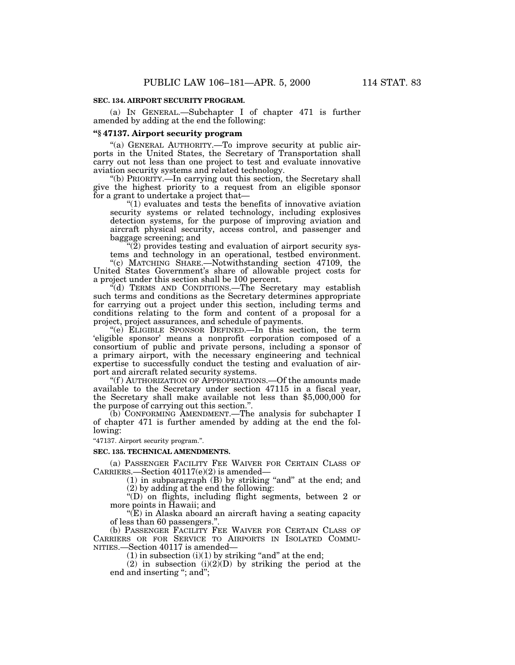(a) IN GENERAL.—Subchapter I of chapter 471 is further amended by adding at the end the following:

# **''§ 47137. Airport security program**

"(a) GENERAL AUTHORITY.—To improve security at public airports in the United States, the Secretary of Transportation shall carry out not less than one project to test and evaluate innovative aviation security systems and related technology.

''(b) PRIORITY.—In carrying out this section, the Secretary shall give the highest priority to a request from an eligible sponsor for a grant to undertake a project that—

" $(1)$  evaluates and tests the benefits of innovative aviation security systems or related technology, including explosives detection systems, for the purpose of improving aviation and aircraft physical security, access control, and passenger and baggage screening; and

 $\mathcal{L}(2)$  provides testing and evaluation of airport security systems and technology in an operational, testbed environment.

"(c) MATCHING SHARE.—Notwithstanding section 47109, the United States Government's share of allowable project costs for a project under this section shall be 100 percent.

''(d) TERMS AND CONDITIONS.—The Secretary may establish such terms and conditions as the Secretary determines appropriate for carrying out a project under this section, including terms and conditions relating to the form and content of a proposal for a project, project assurances, and schedule of payments.

''(e) ELIGIBLE SPONSOR DEFINED.—In this section, the term 'eligible sponsor' means a nonprofit corporation composed of a consortium of public and private persons, including a sponsor of a primary airport, with the necessary engineering and technical expertise to successfully conduct the testing and evaluation of airport and aircraft related security systems.

''(f ) AUTHORIZATION OF APPROPRIATIONS.—Of the amounts made available to the Secretary under section 47115 in a fiscal year, the Secretary shall make available not less than \$5,000,000 for the purpose of carrying out this section.''.

(b) CONFORMING AMENDMENT.—The analysis for subchapter I of chapter 471 is further amended by adding at the end the following:

''47137. Airport security program.''.

# **SEC. 135. TECHNICAL AMENDMENTS.**

(a) PASSENGER FACILITY FEE WAIVER FOR CERTAIN CLASS OF CARRIERS.—Section 40117(e)(2) is amended—

 $(1)$  in subparagraph  $(B)$  by striking "and" at the end; and (2) by adding at the end the following:

''(D) on flights, including flight segments, between 2 or more points in Hawaii; and

''(E) in Alaska aboard an aircraft having a seating capacity of less than 60 passengers.''.

(b) PASSENGER FACILITY FEE WAIVER FOR CERTAIN CLASS OF CARRIERS OR FOR SERVICE TO AIRPORTS IN ISOLATED COMMU-NITIES.—Section 40117 is amended—

(1) in subsection  $(i)(1)$  by striking "and" at the end;

(2) in subsection  $(i)(2)(D)$  by striking the period at the end and inserting "; and";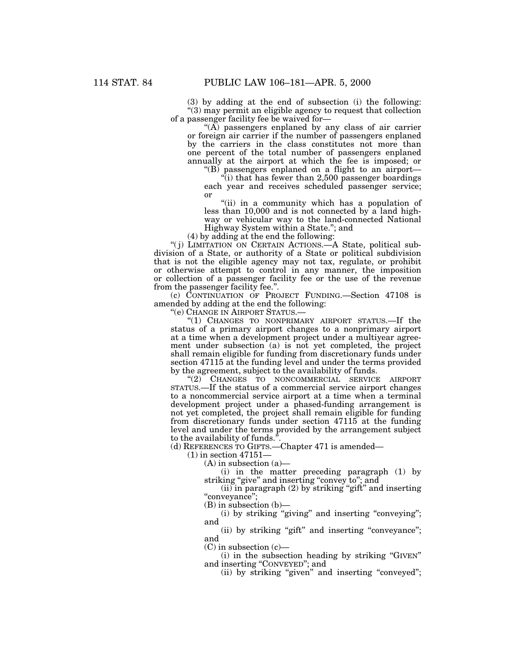(3) by adding at the end of subsection (i) the following: "(3) may permit an eligible agency to request that collection of a passenger facility fee be waived for—

" $(A)$  passengers enplaned by any class of air carrier or foreign air carrier if the number of passengers enplaned by the carriers in the class constitutes not more than one percent of the total number of passengers enplaned annually at the airport at which the fee is imposed; or ''(B) passengers enplaned on a flight to an airport—

''(i) that has fewer than 2,500 passenger boardings

each year and receives scheduled passenger service; or

''(ii) in a community which has a population of less than 10,000 and is not connected by a land highway or vehicular way to the land-connected National Highway System within a State.''; and

(4) by adding at the end the following:

"(j) LIMITATION ON CERTAIN ACTIONS.—A State, political subdivision of a State, or authority of a State or political subdivision that is not the eligible agency may not tax, regulate, or prohibit or otherwise attempt to control in any manner, the imposition or collection of a passenger facility fee or the use of the revenue from the passenger facility fee."

(c) CONTINUATION OF PROJECT FUNDING.—Section 47108 is amended by adding at the end the following:

''(e) CHANGE IN AIRPORT STATUS.—

"(1) CHANGES TO NONPRIMARY AIRPORT STATUS.—If the status of a primary airport changes to a nonprimary airport at a time when a development project under a multiyear agreement under subsection (a) is not yet completed, the project shall remain eligible for funding from discretionary funds under section 47115 at the funding level and under the terms provided by the agreement, subject to the availability of funds.

''(2) CHANGES TO NONCOMMERCIAL SERVICE AIRPORT STATUS.—If the status of a commercial service airport changes to a noncommercial service airport at a time when a terminal development project under a phased-funding arrangement is not yet completed, the project shall remain eligible for funding from discretionary funds under section 47115 at the funding level and under the terms provided by the arrangement subject to the availability of funds.

(d) REFERENCES TO GIFTS.—Chapter 471 is amended—

(1) in section 47151—

 $(A)$  in subsection  $(a)$ —

(i) in the matter preceding paragraph (1) by striking "give" and inserting "convey to"; and

 $(iii)$  in paragraph  $(2)$  by striking "gift" and inserting "conveyance";

(B) in subsection (b)—

(i) by striking ''giving'' and inserting ''conveying''; and

(ii) by striking "gift" and inserting "conveyance"; and

 $(C)$  in subsection  $(c)$ —

(i) in the subsection heading by striking ''GIVEN'' and inserting ''CONVEYED''; and

(ii) by striking "given" and inserting "conveyed";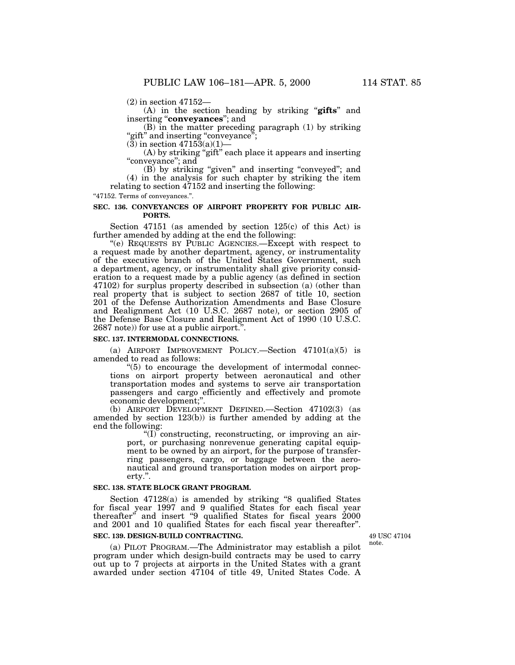(2) in section 47152—

(A) in the section heading by striking ''**gifts**'' and inserting ''**conveyances**''; and

(B) in the matter preceding paragraph (1) by striking "gift" and inserting "conveyance";

 $(3)$  in section  $47153(a)(1)$ —

(A) by striking "gift" each place it appears and inserting "conveyance"; and

(B) by striking ''given'' and inserting ''conveyed''; and (4) in the analysis for such chapter by striking the item relating to section 47152 and inserting the following:

''47152. Terms of conveyances.''.

# **SEC. 136. CONVEYANCES OF AIRPORT PROPERTY FOR PUBLIC AIR-PORTS.**

Section 47151 (as amended by section 125(c) of this Act) is further amended by adding at the end the following:

''(e) REQUESTS BY PUBLIC AGENCIES.—Except with respect to a request made by another department, agency, or instrumentality of the executive branch of the United States Government, such a department, agency, or instrumentality shall give priority consideration to a request made by a public agency (as defined in section 47102) for surplus property described in subsection (a) (other than real property that is subject to section 2687 of title 10, section 201 of the Defense Authorization Amendments and Base Closure and Realignment Act (10 U.S.C. 2687 note), or section 2905 of the Defense Base Closure and Realignment Act of 1990 (10 U.S.C. 2687 note)) for use at a public airport.''.

### **SEC. 137. INTERMODAL CONNECTIONS.**

(a) AIRPORT IMPROVEMENT POLICY.—Section 47101(a)(5) is amended to read as follows:

 $(5)$  to encourage the development of intermodal connections on airport property between aeronautical and other transportation modes and systems to serve air transportation passengers and cargo efficiently and effectively and promote economic development;''.

(b) AIRPORT DEVELOPMENT DEFINED.—Section 47102(3) (as amended by section 123(b)) is further amended by adding at the end the following:

''(I) constructing, reconstructing, or improving an airport, or purchasing nonrevenue generating capital equipment to be owned by an airport, for the purpose of transferring passengers, cargo, or baggage between the aeronautical and ground transportation modes on airport property.''.

### **SEC. 138. STATE BLOCK GRANT PROGRAM.**

Section 47128(a) is amended by striking ''8 qualified States for fiscal year 1997 and 9 qualified States for each fiscal year thereafter" and insert "9 qualified States for fiscal years 2000 and 2001 and 10 qualified States for each fiscal year thereafter''.

### **SEC. 139. DESIGN-BUILD CONTRACTING.**

(a) PILOT PROGRAM.—The Administrator may establish a pilot program under which design-build contracts may be used to carry out up to 7 projects at airports in the United States with a grant awarded under section 47104 of title 49, United States Code. A

49 USC 47104 note.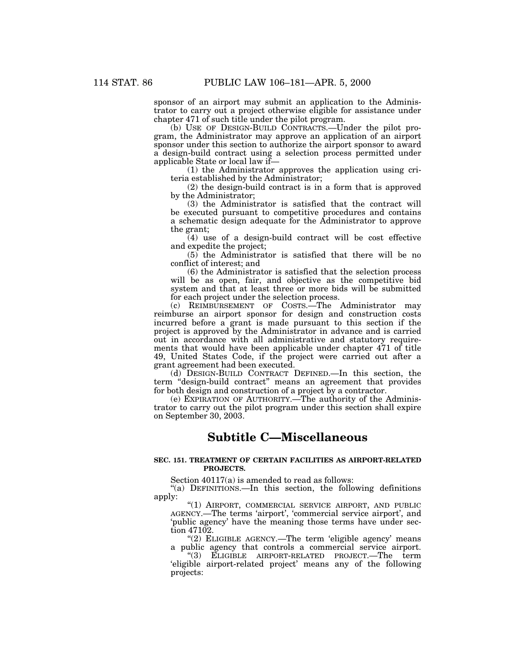sponsor of an airport may submit an application to the Administrator to carry out a project otherwise eligible for assistance under chapter 471 of such title under the pilot program.

(b) USE OF DESIGN-BUILD CONTRACTS.—Under the pilot program, the Administrator may approve an application of an airport sponsor under this section to authorize the airport sponsor to award a design-build contract using a selection process permitted under applicable State or local law if—

(1) the Administrator approves the application using criteria established by the Administrator;

(2) the design-build contract is in a form that is approved by the Administrator;

(3) the Administrator is satisfied that the contract will be executed pursuant to competitive procedures and contains a schematic design adequate for the Administrator to approve the grant;

(4) use of a design-build contract will be cost effective and expedite the project;

(5) the Administrator is satisfied that there will be no conflict of interest; and

(6) the Administrator is satisfied that the selection process will be as open, fair, and objective as the competitive bid system and that at least three or more bids will be submitted for each project under the selection process.

(c) REIMBURSEMENT OF COSTS.—The Administrator may reimburse an airport sponsor for design and construction costs incurred before a grant is made pursuant to this section if the project is approved by the Administrator in advance and is carried out in accordance with all administrative and statutory requirements that would have been applicable under chapter 471 of title 49, United States Code, if the project were carried out after a grant agreement had been executed.

(d) DESIGN-BUILD CONTRACT DEFINED.—In this section, the term "design-build contract" means an agreement that provides for both design and construction of a project by a contractor.

(e) EXPIRATION OF AUTHORITY.—The authority of the Administrator to carry out the pilot program under this section shall expire on September 30, 2003.

# **Subtitle C—Miscellaneous**

### **SEC. 151. TREATMENT OF CERTAIN FACILITIES AS AIRPORT-RELATED PROJECTS.**

Section 40117(a) is amended to read as follows:

"(a) DEFINITIONS.—In this section, the following definitions apply:

''(1) AIRPORT, COMMERCIAL SERVICE AIRPORT, AND PUBLIC AGENCY.—The terms 'airport', 'commercial service airport', and 'public agency' have the meaning those terms have under section 47102.

" $(2)$  ELIGIBLE AGENCY.—The term 'eligible agency' means a public agency that controls a commercial service airport. ''(3) ELIGIBLE AIRPORT-RELATED PROJECT.—The term 'eligible airport-related project' means any of the following projects: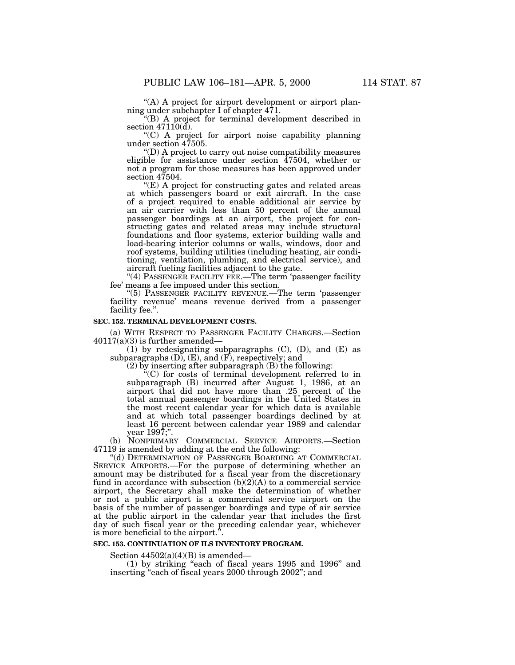"(A) A project for airport development or airport planning under subchapter I of chapter 471.

''(B) A project for terminal development described in section  $47110(d)$ .

''(C) A project for airport noise capability planning under section 47505.

''(D) A project to carry out noise compatibility measures eligible for assistance under section  $\overline{47504}$ , whether or not a program for those measures has been approved under section 47504.

"(E) A project for constructing gates and related areas at which passengers board or exit aircraft. In the case of a project required to enable additional air service by an air carrier with less than 50 percent of the annual passenger boardings at an airport, the project for constructing gates and related areas may include structural foundations and floor systems, exterior building walls and load-bearing interior columns or walls, windows, door and roof systems, building utilities (including heating, air conditioning, ventilation, plumbing, and electrical service), and aircraft fueling facilities adjacent to the gate.

"(4) PASSENGER FACILITY FEE.—The term 'passenger facility fee' means a fee imposed under this section.

''(5) PASSENGER FACILITY REVENUE.—The term 'passenger facility revenue' means revenue derived from a passenger facility fee.''.

#### **SEC. 152. TERMINAL DEVELOPMENT COSTS.**

(a) WITH RESPECT TO PASSENGER FACILITY CHARGES.—Section  $40117(a)(3)$  is further amended—

(1) by redesignating subparagraphs  $(C)$ ,  $(D)$ , and  $(E)$  as subparagraphs  $(D)$ ,  $(E)$ , and  $(F)$ , respectively; and

(2) by inserting after subparagraph (B) the following:

''(C) for costs of terminal development referred to in subparagraph (B) incurred after August 1, 1986, at an airport that did not have more than .25 percent of the total annual passenger boardings in the United States in the most recent calendar year for which data is available and at which total passenger boardings declined by at least 16 percent between calendar year 1989 and calendar vear 1997;".

(b) NONPRIMARY COMMERCIAL SERVICE AIRPORTS.—Section 47119 is amended by adding at the end the following:

"(d) DETERMINATION OF PASSENGER BOARDING AT COMMERCIAL SERVICE AIRPORTS.—For the purpose of determining whether an amount may be distributed for a fiscal year from the discretionary fund in accordance with subsection  $(b)(2)(A)$  to a commercial service airport, the Secretary shall make the determination of whether or not a public airport is a commercial service airport on the basis of the number of passenger boardings and type of air service at the public airport in the calendar year that includes the first day of such fiscal year or the preceding calendar year, whichever is more beneficial to the airport.''.

# **SEC. 153. CONTINUATION OF ILS INVENTORY PROGRAM.**

Section  $44502(a)(4)(B)$  is amended—

(1) by striking ''each of fiscal years 1995 and 1996'' and inserting ''each of fiscal years 2000 through 2002''; and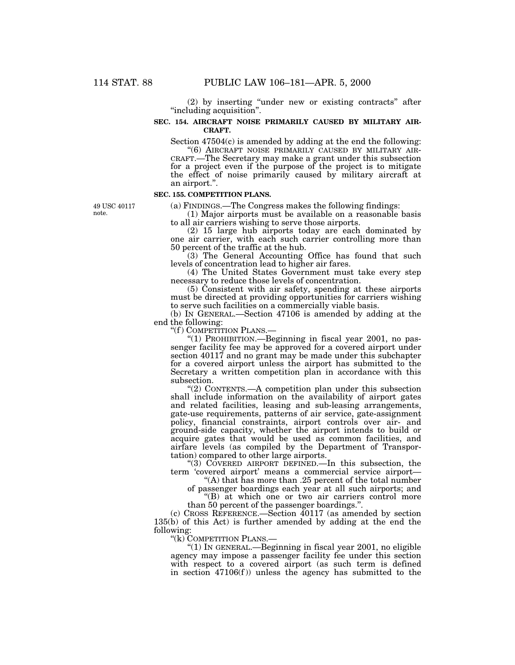(2) by inserting ''under new or existing contracts'' after ''including acquisition''.

# **SEC. 154. AIRCRAFT NOISE PRIMARILY CAUSED BY MILITARY AIR-CRAFT.**

Section 47504(c) is amended by adding at the end the following:<br>"(6) AIRCRAFT NOISE PRIMARILY CAUSED BY MILITARY AIR-

CRAFT.—The Secretary may make a grant under this subsection for a project even if the purpose of the project is to mitigate the effect of noise primarily caused by military aircraft at an airport.''.

### **SEC. 155. COMPETITION PLANS.**

(a) FINDINGS.—The Congress makes the following findings:

(1) Major airports must be available on a reasonable basis to all air carriers wishing to serve those airports.

(2) 15 large hub airports today are each dominated by one air carrier, with each such carrier controlling more than 50 percent of the traffic at the hub.

(3) The General Accounting Office has found that such levels of concentration lead to higher air fares.

(4) The United States Government must take every step necessary to reduce those levels of concentration.

(5) Consistent with air safety, spending at these airports must be directed at providing opportunities for carriers wishing to serve such facilities on a commercially viable basis.

(b) IN GENERAL.—Section 47106 is amended by adding at the end the following:<br>"(f) COMPETITION PLANS.-

"(1) PROHIBITION.— Beginning in fiscal year 2001, no passenger facility fee may be approved for a covered airport under section 40117 and no grant may be made under this subchapter for a covered airport unless the airport has submitted to the Secretary a written competition plan in accordance with this subsection.

''(2) CONTENTS.—A competition plan under this subsection shall include information on the availability of airport gates and related facilities, leasing and sub-leasing arrangements, gate-use requirements, patterns of air service, gate-assignment policy, financial constraints, airport controls over air- and ground-side capacity, whether the airport intends to build or acquire gates that would be used as common facilities, and airfare levels (as compiled by the Department of Transportation) compared to other large airports.

"(3) COVERED AIRPORT DEFINED.—In this subsection, the term 'covered airport' means a commercial service airport—

''(A) that has more than .25 percent of the total number of passenger boardings each year at all such airports; and

''(B) at which one or two air carriers control more than 50 percent of the passenger boardings.''.

(c) CROSS REFERENCE.—Section 40117 (as amended by section 135(b) of this Act) is further amended by adding at the end the following:

''(k) COMPETITION PLANS.—

 $''(1)$  In GENERAL.—Beginning in fiscal year 2001, no eligible agency may impose a passenger facility fee under this section with respect to a covered airport (as such term is defined in section  $47106(f)$ ) unless the agency has submitted to the

49 USC 40117 note.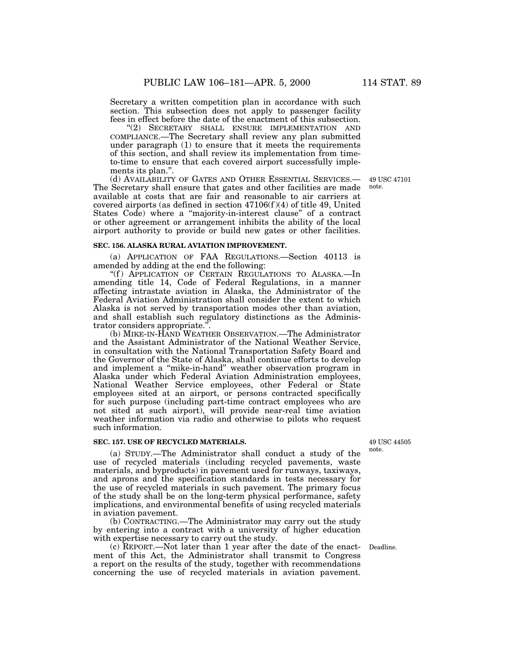Secretary a written competition plan in accordance with such section. This subsection does not apply to passenger facility fees in effect before the date of the enactment of this subsection.

''(2) SECRETARY SHALL ENSURE IMPLEMENTATION AND COMPLIANCE.—The Secretary shall review any plan submitted under paragraph (1) to ensure that it meets the requirements of this section, and shall review its implementation from timeto-time to ensure that each covered airport successfully implements its plan.''.

(d) AVAILABILITY OF GATES AND OTHER ESSENTIAL SERVICES.— 49 USC 47101 The Secretary shall ensure that gates and other facilities are made note. available at costs that are fair and reasonable to air carriers at covered airports (as defined in section  $47106(f)(4)$  of title 49, United States Code) where a "majority-in-interest clause" of a contract or other agreement or arrangement inhibits the ability of the local airport authority to provide or build new gates or other facilities.

#### **SEC. 156. ALASKA RURAL AVIATION IMPROVEMENT.**

(a) APPLICATION OF FAA REGULATIONS.—Section 40113 is amended by adding at the end the following:

''(f ) APPLICATION OF CERTAIN REGULATIONS TO ALASKA.—In amending title 14, Code of Federal Regulations, in a manner affecting intrastate aviation in Alaska, the Administrator of the Federal Aviation Administration shall consider the extent to which Alaska is not served by transportation modes other than aviation, and shall establish such regulatory distinctions as the Administrator considers appropriate.''.

(b) MIKE-IN-HAND WEATHER OBSERVATION.—The Administrator and the Assistant Administrator of the National Weather Service, in consultation with the National Transportation Safety Board and the Governor of the State of Alaska, shall continue efforts to develop and implement a ''mike-in-hand'' weather observation program in Alaska under which Federal Aviation Administration employees, National Weather Service employees, other Federal or State employees sited at an airport, or persons contracted specifically for such purpose (including part-time contract employees who are not sited at such airport), will provide near-real time aviation weather information via radio and otherwise to pilots who request such information.

## **SEC. 157. USE OF RECYCLED MATERIALS.**

(a) STUDY.—The Administrator shall conduct a study of the use of recycled materials (including recycled pavements, waste materials, and byproducts) in pavement used for runways, taxiways, and aprons and the specification standards in tests necessary for the use of recycled materials in such pavement. The primary focus of the study shall be on the long-term physical performance, safety implications, and environmental benefits of using recycled materials in aviation pavement.

(b) CONTRACTING.—The Administrator may carry out the study by entering into a contract with a university of higher education with expertise necessary to carry out the study.

(c) REPORT.—Not later than 1 year after the date of the enact-Deadline. ment of this Act, the Administrator shall transmit to Congress a report on the results of the study, together with recommendations concerning the use of recycled materials in aviation pavement.

49 USC 44505 note.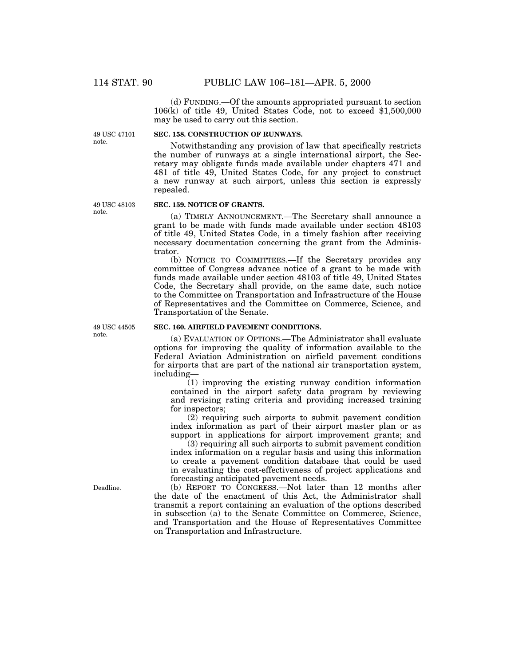(d) FUNDING.—Of the amounts appropriated pursuant to section 106(k) of title 49, United States Code, not to exceed \$1,500,000 may be used to carry out this section.

49 USC 47101 note.

# **SEC. 158. CONSTRUCTION OF RUNWAYS.**

Notwithstanding any provision of law that specifically restricts the number of runways at a single international airport, the Secretary may obligate funds made available under chapters 471 and 481 of title 49, United States Code, for any project to construct a new runway at such airport, unless this section is expressly repealed.

49 USC 48103 note.

# **SEC. 159. NOTICE OF GRANTS.**

(a) TIMELY ANNOUNCEMENT.—The Secretary shall announce a grant to be made with funds made available under section 48103 of title 49, United States Code, in a timely fashion after receiving necessary documentation concerning the grant from the Administrator.

(b) NOTICE TO COMMITTEES.—If the Secretary provides any committee of Congress advance notice of a grant to be made with funds made available under section 48103 of title 49, United States Code, the Secretary shall provide, on the same date, such notice to the Committee on Transportation and Infrastructure of the House of Representatives and the Committee on Commerce, Science, and Transportation of the Senate.

49 USC 44505 note.

# **SEC. 160. AIRFIELD PAVEMENT CONDITIONS.**

(a) EVALUATION OF OPTIONS.—The Administrator shall evaluate options for improving the quality of information available to the Federal Aviation Administration on airfield pavement conditions for airports that are part of the national air transportation system, including—

(1) improving the existing runway condition information contained in the airport safety data program by reviewing and revising rating criteria and providing increased training for inspectors;

 $(2)$  requiring such airports to submit pavement condition index information as part of their airport master plan or as support in applications for airport improvement grants; and

(3) requiring all such airports to submit pavement condition index information on a regular basis and using this information to create a pavement condition database that could be used in evaluating the cost-effectiveness of project applications and forecasting anticipated pavement needs.

(b) REPORT TO CONGRESS.—Not later than 12 months after the date of the enactment of this Act, the Administrator shall transmit a report containing an evaluation of the options described in subsection (a) to the Senate Committee on Commerce, Science, and Transportation and the House of Representatives Committee on Transportation and Infrastructure.

Deadline.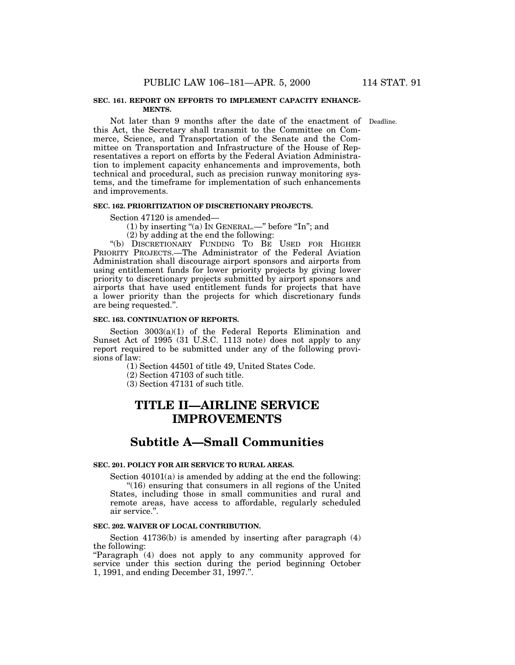## **SEC. 161. REPORT ON EFFORTS TO IMPLEMENT CAPACITY ENHANCE-MENTS.**

Not later than 9 months after the date of the enactment of Deadline. this Act, the Secretary shall transmit to the Committee on Commerce, Science, and Transportation of the Senate and the Committee on Transportation and Infrastructure of the House of Representatives a report on efforts by the Federal Aviation Administration to implement capacity enhancements and improvements, both technical and procedural, such as precision runway monitoring systems, and the timeframe for implementation of such enhancements and improvements.

# **SEC. 162. PRIORITIZATION OF DISCRETIONARY PROJECTS.**

Section 47120 is amended—

(1) by inserting "(a) In GENERAL.—" before "In"; and

(2) by adding at the end the following:

''(b) DISCRETIONARY FUNDING TO BE USED FOR HIGHER PRIORITY PROJECTS.—The Administrator of the Federal Aviation Administration shall discourage airport sponsors and airports from using entitlement funds for lower priority projects by giving lower priority to discretionary projects submitted by airport sponsors and airports that have used entitlement funds for projects that have a lower priority than the projects for which discretionary funds are being requested.''.

### **SEC. 163. CONTINUATION OF REPORTS.**

Section 3003(a)(1) of the Federal Reports Elimination and Sunset Act of 1995 (31 U.S.C. 1113 note) does not apply to any report required to be submitted under any of the following provisions of law:

(1) Section 44501 of title 49, United States Code.

- (2) Section 47103 of such title.
- (3) Section 47131 of such title.

# **TITLE II—AIRLINE SERVICE IMPROVEMENTS**

# **Subtitle A—Small Communities**

# **SEC. 201. POLICY FOR AIR SERVICE TO RURAL AREAS.**

Section 40101(a) is amended by adding at the end the following: ''(16) ensuring that consumers in all regions of the United States, including those in small communities and rural and remote areas, have access to affordable, regularly scheduled air service.''.

# **SEC. 202. WAIVER OF LOCAL CONTRIBUTION.**

Section 41736(b) is amended by inserting after paragraph (4) the following:

"Paragraph (4) does not apply to any community approved for service under this section during the period beginning October 1, 1991, and ending December 31, 1997.''.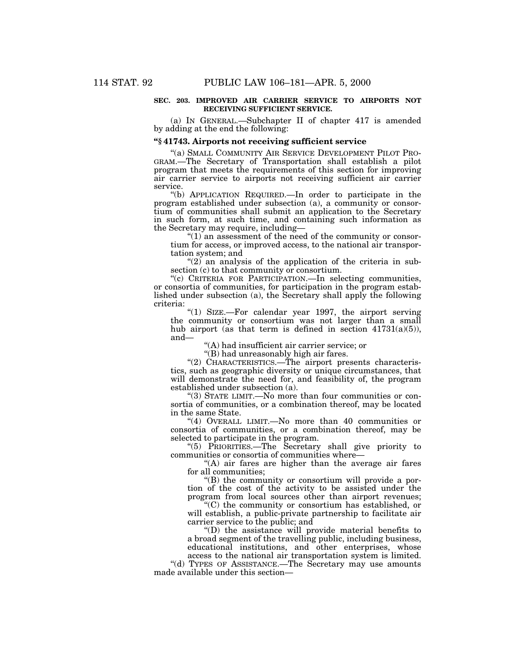# **SEC. 203. IMPROVED AIR CARRIER SERVICE TO AIRPORTS NOT RECEIVING SUFFICIENT SERVICE.**

(a) IN GENERAL.—Subchapter II of chapter 417 is amended by adding at the end the following:

# **''§ 41743. Airports not receiving sufficient service**

''(a) SMALL COMMUNITY AIR SERVICE DEVELOPMENT PILOT PRO- GRAM.—The Secretary of Transportation shall establish a pilot program that meets the requirements of this section for improving air carrier service to airports not receiving sufficient air carrier service.

''(b) APPLICATION REQUIRED.—In order to participate in the program established under subsection (a), a community or consortium of communities shall submit an application to the Secretary in such form, at such time, and containing such information as the Secretary may require, including—

 $(1)$  an assessment of the need of the community or consortium for access, or improved access, to the national air transportation system; and

 $(2)$  an analysis of the application of the criteria in subsection (c) to that community or consortium.

''(c) CRITERIA FOR PARTICIPATION.—In selecting communities, or consortia of communities, for participation in the program established under subsection (a), the Secretary shall apply the following criteria:

"(1) SIZE.-For calendar year 1997, the airport serving the community or consortium was not larger than a small hub airport (as that term is defined in section  $41731(a)(5)$ ), and—

''(A) had insufficient air carrier service; or

"(B) had unreasonably high air fares.

"(2) CHARACTERISTICS.—The airport presents characteristics, such as geographic diversity or unique circumstances, that will demonstrate the need for, and feasibility of, the program established under subsection (a).

''(3) STATE LIMIT.—No more than four communities or consortia of communities, or a combination thereof, may be located in the same State.

 $(4)$  OVERALL LIMIT.—No more than 40 communities or consortia of communities, or a combination thereof, may be selected to participate in the program.

''(5) PRIORITIES.—The Secretary shall give priority to communities or consortia of communities where—

"(A) air fares are higher than the average air fares for all communities;

''(B) the community or consortium will provide a portion of the cost of the activity to be assisted under the program from local sources other than airport revenues;

''(C) the community or consortium has established, or will establish, a public-private partnership to facilitate air carrier service to the public; and

''(D) the assistance will provide material benefits to a broad segment of the travelling public, including business, educational institutions, and other enterprises, whose

access to the national air transportation system is limited. ''(d) TYPES OF ASSISTANCE.—The Secretary may use amounts made available under this section—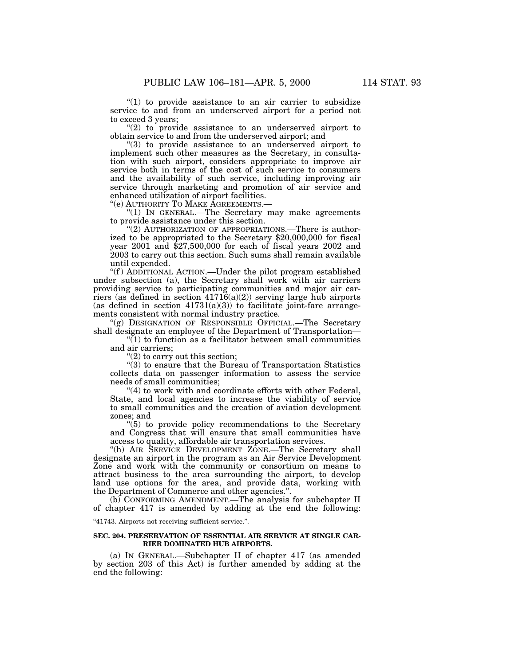" $(1)$  to provide assistance to an air carrier to subsidize service to and from an underserved airport for a period not to exceed 3 years;

"(2) to provide assistance to an underserved airport to obtain service to and from the underserved airport; and

''(3) to provide assistance to an underserved airport to implement such other measures as the Secretary, in consultation with such airport, considers appropriate to improve air service both in terms of the cost of such service to consumers and the availability of such service, including improving air service through marketing and promotion of air service and enhanced utilization of airport facilities.

''(e) AUTHORITY TO MAKE AGREEMENTS.—

''(1) IN GENERAL.—The Secretary may make agreements to provide assistance under this section.

"(2) AUTHORIZATION OF APPROPRIATIONS.—There is authorized to be appropriated to the Secretary \$20,000,000 for fiscal year 2001 and \$27,500,000 for each of fiscal years 2002 and 2003 to carry out this section. Such sums shall remain available until expended.

"(f) ADDITIONAL ACTION.—Under the pilot program established under subsection (a), the Secretary shall work with air carriers providing service to participating communities and major air carriers (as defined in section  $41716(a)(2)$ ) serving large hub airports (as defined in section  $41731(a)(3)$ ) to facilitate joint-fare arrangements consistent with normal industry practice.

"(g) DESIGNATION OF RESPONSIBLE OFFICIAL.—The Secretary shall designate an employee of the Department of Transportation—

 $(1)$  to function as a facilitator between small communities and air carriers;

" $(2)$  to carry out this section;

 $(3)$  to ensure that the Bureau of Transportation Statistics collects data on passenger information to assess the service needs of small communities;

"(4) to work with and coordinate efforts with other Federal, State, and local agencies to increase the viability of service to small communities and the creation of aviation development zones; and

 $(5)$  to provide policy recommendations to the Secretary and Congress that will ensure that small communities have access to quality, affordable air transportation services.

"(h) AIR SERVICE DEVELOPMENT ZONE.—The Secretary shall designate an airport in the program as an Air Service Development Zone and work with the community or consortium on means to attract business to the area surrounding the airport, to develop land use options for the area, and provide data, working with the Department of Commerce and other agencies.''.

(b) CONFORMING AMENDMENT.—The analysis for subchapter II of chapter 417 is amended by adding at the end the following:

''41743. Airports not receiving sufficient service.''.

### **SEC. 204. PRESERVATION OF ESSENTIAL AIR SERVICE AT SINGLE CAR-RIER DOMINATED HUB AIRPORTS.**

(a) IN GENERAL.—Subchapter II of chapter 417 (as amended by section 203 of this Act) is further amended by adding at the end the following: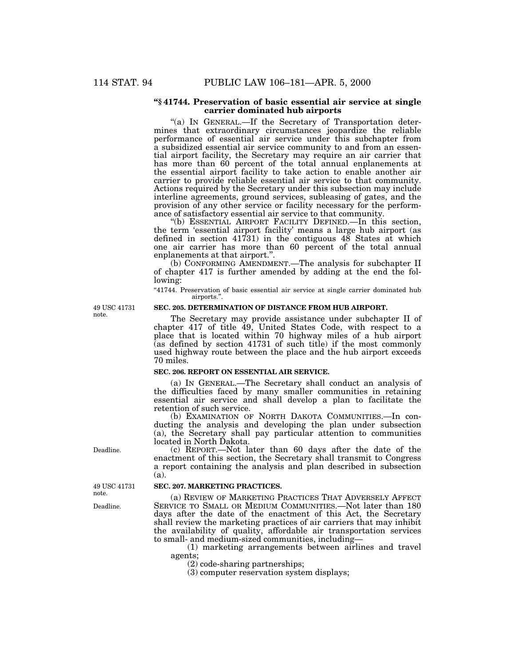## **''§ 41744. Preservation of basic essential air service at single carrier dominated hub airports**

''(a) IN GENERAL.—If the Secretary of Transportation determines that extraordinary circumstances jeopardize the reliable performance of essential air service under this subchapter from a subsidized essential air service community to and from an essential airport facility, the Secretary may require an air carrier that has more than 60 percent of the total annual enplanements at the essential airport facility to take action to enable another air carrier to provide reliable essential air service to that community. Actions required by the Secretary under this subsection may include interline agreements, ground services, subleasing of gates, and the provision of any other service or facility necessary for the performance of satisfactory essential air service to that community.

''(b) ESSENTIAL AIRPORT FACILITY DEFINED.—In this section, the term 'essential airport facility' means a large hub airport (as defined in section 41731) in the contiguous 48 States at which one air carrier has more than 60 percent of the total annual enplanements at that airport.''.

(b) CONFORMING AMENDMENT.—The analysis for subchapter II of chapter 417 is further amended by adding at the end the following:

"41744. Preservation of basic essential air service at single carrier dominated hub airports.''.

49 USC 41731 note.

# **SEC. 205. DETERMINATION OF DISTANCE FROM HUB AIRPORT.**

The Secretary may provide assistance under subchapter II of chapter 417 of title 49, United States Code, with respect to a place that is located within 70 highway miles of a hub airport (as defined by section 41731 of such title) if the most commonly used highway route between the place and the hub airport exceeds 70 miles.

### **SEC. 206. REPORT ON ESSENTIAL AIR SERVICE.**

(a) IN GENERAL.—The Secretary shall conduct an analysis of the difficulties faced by many smaller communities in retaining essential air service and shall develop a plan to facilitate the retention of such service.

(b) EXAMINATION OF NORTH DAKOTA COMMUNITIES.—In conducting the analysis and developing the plan under subsection (a), the Secretary shall pay particular attention to communities located in North Dakota.

(c) REPORT.—Not later than 60 days after the date of the enactment of this section, the Secretary shall transmit to Congress a report containing the analysis and plan described in subsection (a).

## **SEC. 207. MARKETING PRACTICES.**

(a) REVIEW OF MARKETING PRACTICES THAT ADVERSELY AFFECT SERVICE TO SMALL OR MEDIUM COMMUNITIES.—Not later than 180 days after the date of the enactment of this Act, the Secretary shall review the marketing practices of air carriers that may inhibit the availability of quality, affordable air transportation services to small- and medium-sized communities, including—

(1) marketing arrangements between airlines and travel agents;

(2) code-sharing partnerships;

(3) computer reservation system displays;

Deadline.

49 USC 41731 note.

Deadline.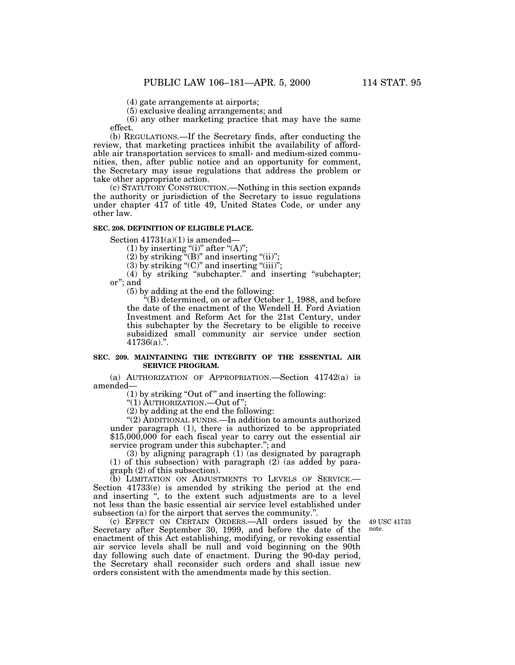(4) gate arrangements at airports;

(5) exclusive dealing arrangements; and

(6) any other marketing practice that may have the same effect.

(b) REGULATIONS.—If the Secretary finds, after conducting the review, that marketing practices inhibit the availability of affordable air transportation services to small- and medium-sized communities, then, after public notice and an opportunity for comment, the Secretary may issue regulations that address the problem or take other appropriate action.

(c) STATUTORY CONSTRUCTION.—Nothing in this section expands the authority or jurisdiction of the Secretary to issue regulations under chapter 417 of title 49, United States Code, or under any other law.

#### **SEC. 208. DEFINITION OF ELIGIBLE PLACE.**

Section  $41731(a)(1)$  is amended–

(1) by inserting "(i)" after " $(A)$ ";

 $(2)$  by striking "(B)" and inserting "(ii)";

(3) by striking "(C)" and inserting "(iii)";

(4) by striking ''subchapter.'' and inserting ''subchapter; or''; and

(5) by adding at the end the following:

 $E<sup>k</sup>(B)$  determined, on or after October 1, 1988, and before the date of the enactment of the Wendell H. Ford Aviation Investment and Reform Act for the 21st Century, under this subchapter by the Secretary to be eligible to receive subsidized small community air service under section  $41736(a)$ .".

# **SEC. 209. MAINTAINING THE INTEGRITY OF THE ESSENTIAL AIR SERVICE PROGRAM.**

(a) AUTHORIZATION OF APPROPRIATION.—Section 41742(a) is amended—

(1) by striking ''Out of '' and inserting the following:

''(1) AUTHORIZATION.—Out of '';

 $(2)$  by adding at the end the following:

''(2) ADDITIONAL FUNDS.—In addition to amounts authorized under paragraph (1), there is authorized to be appropriated \$15,000,000 for each fiscal year to carry out the essential air service program under this subchapter.''; and

(3) by aligning paragraph (1) (as designated by paragraph (1) of this subsection) with paragraph  $(2)$  (as added by paragraph (2) of this subsection).

(b) LIMITATION ON ADJUSTMENTS TO LEVELS OF SERVICE.— Section 41733(e) is amended by striking the period at the end and inserting '', to the extent such adjustments are to a level not less than the basic essential air service level established under subsection (a) for the airport that serves the community.''.

(c) EFFECT ON CERTAIN ORDERS.—All orders issued by the Secretary after September 30, 1999, and before the date of the enactment of this Act establishing, modifying, or revoking essential air service levels shall be null and void beginning on the 90th day following such date of enactment. During the 90-day period, the Secretary shall reconsider such orders and shall issue new orders consistent with the amendments made by this section.

49 USC 41733 note.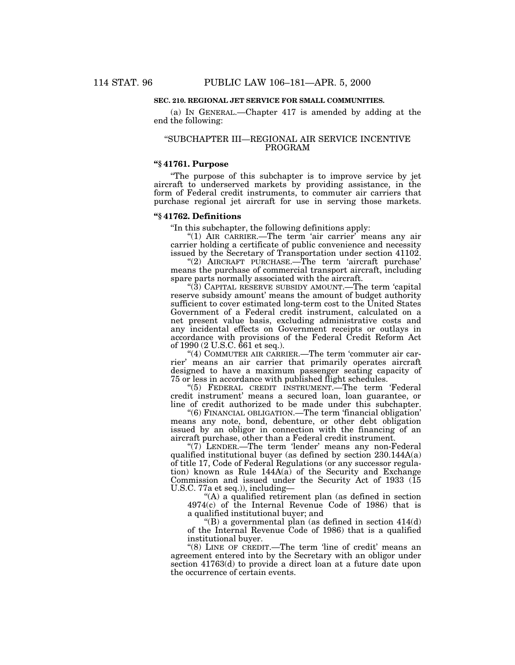# **SEC. 210. REGIONAL JET SERVICE FOR SMALL COMMUNITIES.**

(a) IN GENERAL.—Chapter 417 is amended by adding at the end the following:

# ''SUBCHAPTER III—REGIONAL AIR SERVICE INCENTIVE PROGRAM

# **''§ 41761. Purpose**

''The purpose of this subchapter is to improve service by jet aircraft to underserved markets by providing assistance, in the form of Federal credit instruments, to commuter air carriers that purchase regional jet aircraft for use in serving those markets.

# **''§ 41762. Definitions**

''In this subchapter, the following definitions apply:

"(1) AIR CARRIER.—The term 'air carrier' means any air carrier holding a certificate of public convenience and necessity issued by the Secretary of Transportation under section 41102.

"(2) AIRCRAFT PURCHASE.—The term 'aircraft purchase' means the purchase of commercial transport aircraft, including spare parts normally associated with the aircraft.

" $(3)$  CAPITAL RESERVE SUBSIDY AMOUNT.—The term 'capital reserve subsidy amount' means the amount of budget authority sufficient to cover estimated long-term cost to the United States Government of a Federal credit instrument, calculated on a net present value basis, excluding administrative costs and any incidental effects on Government receipts or outlays in accordance with provisions of the Federal Credit Reform Act of 1990 (2 U.S.C. 661 et seq.).

"(4) COMMUTER AIR CARRIER.—The term 'commuter air carrier' means an air carrier that primarily operates aircraft designed to have a maximum passenger seating capacity of 75 or less in accordance with published flight schedules.

''(5) FEDERAL CREDIT INSTRUMENT.—The term 'Federal credit instrument' means a secured loan, loan guarantee, or line of credit authorized to be made under this subchapter.

''(6) FINANCIAL OBLIGATION.—The term 'financial obligation' means any note, bond, debenture, or other debt obligation issued by an obligor in connection with the financing of an aircraft purchase, other than a Federal credit instrument.

" $(7)$ <sup>"</sup>LENDER.—The term 'lender' means any non-Federal qualified institutional buyer (as defined by section 230.144A(a) of title 17, Code of Federal Regulations (or any successor regulation) known as Rule 144A(a) of the Security and Exchange Commission and issued under the Security Act of 1933 (15 U.S.C. 77a et seq.)), including—

''(A) a qualified retirement plan (as defined in section 4974(c) of the Internal Revenue Code of 1986) that is a qualified institutional buyer; and

"(B) a governmental plan (as defined in section  $414(d)$ of the Internal Revenue Code of 1986) that is a qualified institutional buyer.

"(8) LINE OF CREDIT.—The term 'line of credit' means an agreement entered into by the Secretary with an obligor under section 41763(d) to provide a direct loan at a future date upon the occurrence of certain events.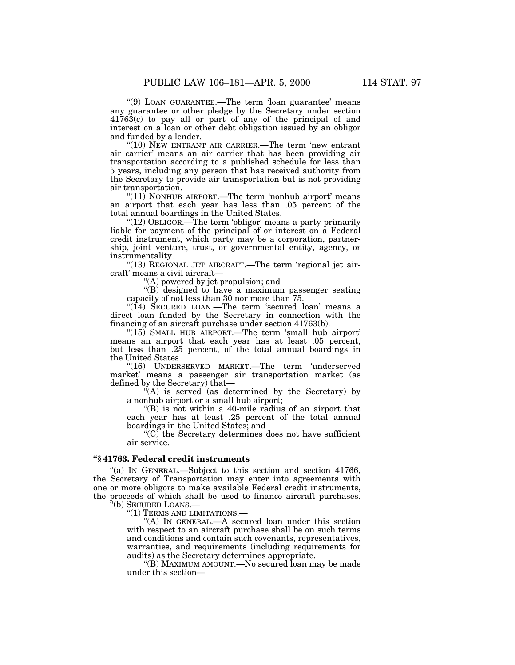''(9) LOAN GUARANTEE.—The term 'loan guarantee' means any guarantee or other pledge by the Secretary under section 41763(c) to pay all or part of any of the principal of and interest on a loan or other debt obligation issued by an obligor and funded by a lender.

''(10) NEW ENTRANT AIR CARRIER.—The term 'new entrant air carrier' means an air carrier that has been providing air transportation according to a published schedule for less than 5 years, including any person that has received authority from the Secretary to provide air transportation but is not providing air transportation.

"(11) NONHUB AIRPORT.—The term 'nonhub airport' means an airport that each year has less than .05 percent of the total annual boardings in the United States.

"(12) OBLIGOR.—The term 'obligor' means a party primarily liable for payment of the principal of or interest on a Federal credit instrument, which party may be a corporation, partnership, joint venture, trust, or governmental entity, agency, or instrumentality.

"(13) REGIONAL JET AIRCRAFT.—The term 'regional jet aircraft' means a civil aircraft—

''(A) powered by jet propulsion; and

''(B) designed to have a maximum passenger seating capacity of not less than 30 nor more than 75.

" $(14)$  SECURED LOAN.—The term 'secured loan' means a direct loan funded by the Secretary in connection with the financing of an aircraft purchase under section 41763(b).

" $(15)$  SMALL HUB AIRPORT.—The term 'small hub airport' means an airport that each year has at least .05 percent, but less than .25 percent, of the total annual boardings in the United States.

''(16) UNDERSERVED MARKET.—The term 'underserved market' means a passenger air transportation market (as defined by the Secretary) that—

''(A) is served (as determined by the Secretary) by a nonhub airport or a small hub airport;

''(B) is not within a 40-mile radius of an airport that each year has at least .25 percent of the total annual boardings in the United States; and

 $(C)$  the Secretary determines does not have sufficient air service.

# **''§ 41763. Federal credit instruments**

"(a) IN GENERAL.—Subject to this section and section 41766, the Secretary of Transportation may enter into agreements with one or more obligors to make available Federal credit instruments, the proceeds of which shall be used to finance aircraft purchases. ''(b) SECURED LOANS.—

"(1) TERMS AND LIMITATIONS.-

''(A) IN GENERAL.—A secured loan under this section with respect to an aircraft purchase shall be on such terms and conditions and contain such covenants, representatives, warranties, and requirements (including requirements for audits) as the Secretary determines appropriate.

''(B) MAXIMUM AMOUNT.—No secured loan may be made under this section—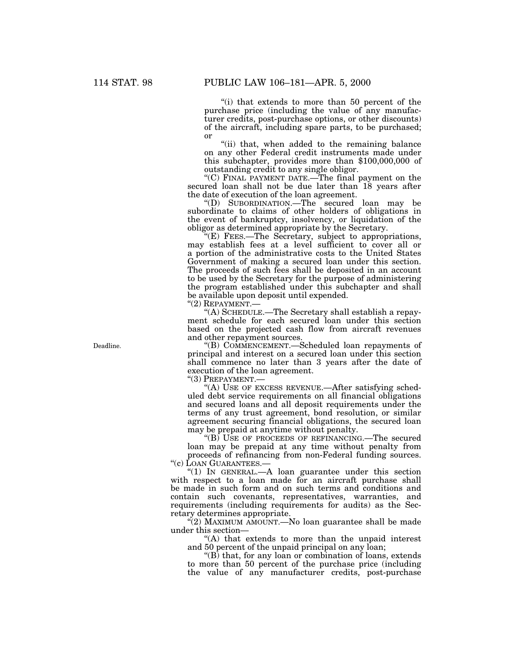''(i) that extends to more than 50 percent of the purchase price (including the value of any manufacturer credits, post-purchase options, or other discounts) of the aircraft, including spare parts, to be purchased; or

''(ii) that, when added to the remaining balance on any other Federal credit instruments made under this subchapter, provides more than \$100,000,000 of outstanding credit to any single obligor.

''(C) FINAL PAYMENT DATE.—The final payment on the secured loan shall not be due later than 18 years after the date of execution of the loan agreement.

''(D) SUBORDINATION.—The secured loan may be subordinate to claims of other holders of obligations in the event of bankruptcy, insolvency, or liquidation of the obligor as determined appropriate by the Secretary.

''(E) FEES.—The Secretary, subject to appropriations, may establish fees at a level sufficient to cover all or a portion of the administrative costs to the United States Government of making a secured loan under this section. The proceeds of such fees shall be deposited in an account to be used by the Secretary for the purpose of administering the program established under this subchapter and shall be available upon deposit until expended.

"(2) REPAYMENT.-

''(A) SCHEDULE.—The Secretary shall establish a repayment schedule for each secured loan under this section based on the projected cash flow from aircraft revenues and other repayment sources.

''(B) COMMENCEMENT.—Scheduled loan repayments of principal and interest on a secured loan under this section shall commence no later than 3 years after the date of execution of the loan agreement.

''(3) PREPAYMENT.—

''(A) USE OF EXCESS REVENUE.—After satisfying scheduled debt service requirements on all financial obligations and secured loans and all deposit requirements under the terms of any trust agreement, bond resolution, or similar agreement securing financial obligations, the secured loan may be prepaid at anytime without penalty.

"(B) USE OF PROCEEDS OF REFINANCING.—The secured loan may be prepaid at any time without penalty from proceeds of refinancing from non-Federal funding sources. ''(c) LOAN GUARANTEES.—

" $(1)$  IN GENERAL.—A loan guarantee under this section with respect to a loan made for an aircraft purchase shall be made in such form and on such terms and conditions and contain such covenants, representatives, warranties, and requirements (including requirements for audits) as the Secretary determines appropriate.

 $\binom{a}{2}$  MAXIMUM AMOUNT.—No loan guarantee shall be made under this section—

''(A) that extends to more than the unpaid interest and 50 percent of the unpaid principal on any loan;

''(B) that, for any loan or combination of loans, extends to more than 50 percent of the purchase price (including the value of any manufacturer credits, post-purchase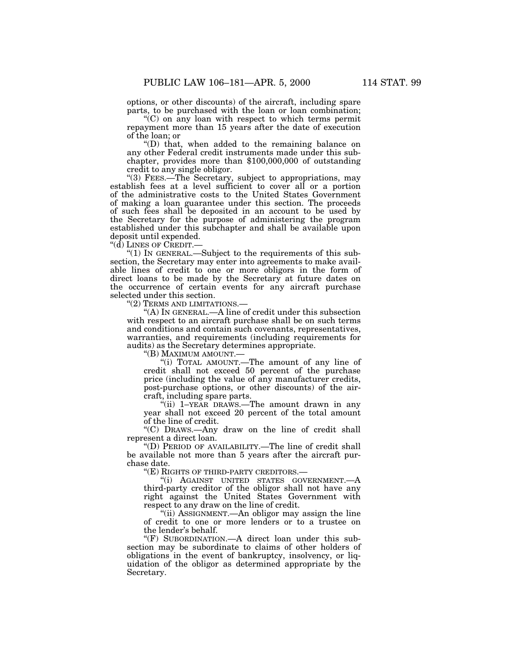options, or other discounts) of the aircraft, including spare parts, to be purchased with the loan or loan combination; ''(C) on any loan with respect to which terms permit

repayment more than 15 years after the date of execution of the loan; or

''(D) that, when added to the remaining balance on any other Federal credit instruments made under this subchapter, provides more than \$100,000,000 of outstanding credit to any single obligor.

''(3) FEES.—The Secretary, subject to appropriations, may establish fees at a level sufficient to cover all or a portion of the administrative costs to the United States Government of making a loan guarantee under this section. The proceeds of such fees shall be deposited in an account to be used by the Secretary for the purpose of administering the program established under this subchapter and shall be available upon deposit until expended.

''(d) LINES OF CREDIT.—

''(1) IN GENERAL.—Subject to the requirements of this subsection, the Secretary may enter into agreements to make available lines of credit to one or more obligors in the form of direct loans to be made by the Secretary at future dates on the occurrence of certain events for any aircraft purchase selected under this section.

''(2) TERMS AND LIMITATIONS.—

"(A) IN GENERAL.—A line of credit under this subsection with respect to an aircraft purchase shall be on such terms and conditions and contain such covenants, representatives, warranties, and requirements (including requirements for audits) as the Secretary determines appropriate.

''(B) MAXIMUM AMOUNT.—

''(i) TOTAL AMOUNT.—The amount of any line of credit shall not exceed 50 percent of the purchase price (including the value of any manufacturer credits, post-purchase options, or other discounts) of the aircraft, including spare parts.

''(ii) 1–YEAR DRAWS.—The amount drawn in any year shall not exceed 20 percent of the total amount of the line of credit.

''(C) DRAWS.—Any draw on the line of credit shall represent a direct loan.

''(D) PERIOD OF AVAILABILITY.—The line of credit shall be available not more than 5 years after the aircraft purchase date.

''(E) RIGHTS OF THIRD-PARTY CREDITORS.—

''(i) AGAINST UNITED STATES GOVERNMENT.—A third-party creditor of the obligor shall not have any right against the United States Government with respect to any draw on the line of credit.

''(ii) ASSIGNMENT.—An obligor may assign the line of credit to one or more lenders or to a trustee on the lender's behalf.

''(F) SUBORDINATION.—A direct loan under this subsection may be subordinate to claims of other holders of obligations in the event of bankruptcy, insolvency, or liquidation of the obligor as determined appropriate by the Secretary.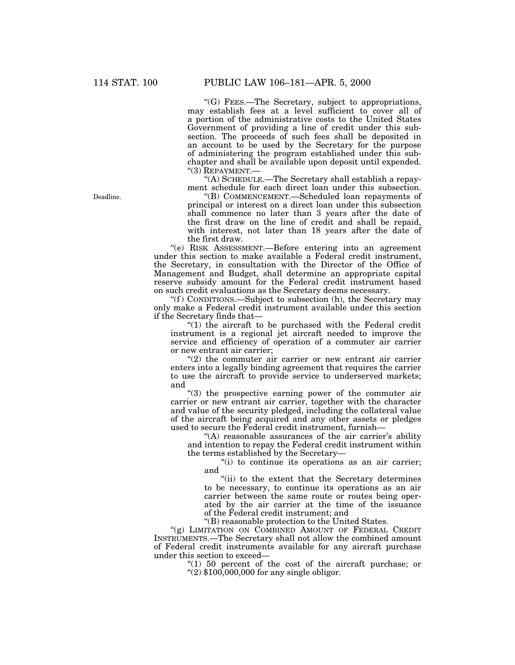''(G) FEES.—The Secretary, subject to appropriations, may establish fees at a level sufficient to cover all of a portion of the administrative costs to the United States Government of providing a line of credit under this subsection. The proceeds of such fees shall be deposited in an account to be used by the Secretary for the purpose of administering the program established under this subchapter and shall be available upon deposit until expended.  $"(3)$  REPAYMENT.-

''(A) SCHEDULE.—The Secretary shall establish a repayment schedule for each direct loan under this subsection.

''(B) COMMENCEMENT.—Scheduled loan repayments of principal or interest on a direct loan under this subsection shall commence no later than 3 years after the date of the first draw on the line of credit and shall be repaid, with interest, not later than 18 years after the date of the first draw.

''(e) RISK ASSESSMENT.—Before entering into an agreement under this section to make available a Federal credit instrument, the Secretary, in consultation with the Director of the Office of Management and Budget, shall determine an appropriate capital reserve subsidy amount for the Federal credit instrument based on such credit evaluations as the Secretary deems necessary.

"(f) CONDITIONS.—Subject to subsection (h), the Secretary may only make a Federal credit instrument available under this section if the Secretary finds that—

" $(1)$  the aircraft to be purchased with the Federal credit instrument is a regional jet aircraft needed to improve the service and efficiency of operation of a commuter air carrier or new entrant air carrier;

 $(2)$  the commuter air carrier or new entrant air carrier enters into a legally binding agreement that requires the carrier to use the aircraft to provide service to underserved markets; and

"(3) the prospective earning power of the commuter air carrier or new entrant air carrier, together with the character and value of the security pledged, including the collateral value of the aircraft being acquired and any other assets or pledges used to secure the Federal credit instrument, furnish—

"(A) reasonable assurances of the air carrier's ability and intention to repay the Federal credit instrument within the terms established by the Secretary—

"(i) to continue its operations as an air carrier; and

"(ii) to the extent that the Secretary determines to be necessary, to continue its operations as an air carrier between the same route or routes being operated by the air carrier at the time of the issuance of the Federal credit instrument; and

''(B) reasonable protection to the United States.

"(g) LIMITATION ON COMBINED AMOUNT OF FEDERAL CREDIT INSTRUMENTS.—The Secretary shall not allow the combined amount of Federal credit instruments available for any aircraft purchase under this section to exceed—

''(1) 50 percent of the cost of the aircraft purchase; or  $\degree$ (2) \$100,000,000 for any single obligor.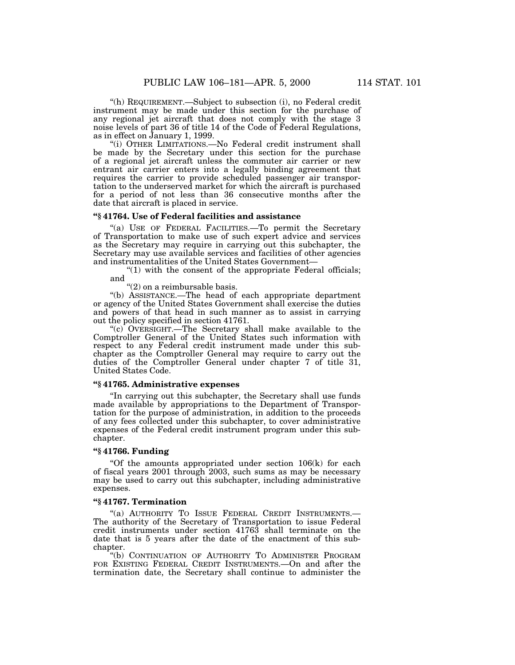''(h) REQUIREMENT.—Subject to subsection (i), no Federal credit instrument may be made under this section for the purchase of any regional jet aircraft that does not comply with the stage 3 noise levels of part 36 of title 14 of the Code of Federal Regulations, as in effect on January 1, 1999.

''(i) OTHER LIMITATIONS.—No Federal credit instrument shall be made by the Secretary under this section for the purchase of a regional jet aircraft unless the commuter air carrier or new entrant air carrier enters into a legally binding agreement that requires the carrier to provide scheduled passenger air transportation to the underserved market for which the aircraft is purchased for a period of not less than 36 consecutive months after the date that aircraft is placed in service.

# **''§ 41764. Use of Federal facilities and assistance**

''(a) USE OF FEDERAL FACILITIES.—To permit the Secretary of Transportation to make use of such expert advice and services as the Secretary may require in carrying out this subchapter, the Secretary may use available services and facilities of other agencies and instrumentalities of the United States Government—

" $(1)$  with the consent of the appropriate Federal officials; and

''(2) on a reimbursable basis.

''(b) ASSISTANCE.—The head of each appropriate department or agency of the United States Government shall exercise the duties and powers of that head in such manner as to assist in carrying out the policy specified in section 41761.

''(c) OVERSIGHT.—The Secretary shall make available to the Comptroller General of the United States such information with respect to any Federal credit instrument made under this subchapter as the Comptroller General may require to carry out the duties of the Comptroller General under chapter 7 of title 31, United States Code.

# **''§ 41765. Administrative expenses**

''In carrying out this subchapter, the Secretary shall use funds made available by appropriations to the Department of Transportation for the purpose of administration, in addition to the proceeds of any fees collected under this subchapter, to cover administrative expenses of the Federal credit instrument program under this subchapter.

# **''§ 41766. Funding**

"Of the amounts appropriated under section  $106(k)$  for each of fiscal years 2001 through 2003, such sums as may be necessary may be used to carry out this subchapter, including administrative expenses.

# **''§ 41767. Termination**

"(a) AUTHORITY TO ISSUE FEDERAL CREDIT INSTRUMENTS.-The authority of the Secretary of Transportation to issue Federal credit instruments under section 41763 shall terminate on the date that is 5 years after the date of the enactment of this subchapter.

''(b) CONTINUATION OF AUTHORITY TO ADMINISTER PROGRAM FOR EXISTING FEDERAL CREDIT INSTRUMENTS.—On and after the termination date, the Secretary shall continue to administer the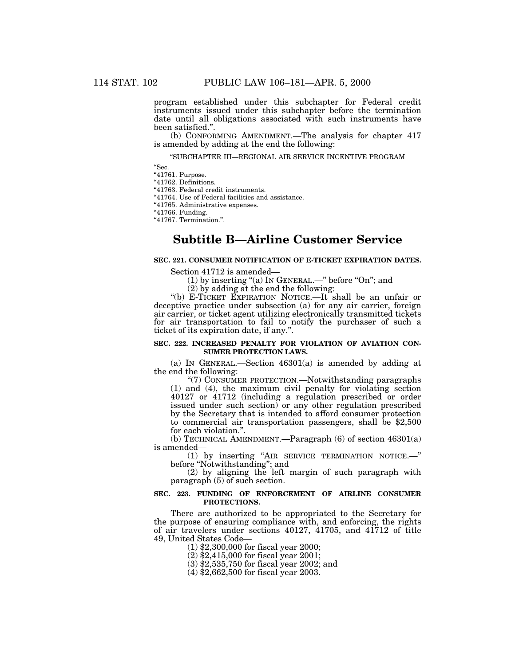program established under this subchapter for Federal credit instruments issued under this subchapter before the termination date until all obligations associated with such instruments have been satisfied.''.

(b) CONFORMING AMENDMENT.—The analysis for chapter 417 is amended by adding at the end the following:

''SUBCHAPTER III—REGIONAL AIR SERVICE INCENTIVE PROGRAM

''Sec.

"41761. Purpose.

''41762. Definitions.

''41763. Federal credit instruments.

"41764. Use of Federal facilities and assistance.

''41765. Administrative expenses.

''41766. Funding.

''41767. Termination.''.

# **Subtitle B—Airline Customer Service**

# **SEC. 221. CONSUMER NOTIFICATION OF E-TICKET EXPIRATION DATES.**

Section 41712 is amended—

(1) by inserting "(a) In GENERAL.—" before "On"; and

(2) by adding at the end the following:

''(b) E-TICKET EXPIRATION NOTICE.—It shall be an unfair or deceptive practice under subsection (a) for any air carrier, foreign air carrier, or ticket agent utilizing electronically transmitted tickets for air transportation to fail to notify the purchaser of such a ticket of its expiration date, if any.''.

### **SEC. 222. INCREASED PENALTY FOR VIOLATION OF AVIATION CON-SUMER PROTECTION LAWS.**

(a) IN GENERAL.—Section 46301(a) is amended by adding at the end the following:

''(7) CONSUMER PROTECTION.—Notwithstanding paragraphs (1) and (4), the maximum civil penalty for violating section 40127 or 41712 (including a regulation prescribed or order issued under such section) or any other regulation prescribed by the Secretary that is intended to afford consumer protection to commercial air transportation passengers, shall be \$2,500 for each violation.''.

(b) TECHNICAL AMENDMENT.—Paragraph (6) of section 46301(a) is amended—

(1) by inserting ''AIR SERVICE TERMINATION NOTICE.—'' before ''Notwithstanding''; and

(2) by aligning the left margin of such paragraph with paragraph (5) of such section.

## **SEC. 223. FUNDING OF ENFORCEMENT OF AIRLINE CONSUMER PROTECTIONS.**

There are authorized to be appropriated to the Secretary for the purpose of ensuring compliance with, and enforcing, the rights of air travelers under sections 40127, 41705, and 41712 of title 49, United States Code—

(1) \$2,300,000 for fiscal year 2000;

(2) \$2,415,000 for fiscal year 2001;

(3) \$2,535,750 for fiscal year 2002; and

(4) \$2,662,500 for fiscal year 2003.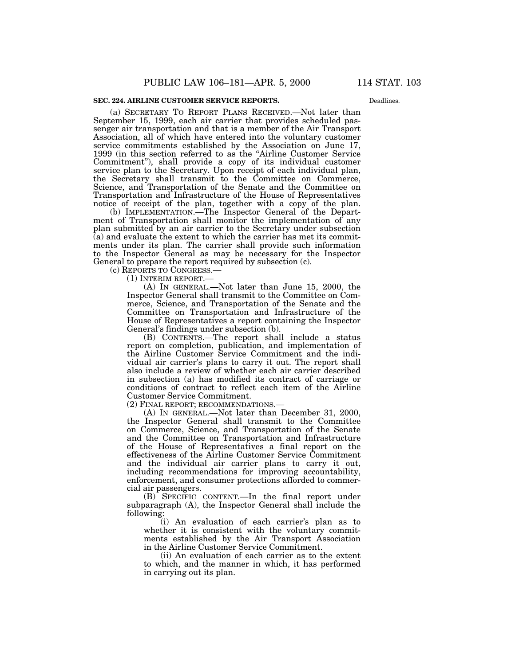Deadlines.

(a) SECRETARY TO REPORT PLANS RECEIVED.—Not later than September 15, 1999, each air carrier that provides scheduled passenger air transportation and that is a member of the Air Transport Association, all of which have entered into the voluntary customer service commitments established by the Association on June 17, 1999 (in this section referred to as the ''Airline Customer Service Commitment''), shall provide a copy of its individual customer service plan to the Secretary. Upon receipt of each individual plan, the Secretary shall transmit to the Committee on Commerce, Science, and Transportation of the Senate and the Committee on Transportation and Infrastructure of the House of Representatives notice of receipt of the plan, together with a copy of the plan.

(b) IMPLEMENTATION.—The Inspector General of the Department of Transportation shall monitor the implementation of any plan submitted by an air carrier to the Secretary under subsection (a) and evaluate the extent to which the carrier has met its commitments under its plan. The carrier shall provide such information to the Inspector General as may be necessary for the Inspector General to prepare the report required by subsection (c).

(c) REPORTS TO CONGRESS.—

(1) INTERIM REPORT.—

(A) IN GENERAL.—Not later than June 15, 2000, the Inspector General shall transmit to the Committee on Commerce, Science, and Transportation of the Senate and the Committee on Transportation and Infrastructure of the House of Representatives a report containing the Inspector General's findings under subsection (b).

(B) CONTENTS.—The report shall include a status report on completion, publication, and implementation of the Airline Customer Service Commitment and the individual air carrier's plans to carry it out. The report shall also include a review of whether each air carrier described in subsection (a) has modified its contract of carriage or conditions of contract to reflect each item of the Airline Customer Service Commitment.

(2) FINAL REPORT; RECOMMENDATIONS.—

(A) IN GENERAL.—Not later than December 31, 2000, the Inspector General shall transmit to the Committee on Commerce, Science, and Transportation of the Senate and the Committee on Transportation and Infrastructure of the House of Representatives a final report on the effectiveness of the Airline Customer Service Commitment and the individual air carrier plans to carry it out, including recommendations for improving accountability, enforcement, and consumer protections afforded to commercial air passengers.

(B) SPECIFIC CONTENT.—In the final report under subparagraph (A), the Inspector General shall include the following:

(i) An evaluation of each carrier's plan as to whether it is consistent with the voluntary commitments established by the Air Transport Association in the Airline Customer Service Commitment.

(ii) An evaluation of each carrier as to the extent to which, and the manner in which, it has performed in carrying out its plan.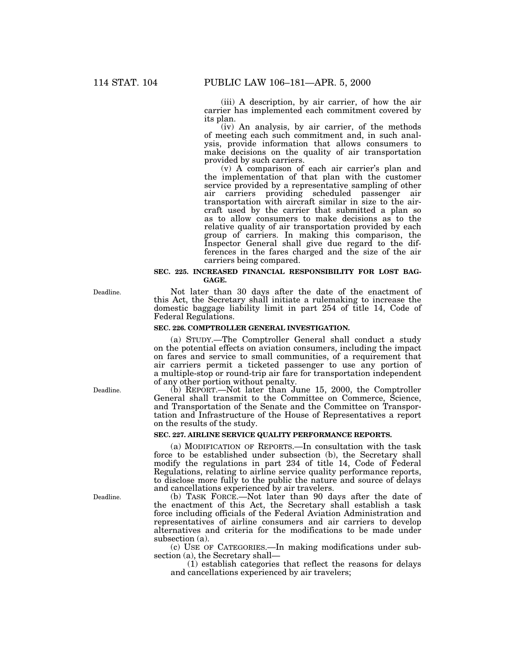(iii) A description, by air carrier, of how the air carrier has implemented each commitment covered by its plan.

(iv) An analysis, by air carrier, of the methods of meeting each such commitment and, in such analysis, provide information that allows consumers to make decisions on the quality of air transportation provided by such carriers.

(v) A comparison of each air carrier's plan and the implementation of that plan with the customer service provided by a representative sampling of other air carriers providing scheduled passenger air transportation with aircraft similar in size to the aircraft used by the carrier that submitted a plan so as to allow consumers to make decisions as to the relative quality of air transportation provided by each group of carriers. In making this comparison, the Inspector General shall give due regard to the differences in the fares charged and the size of the air carriers being compared.

## **SEC. 225. INCREASED FINANCIAL RESPONSIBILITY FOR LOST BAG-GAGE.**

Not later than 30 days after the date of the enactment of this Act, the Secretary shall initiate a rulemaking to increase the domestic baggage liability limit in part 254 of title 14, Code of Federal Regulations.

# **SEC. 226. COMPTROLLER GENERAL INVESTIGATION.**

(a) STUDY.—The Comptroller General shall conduct a study on the potential effects on aviation consumers, including the impact on fares and service to small communities, of a requirement that air carriers permit a ticketed passenger to use any portion of a multiple-stop or round-trip air fare for transportation independent of any other portion without penalty.

(b) REPORT.—Not later than June 15, 2000, the Comptroller General shall transmit to the Committee on Commerce, Science, and Transportation of the Senate and the Committee on Transportation and Infrastructure of the House of Representatives a report on the results of the study.

# **SEC. 227. AIRLINE SERVICE QUALITY PERFORMANCE REPORTS.**

(a) MODIFICATION OF REPORTS.—In consultation with the task force to be established under subsection (b), the Secretary shall modify the regulations in part 234 of title 14, Code of Federal Regulations, relating to airline service quality performance reports, to disclose more fully to the public the nature and source of delays and cancellations experienced by air travelers.

(b) TASK FORCE.—Not later than 90 days after the date of the enactment of this Act, the Secretary shall establish a task force including officials of the Federal Aviation Administration and representatives of airline consumers and air carriers to develop alternatives and criteria for the modifications to be made under subsection (a).

(c) USE OF CATEGORIES.—In making modifications under subsection (a), the Secretary shall—

(1) establish categories that reflect the reasons for delays and cancellations experienced by air travelers;

Deadline.

Deadline.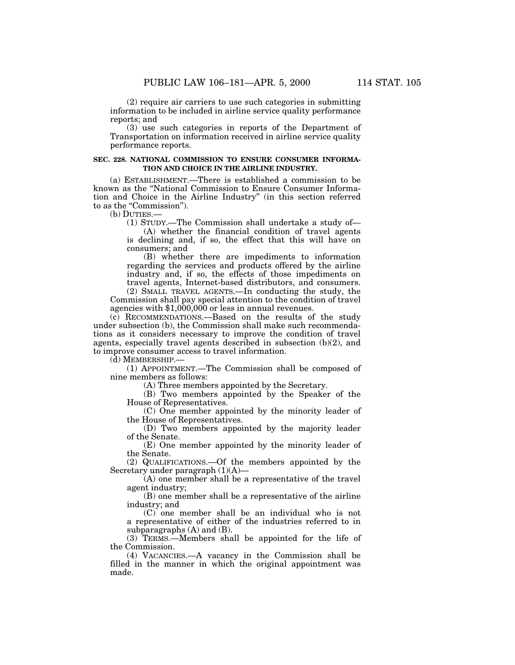(2) require air carriers to use such categories in submitting information to be included in airline service quality performance reports; and

(3) use such categories in reports of the Department of Transportation on information received in airline service quality performance reports.

### **SEC. 228. NATIONAL COMMISSION TO ENSURE CONSUMER INFORMA-TION AND CHOICE IN THE AIRLINE INDUSTRY.**

(a) ESTABLISHMENT.—There is established a commission to be known as the ''National Commission to Ensure Consumer Information and Choice in the Airline Industry'' (in this section referred to as the "Commission").

(b) DUTIES.—

(1) STUDY.—The Commission shall undertake a study of—

(A) whether the financial condition of travel agents is declining and, if so, the effect that this will have on consumers; and

(B) whether there are impediments to information regarding the services and products offered by the airline industry and, if so, the effects of those impediments on travel agents, Internet-based distributors, and consumers.

(2) SMALL TRAVEL AGENTS.—In conducting the study, the Commission shall pay special attention to the condition of travel agencies with \$1,000,000 or less in annual revenues.

(c) RECOMMENDATIONS.—Based on the results of the study under subsection (b), the Commission shall make such recommendations as it considers necessary to improve the condition of travel agents, especially travel agents described in subsection (b)(2), and to improve consumer access to travel information.

(d) MEMBERSHIP.—

(1) APPOINTMENT.—The Commission shall be composed of nine members as follows:

(A) Three members appointed by the Secretary.

(B) Two members appointed by the Speaker of the House of Representatives.

(C) One member appointed by the minority leader of the House of Representatives.

(D) Two members appointed by the majority leader of the Senate.

(E) One member appointed by the minority leader of the Senate.

(2) QUALIFICATIONS.—Of the members appointed by the Secretary under paragraph (1)(A)—

(A) one member shall be a representative of the travel agent industry;

(B) one member shall be a representative of the airline industry; and

(C) one member shall be an individual who is not a representative of either of the industries referred to in subparagraphs (A) and (B).

(3) TERMS.—Members shall be appointed for the life of the Commission.

(4) VACANCIES.—A vacancy in the Commission shall be filled in the manner in which the original appointment was made.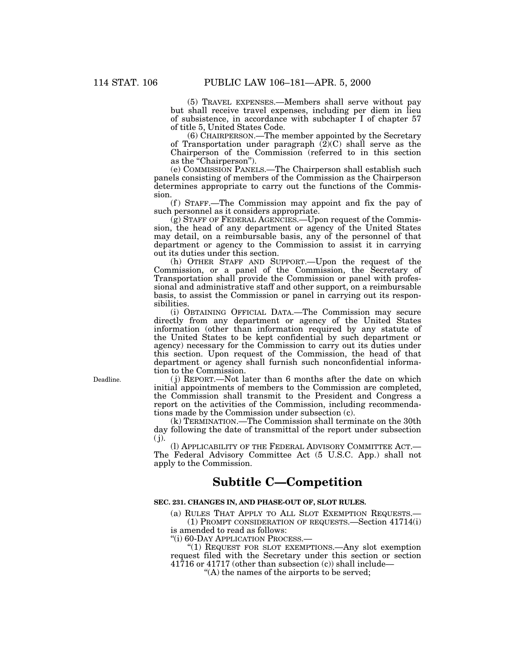(5) TRAVEL EXPENSES.—Members shall serve without pay but shall receive travel expenses, including per diem in lieu of subsistence, in accordance with subchapter I of chapter 57 of title 5, United States Code.

 $(6)$  CHAIRPERSON.—The member appointed by the Secretary of Transportation under paragraph  $(2)(C)$  shall serve as the Chairperson of the Commission (referred to in this section as the "Chairperson").

(e) COMMISSION PANELS.—The Chairperson shall establish such panels consisting of members of the Commission as the Chairperson determines appropriate to carry out the functions of the Commission.

(f) STAFF.—The Commission may appoint and fix the pay of such personnel as it considers appropriate.

(g) STAFF OF FEDERAL AGENCIES.—Upon request of the Commission, the head of any department or agency of the United States may detail, on a reimbursable basis, any of the personnel of that department or agency to the Commission to assist it in carrying out its duties under this section.

(h) OTHER STAFF AND SUPPORT.—Upon the request of the Commission, or a panel of the Commission, the Secretary of Transportation shall provide the Commission or panel with professional and administrative staff and other support, on a reimbursable basis, to assist the Commission or panel in carrying out its responsibilities.

(i) OBTAINING OFFICIAL DATA.—The Commission may secure directly from any department or agency of the United States information (other than information required by any statute of the United States to be kept confidential by such department or agency) necessary for the Commission to carry out its duties under this section. Upon request of the Commission, the head of that department or agency shall furnish such nonconfidential information to the Commission.

( j) REPORT.—Not later than 6 months after the date on which initial appointments of members to the Commission are completed, the Commission shall transmit to the President and Congress a report on the activities of the Commission, including recommendations made by the Commission under subsection (c).

(k) TERMINATION.—The Commission shall terminate on the 30th day following the date of transmittal of the report under subsection  $(j).$ 

(l) APPLICABILITY OF THE FEDERAL ADVISORY COMMITTEE ACT.— The Federal Advisory Committee Act (5 U.S.C. App.) shall not apply to the Commission.

# **Subtitle C—Competition**

### **SEC. 231. CHANGES IN, AND PHASE-OUT OF, SLOT RULES.**

(a) RULES THAT APPLY TO ALL SLOT EXEMPTION REQUESTS.— (1) PROMPT CONSIDERATION OF REQUESTS.—Section 41714(i)

is amended to read as follows:

''(i) 60-DAY APPLICATION PROCESS.—

''(1) REQUEST FOR SLOT EXEMPTIONS.—Any slot exemption request filed with the Secretary under this section or section 41716 or 41717 (other than subsection (c)) shall include—

''(A) the names of the airports to be served;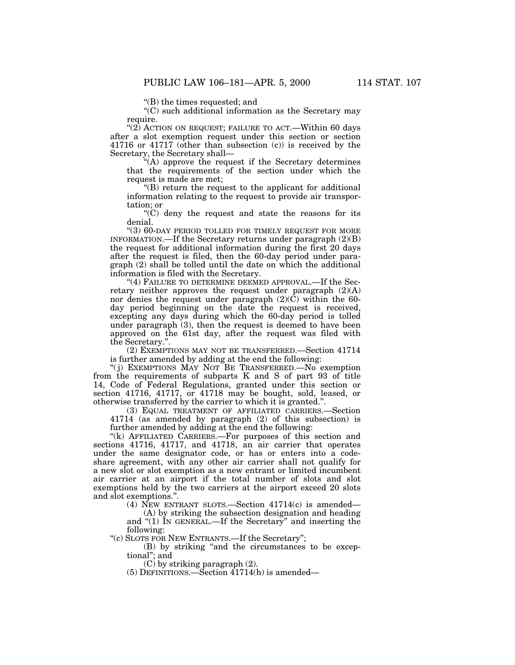''(B) the times requested; and

"(C) such additional information as the Secretary may require.

" $(2)$  ACTION ON REQUEST; FAILURE TO ACT.—Within 60 days after a slot exemption request under this section or section 41716 or 41717 (other than subsection (c)) is received by the Secretary, the Secretary shall—

''(A) approve the request if the Secretary determines that the requirements of the section under which the request is made are met;

''(B) return the request to the applicant for additional information relating to the request to provide air transportation; or

 $(C)$  deny the request and state the reasons for its denial.

''(3) 60-DAY PERIOD TOLLED FOR TIMELY REQUEST FOR MORE INFORMATION.—If the Secretary returns under paragraph (2)(B) the request for additional information during the first 20 days after the request is filed, then the 60-day period under paragraph (2) shall be tolled until the date on which the additional information is filed with the Secretary.

"(4) FAILURE TO DETERMINE DEEMED APPROVAL.—If the Secretary neither approves the request under paragraph (2)(A) nor denies the request under paragraph (2)(C) within the 60 day period beginning on the date the request is received, excepting any days during which the 60-day period is tolled under paragraph (3), then the request is deemed to have been approved on the 61st day, after the request was filed with the Secretary.''.

(2) EXEMPTIONS MAY NOT BE TRANSFERRED.—Section 41714 is further amended by adding at the end the following:

''( j) EXEMPTIONS MAY NOT BE TRANSFERRED.—No exemption from the requirements of subparts K and S of part 93 of title 14, Code of Federal Regulations, granted under this section or section 41716, 41717, or 41718 may be bought, sold, leased, or otherwise transferred by the carrier to which it is granted.''.

(3) EQUAL TREATMENT OF AFFILIATED CARRIERS.—Section 41714 (as amended by paragraph (2) of this subsection) is further amended by adding at the end the following:

"(k) AFFILIATED CARRIERS.—For purposes of this section and sections 41716, 41717, and 41718, an air carrier that operates under the same designator code, or has or enters into a codeshare agreement, with any other air carrier shall not qualify for a new slot or slot exemption as a new entrant or limited incumbent air carrier at an airport if the total number of slots and slot exemptions held by the two carriers at the airport exceed 20 slots and slot exemptions.''.

(4) NEW ENTRANT SLOTS.—Section 41714(c) is amended—

(A) by striking the subsection designation and heading and "(1) IN GENERAL.—If the Secretary" and inserting the following:

''(c) SLOTS FOR NEW ENTRANTS.—If the Secretary'';

(B) by striking ''and the circumstances to be exceptional''; and

(C) by striking paragraph (2).

 $(5)$  DEFINITIONS.—Section  $\overline{41714(h)}$  is amended—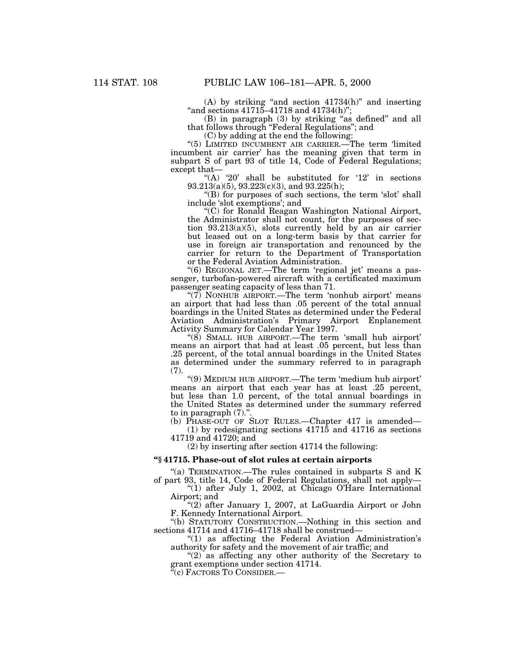(A) by striking ''and section 41734(h)'' and inserting  $\mbox{``and sections 41715--41718 and 41734(h)}$ 

(B) in paragraph (3) by striking ''as defined'' and all that follows through ''Federal Regulations''; and

(C) by adding at the end the following:

''(5) LIMITED INCUMBENT AIR CARRIER.—The term 'limited incumbent air carrier' has the meaning given that term in subpart S of part 93 of title 14, Code of Federal Regulations; except that—

"(A) '20' shall be substituted for '12' in sections 93.213(a)(5), 93.223(c)(3), and 93.225(h);

"(B) for purposes of such sections, the term 'slot' shall include 'slot exemptions'; and

''(C) for Ronald Reagan Washington National Airport, the Administrator shall not count, for the purposes of section 93.213(a)(5), slots currently held by an air carrier but leased out on a long-term basis by that carrier for use in foreign air transportation and renounced by the carrier for return to the Department of Transportation or the Federal Aviation Administration.

''(6) REGIONAL JET.—The term 'regional jet' means a passenger, turbofan-powered aircraft with a certificated maximum passenger seating capacity of less than 71.

"(7) NONHUB AIRPORT.—The term 'nonhub airport' means an airport that had less than .05 percent of the total annual boardings in the United States as determined under the Federal Aviation Administration's Primary Airport Enplanement Activity Summary for Calendar Year 1997.

''(8) SMALL HUB AIRPORT.—The term 'small hub airport' means an airport that had at least .05 percent, but less than .25 percent, of the total annual boardings in the United States as determined under the summary referred to in paragraph (7).

''(9) MEDIUM HUB AIRPORT.—The term 'medium hub airport' means an airport that each year has at least .25 percent, but less than 1.0 percent, of the total annual boardings in the United States as determined under the summary referred to in paragraph  $(7)$ .

(b) PHASE-OUT OF SLOT RULES.—Chapter 417 is amended— (1) by redesignating sections 41715 and 41716 as sections

41719 and 41720; and

(2) by inserting after section 41714 the following:

### **''§ 41715. Phase-out of slot rules at certain airports**

''(a) TERMINATION.—The rules contained in subparts S and K of part 93, title 14, Code of Federal Regulations, shall not apply—

''(1) after July 1, 2002, at Chicago O'Hare International Airport; and

''(2) after January 1, 2007, at LaGuardia Airport or John F. Kennedy International Airport.

''(b) STATUTORY CONSTRUCTION.—Nothing in this section and sections 41714 and 41716–41718 shall be construed—

''(1) as affecting the Federal Aviation Administration's authority for safety and the movement of air traffic; and

"(2) as affecting any other authority of the Secretary to grant exemptions under section 41714.

"(c) FACTORS TO CONSIDER.—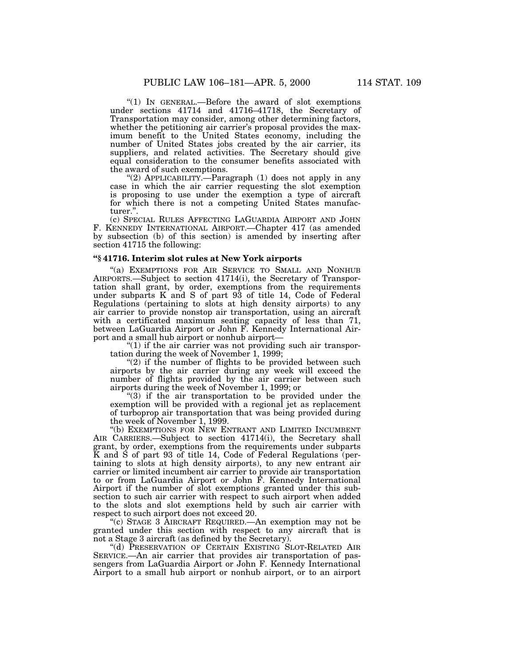''(1) IN GENERAL.—Before the award of slot exemptions under sections 41714 and 41716–41718, the Secretary of Transportation may consider, among other determining factors, whether the petitioning air carrier's proposal provides the maximum benefit to the United States economy, including the number of United States jobs created by the air carrier, its suppliers, and related activities. The Secretary should give equal consideration to the consumer benefits associated with the award of such exemptions.

''(2) APPLICABILITY.—Paragraph (1) does not apply in any case in which the air carrier requesting the slot exemption is proposing to use under the exemption a type of aircraft for which there is not a competing United States manufacturer.''.

(c) SPECIAL RULES AFFECTING LAGUARDIA AIRPORT AND JOHN F. KENNEDY INTERNATIONAL AIRPORT.—Chapter 417 (as amended by subsection (b) of this section) is amended by inserting after section 41715 the following:

#### **''§ 41716. Interim slot rules at New York airports**

''(a) EXEMPTIONS FOR AIR SERVICE TO SMALL AND NONHUB AIRPORTS.—Subject to section 41714(i), the Secretary of Transportation shall grant, by order, exemptions from the requirements under subparts K and S of part 93 of title 14, Code of Federal Regulations (pertaining to slots at high density airports) to any air carrier to provide nonstop air transportation, using an aircraft with a certificated maximum seating capacity of less than 71, between LaGuardia Airport or John F. Kennedy International Airport and a small hub airport or nonhub airport—

" $(1)$  if the air carrier was not providing such air transportation during the week of November 1, 1999;

" $(2)$  if the number of flights to be provided between such airports by the air carrier during any week will exceed the number of flights provided by the air carrier between such airports during the week of November 1, 1999; or

 $(3)$  if the air transportation to be provided under the exemption will be provided with a regional jet as replacement of turboprop air transportation that was being provided during the week of November 1, 1999.

''(b) EXEMPTIONS FOR NEW ENTRANT AND LIMITED INCUMBENT AIR CARRIERS.—Subject to section 41714(i), the Secretary shall grant, by order, exemptions from the requirements under subparts K and S of part 93 of title 14, Code of Federal Regulations (pertaining to slots at high density airports), to any new entrant air carrier or limited incumbent air carrier to provide air transportation to or from LaGuardia Airport or John F. Kennedy International Airport if the number of slot exemptions granted under this subsection to such air carrier with respect to such airport when added to the slots and slot exemptions held by such air carrier with respect to such airport does not exceed 20.

''(c) STAGE 3 AIRCRAFT REQUIRED.—An exemption may not be granted under this section with respect to any aircraft that is not a Stage 3 aircraft (as defined by the Secretary).

''(d) PRESERVATION OF CERTAIN EXISTING SLOT-RELATED AIR SERVICE.—An air carrier that provides air transportation of passengers from LaGuardia Airport or John F. Kennedy International Airport to a small hub airport or nonhub airport, or to an airport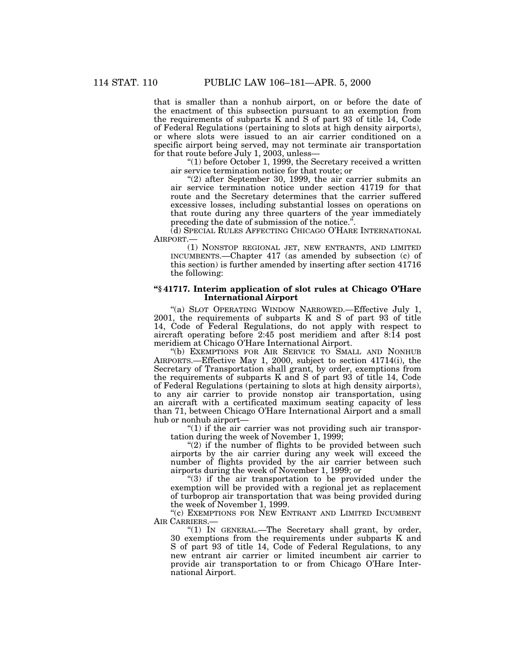that is smaller than a nonhub airport, on or before the date of the enactment of this subsection pursuant to an exemption from the requirements of subparts K and S of part 93 of title 14, Code of Federal Regulations (pertaining to slots at high density airports), or where slots were issued to an air carrier conditioned on a specific airport being served, may not terminate air transportation for that route before July 1, 2003, unless—

" $(1)$  before October 1, 1999, the Secretary received a written air service termination notice for that route; or

 $\degree$ (2) after September 30, 1999, the air carrier submits an air service termination notice under section 41719 for that route and the Secretary determines that the carrier suffered excessive losses, including substantial losses on operations on that route during any three quarters of the year immediately preceding the date of submission of the notice.''.

(d) SPECIAL RULES AFFECTING CHICAGO O'HARE INTERNATIONAL AIRPORT.—

(1) NONSTOP REGIONAL JET, NEW ENTRANTS, AND LIMITED INCUMBENTS.—Chapter 417 (as amended by subsection (c) of this section) is further amended by inserting after section 41716 the following:

## **''§ 41717. Interim application of slot rules at Chicago O'Hare International Airport**

''(a) SLOT OPERATING WINDOW NARROWED.—Effective July 1, 2001, the requirements of subparts K and S of part 93 of title 14, Code of Federal Regulations, do not apply with respect to aircraft operating before 2:45 post meridiem and after 8:14 post meridiem at Chicago O'Hare International Airport.

''(b) EXEMPTIONS FOR AIR SERVICE TO SMALL AND NONHUB AIRPORTS.—Effective May 1, 2000, subject to section 41714(i), the Secretary of Transportation shall grant, by order, exemptions from the requirements of subparts K and S of part 93 of title 14, Code of Federal Regulations (pertaining to slots at high density airports), to any air carrier to provide nonstop air transportation, using an aircraft with a certificated maximum seating capacity of less than 71, between Chicago O'Hare International Airport and a small hub or nonhub airport—

" $(1)$  if the air carrier was not providing such air transportation during the week of November 1, 1999;

" $(2)$  if the number of flights to be provided between such airports by the air carrier during any week will exceed the number of flights provided by the air carrier between such airports during the week of November 1, 1999; or

"(3) if the air transportation to be provided under the exemption will be provided with a regional jet as replacement of turboprop air transportation that was being provided during the week of November 1, 1999.

"(c) EXEMPTIONS FOR NEW ENTRANT AND LIMITED INCUMBENT AIR CARRIERS.

"(1) IN GENERAL.—The Secretary shall grant, by order, 30 exemptions from the requirements under subparts K and S of part 93 of title 14, Code of Federal Regulations, to any new entrant air carrier or limited incumbent air carrier to provide air transportation to or from Chicago O'Hare International Airport.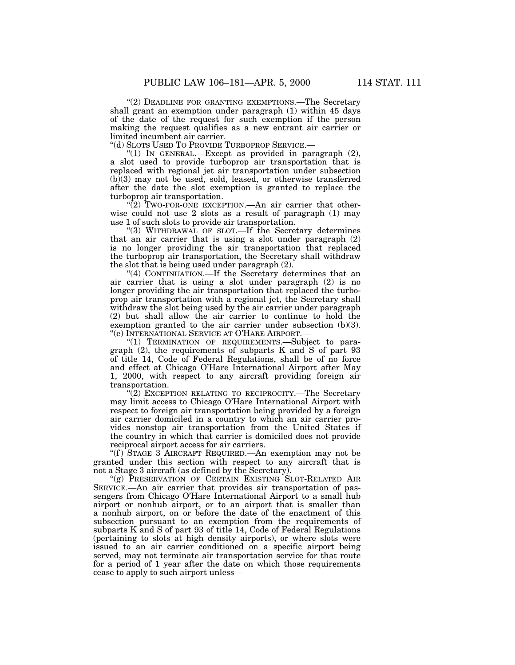"(2) DEADLINE FOR GRANTING EXEMPTIONS.—The Secretary shall grant an exemption under paragraph (1) within 45 days of the date of the request for such exemption if the person making the request qualifies as a new entrant air carrier or limited incumbent air carrier.

''(d) SLOTS USED TO PROVIDE TURBOPROP SERVICE.—

"(1) IN GENERAL.—Except as provided in paragraph  $(2)$ , a slot used to provide turboprop air transportation that is replaced with regional jet air transportation under subsection  $(b)(3)$  may not be used, sold, leased, or otherwise transferred after the date the slot exemption is granted to replace the turboprop air transportation.

" $(2)$  Two-FOR-ONE EXCEPTION.—An air carrier that otherwise could not use 2 slots as a result of paragraph (1) may use 1 of such slots to provide air transportation.

''(3) WITHDRAWAL OF SLOT.—If the Secretary determines that an air carrier that is using a slot under paragraph (2) is no longer providing the air transportation that replaced the turboprop air transportation, the Secretary shall withdraw the slot that is being used under paragraph (2).

"(4) CONTINUATION.—If the Secretary determines that an air carrier that is using a slot under paragraph (2) is no longer providing the air transportation that replaced the turboprop air transportation with a regional jet, the Secretary shall withdraw the slot being used by the air carrier under paragraph (2) but shall allow the air carrier to continue to hold the exemption granted to the air carrier under subsection (b)(3). ''(e) INTERNATIONAL SERVICE AT O'HARE AIRPORT.—

''(1) TERMINATION OF REQUIREMENTS.—Subject to paragraph (2), the requirements of subparts K and S of part 93 of title 14, Code of Federal Regulations, shall be of no force and effect at Chicago O'Hare International Airport after May 1, 2000, with respect to any aircraft providing foreign air transportation.

"(2) EXCEPTION RELATING TO RECIPROCITY.—The Secretary may limit access to Chicago O'Hare International Airport with respect to foreign air transportation being provided by a foreign air carrier domiciled in a country to which an air carrier provides nonstop air transportation from the United States if the country in which that carrier is domiciled does not provide reciprocal airport access for air carriers.

" $(f)$  STAGE 3 AIRCRAFT REQUIRED.—An exemption may not be granted under this section with respect to any aircraft that is not a Stage 3 aircraft (as defined by the Secretary).

"(g) PRESERVATION OF CERTAIN EXISTING SLOT-RELATED AIR SERVICE.—An air carrier that provides air transportation of passengers from Chicago O'Hare International Airport to a small hub airport or nonhub airport, or to an airport that is smaller than a nonhub airport, on or before the date of the enactment of this subsection pursuant to an exemption from the requirements of subparts K and S of part 93 of title 14, Code of Federal Regulations (pertaining to slots at high density airports), or where slots were issued to an air carrier conditioned on a specific airport being served, may not terminate air transportation service for that route for a period of 1 year after the date on which those requirements cease to apply to such airport unless—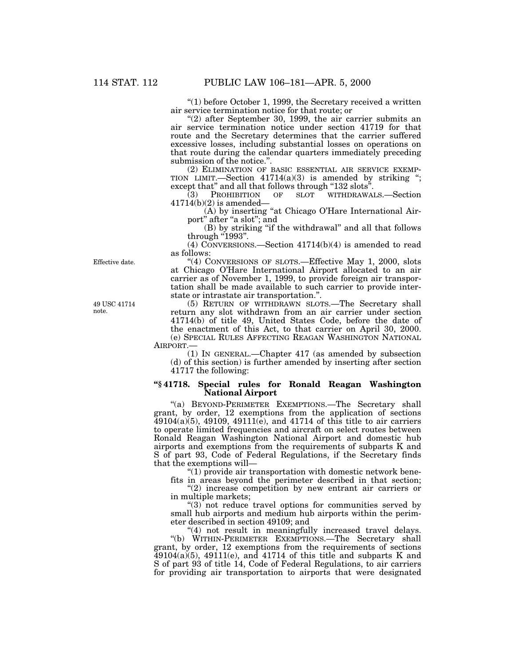''(1) before October 1, 1999, the Secretary received a written air service termination notice for that route; or

 $(2)$  after September 30, 1999, the air carrier submits an air service termination notice under section 41719 for that route and the Secretary determines that the carrier suffered excessive losses, including substantial losses on operations on that route during the calendar quarters immediately preceding submission of the notice.''.

(2) ELIMINATION OF BASIC ESSENTIAL AIR SERVICE EXEMP-TION LIMIT.—Section  $41714(a)(3)$  is amended by striking "; except that" and all that follows through "132 slots".

(3) PROHIBITION OF SLOT WITHDRAWALS.—Section  $41714(b)(2)$  is amended-

(A) by inserting "at Chicago O'Hare International Airport" after "a slot"; and

(B) by striking ''if the withdrawal'' and all that follows through  $"1993"$ .

(4) CONVERSIONS.—Section 41714(b)(4) is amended to read as follows:

"(4) CONVERSIONS OF SLOTS.—Effective May 1, 2000, slots at Chicago O'Hare International Airport allocated to an air carrier as of November 1, 1999, to provide foreign air transportation shall be made available to such carrier to provide interstate or intrastate air transportation.''.

(5) RETURN OF WITHDRAWN SLOTS.—The Secretary shall return any slot withdrawn from an air carrier under section 41714(b) of title 49, United States Code, before the date of the enactment of this Act, to that carrier on April 30, 2000. (e) SPECIAL RULES AFFECTING REAGAN WASHINGTON NATIONAL AIRPORT.—

(1) IN GENERAL.—Chapter 417 (as amended by subsection (d) of this section) is further amended by inserting after section 41717 the following:

# **''§ 41718. Special rules for Ronald Reagan Washington National Airport**

''(a) BEYOND-PERIMETER EXEMPTIONS.—The Secretary shall grant, by order, 12 exemptions from the application of sections  $49104(a)(5)$ ,  $49109$ ,  $49111(e)$ , and  $41714$  of this title to air carriers to operate limited frequencies and aircraft on select routes between Ronald Reagan Washington National Airport and domestic hub airports and exemptions from the requirements of subparts K and S of part 93, Code of Federal Regulations, if the Secretary finds that the exemptions will—

" $(1)$  provide air transportation with domestic network benefits in areas beyond the perimeter described in that section;

"(2) increase competition by new entrant air carriers or in multiple markets;

" $(3)$  not reduce travel options for communities served by small hub airports and medium hub airports within the perimeter described in section 49109; and

"(4) not result in meaningfully increased travel delays. ''(b) WITHIN-PERIMETER EXEMPTIONS.—The Secretary shall grant, by order, 12 exemptions from the requirements of sections  $49104(a)(5)$ ,  $49111(e)$ , and  $41714$  of this title and subparts K and S of part 93 of title 14, Code of Federal Regulations, to air carriers for providing air transportation to airports that were designated

49 USC 41714 note.

Effective date.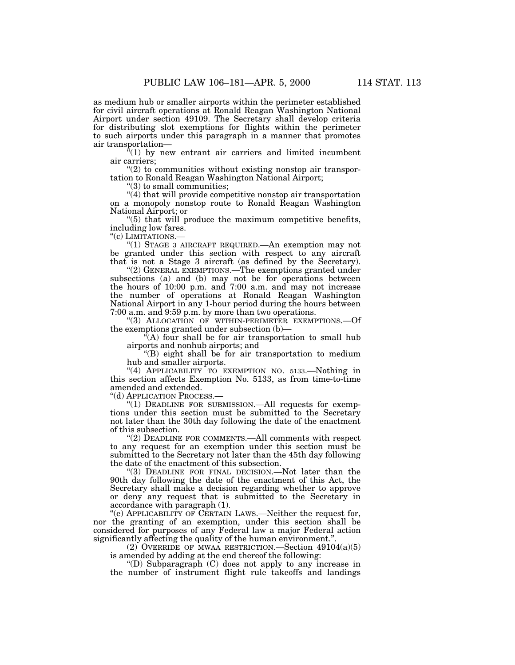as medium hub or smaller airports within the perimeter established for civil aircraft operations at Ronald Reagan Washington National Airport under section 49109. The Secretary shall develop criteria for distributing slot exemptions for flights within the perimeter to such airports under this paragraph in a manner that promotes air transportation—

 $(1)$  by new entrant air carriers and limited incumbent air carriers;

 $(2)$  to communities without existing nonstop air transportation to Ronald Reagan Washington National Airport;

''(3) to small communities;

''(4) that will provide competitive nonstop air transportation on a monopoly nonstop route to Ronald Reagan Washington National Airport; or

" $(5)$  that will produce the maximum competitive benefits, including low fares.

''(c) LIMITATIONS.—

''(1) STAGE 3 AIRCRAFT REQUIRED.—An exemption may not be granted under this section with respect to any aircraft that is not a Stage 3 aircraft (as defined by the Secretary).

"(2) GENERAL EXEMPTIONS.—The exemptions granted under subsections (a) and (b) may not be for operations between the hours of 10:00 p.m. and 7:00 a.m. and may not increase the number of operations at Ronald Reagan Washington National Airport in any 1-hour period during the hours between 7:00 a.m. and 9:59 p.m. by more than two operations.

''(3) ALLOCATION OF WITHIN-PERIMETER EXEMPTIONS.—Of the exemptions granted under subsection (b)—

 $\hat{f}(A)$  four shall be for air transportation to small hub airports and nonhub airports; and

''(B) eight shall be for air transportation to medium hub and smaller airports.

"(4) APPLICABILITY TO EXEMPTION NO. 5133. Nothing in this section affects Exemption No. 5133, as from time-to-time amended and extended.

''(d) APPLICATION PROCESS.—

"(1) DEADLINE FOR SUBMISSION.—All requests for exemptions under this section must be submitted to the Secretary not later than the 30th day following the date of the enactment of this subsection.

"(2) DEADLINE FOR COMMENTS.—All comments with respect to any request for an exemption under this section must be submitted to the Secretary not later than the 45th day following the date of the enactment of this subsection.

''(3) DEADLINE FOR FINAL DECISION.—Not later than the 90th day following the date of the enactment of this Act, the Secretary shall make a decision regarding whether to approve or deny any request that is submitted to the Secretary in accordance with paragraph (1).

"(e) APPLICABILITY OF CERTAIN LAWS.—Neither the request for, nor the granting of an exemption, under this section shall be considered for purposes of any Federal law a major Federal action significantly affecting the quality of the human environment.''.

(2) OVERRIDE OF MWAA RESTRICTION.—Section 49104(a)(5) is amended by adding at the end thereof the following:

''(D) Subparagraph (C) does not apply to any increase in the number of instrument flight rule takeoffs and landings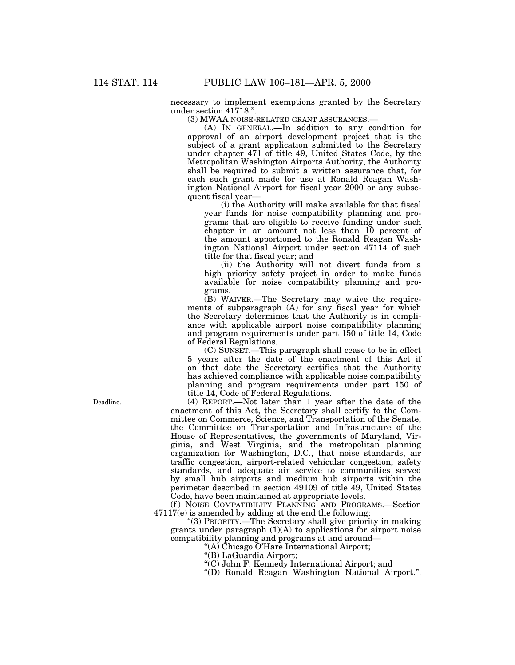necessary to implement exemptions granted by the Secretary under section 41718.''.

(3) MWAA NOISE-RELATED GRANT ASSURANCES.—

(A) IN GENERAL.—In addition to any condition for approval of an airport development project that is the subject of a grant application submitted to the Secretary under chapter 471 of title 49, United States Code, by the Metropolitan Washington Airports Authority, the Authority shall be required to submit a written assurance that, for each such grant made for use at Ronald Reagan Washington National Airport for fiscal year 2000 or any subsequent fiscal year—

(i) the Authority will make available for that fiscal year funds for noise compatibility planning and programs that are eligible to receive funding under such chapter in an amount not less than 10 percent of the amount apportioned to the Ronald Reagan Washington National Airport under section 47114 of such title for that fiscal year; and

(ii) the Authority will not divert funds from a high priority safety project in order to make funds available for noise compatibility planning and programs.

(B) WAIVER.—The Secretary may waive the requirements of subparagraph (A) for any fiscal year for which the Secretary determines that the Authority is in compliance with applicable airport noise compatibility planning and program requirements under part 150 of title 14, Code of Federal Regulations.

(C) SUNSET.—This paragraph shall cease to be in effect 5 years after the date of the enactment of this Act if on that date the Secretary certifies that the Authority has achieved compliance with applicable noise compatibility planning and program requirements under part 150 of title 14, Code of Federal Regulations.

(4) REPORT.—Not later than 1 year after the date of the enactment of this Act, the Secretary shall certify to the Committee on Commerce, Science, and Transportation of the Senate, the Committee on Transportation and Infrastructure of the House of Representatives, the governments of Maryland, Virginia, and West Virginia, and the metropolitan planning organization for Washington, D.C., that noise standards, air traffic congestion, airport-related vehicular congestion, safety standards, and adequate air service to communities served by small hub airports and medium hub airports within the perimeter described in section 49109 of title 49, United States Code, have been maintained at appropriate levels.

(f) NOISE COMPATIBILITY PLANNING AND PROGRAMS.—Section  $47117(e)$  is amended by adding at the end the following:

''(3) PRIORITY.—The Secretary shall give priority in making grants under paragraph (1)(A) to applications for airport noise compatibility planning and programs at and around—

''(A) Chicago O'Hare International Airport;

"(B) LaGuardia Airport;

- ''(C) John F. Kennedy International Airport; and
- ''(D) Ronald Reagan Washington National Airport.''.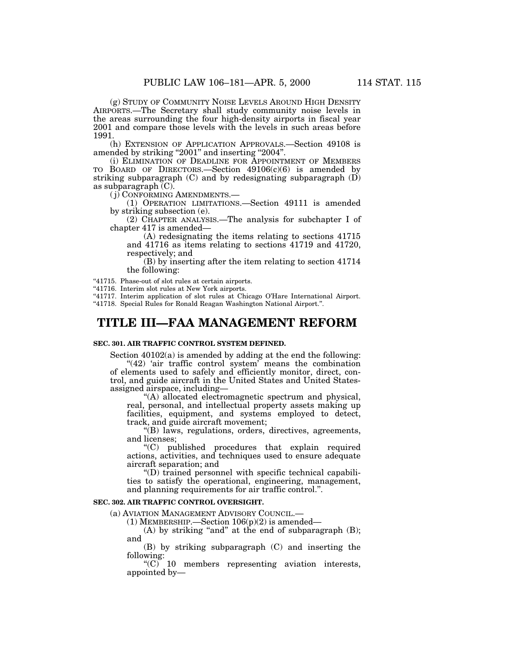(g) STUDY OF COMMUNITY NOISE LEVELS AROUND HIGH DENSITY AIRPORTS.—The Secretary shall study community noise levels in the areas surrounding the four high-density airports in fiscal year 2001 and compare those levels with the levels in such areas before 1991.

(h) EXTENSION OF APPLICATION APPROVALS.—Section 49108 is amended by striking "2001" and inserting "2004".

(i) ELIMINATION OF DEADLINE FOR APPOINTMENT OF MEMBERS TO BOARD OF DIRECTORS.—Section 49106(c)(6) is amended by striking subparagraph  $(C)$  and by redesignating subparagraph  $(D)$ as subparagraph (C).

( j) CONFORMING AMENDMENTS.—

(1) OPERATION LIMITATIONS.—Section 49111 is amended by striking subsection (e).

(2) CHAPTER ANALYSIS.—The analysis for subchapter I of chapter 417 is amended—

(A) redesignating the items relating to sections 41715 and 41716 as items relating to sections 41719 and 41720, respectively; and

(B) by inserting after the item relating to section 41714 the following:

"41715. Phase-out of slot rules at certain airports.

"41716. Interim slot rules at New York airports.

"41717. Interim application of slot rules at Chicago O'Hare International Airport. ''41718. Special Rules for Ronald Reagan Washington National Airport.''.

# **TITLE III—FAA MANAGEMENT REFORM**

## **SEC. 301. AIR TRAFFIC CONTROL SYSTEM DEFINED.**

Section 40102(a) is amended by adding at the end the following:

"(42) 'air traffic control system' means the combination of elements used to safely and efficiently monitor, direct, control, and guide aircraft in the United States and United Statesassigned airspace, including—

''(A) allocated electromagnetic spectrum and physical, real, personal, and intellectual property assets making up facilities, equipment, and systems employed to detect, track, and guide aircraft movement;

"(B) laws, regulations, orders, directives, agreements, and licenses;

''(C) published procedures that explain required actions, activities, and techniques used to ensure adequate aircraft separation; and

''(D) trained personnel with specific technical capabilities to satisfy the operational, engineering, management, and planning requirements for air traffic control.''.

# **SEC. 302. AIR TRAFFIC CONTROL OVERSIGHT.**

(a) AVIATION MANAGEMENT ADVISORY COUNCIL.—

(1) MEMBERSHIP.—Section 106(p)(2) is amended—

 $(A)$  by striking "and" at the end of subparagraph  $(B)$ ; and

(B) by striking subparagraph (C) and inserting the following:

 $(C)$  10 members representing aviation interests, appointed by—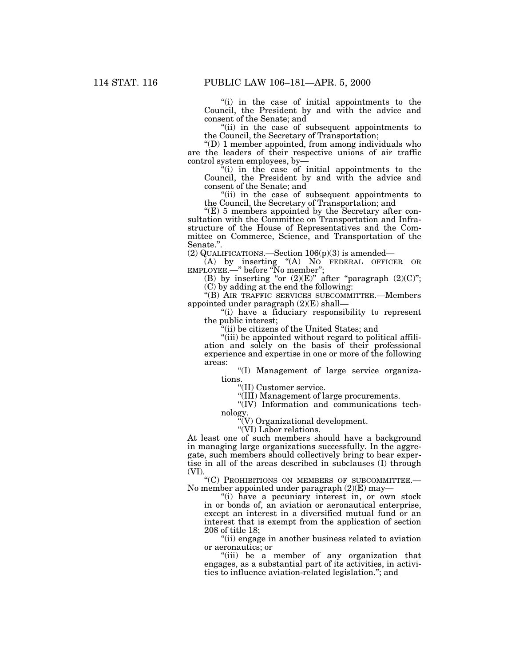"(i) in the case of initial appointments to the Council, the President by and with the advice and consent of the Senate; and

"(ii) in the case of subsequent appointments to the Council, the Secretary of Transportation;

 $\mathrm{``(D)}$  1 member appointed, from among individuals who are the leaders of their respective unions of air traffic control system employees, by—

''(i) in the case of initial appointments to the Council, the President by and with the advice and consent of the Senate; and

"(ii) in the case of subsequent appointments to the Council, the Secretary of Transportation; and

" $(E)$  5 members appointed by the Secretary after consultation with the Committee on Transportation and Infrastructure of the House of Representatives and the Committee on Commerce, Science, and Transportation of the Senate.''.

(2) QUALIFICATIONS.—Section  $106(p)(3)$  is amended—

(A) by inserting ''(A) NO FEDERAL OFFICER OR EMPLOYEE.—'' before ''No member'';

(B) by inserting "or  $(2)(E)$ " after "paragraph  $(2)(C)$ "; (C) by adding at the end the following:

''(B) AIR TRAFFIC SERVICES SUBCOMMITTEE.—Members appointed under paragraph (2)(E) shall—

''(i) have a fiduciary responsibility to represent the public interest;

''(ii) be citizens of the United States; and

''(iii) be appointed without regard to political affiliation and solely on the basis of their professional experience and expertise in one or more of the following areas:

''(I) Management of large service organizations.

''(II) Customer service.

''(III) Management of large procurements.

''(IV) Information and communications technology.

''(V) Organizational development.

"(VI) Labor relations.

At least one of such members should have a background in managing large organizations successfully. In the aggregate, such members should collectively bring to bear expertise in all of the areas described in subclauses (I) through (VI).

''(C) PROHIBITIONS ON MEMBERS OF SUBCOMMITTEE.— No member appointed under paragraph (2)(E) may—

"(i) have a pecuniary interest in, or own stock in or bonds of, an aviation or aeronautical enterprise, except an interest in a diversified mutual fund or an interest that is exempt from the application of section 208 of title 18;

''(ii) engage in another business related to aviation or aeronautics; or

''(iii) be a member of any organization that engages, as a substantial part of its activities, in activities to influence aviation-related legislation.''; and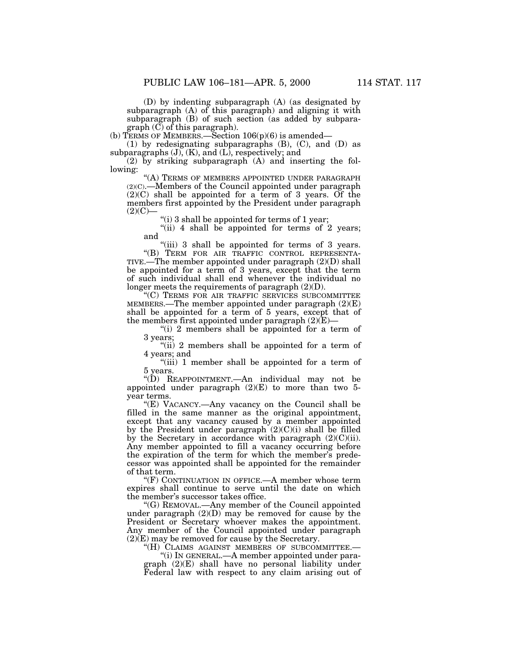(D) by indenting subparagraph (A) (as designated by subparagraph (A) of this paragraph) and aligning it with subparagraph (B) of such section (as added by subparagraph (C) of this paragraph).

(b) TERMS OF MEMBERS.—Section  $106(p)(6)$  is amended—

(1) by redesignating subparagraphs (B), (C), and (D) as subparagraphs  $(J)$ ,  $(K)$ , and  $(L)$ , respectively; and

(2) by striking subparagraph (A) and inserting the following:

"(A) TERMS OF MEMBERS APPOINTED UNDER PARAGRAPH (2)(C).—Members of the Council appointed under paragraph  $(2)(C)$  shall be appointed for a term of 3 years. Of the members first appointed by the President under paragraph  $(2)(C)-$ 

"(i) 3 shall be appointed for terms of 1 year;

"(ii) 4 shall be appointed for terms of 2 years; and

"(iii) 3 shall be appointed for terms of 3 years. ''(B) TERM FOR AIR TRAFFIC CONTROL REPRESENTA-TIVE.—The member appointed under paragraph  $(2)(D)$  shall be appointed for a term of 3 years, except that the term of such individual shall end whenever the individual no longer meets the requirements of paragraph (2)(D).

''(C) TERMS FOR AIR TRAFFIC SERVICES SUBCOMMITTEE MEMBERS.—The member appointed under paragraph  $(2)(E)$ shall be appointed for a term of 5 years, except that of the members first appointed under paragraph  $(2)(E)$ —

"(i) 2 members shall be appointed for a term of 3 years;

" $(ii)$  2 members shall be appointed for a term of 4 years; and

"(iii) 1 member shall be appointed for a term of 5 years.

''(D) REAPPOINTMENT.—An individual may not be appointed under paragraph  $(2)(E)$  to more than two 5year terms.

''(E) VACANCY.—Any vacancy on the Council shall be filled in the same manner as the original appointment, except that any vacancy caused by a member appointed by the President under paragraph  $(2)(C)(i)$  shall be filled by the Secretary in accordance with paragraph  $(2)(C)(ii)$ . Any member appointed to fill a vacancy occurring before the expiration of the term for which the member's predecessor was appointed shall be appointed for the remainder of that term.

''(F) CONTINUATION IN OFFICE.—A member whose term expires shall continue to serve until the date on which the member's successor takes office.

''(G) REMOVAL.—Any member of the Council appointed under paragraph  $(2)(D)$  may be removed for cause by the President or Secretary whoever makes the appointment. Any member of the Council appointed under paragraph (2)(E) may be removed for cause by the Secretary.

''(H) CLAIMS AGAINST MEMBERS OF SUBCOMMITTEE.—

''(i) IN GENERAL.—A member appointed under paragraph (2)(E) shall have no personal liability under Federal law with respect to any claim arising out of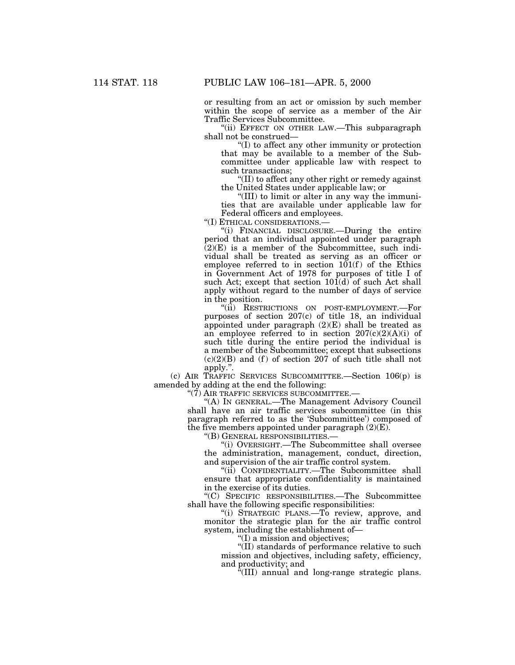or resulting from an act or omission by such member within the scope of service as a member of the Air Traffic Services Subcommittee.

"(ii) EFFECT ON OTHER LAW.—This subparagraph shall not be construed—

''(I) to affect any other immunity or protection that may be available to a member of the Subcommittee under applicable law with respect to such transactions;

''(II) to affect any other right or remedy against the United States under applicable law; or

''(III) to limit or alter in any way the immunities that are available under applicable law for Federal officers and employees.

''(I) ETHICAL CONSIDERATIONS.—

''(i) FINANCIAL DISCLOSURE.—During the entire period that an individual appointed under paragraph  $(2)(E)$  is a member of the Subcommittee, such individual shall be treated as serving as an officer or employee referred to in section  $101(f)$  of the Ethics in Government Act of 1978 for purposes of title I of such Act; except that section  $10\hat{1}$ (d) of such Act shall apply without regard to the number of days of service in the position.

''(ii) RESTRICTIONS ON POST-EMPLOYMENT.—For purposes of section 207(c) of title 18, an individual appointed under paragraph (2)(E) shall be treated as an employee referred to in section  $207(c)(2)(A)(i)$  of such title during the entire period the individual is a member of the Subcommittee; except that subsections  $(c)(2)(B)$  and  $(f)$  of section 207 of such title shall not apply.''.

(c) AIR TRAFFIC SERVICES SUBCOMMITTEE.—Section 106(p) is amended by adding at the end the following:

''(7) AIR TRAFFIC SERVICES SUBCOMMITTEE.—

'(A) In GENERAL.—The Management Advisory Council shall have an air traffic services subcommittee (in this paragraph referred to as the 'Subcommittee') composed of the five members appointed under paragraph  $(2)(E)$ .

''(B) GENERAL RESPONSIBILITIES.—

''(i) OVERSIGHT.—The Subcommittee shall oversee the administration, management, conduct, direction, and supervision of the air traffic control system.

''(ii) CONFIDENTIALITY.—The Subcommittee shall ensure that appropriate confidentiality is maintained in the exercise of its duties.

''(C) SPECIFIC RESPONSIBILITIES.—The Subcommittee shall have the following specific responsibilities:

''(i) STRATEGIC PLANS.—To review, approve, and monitor the strategic plan for the air traffic control system, including the establishment of—

''(I) a mission and objectives;

''(II) standards of performance relative to such mission and objectives, including safety, efficiency, and productivity; and

''(III) annual and long-range strategic plans.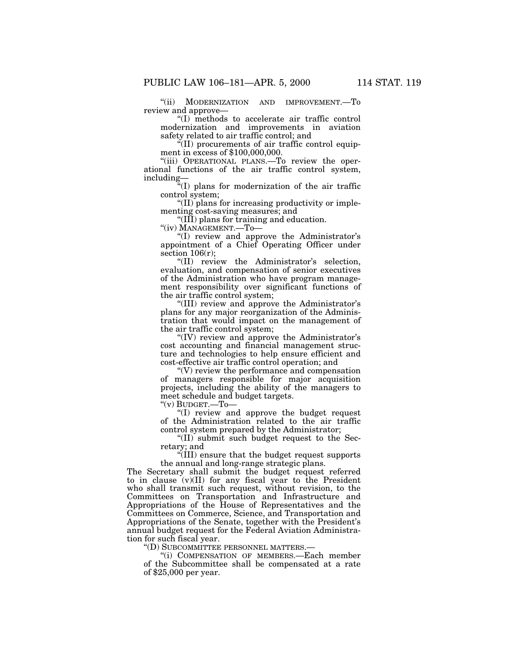''(ii) MODERNIZATION AND IMPROVEMENT.—To review and approve—

''(I) methods to accelerate air traffic control modernization and improvements in aviation safety related to air traffic control; and

 $\rm ^{4}(II)$  procurements of air traffic control equipment in excess of \$100,000,000.

"(iii) OPERATIONAL PLANS.—To review the operational functions of the air traffic control system, including—

''(I) plans for modernization of the air traffic control system;

''(II) plans for increasing productivity or implementing cost-saving measures; and

''(III) plans for training and education.

''(iv) MANAGEMENT.—To—

''(I) review and approve the Administrator's appointment of a Chief Operating Officer under section 106(r);

''(II) review the Administrator's selection, evaluation, and compensation of senior executives of the Administration who have program management responsibility over significant functions of the air traffic control system;

''(III) review and approve the Administrator's plans for any major reorganization of the Administration that would impact on the management of the air traffic control system;

''(IV) review and approve the Administrator's cost accounting and financial management structure and technologies to help ensure efficient and cost-effective air traffic control operation; and

''(V) review the performance and compensation of managers responsible for major acquisition projects, including the ability of the managers to meet schedule and budget targets.

''(v) BUDGET.—To—

''(I) review and approve the budget request of the Administration related to the air traffic control system prepared by the Administrator;

''(II) submit such budget request to the Secretary; and

''(III) ensure that the budget request supports the annual and long-range strategic plans.

The Secretary shall submit the budget request referred to in clause  $(v)(II)$  for any fiscal year to the President who shall transmit such request, without revision, to the Committees on Transportation and Infrastructure and Appropriations of the House of Representatives and the Committees on Commerce, Science, and Transportation and Appropriations of the Senate, together with the President's annual budget request for the Federal Aviation Administration for such fiscal year.

''(D) SUBCOMMITTEE PERSONNEL MATTERS.—

''(i) COMPENSATION OF MEMBERS.—Each member of the Subcommittee shall be compensated at a rate of \$25,000 per year.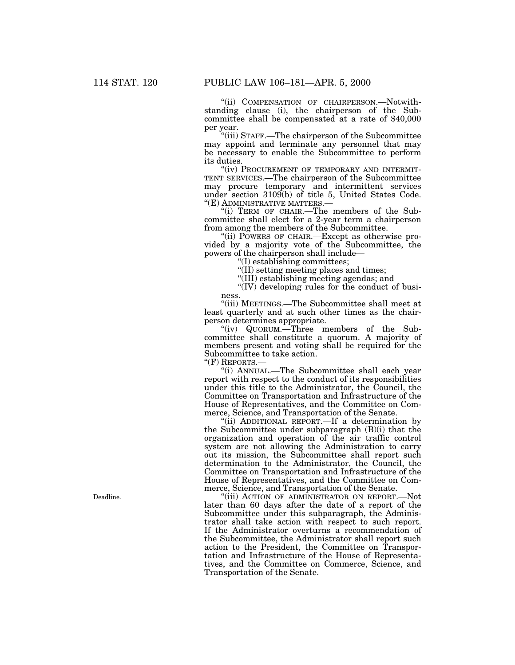''(ii) COMPENSATION OF CHAIRPERSON.—Notwithstanding clause (i), the chairperson of the Subcommittee shall be compensated at a rate of \$40,000 per year.

''(iii) STAFF.—The chairperson of the Subcommittee may appoint and terminate any personnel that may be necessary to enable the Subcommittee to perform its duties.

"(iv) PROCUREMENT OF TEMPORARY AND INTERMIT-TENT SERVICES.—The chairperson of the Subcommittee may procure temporary and intermittent services under section 3109(b) of title 5, United States Code. "(E) ADMINISTRATIVE MATTERS.-

''(i) TERM OF CHAIR.—The members of the Subcommittee shall elect for a 2-year term a chairperson from among the members of the Subcommittee.

''(ii) POWERS OF CHAIR.—Except as otherwise provided by a majority vote of the Subcommittee, the powers of the chairperson shall include—

''(I) establishing committees;

"(II) setting meeting places and times;

''(III) establishing meeting agendas; and

"(IV) developing rules for the conduct of business.

''(iii) MEETINGS.—The Subcommittee shall meet at least quarterly and at such other times as the chairperson determines appropriate.

"(iv) QUORUM.—Three members of the Subcommittee shall constitute a quorum. A majority of members present and voting shall be required for the Subcommittee to take action.

"(F) REPORTS.-

''(i) ANNUAL.—The Subcommittee shall each year report with respect to the conduct of its responsibilities under this title to the Administrator, the Council, the Committee on Transportation and Infrastructure of the House of Representatives, and the Committee on Commerce, Science, and Transportation of the Senate.

''(ii) ADDITIONAL REPORT.—If a determination by the Subcommittee under subparagraph (B)(i) that the organization and operation of the air traffic control system are not allowing the Administration to carry out its mission, the Subcommittee shall report such determination to the Administrator, the Council, the Committee on Transportation and Infrastructure of the House of Representatives, and the Committee on Commerce, Science, and Transportation of the Senate.

''(iii) ACTION OF ADMINISTRATOR ON REPORT.—Not later than 60 days after the date of a report of the Subcommittee under this subparagraph, the Administrator shall take action with respect to such report. If the Administrator overturns a recommendation of the Subcommittee, the Administrator shall report such action to the President, the Committee on Transportation and Infrastructure of the House of Representatives, and the Committee on Commerce, Science, and Transportation of the Senate.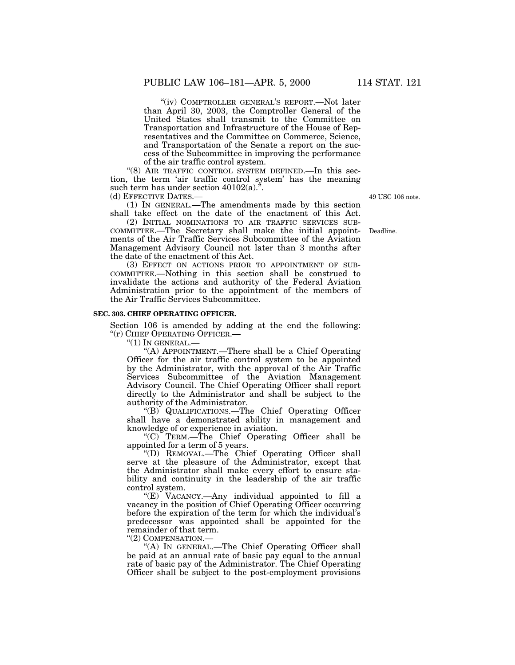''(iv) COMPTROLLER GENERAL'S REPORT.—Not later than April 30, 2003, the Comptroller General of the United States shall transmit to the Committee on Transportation and Infrastructure of the House of Representatives and the Committee on Commerce, Science, and Transportation of the Senate a report on the success of the Subcommittee in improving the performance of the air traffic control system.

''(8) AIR TRAFFIC CONTROL SYSTEM DEFINED.—In this section, the term 'air traffic control system' has the meaning such term has under section  $40102(a)$ .".

(d) EFFECTIVE DATES.—

(1) IN GENERAL.—The amendments made by this section shall take effect on the date of the enactment of this Act.

(2) INITIAL NOMINATIONS TO AIR TRAFFIC SERVICES SUB-COMMITTEE.—The Secretary shall make the initial appointments of the Air Traffic Services Subcommittee of the Aviation Management Advisory Council not later than 3 months after the date of the enactment of this Act.

(3) EFFECT ON ACTIONS PRIOR TO APPOINTMENT OF SUB-COMMITTEE.—Nothing in this section shall be construed to invalidate the actions and authority of the Federal Aviation Administration prior to the appointment of the members of the Air Traffic Services Subcommittee.

## **SEC. 303. CHIEF OPERATING OFFICER.**

Section 106 is amended by adding at the end the following: ''(r) CHIEF OPERATING OFFICER.—

 $"(1)$  In GENERAL.-

''(A) APPOINTMENT.—There shall be a Chief Operating Officer for the air traffic control system to be appointed by the Administrator, with the approval of the Air Traffic Services Subcommittee of the Aviation Management Advisory Council. The Chief Operating Officer shall report directly to the Administrator and shall be subject to the authority of the Administrator.

''(B) QUALIFICATIONS.—The Chief Operating Officer shall have a demonstrated ability in management and knowledge of or experience in aviation.

''(C) TERM.—The Chief Operating Officer shall be appointed for a term of 5 years.

''(D) REMOVAL.—The Chief Operating Officer shall serve at the pleasure of the Administrator, except that the Administrator shall make every effort to ensure stability and continuity in the leadership of the air traffic control system.

''(E) VACANCY.—Any individual appointed to fill a vacancy in the position of Chief Operating Officer occurring before the expiration of the term for which the individual's predecessor was appointed shall be appointed for the remainder of that term.

''(2) COMPENSATION.—

"(A) In GENERAL.—The Chief Operating Officer shall be paid at an annual rate of basic pay equal to the annual rate of basic pay of the Administrator. The Chief Operating Officer shall be subject to the post-employment provisions

49 USC 106 note.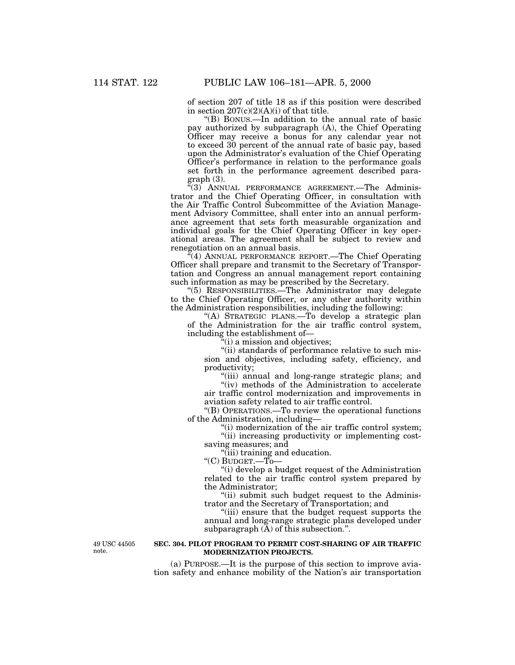of section 207 of title 18 as if this position were described in section  $207(c)(2)(A)(i)$  of that title.

''(B) BONUS.—In addition to the annual rate of basic pay authorized by subparagraph (A), the Chief Operating Officer may receive a bonus for any calendar year not to exceed 30 percent of the annual rate of basic pay, based upon the Administrator's evaluation of the Chief Operating Officer's performance in relation to the performance goals set forth in the performance agreement described para $graph(3)$ .

''(3) ANNUAL PERFORMANCE AGREEMENT.—The Administrator and the Chief Operating Officer, in consultation with the Air Traffic Control Subcommittee of the Aviation Management Advisory Committee, shall enter into an annual performance agreement that sets forth measurable organization and individual goals for the Chief Operating Officer in key operational areas. The agreement shall be subject to review and renegotiation on an annual basis.

 $\mathcal{F}(4)$  ANNUAL PERFORMANCE REPORT.—The Chief Operating Officer shall prepare and transmit to the Secretary of Transportation and Congress an annual management report containing such information as may be prescribed by the Secretary.

''(5) RESPONSIBILITIES.—The Administrator may delegate to the Chief Operating Officer, or any other authority within the Administration responsibilities, including the following:

''(A) STRATEGIC PLANS.—To develop a strategic plan of the Administration for the air traffic control system, including the establishment of—

 $i$ <sup>'</sup>(i) a mission and objectives;

"(ii) standards of performance relative to such mission and objectives, including safety, efficiency, and productivity;

(iii) annual and long-range strategic plans; and

"(iv) methods of the Administration to accelerate air traffic control modernization and improvements in aviation safety related to air traffic control.

''(B) OPERATIONS.—To review the operational functions of the Administration, including—

''(i) modernization of the air traffic control system;

"(ii) increasing productivity or implementing costsaving measures; and

"(iii) training and education.

''(C) BUDGET.—To—

''(i) develop a budget request of the Administration related to the air traffic control system prepared by the Administrator;

"(ii) submit such budget request to the Administrator and the Secretary of Transportation; and

"(iii) ensure that the budget request supports the annual and long-range strategic plans developed under subparagraph (A) of this subsection.''.

49 USC 44505 note.

# **SEC. 304. PILOT PROGRAM TO PERMIT COST-SHARING OF AIR TRAFFIC MODERNIZATION PROJECTS.**

(a) PURPOSE.—It is the purpose of this section to improve aviation safety and enhance mobility of the Nation's air transportation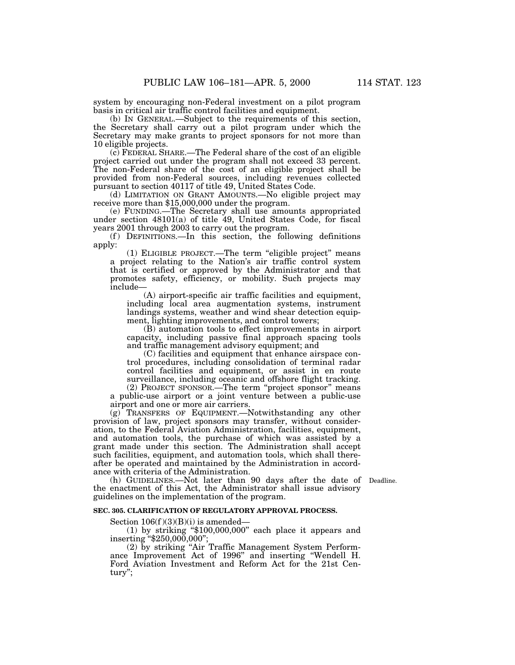system by encouraging non-Federal investment on a pilot program basis in critical air traffic control facilities and equipment.

(b) IN GENERAL.—Subject to the requirements of this section, the Secretary shall carry out a pilot program under which the Secretary may make grants to project sponsors for not more than 10 eligible projects.

(c) FEDERAL SHARE.—The Federal share of the cost of an eligible project carried out under the program shall not exceed 33 percent. The non-Federal share of the cost of an eligible project shall be provided from non-Federal sources, including revenues collected pursuant to section 40117 of title 49, United States Code.

(d) LIMITATION ON GRANT AMOUNTS.—No eligible project may receive more than \$15,000,000 under the program.

(e) FUNDING.—The Secretary shall use amounts appropriated under section 48101(a) of title 49, United States Code, for fiscal years 2001 through 2003 to carry out the program.

 $(f)$  DEFINITIONS.—In this section, the following definitions apply:

(1) ELIGIBLE PROJECT.—The term ''eligible project'' means a project relating to the Nation's air traffic control system that is certified or approved by the Administrator and that promotes safety, efficiency, or mobility. Such projects may include—

(A) airport-specific air traffic facilities and equipment, including local area augmentation systems, instrument landings systems, weather and wind shear detection equipment, lighting improvements, and control towers;

(B) automation tools to effect improvements in airport capacity, including passive final approach spacing tools and traffic management advisory equipment; and

(C) facilities and equipment that enhance airspace control procedures, including consolidation of terminal radar control facilities and equipment, or assist in en route surveillance, including oceanic and offshore flight tracking.

(2) PROJECT SPONSOR.—The term ''project sponsor'' means a public-use airport or a joint venture between a public-use airport and one or more air carriers.

(g) TRANSFERS OF EQUIPMENT.—Notwithstanding any other provision of law, project sponsors may transfer, without consideration, to the Federal Aviation Administration, facilities, equipment, and automation tools, the purchase of which was assisted by a grant made under this section. The Administration shall accept such facilities, equipment, and automation tools, which shall thereafter be operated and maintained by the Administration in accordance with criteria of the Administration.

(h) GUIDELINES.—Not later than 90 days after the date of Deadline. the enactment of this Act, the Administrator shall issue advisory guidelines on the implementation of the program.

### **SEC. 305. CLARIFICATION OF REGULATORY APPROVAL PROCESS.**

Section  $106(f)(3)(B)(i)$  is amended—

(1) by striking ''\$100,000,000'' each place it appears and inserting ''\$250,000,000'';

(2) by striking ''Air Traffic Management System Performance Improvement Act of 1996'' and inserting ''Wendell H. Ford Aviation Investment and Reform Act for the 21st Century'';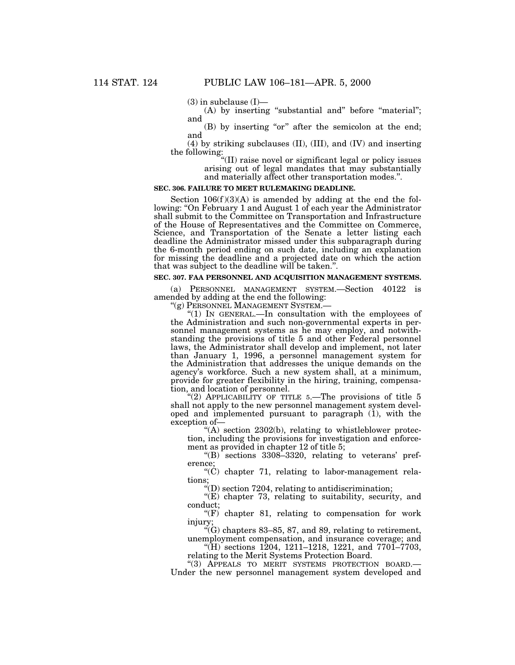$(3)$  in subclause  $(I)$ —

(A) by inserting "substantial and" before "material"; and

(B) by inserting "or" after the semicolon at the end; and

(4) by striking subclauses (II), (III), and (IV) and inserting the following:

''(II) raise novel or significant legal or policy issues arising out of legal mandates that may substantially and materially affect other transportation modes.''.

# **SEC. 306. FAILURE TO MEET RULEMAKING DEADLINE.**

Section  $106(f)(3)(A)$  is amended by adding at the end the following: "On February 1 and August 1 of each year the Administrator shall submit to the Committee on Transportation and Infrastructure of the House of Representatives and the Committee on Commerce, Science, and Transportation of the Senate a letter listing each deadline the Administrator missed under this subparagraph during the 6-month period ending on such date, including an explanation for missing the deadline and a projected date on which the action that was subject to the deadline will be taken.''.

# **SEC. 307. FAA PERSONNEL AND ACQUISITION MANAGEMENT SYSTEMS.**

(a) PERSONNEL MANAGEMENT SYSTEM.—Section 40122 is amended by adding at the end the following:<br>"(g) PERSONNEL MANAGEMENT SYSTEM.

"(1) IN GENERAL.—In consultation with the employees of the Administration and such non-governmental experts in personnel management systems as he may employ, and notwithstanding the provisions of title 5 and other Federal personnel laws, the Administrator shall develop and implement, not later than January 1, 1996, a personnel management system for the Administration that addresses the unique demands on the agency's workforce. Such a new system shall, at a minimum, provide for greater flexibility in the hiring, training, compensation, and location of personnel.

"(2) APPLICABILITY OF TITLE  $5$ . The provisions of title 5 shall not apply to the new personnel management system developed and implemented pursuant to paragraph  $(i)$ , with the exception of—

 $(A)$  section 2302(b), relating to whistleblower protection, including the provisions for investigation and enforcement as provided in chapter 12 of title 5;

"(B) sections  $3308-3320$ , relating to veterans' preference;

 $(C)$  chapter 71, relating to labor-management relations;

 $\sqrt{\text{m}}$ ) section 7204, relating to antidiscrimination;

"(E) chapter 73, relating to suitability, security, and conduct;

" $(F)$  chapter 81, relating to compensation for work injury;

 $C(G)$  chapters 83–85, 87, and 89, relating to retirement, unemployment compensation, and insurance coverage; and

"(H) sections 1204, 1211–1218, 1221, and 7701–7703, relating to the Merit Systems Protection Board.

''(3) APPEALS TO MERIT SYSTEMS PROTECTION BOARD.— Under the new personnel management system developed and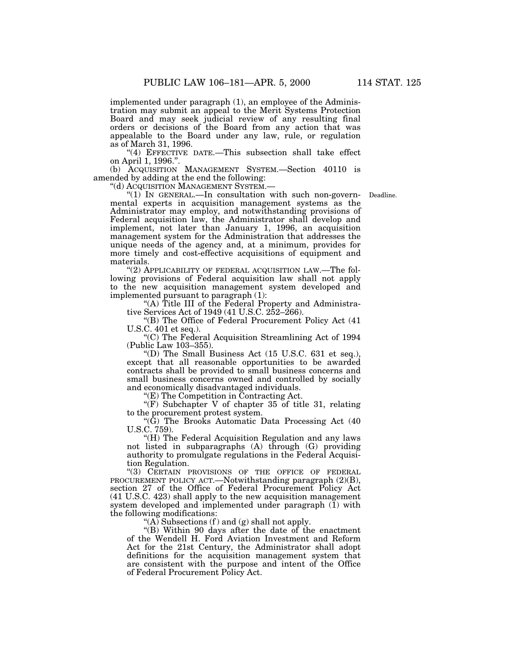implemented under paragraph (1), an employee of the Administration may submit an appeal to the Merit Systems Protection Board and may seek judicial review of any resulting final orders or decisions of the Board from any action that was appealable to the Board under any law, rule, or regulation as of March 31, 1996.

"(4) EFFECTIVE DATE.—This subsection shall take effect on April 1, 1996.''.

(b) ACQUISITION MANAGEMENT SYSTEM.—Section 40110 is amended by adding at the end the following:

''(d) ACQUISITION MANAGEMENT SYSTEM.—

Deadline.

" $(1)$  In GENERAL.—In consultation with such non-governmental experts in acquisition management systems as the Administrator may employ, and notwithstanding provisions of Federal acquisition law, the Administrator shall develop and implement, not later than January 1, 1996, an acquisition management system for the Administration that addresses the unique needs of the agency and, at a minimum, provides for more timely and cost-effective acquisitions of equipment and materials.

"(2) APPLICABILITY OF FEDERAL ACQUISITION LAW.—The following provisions of Federal acquisition law shall not apply to the new acquisition management system developed and implemented pursuant to paragraph (1):

"(A) Title III of the Federal Property and Administrative Services Act of 1949 (41 U.S.C. 252–266).

''(B) The Office of Federal Procurement Policy Act (41 U.S.C. 401 et seq.).

''(C) The Federal Acquisition Streamlining Act of 1994 (Public Law 103–355).

''(D) The Small Business Act (15 U.S.C. 631 et seq.), except that all reasonable opportunities to be awarded contracts shall be provided to small business concerns and small business concerns owned and controlled by socially and economically disadvantaged individuals.

 $E(E)$  The Competition in Contracting Act.

"(F) Subchapter V of chapter 35 of title 31, relating to the procurement protest system.

''(G) The Brooks Automatic Data Processing Act (40 U.S.C. 759).

"(H) The Federal Acquisition Regulation and any laws not listed in subparagraphs (A) through (G) providing authority to promulgate regulations in the Federal Acquisition Regulation.

"(3) CERTAIN PROVISIONS OF THE OFFICE OF FEDERAL PROCUREMENT POLICY ACT.—Notwithstanding paragraph  $(2)(B)$ , section 27 of the Office of Federal Procurement Policy Act (41 U.S.C. 423) shall apply to the new acquisition management system developed and implemented under paragraph (1) with the following modifications:

"(A) Subsections  $(f)$  and  $(g)$  shall not apply.

" $(B)$  Within 90 days after the date of the enactment of the Wendell H. Ford Aviation Investment and Reform Act for the 21st Century, the Administrator shall adopt definitions for the acquisition management system that are consistent with the purpose and intent of the Office of Federal Procurement Policy Act.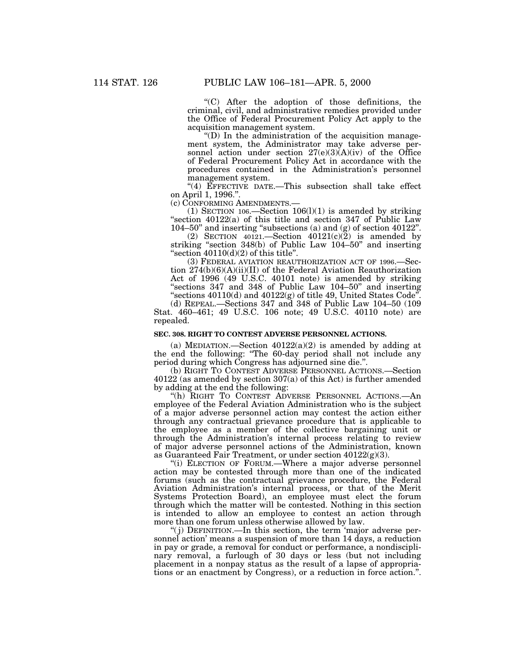''(C) After the adoption of those definitions, the criminal, civil, and administrative remedies provided under the Office of Federal Procurement Policy Act apply to the acquisition management system.

''(D) In the administration of the acquisition management system, the Administrator may take adverse personnel action under section  $27(e)(3)(A)(iv)$  of the Office of Federal Procurement Policy Act in accordance with the procedures contained in the Administration's personnel management system.

"(4) EFFECTIVE DATE.—This subsection shall take effect on April 1, 1996.''.

(c) CONFORMING AMENDMENTS.—

(1) SECTION 106.—Section  $106(1)(1)$  is amended by striking "section  $40122(a)$  of this title and section 347 of Public Law 104–50'' and inserting ''subsections (a) and (g) of section 40122''.

(2) SECTION 40121.—Section  $40121(c)(\overline{2})$  is amended by striking ''section 348(b) of Public Law 104–50'' and inserting "section  $40110(d)(2)$  of this title".

(3) FEDERAL AVIATION REAUTHORIZATION ACT OF 1996.—Section 274(b)(6)(A)(ii)(II) of the Federal Aviation Reauthorization Act of 1996 (49 U.S.C. 40101 note) is amended by striking "sections 347 and 348 of Public Law 104–50" and inserting "sections  $40110(d)$  and  $40122(g)$  of title 49, United States Code".

(d) REPEAL.—Sections 347 and 348 of Public Law 104–50 (109 Stat. 460–461; 49 U.S.C. 106 note; 49 U.S.C. 40110 note) are repealed.

#### **SEC. 308. RIGHT TO CONTEST ADVERSE PERSONNEL ACTIONS.**

(a) MEDIATION.—Section  $40122(a)(2)$  is amended by adding at the end the following: ''The 60-day period shall not include any period during which Congress has adjourned sine die.''.

(b) RIGHT TO CONTEST ADVERSE PERSONNEL ACTIONS.—Section 40122 (as amended by section 307(a) of this Act) is further amended by adding at the end the following:

''(h) RIGHT TO CONTEST ADVERSE PERSONNEL ACTIONS.—An employee of the Federal Aviation Administration who is the subject of a major adverse personnel action may contest the action either through any contractual grievance procedure that is applicable to the employee as a member of the collective bargaining unit or through the Administration's internal process relating to review of major adverse personnel actions of the Administration, known as Guaranteed Fair Treatment, or under section 40122(g)(3).

"(i) ELECTION OF FORUM.—Where a major adverse personnel action may be contested through more than one of the indicated forums (such as the contractual grievance procedure, the Federal Aviation Administration's internal process, or that of the Merit Systems Protection Board), an employee must elect the forum through which the matter will be contested. Nothing in this section is intended to allow an employee to contest an action through more than one forum unless otherwise allowed by law.

"(j) DEFINITION.—In this section, the term 'major adverse personnel action' means a suspension of more than 14 days, a reduction in pay or grade, a removal for conduct or performance, a nondisciplinary removal, a furlough of 30 days or less (but not including placement in a nonpay status as the result of a lapse of appropriations or an enactment by Congress), or a reduction in force action.''.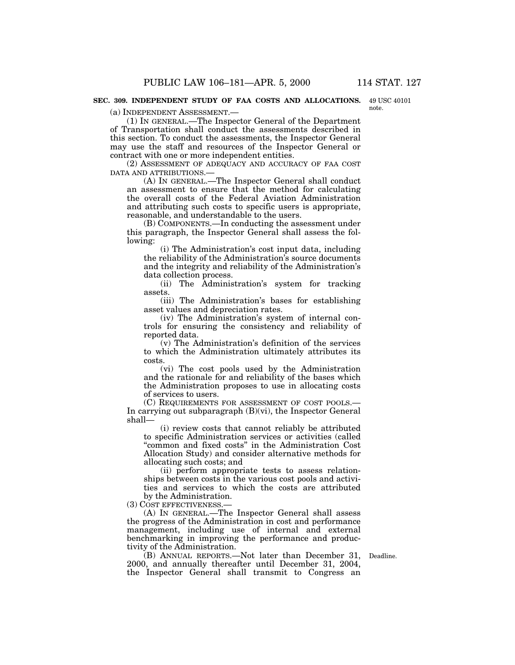#### **SEC. 309. INDEPENDENT STUDY OF FAA COSTS AND ALLOCATIONS.** 49 USC 40101

note.

(a) INDEPENDENT ASSESSMENT.—

(1) IN GENERAL.—The Inspector General of the Department of Transportation shall conduct the assessments described in this section. To conduct the assessments, the Inspector General may use the staff and resources of the Inspector General or contract with one or more independent entities.

(2) ASSESSMENT OF ADEQUACY AND ACCURACY OF FAA COST DATA AND ATTRIBUTIONS.—

(A) IN GENERAL.—The Inspector General shall conduct an assessment to ensure that the method for calculating the overall costs of the Federal Aviation Administration and attributing such costs to specific users is appropriate, reasonable, and understandable to the users.

(B) COMPONENTS.—In conducting the assessment under this paragraph, the Inspector General shall assess the following:

(i) The Administration's cost input data, including the reliability of the Administration's source documents and the integrity and reliability of the Administration's data collection process.

(ii) The Administration's system for tracking assets.

(iii) The Administration's bases for establishing asset values and depreciation rates.

(iv) The Administration's system of internal controls for ensuring the consistency and reliability of reported data.

(v) The Administration's definition of the services to which the Administration ultimately attributes its costs.

(vi) The cost pools used by the Administration and the rationale for and reliability of the bases which the Administration proposes to use in allocating costs of services to users.

(C) REQUIREMENTS FOR ASSESSMENT OF COST POOLS.— In carrying out subparagraph (B)(vi), the Inspector General shall—

(i) review costs that cannot reliably be attributed to specific Administration services or activities (called ''common and fixed costs'' in the Administration Cost Allocation Study) and consider alternative methods for allocating such costs; and

(ii) perform appropriate tests to assess relationships between costs in the various cost pools and activities and services to which the costs are attributed by the Administration.

(3) COST EFFECTIVENESS.—

(A) IN GENERAL.—The Inspector General shall assess the progress of the Administration in cost and performance management, including use of internal and external benchmarking in improving the performance and productivity of the Administration.

(B) ANNUAL REPORTS.—Not later than December 31, Deadline. 2000, and annually thereafter until December 31, 2004, the Inspector General shall transmit to Congress an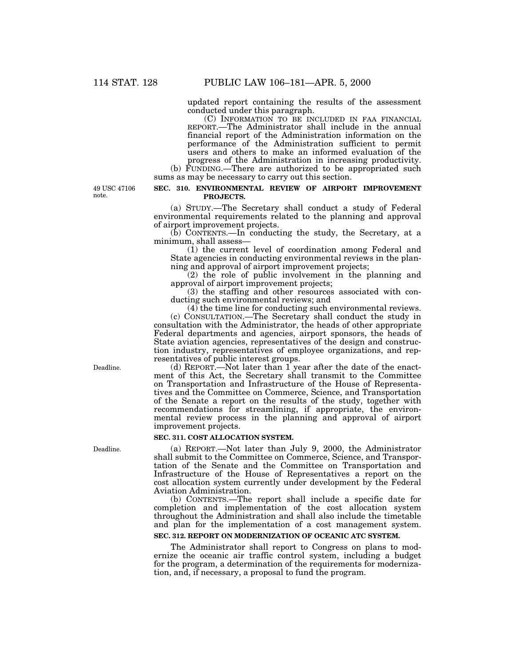updated report containing the results of the assessment conducted under this paragraph.

(C) INFORMATION TO BE INCLUDED IN FAA FINANCIAL REPORT.—The Administrator shall include in the annual financial report of the Administration information on the performance of the Administration sufficient to permit users and others to make an informed evaluation of the progress of the Administration in increasing productivity.

(b) FUNDING.—There are authorized to be appropriated such sums as may be necessary to carry out this section.

49 USC 47106 note.

#### **SEC. 310. ENVIRONMENTAL REVIEW OF AIRPORT IMPROVEMENT PROJECTS.**

(a) STUDY.—The Secretary shall conduct a study of Federal environmental requirements related to the planning and approval of airport improvement projects.

(b) CONTENTS.—In conducting the study, the Secretary, at a minimum, shall assess—

(1) the current level of coordination among Federal and State agencies in conducting environmental reviews in the planning and approval of airport improvement projects;

(2) the role of public involvement in the planning and approval of airport improvement projects;

(3) the staffing and other resources associated with conducting such environmental reviews; and

 $(4)$  the time line for conducting such environmental reviews.

(c) CONSULTATION.—The Secretary shall conduct the study in consultation with the Administrator, the heads of other appropriate Federal departments and agencies, airport sponsors, the heads of State aviation agencies, representatives of the design and construction industry, representatives of employee organizations, and representatives of public interest groups.

(d) REPORT.—Not later than 1 year after the date of the enactment of this Act, the Secretary shall transmit to the Committee on Transportation and Infrastructure of the House of Representatives and the Committee on Commerce, Science, and Transportation of the Senate a report on the results of the study, together with recommendations for streamlining, if appropriate, the environmental review process in the planning and approval of airport improvement projects.

# **SEC. 311. COST ALLOCATION SYSTEM.**

(a) REPORT.—Not later than July 9, 2000, the Administrator shall submit to the Committee on Commerce, Science, and Transportation of the Senate and the Committee on Transportation and Infrastructure of the House of Representatives a report on the cost allocation system currently under development by the Federal Aviation Administration.

(b) CONTENTS.—The report shall include a specific date for completion and implementation of the cost allocation system throughout the Administration and shall also include the timetable and plan for the implementation of a cost management system.

## **SEC. 312. REPORT ON MODERNIZATION OF OCEANIC ATC SYSTEM.**

The Administrator shall report to Congress on plans to modernize the oceanic air traffic control system, including a budget for the program, a determination of the requirements for modernization, and, if necessary, a proposal to fund the program.

Deadline.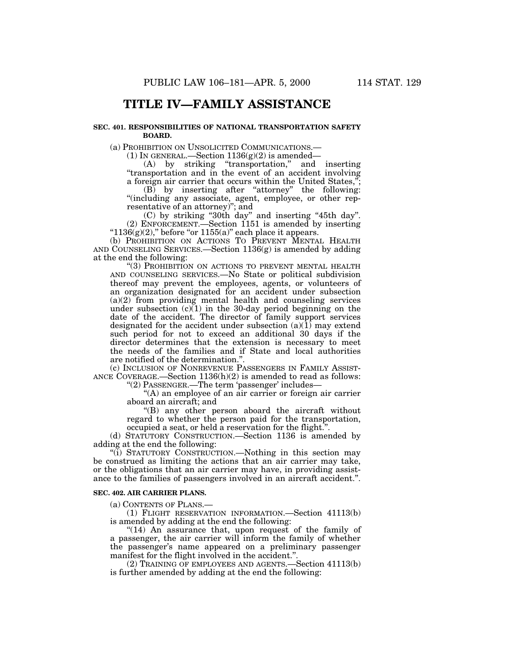# **TITLE IV—FAMILY ASSISTANCE**

### **SEC. 401. RESPONSIBILITIES OF NATIONAL TRANSPORTATION SAFETY BOARD.**

(a) PROHIBITION ON UNSOLICITED COMMUNICATIONS.—

(1) IN GENERAL.—Section  $1136(g)(2)$  is amended—

(A) by striking ''transportation,'' and inserting ''transportation and in the event of an accident involving a foreign air carrier that occurs within the United States,''; (B) by inserting after ''attorney'' the following: ''(including any associate, agent, employee, or other rep-

resentative of an attorney)''; and

(C) by striking ''30th day'' and inserting ''45th day''. (2) ENFORCEMENT.—Section 1151 is amended by inserting " $1136(g)(2)$ ," before "or  $1155(a)$ " each place it appears.

(b) PROHIBITION ON ACTIONS TO PREVENT MENTAL HEALTH AND COUNSELING SERVICES.—Section 1136(g) is amended by adding at the end the following:

''(3) PROHIBITION ON ACTIONS TO PREVENT MENTAL HEALTH AND COUNSELING SERVICES.—No State or political subdivision thereof may prevent the employees, agents, or volunteers of an organization designated for an accident under subsection  $(a)(2)$  from providing mental health and counseling services under subsection  $(c)(1)$  in the 30-day period beginning on the date of the accident. The director of family support services designated for the accident under subsection  $(a)(1)$  may extend such period for not to exceed an additional 30 days if the director determines that the extension is necessary to meet the needs of the families and if State and local authorities are notified of the determination.''.

(c) INCLUSION OF NONREVENUE PASSENGERS IN FAMILY ASSIST-ANCE COVERAGE.—Section 1136(h)(2) is amended to read as follows:

"(2) PASSENGER.—The term 'passenger' includes—

"(A) an employee of an air carrier or foreign air carrier aboard an aircraft; and

''(B) any other person aboard the aircraft without regard to whether the person paid for the transportation, occupied a seat, or held a reservation for the flight.''.

(d) STATUTORY CONSTRUCTION.—Section 1136 is amended by adding at the end the following:

"(i) STATUTORY CONSTRUCTION.—Nothing in this section may be construed as limiting the actions that an air carrier may take, or the obligations that an air carrier may have, in providing assistance to the families of passengers involved in an aircraft accident.''.

# **SEC. 402. AIR CARRIER PLANS.**

(a) CONTENTS OF PLANS.—

(1) FLIGHT RESERVATION INFORMATION.—Section 41113(b) is amended by adding at the end the following:

"(14) An assurance that, upon request of the family of a passenger, the air carrier will inform the family of whether the passenger's name appeared on a preliminary passenger manifest for the flight involved in the accident.''.

(2) TRAINING OF EMPLOYEES AND AGENTS.—Section 41113(b) is further amended by adding at the end the following: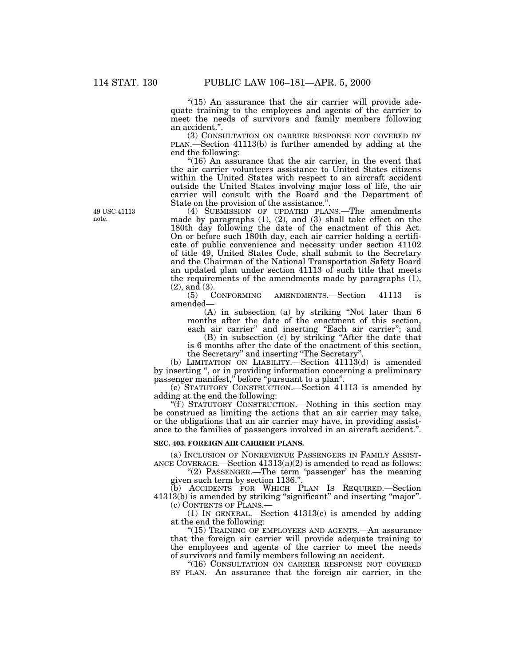" $(15)$  An assurance that the air carrier will provide adequate training to the employees and agents of the carrier to meet the needs of survivors and family members following an accident.''.

(3) CONSULTATION ON CARRIER RESPONSE NOT COVERED BY PLAN.—Section 41113(b) is further amended by adding at the end the following:

"(16) An assurance that the air carrier, in the event that the air carrier volunteers assistance to United States citizens within the United States with respect to an aircraft accident outside the United States involving major loss of life, the air carrier will consult with the Board and the Department of State on the provision of the assistance.''.

(4) SUBMISSION OF UPDATED PLANS.—The amendments made by paragraphs (1), (2), and (3) shall take effect on the 180th day following the date of the enactment of this Act. On or before such 180th day, each air carrier holding a certificate of public convenience and necessity under section 41102 of title 49, United States Code, shall submit to the Secretary and the Chairman of the National Transportation Safety Board an updated plan under section 41113 of such title that meets the requirements of the amendments made by paragraphs (1),  $(2)$ , and  $(3)$ .<br> $(5)$  CONFORMING

AMENDMENTS.—Section 41113 amended—

(A) in subsection (a) by striking ''Not later than 6 months after the date of the enactment of this section, each air carrier" and inserting "Each air carrier"; and

(B) in subsection (c) by striking ''After the date that is 6 months after the date of the enactment of this section, the Secretary'' and inserting ''The Secretary''.

(b) LIMITATION ON LIABILITY.—Section 41113(d) is amended by inserting ", or in providing information concerning a preliminary passenger manifest,'' before ''pursuant to a plan''.

(c) STATUTORY CONSTRUCTION.—Section 41113 is amended by adding at the end the following:

"(f) STATUTORY CONSTRUCTION.—Nothing in this section may be construed as limiting the actions that an air carrier may take, or the obligations that an air carrier may have, in providing assistance to the families of passengers involved in an aircraft accident.''.

## **SEC. 403. FOREIGN AIR CARRIER PLANS.**

(a) INCLUSION OF NONREVENUE PASSENGERS IN FAMILY ASSIST-ANCE COVERAGE.—Section 41313(a)(2) is amended to read as follows:

" $(2)$  PASSENGER.—The term 'passenger' has the meaning given such term by section 1136.''.

(b) ACCIDENTS FOR WHICH PLAN IS REQUIRED.—Section 41313(b) is amended by striking "significant" and inserting "major". (c) CONTENTS OF PLANS.—

(1) IN GENERAL.—Section 41313(c) is amended by adding

at the end the following: "(15) TRAINING OF EMPLOYEES AND AGENTS.—An assurance that the foreign air carrier will provide adequate training to the employees and agents of the carrier to meet the needs of survivors and family members following an accident.

''(16) CONSULTATION ON CARRIER RESPONSE NOT COVERED BY PLAN.—An assurance that the foreign air carrier, in the

49 USC 41113 note.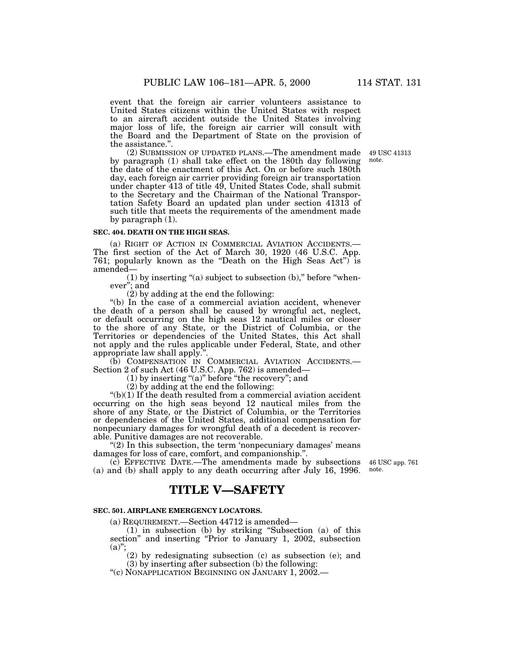event that the foreign air carrier volunteers assistance to United States citizens within the United States with respect to an aircraft accident outside the United States involving major loss of life, the foreign air carrier will consult with the Board and the Department of State on the provision of the assistance.''.

> 49 USC 41313 note.

(2) SUBMISSION OF UPDATED PLANS.—The amendment made by paragraph (1) shall take effect on the 180th day following the date of the enactment of this Act. On or before such 180th day, each foreign air carrier providing foreign air transportation under chapter 413 of title 49, United States Code, shall submit to the Secretary and the Chairman of the National Transportation Safety Board an updated plan under section 41313 of such title that meets the requirements of the amendment made by paragraph (1).

#### **SEC. 404. DEATH ON THE HIGH SEAS.**

(a) RIGHT OF ACTION IN COMMERCIAL AVIATION ACCIDENTS.— The first section of the Act of March 30, 1920 (46 U.S.C. App. 761; popularly known as the ''Death on the High Seas Act'') is amended—

 $(1)$  by inserting "(a) subject to subsection  $(b)$ ," before "whenever''; and

(2) by adding at the end the following:

"(b) In the case of a commercial aviation accident, whenever the death of a person shall be caused by wrongful act, neglect, or default occurring on the high seas 12 nautical miles or closer to the shore of any State, or the District of Columbia, or the Territories or dependencies of the United States, this Act shall not apply and the rules applicable under Federal, State, and other appropriate law shall apply.''.

(b) COMPENSATION IN COMMERCIAL AVIATION ACCIDENTS.— Section 2 of such Act (46 U.S.C. App. 762) is amended—

 $(1)$  by inserting "(a)" before "the recovery"; and

(2) by adding at the end the following:

 $'(b)(1)$  If the death resulted from a commercial aviation accident occurring on the high seas beyond 12 nautical miles from the shore of any State, or the District of Columbia, or the Territories or dependencies of the United States, additional compensation for nonpecuniary damages for wrongful death of a decedent is recoverable. Punitive damages are not recoverable.

" $(2)$  In this subsection, the term 'nonpecuniary damages' means damages for loss of care, comfort, and companionship.''.

(c) EFFECTIVE DATE.—The amendments made by subsections 46 USC app. 761 (a) and (b) shall apply to any death occurring after July 16, 1996.

note.

# **TITLE V—SAFETY**

### **SEC. 501. AIRPLANE EMERGENCY LOCATORS.**

(a) REQUIREMENT.—Section 44712 is amended—

(1) in subsection (b) by striking ''Subsection (a) of this section" and inserting "Prior to January 1, 2002, subsection  $(a)$ ";

(2) by redesignating subsection (c) as subsection (e); and

(3) by inserting after subsection (b) the following:

''(c) NONAPPLICATION BEGINNING ON JANUARY 1, 2002.—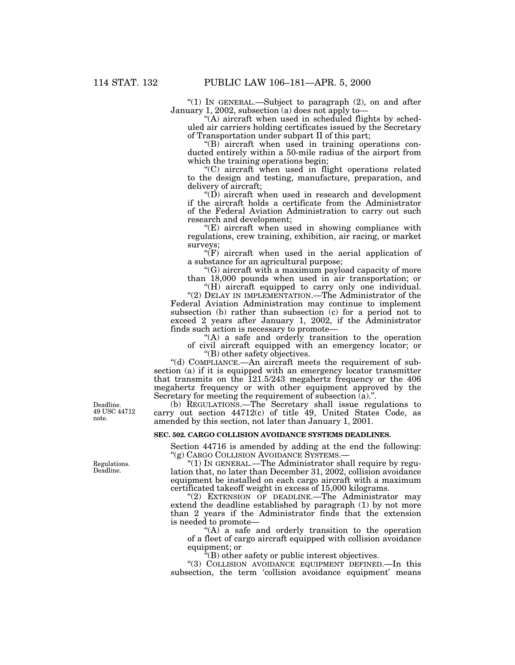"(1) In GENERAL.—Subject to paragraph (2), on and after January 1, 2002, subsection (a) does not apply to—

" $(A)$  aircraft when used in scheduled flights by scheduled air carriers holding certificates issued by the Secretary of Transportation under subpart II of this part;

 $(G)$  aircraft when used in training operations conducted entirely within a 50-mile radius of the airport from which the training operations begin;

''(C) aircraft when used in flight operations related to the design and testing, manufacture, preparation, and delivery of aircraft;

" $(D)$  aircraft when used in research and development if the aircraft holds a certificate from the Administrator of the Federal Aviation Administration to carry out such research and development;

 $E(E)$  aircraft when used in showing compliance with regulations, crew training, exhibition, air racing, or market surveys;

 $\sqrt{\text{F}}$  aircraft when used in the aerial application of a substance for an agricultural purpose;

''(G) aircraft with a maximum payload capacity of more than 18,000 pounds when used in air transportation; or

"(H) aircraft equipped to carry only one individual. "(2) DELAY IN IMPLEMENTATION.—The Administrator of the Federal Aviation Administration may continue to implement subsection (b) rather than subsection (c) for a period not to exceed 2 years after January 1, 2002, if the Administrator finds such action is necessary to promote—

"(A) a safe and orderly transition to the operation of civil aircraft equipped with an emergency locator; or

''(B) other safety objectives.

''(d) COMPLIANCE.—An aircraft meets the requirement of subsection (a) if it is equipped with an emergency locator transmitter that transmits on the  $121.5/243$  megahertz frequency or the 406 megahertz frequency or with other equipment approved by the Secretary for meeting the requirement of subsection  $(a)$ .".

(b) REGULATIONS.—The Secretary shall issue regulations to carry out section 44712(c) of title 49, United States Code, as amended by this section, not later than January 1, 2001.

# **SEC. 502. CARGO COLLISION AVOIDANCE SYSTEMS DEADLINES.**

Section 44716 is amended by adding at the end the following: ''(g) CARGO COLLISION AVOIDANCE SYSTEMS.—

''(1) IN GENERAL.—The Administrator shall require by regulation that, no later than December 31, 2002, collision avoidance equipment be installed on each cargo aircraft with a maximum certificated takeoff weight in excess of 15,000 kilograms.

"(2) EXTENSION OF DEADLINE.—The Administrator may extend the deadline established by paragraph (1) by not more than 2 years if the Administrator finds that the extension is needed to promote—

" $(A)$  a safe and orderly transition to the operation of a fleet of cargo aircraft equipped with collision avoidance equipment; or

 $E(E)$  other safety or public interest objectives.

"(3) COLLISION AVOIDANCE EQUIPMENT DEFINED.—In this subsection, the term 'collision avoidance equipment' means

Deadline. 49 USC 44712 note.

Regulations. Deadline.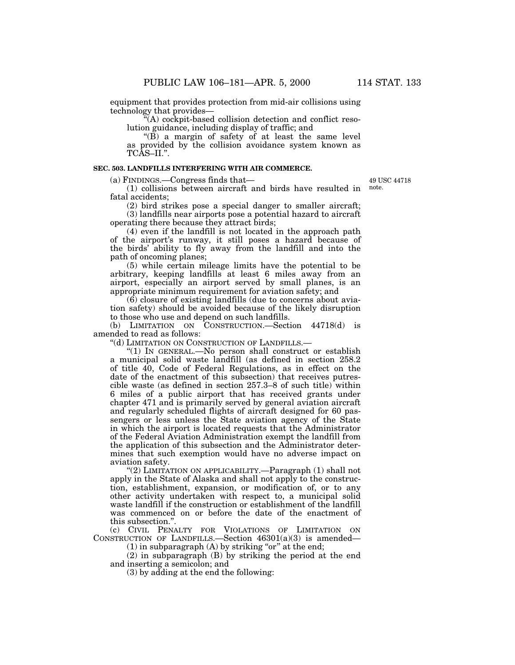equipment that provides protection from mid-air collisions using technology that provides—

''(A) cockpit-based collision detection and conflict resolution guidance, including display of traffic; and

 $\cdot$ (B) a margin of safety of at least the same level as provided by the collision avoidance system known as TCAS–II.''.

#### **SEC. 503. LANDFILLS INTERFERING WITH AIR COMMERCE.**

(a) FINDINGS.—Congress finds that—

49 USC 44718 note.

(1) collisions between aircraft and birds have resulted in fatal accidents;

(2) bird strikes pose a special danger to smaller aircraft; (3) landfills near airports pose a potential hazard to aircraft operating there because they attract birds;

(4) even if the landfill is not located in the approach path of the airport's runway, it still poses a hazard because of the birds' ability to fly away from the landfill and into the path of oncoming planes;

(5) while certain mileage limits have the potential to be arbitrary, keeping landfills at least 6 miles away from an airport, especially an airport served by small planes, is an appropriate minimum requirement for aviation safety; and

 $(6)$  closure of existing landfills (due to concerns about aviation safety) should be avoided because of the likely disruption to those who use and depend on such landfills.

(b) LIMITATION ON CONSTRUCTION.—Section 44718(d) is amended to read as follows:

''(d) LIMITATION ON CONSTRUCTION OF LANDFILLS.—

''(1) IN GENERAL.—No person shall construct or establish a municipal solid waste landfill (as defined in section 258.2 of title 40, Code of Federal Regulations, as in effect on the date of the enactment of this subsection) that receives putrescible waste (as defined in section 257.3–8 of such title) within 6 miles of a public airport that has received grants under chapter 471 and is primarily served by general aviation aircraft and regularly scheduled flights of aircraft designed for 60 passengers or less unless the State aviation agency of the State in which the airport is located requests that the Administrator of the Federal Aviation Administration exempt the landfill from the application of this subsection and the Administrator determines that such exemption would have no adverse impact on aviation safety.

''(2) LIMITATION ON APPLICABILITY.—Paragraph (1) shall not apply in the State of Alaska and shall not apply to the construction, establishment, expansion, or modification of, or to any other activity undertaken with respect to, a municipal solid waste landfill if the construction or establishment of the landfill was commenced on or before the date of the enactment of this subsection.''.

(c) CIVIL PENALTY FOR VIOLATIONS OF LIMITATION ON CONSTRUCTION OF LANDFILLS.—Section  $46301(a)(3)$  is amended—

 $(1)$  in subparagraph  $(A)$  by striking "or" at the end;

(2) in subparagraph (B) by striking the period at the end and inserting a semicolon; and

(3) by adding at the end the following: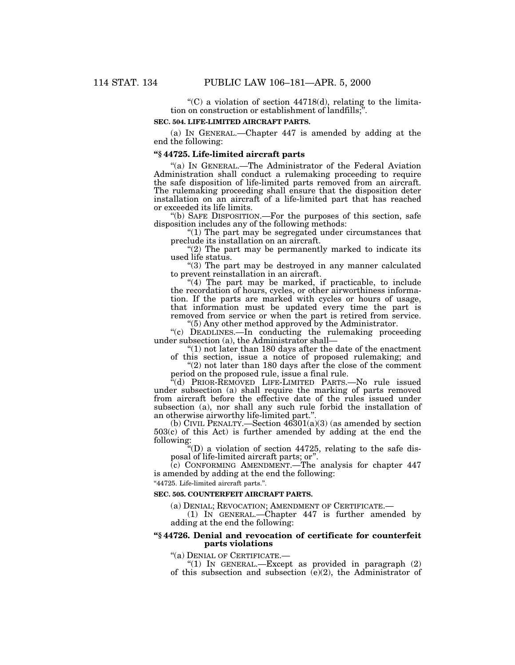"(C) a violation of section  $44718(d)$ , relating to the limitation on construction or establishment of landfills;''.

#### **SEC. 504. LIFE-LIMITED AIRCRAFT PARTS.**

(a) IN GENERAL.—Chapter 447 is amended by adding at the end the following:

# **''§ 44725. Life-limited aircraft parts**

''(a) IN GENERAL.—The Administrator of the Federal Aviation Administration shall conduct a rulemaking proceeding to require the safe disposition of life-limited parts removed from an aircraft. The rulemaking proceeding shall ensure that the disposition deter installation on an aircraft of a life-limited part that has reached or exceeded its life limits.

''(b) SAFE DISPOSITION.—For the purposes of this section, safe disposition includes any of the following methods:

" $(1)$  The part may be segregated under circumstances that preclude its installation on an aircraft.

 $''(2)$  The part may be permanently marked to indicate its used life status.

''(3) The part may be destroyed in any manner calculated to prevent reinstallation in an aircraft.

"(4) The part may be marked, if practicable, to include the recordation of hours, cycles, or other airworthiness information. If the parts are marked with cycles or hours of usage, that information must be updated every time the part is removed from service or when the part is retired from service. ''(5) Any other method approved by the Administrator.

''(c) DEADLINES.—In conducting the rulemaking proceeding under subsection (a), the Administrator shall—

 $''(1)$  not later than 180 days after the date of the enactment of this section, issue a notice of proposed rulemaking; and

" $(2)$  not later than 180 days after the close of the comment period on the proposed rule, issue a final rule.

''(d) PRIOR-REMOVED LIFE-LIMITED PARTS.—No rule issued under subsection (a) shall require the marking of parts removed from aircraft before the effective date of the rules issued under subsection (a), nor shall any such rule forbid the installation of an otherwise airworthy life-limited part."

(b) CIVIL PENALTY.—Section  $46301(a)(3)$  (as amended by section 503(c) of this Act) is further amended by adding at the end the following:

''(D) a violation of section 44725, relating to the safe disposal of life-limited aircraft parts; or''.

(c) CONFORMING AMENDMENT.—The analysis for chapter 447 is amended by adding at the end the following:

''44725. Life-limited aircraft parts.''.

## **SEC. 505. COUNTERFEIT AIRCRAFT PARTS.**

(a) DENIAL; REVOCATION; AMENDMENT OF CERTIFICATE.—

(1) IN GENERAL.—Chapter 447 is further amended by adding at the end the following:

## **''§ 44726. Denial and revocation of certificate for counterfeit parts violations**

''(a) DENIAL OF CERTIFICATE.—

"(1) IN GENERAL.—Except as provided in paragraph  $(2)$ of this subsection and subsection (e)(2), the Administrator of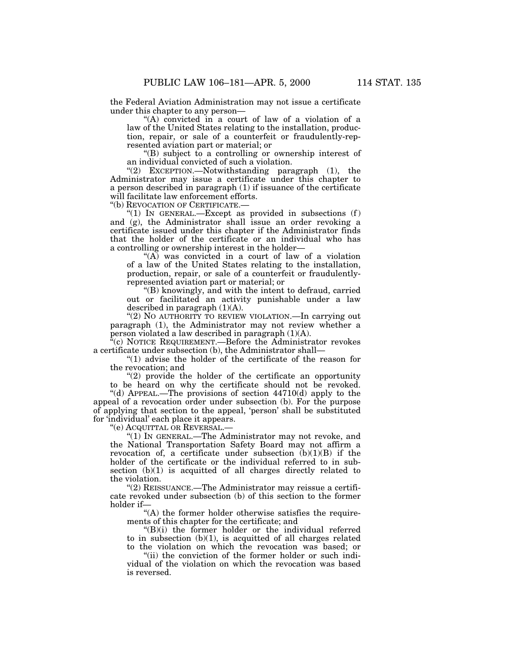the Federal Aviation Administration may not issue a certificate under this chapter to any person—

''(A) convicted in a court of law of a violation of a law of the United States relating to the installation, production, repair, or sale of a counterfeit or fraudulently-represented aviation part or material; or

''(B) subject to a controlling or ownership interest of an individual convicted of such a violation.

" $(2)$  EXCEPTION.—Notwithstanding paragraph  $(1)$ , the Administrator may issue a certificate under this chapter to a person described in paragraph (1) if issuance of the certificate will facilitate law enforcement efforts.

''(b) REVOCATION OF CERTIFICATE.—

"(1) IN GENERAL.—Except as provided in subsections  $(f)$ and (g), the Administrator shall issue an order revoking a certificate issued under this chapter if the Administrator finds that the holder of the certificate or an individual who has a controlling or ownership interest in the holder—

"(A) was convicted in a court of law of a violation of a law of the United States relating to the installation, production, repair, or sale of a counterfeit or fraudulentlyrepresented aviation part or material; or

''(B) knowingly, and with the intent to defraud, carried out or facilitated an activity punishable under a law described in paragraph  $(1)(A)$ .

"(2) NO AUTHORITY TO REVIEW VIOLATION.—In carrying out paragraph (1), the Administrator may not review whether a person violated a law described in paragraph (1)(A).

''(c) NOTICE REQUIREMENT.—Before the Administrator revokes a certificate under subsection (b), the Administrator shall—

" $(1)$  advise the holder of the certificate of the reason for the revocation; and

 $(2)$  provide the holder of the certificate an opportunity to be heard on why the certificate should not be revoked.

"(d) APPEAL.—The provisions of section  $44710(d)$  apply to the appeal of a revocation order under subsection (b). For the purpose of applying that section to the appeal, 'person' shall be substituted for 'individual' each place it appears.

''(e) ACQUITTAL OR REVERSAL.—

"(1) IN GENERAL.—The Administrator may not revoke, and the National Transportation Safety Board may not affirm a revocation of, a certificate under subsection  $(b)(1)(B)$  if the holder of the certificate or the individual referred to in subsection  $(b)(1)$  is acquitted of all charges directly related to the violation.

''(2) REISSUANCE.—The Administrator may reissue a certificate revoked under subsection (b) of this section to the former holder if-

"(A) the former holder otherwise satisfies the requirements of this chapter for the certificate; and

 $'(B)(i)$  the former holder or the individual referred to in subsection  $(b)(1)$ , is acquitted of all charges related to the violation on which the revocation was based; or

"(ii) the conviction of the former holder or such individual of the violation on which the revocation was based is reversed.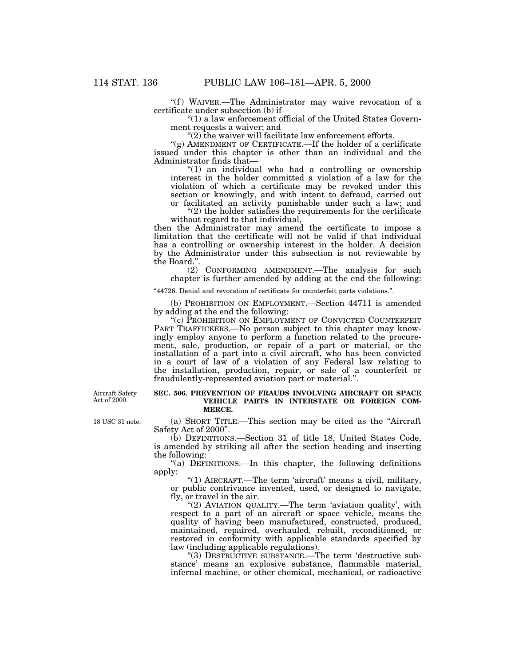"(f) WAIVER.—The Administrator may waive revocation of a certificate under subsection (b) if—

''(1) a law enforcement official of the United States Government requests a waiver; and

" $(2)$  the waiver will facilitate law enforcement efforts.

" $(g)$  AMENDMENT OF CERTIFICATE.—If the holder of a certificate issued under this chapter is other than an individual and the Administrator finds that—

''(1) an individual who had a controlling or ownership interest in the holder committed a violation of a law for the violation of which a certificate may be revoked under this section or knowingly, and with intent to defraud, carried out or facilitated an activity punishable under such a law; and

 $''(2)$  the holder satisfies the requirements for the certificate without regard to that individual,

then the Administrator may amend the certificate to impose a limitation that the certificate will not be valid if that individual has a controlling or ownership interest in the holder. A decision by the Administrator under this subsection is not reviewable by the Board.''.

(2) CONFORMING AMENDMENT.—The analysis for such chapter is further amended by adding at the end the following:

''44726. Denial and revocation of certificate for counterfeit parts violations.''.

(b) PROHIBITION ON EMPLOYMENT.—Section 44711 is amended by adding at the end the following:

"(c) PROHIBITION ON EMPLOYMENT OF CONVICTED COUNTERFEIT PART TRAFFICKERS.—No person subject to this chapter may knowingly employ anyone to perform a function related to the procurement, sale, production, or repair of a part or material, or the installation of a part into a civil aircraft, who has been convicted in a court of law of a violation of any Federal law relating to the installation, production, repair, or sale of a counterfeit or fraudulently-represented aviation part or material.''.

Aircraft Safety Act of 2000.

18 USC 31 note.

### **SEC. 506. PREVENTION OF FRAUDS INVOLVING AIRCRAFT OR SPACE VEHICLE PARTS IN INTERSTATE OR FOREIGN COM-MERCE.**

(a) SHORT TITLE.—This section may be cited as the ''Aircraft Safety Act of 2000''.

(b) DEFINITIONS.—Section 31 of title 18, United States Code, is amended by striking all after the section heading and inserting the following:

''(a) DEFINITIONS.—In this chapter, the following definitions apply:

"(1) AIRCRAFT.—The term 'aircraft' means a civil, military, or public contrivance invented, used, or designed to navigate, fly, or travel in the air.

"(2) AVIATION QUALITY.—The term 'aviation quality', with respect to a part of an aircraft or space vehicle, means the quality of having been manufactured, constructed, produced, maintained, repaired, overhauled, rebuilt, reconditioned, or restored in conformity with applicable standards specified by law (including applicable regulations).

"(3) DESTRUCTIVE SUBSTANCE.—The term 'destructive substance' means an explosive substance, flammable material, infernal machine, or other chemical, mechanical, or radioactive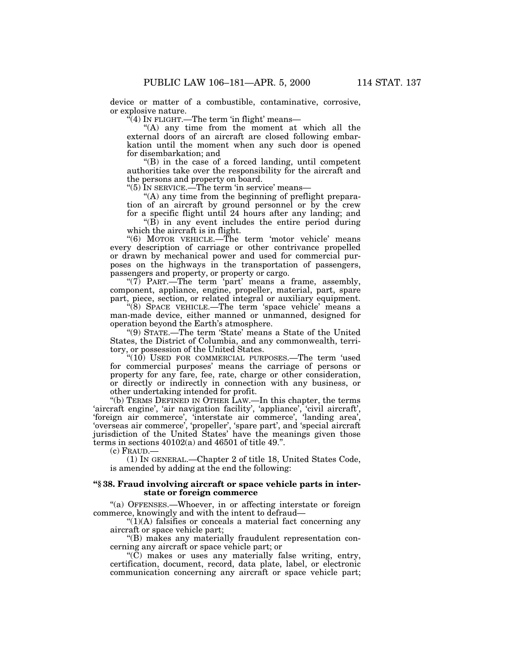device or matter of a combustible, contaminative, corrosive, or explosive nature.

 $\mathcal{L}(4)$  In FLIGHT.—The term 'in flight' means—

''(A) any time from the moment at which all the external doors of an aircraft are closed following embarkation until the moment when any such door is opened for disembarkation; and

''(B) in the case of a forced landing, until competent authorities take over the responsibility for the aircraft and the persons and property on board.

"(5) In SERVICE.—The term 'in service' means—

"(A) any time from the beginning of preflight preparation of an aircraft by ground personnel or by the crew for a specific flight until 24 hours after any landing; and

 $\mathrm{H}(B)$  in any event includes the entire period during which the aircraft is in flight.

"(6) MOTOR VEHICLE.—The term 'motor vehicle' means every description of carriage or other contrivance propelled or drawn by mechanical power and used for commercial purposes on the highways in the transportation of passengers, passengers and property, or property or cargo.

" $(7)$  PART.—The term 'part' means a frame, assembly, component, appliance, engine, propeller, material, part, spare part, piece, section, or related integral or auxiliary equipment.

''(8) SPACE VEHICLE.—The term 'space vehicle' means a man-made device, either manned or unmanned, designed for operation beyond the Earth's atmosphere.

''(9) STATE.—The term 'State' means a State of the United States, the District of Columbia, and any commonwealth, territory, or possession of the United States.

 $(10)$  USED FOR COMMERCIAL PURPOSES.—The term 'used for commercial purposes' means the carriage of persons or property for any fare, fee, rate, charge or other consideration, or directly or indirectly in connection with any business, or other undertaking intended for profit.

''(b) TERMS DEFINED IN OTHER LAW.—In this chapter, the terms 'aircraft engine', 'air navigation facility', 'appliance', 'civil aircraft', 'foreign air commerce', 'interstate air commerce', 'landing area', 'overseas air commerce', 'propeller', 'spare part', and 'special aircraft jurisdiction of the United States' have the meanings given those terms in sections 40102(a) and 46501 of title 49.''.

(c) FRAUD.—

(1) IN GENERAL.—Chapter 2 of title 18, United States Code, is amended by adding at the end the following:

## **''§ 38. Fraud involving aircraft or space vehicle parts in interstate or foreign commerce**

''(a) OFFENSES.—Whoever, in or affecting interstate or foreign commerce, knowingly and with the intent to defraud—

 $"(1)(A)$  falsifies or conceals a material fact concerning any aircraft or space vehicle part;

''(B) makes any materially fraudulent representation concerning any aircraft or space vehicle part; or

 $\mathrm{H}(\tilde{C})$  makes or uses any materially false writing, entry, certification, document, record, data plate, label, or electronic communication concerning any aircraft or space vehicle part;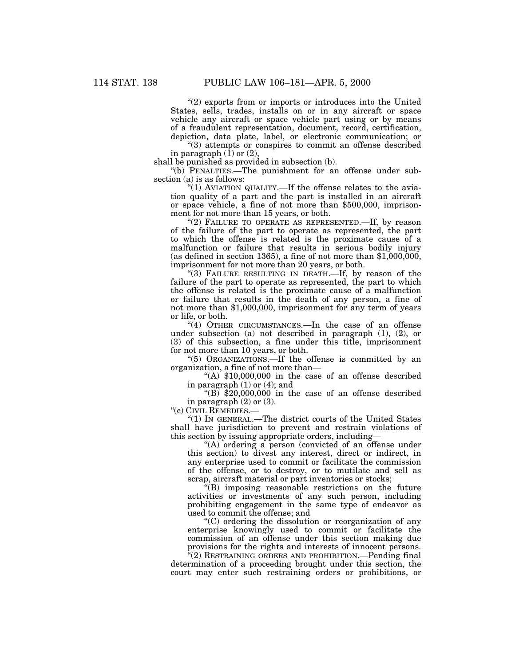''(2) exports from or imports or introduces into the United States, sells, trades, installs on or in any aircraft or space vehicle any aircraft or space vehicle part using or by means of a fraudulent representation, document, record, certification, depiction, data plate, label, or electronic communication; or

"(3) attempts or conspires to commit an offense described in paragraph  $(1)$  or  $(2)$ ,

shall be punished as provided in subsection (b).

''(b) PENALTIES.—The punishment for an offense under subsection (a) is as follows:

"(1) AVIATION QUALITY.—If the offense relates to the aviation quality of a part and the part is installed in an aircraft or space vehicle, a fine of not more than \$500,000, imprisonment for not more than 15 years, or both.

"(2) FAILURE TO OPERATE AS REPRESENTED.—If, by reason of the failure of the part to operate as represented, the part to which the offense is related is the proximate cause of a malfunction or failure that results in serious bodily injury (as defined in section 1365), a fine of not more than \$1,000,000, imprisonment for not more than 20 years, or both.

''(3) FAILURE RESULTING IN DEATH.—If, by reason of the failure of the part to operate as represented, the part to which the offense is related is the proximate cause of a malfunction or failure that results in the death of any person, a fine of not more than \$1,000,000, imprisonment for any term of years or life, or both.

"(4) OTHER CIRCUMSTANCES.—In the case of an offense under subsection (a) not described in paragraph (1), (2), or (3) of this subsection, a fine under this title, imprisonment for not more than 10 years, or both.

''(5) ORGANIZATIONS.—If the offense is committed by an organization, a fine of not more than—

"(A)  $$10,000,000$  in the case of an offense described in paragraph  $(1)$  or  $(4)$ ; and

" $(B)$  \$20,000,000 in the case of an offense described in paragraph (2) or (3).

''(c) CIVIL REMEDIES.—

''(1) IN GENERAL.—The district courts of the United States shall have jurisdiction to prevent and restrain violations of this section by issuing appropriate orders, including—

"(A) ordering a person (convicted of an offense under this section) to divest any interest, direct or indirect, in any enterprise used to commit or facilitate the commission of the offense, or to destroy, or to mutilate and sell as scrap, aircraft material or part inventories or stocks;

''(B) imposing reasonable restrictions on the future activities or investments of any such person, including prohibiting engagement in the same type of endeavor as used to commit the offense; and

''(C) ordering the dissolution or reorganization of any enterprise knowingly used to commit or facilitate the commission of an offense under this section making due provisions for the rights and interests of innocent persons.

 $\sqrt{a(2)}$  RESTRAINING ORDERS AND PROHIBITION.—Pending final determination of a proceeding brought under this section, the court may enter such restraining orders or prohibitions, or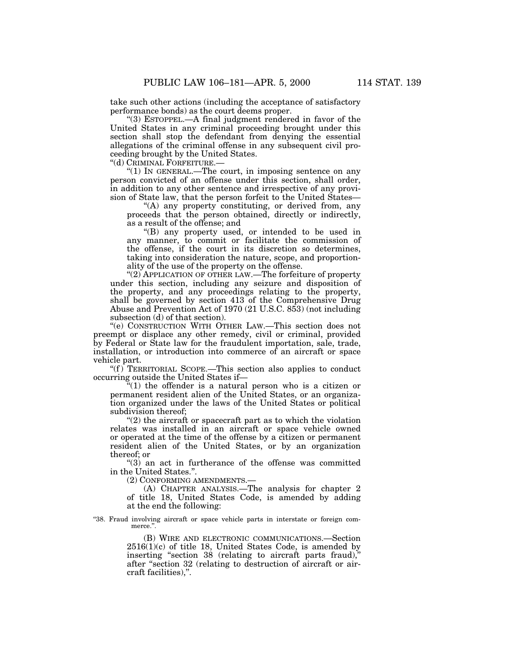take such other actions (including the acceptance of satisfactory performance bonds) as the court deems proper.

''(3) ESTOPPEL.—A final judgment rendered in favor of the United States in any criminal proceeding brought under this section shall stop the defendant from denying the essential allegations of the criminal offense in any subsequent civil proceeding brought by the United States.

''(d) CRIMINAL FORFEITURE.—

" $(1)$  In GENERAL.—The court, in imposing sentence on any person convicted of an offense under this section, shall order, in addition to any other sentence and irrespective of any provision of State law, that the person forfeit to the United States—

''(A) any property constituting, or derived from, any proceeds that the person obtained, directly or indirectly, as a result of the offense; and

''(B) any property used, or intended to be used in any manner, to commit or facilitate the commission of the offense, if the court in its discretion so determines, taking into consideration the nature, scope, and proportionality of the use of the property on the offense.

''(2) APPLICATION OF OTHER LAW.—The forfeiture of property under this section, including any seizure and disposition of the property, and any proceedings relating to the property, shall be governed by section 413 of the Comprehensive Drug Abuse and Prevention Act of 1970 (21 U.S.C. 853) (not including subsection (d) of that section).

''(e) CONSTRUCTION WITH OTHER LAW.—This section does not preempt or displace any other remedy, civil or criminal, provided by Federal or State law for the fraudulent importation, sale, trade, installation, or introduction into commerce of an aircraft or space vehicle part.

" $(f)$  TERRITORIAL SCOPE.—This section also applies to conduct occurring outside the United States if—

 $*(1)$  the offender is a natural person who is a citizen or permanent resident alien of the United States, or an organization organized under the laws of the United States or political subdivision thereof;

" $(2)$  the aircraft or spacecraft part as to which the violation relates was installed in an aircraft or space vehicle owned or operated at the time of the offense by a citizen or permanent resident alien of the United States, or by an organization thereof; or

"(3) an act in furtherance of the offense was committed in the United States.''.

(2) CONFORMING AMENDMENTS.—

(A) CHAPTER ANALYSIS.—The analysis for chapter 2 of title 18, United States Code, is amended by adding at the end the following:

''38. Fraud involving aircraft or space vehicle parts in interstate or foreign commerce."

> (B) WIRE AND ELECTRONIC COMMUNICATIONS.—Section 2516(1)(c) of title 18, United States Code, is amended by inserting "section  $38$  (relating to aircraft parts fraud)," after "section 32 (relating to destruction of aircraft or aircraft facilities),''.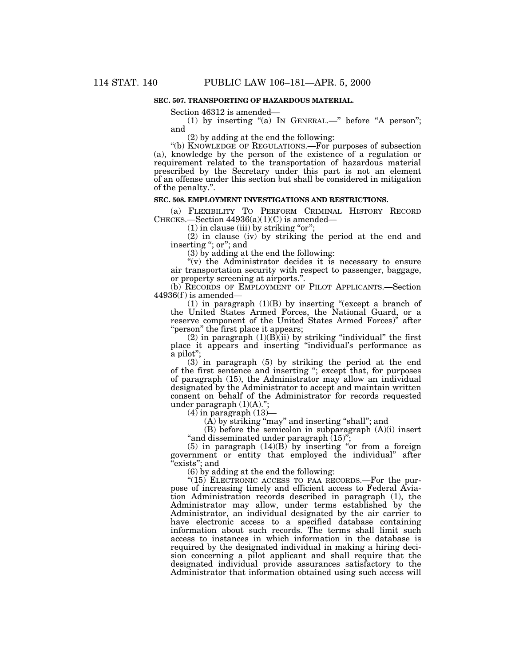## **SEC. 507. TRANSPORTING OF HAZARDOUS MATERIAL.**

Section 46312 is amended—

(1) by inserting "(a) IN GENERAL.—" before "A person"; and

(2) by adding at the end the following:

''(b) KNOWLEDGE OF REGULATIONS.—For purposes of subsection (a), knowledge by the person of the existence of a regulation or requirement related to the transportation of hazardous material prescribed by the Secretary under this part is not an element of an offense under this section but shall be considered in mitigation of the penalty.''.

## **SEC. 508. EMPLOYMENT INVESTIGATIONS AND RESTRICTIONS.**

(a) FLEXIBILITY TO PERFORM CRIMINAL HISTORY RECORD CHECKS.—Section  $44936(a)(1)(C)$  is amended—

(1) in clause (iii) by striking "or";

(2) in clause (iv) by striking the period at the end and inserting "; or"; and

(3) by adding at the end the following:

"(v) the Administrator decides it is necessary to ensure air transportation security with respect to passenger, baggage, or property screening at airports.''.

(b) RECORDS OF EMPLOYMENT OF PILOT APPLICANTS.—Section  $44936(f)$  is amended—

(1) in paragraph (1)(B) by inserting ''(except a branch of the United States Armed Forces, the National Guard, or a reserve component of the United States Armed Forces)'' after ''person'' the first place it appears;

(2) in paragraph  $(1)(B)(ii)$  by striking "individual" the first place it appears and inserting ''individual's performance as a pilot'';

(3) in paragraph (5) by striking the period at the end of the first sentence and inserting ''; except that, for purposes of paragraph (15), the Administrator may allow an individual designated by the Administrator to accept and maintain written consent on behalf of the Administrator for records requested under paragraph  $(1)(A)$ .";

 $(4)$  in paragraph  $(13)$ 

 $(A)$  by striking "may" and inserting "shall"; and

(B) before the semicolon in subparagraph (A)(i) insert "and disseminated under paragraph (15)

(5) in paragraph  $(14)(B)$  by inserting "or from a foreign government or entity that employed the individual'' after ''exists''; and

(6) by adding at the end the following:

"(15) ELECTRONIC ACCESS TO FAA RECORDS.—For the purpose of increasing timely and efficient access to Federal Aviation Administration records described in paragraph (1), the Administrator may allow, under terms established by the Administrator, an individual designated by the air carrier to have electronic access to a specified database containing information about such records. The terms shall limit such access to instances in which information in the database is required by the designated individual in making a hiring decision concerning a pilot applicant and shall require that the designated individual provide assurances satisfactory to the Administrator that information obtained using such access will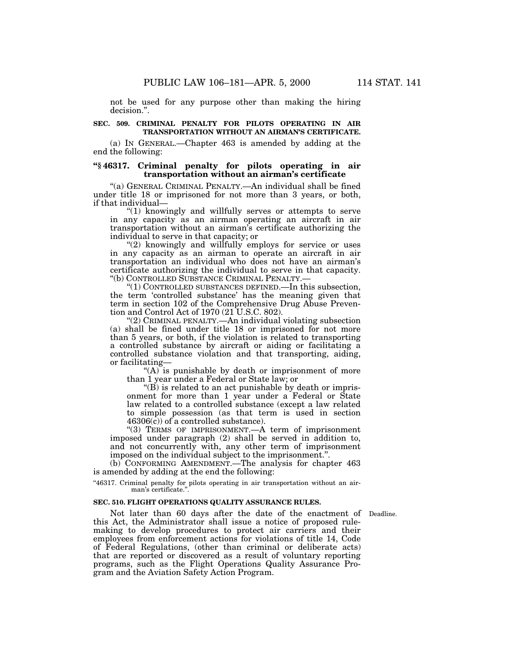not be used for any purpose other than making the hiring decision.''.

#### **SEC. 509. CRIMINAL PENALTY FOR PILOTS OPERATING IN AIR TRANSPORTATION WITHOUT AN AIRMAN'S CERTIFICATE.**

(a) IN GENERAL.—Chapter 463 is amended by adding at the end the following:

#### **''§ 46317. Criminal penalty for pilots operating in air transportation without an airman's certificate**

''(a) GENERAL CRIMINAL PENALTY.—An individual shall be fined under title 18 or imprisoned for not more than 3 years, or both, if that individual—

''(1) knowingly and willfully serves or attempts to serve in any capacity as an airman operating an aircraft in air transportation without an airman's certificate authorizing the individual to serve in that capacity; or

"(2) knowingly and willfully employs for service or uses in any capacity as an airman to operate an aircraft in air transportation an individual who does not have an airman's certificate authorizing the individual to serve in that capacity. ''(b) CONTROLLED SUBSTANCE CRIMINAL PENALTY.—

''(1) CONTROLLED SUBSTANCES DEFINED.—In this subsection, the term 'controlled substance' has the meaning given that term in section 102 of the Comprehensive Drug Abuse Prevention and Control Act of 1970 (21 U.S.C. 802).

''(2) CRIMINAL PENALTY.—An individual violating subsection (a) shall be fined under title 18 or imprisoned for not more than 5 years, or both, if the violation is related to transporting a controlled substance by aircraft or aiding or facilitating a controlled substance violation and that transporting, aiding, or facilitating—

 $(A)$  is punishable by death or imprisonment of more than 1 year under a Federal or State law; or

''(B) is related to an act punishable by death or imprisonment for more than 1 year under a Federal or State law related to a controlled substance (except a law related to simple possession (as that term is used in section  $46306(\bar{c})$  of a controlled substance).

"(3) TERMS OF IMPRISONMENT.—A term of imprisonment imposed under paragraph (2) shall be served in addition to, and not concurrently with, any other term of imprisonment imposed on the individual subject to the imprisonment.''.

(b) CONFORMING AMENDMENT.—The analysis for chapter 463 is amended by adding at the end the following:

"46317. Criminal penalty for pilots operating in air transportation without an airman's certificate.

#### **SEC. 510. FLIGHT OPERATIONS QUALITY ASSURANCE RULES.**

Not later than 60 days after the date of the enactment of Deadline. this Act, the Administrator shall issue a notice of proposed rulemaking to develop procedures to protect air carriers and their employees from enforcement actions for violations of title 14, Code of Federal Regulations, (other than criminal or deliberate acts) that are reported or discovered as a result of voluntary reporting programs, such as the Flight Operations Quality Assurance Program and the Aviation Safety Action Program.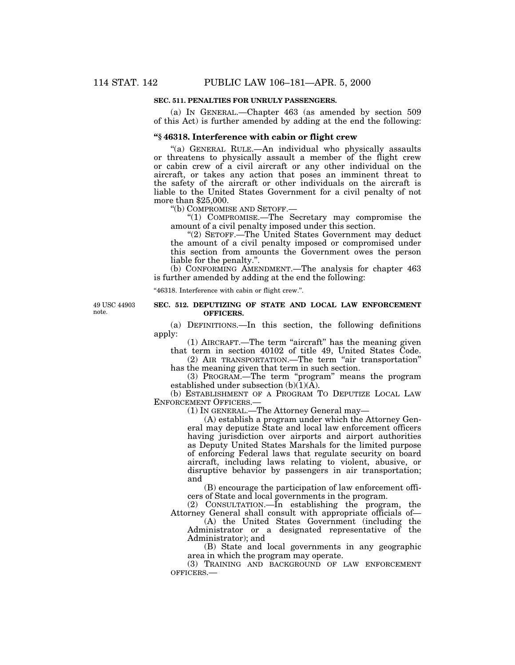#### **SEC. 511. PENALTIES FOR UNRULY PASSENGERS.**

(a) IN GENERAL.—Chapter 463 (as amended by section 509 of this Act) is further amended by adding at the end the following:

#### **''§ 46318. Interference with cabin or flight crew**

''(a) GENERAL RULE.—An individual who physically assaults or threatens to physically assault a member of the flight crew or cabin crew of a civil aircraft or any other individual on the aircraft, or takes any action that poses an imminent threat to the safety of the aircraft or other individuals on the aircraft is liable to the United States Government for a civil penalty of not more than \$25,000.

''(b) COMPROMISE AND SETOFF.—

''(1) COMPROMISE.—The Secretary may compromise the amount of a civil penalty imposed under this section.

''(2) SETOFF.—The United States Government may deduct the amount of a civil penalty imposed or compromised under this section from amounts the Government owes the person liable for the penalty.''.

(b) CONFORMING AMENDMENT.—The analysis for chapter 463 is further amended by adding at the end the following:

''46318. Interference with cabin or flight crew.''.

49 USC 44903 note.

## **SEC. 512. DEPUTIZING OF STATE AND LOCAL LAW ENFORCEMENT OFFICERS.**

(a) DEFINITIONS.—In this section, the following definitions apply:

(1) AIRCRAFT.—The term ''aircraft'' has the meaning given that term in section 40102 of title 49, United States Code.

(2) AIR TRANSPORTATION.—The term ''air transportation'' has the meaning given that term in such section.

(3) PROGRAM.—The term ''program'' means the program established under subsection (b)(1)(A).

(b) ESTABLISHMENT OF A PROGRAM TO DEPUTIZE LOCAL LAW ENFORCEMENT OFFICERS.—

(1) IN GENERAL.—The Attorney General may—

(A) establish a program under which the Attorney General may deputize State and local law enforcement officers having jurisdiction over airports and airport authorities as Deputy United States Marshals for the limited purpose of enforcing Federal laws that regulate security on board aircraft, including laws relating to violent, abusive, or disruptive behavior by passengers in air transportation; and

(B) encourage the participation of law enforcement officers of State and local governments in the program.

(2) CONSULTATION.—In establishing the program, the Attorney General shall consult with appropriate officials of—

(A) the United States Government (including the Administrator or a designated representative of the Administrator); and

(B) State and local governments in any geographic area in which the program may operate.

(3) TRAINING AND BACKGROUND OF LAW ENFORCEMENT OFFICERS.—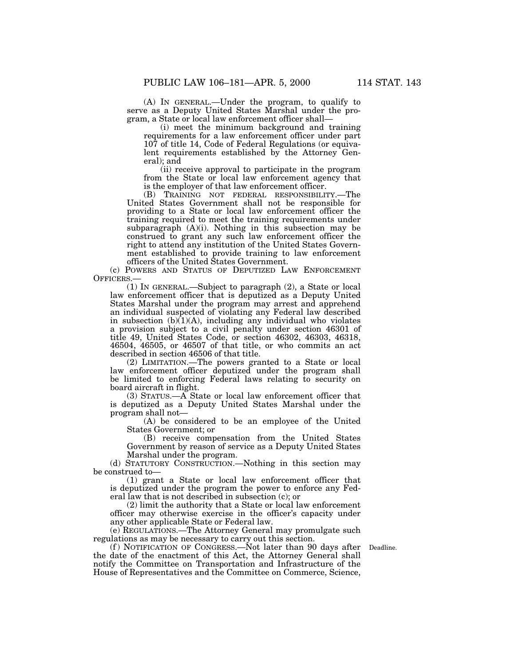(A) IN GENERAL.—Under the program, to qualify to serve as a Deputy United States Marshal under the program, a State or local law enforcement officer shall—

(i) meet the minimum background and training requirements for a law enforcement officer under part 107 of title 14, Code of Federal Regulations (or equivalent requirements established by the Attorney General); and

(ii) receive approval to participate in the program from the State or local law enforcement agency that is the employer of that law enforcement officer.

(B) TRAINING NOT FEDERAL RESPONSIBILITY.—The United States Government shall not be responsible for providing to a State or local law enforcement officer the training required to meet the training requirements under subparagraph  $(A)(i)$ . Nothing in this subsection may be construed to grant any such law enforcement officer the right to attend any institution of the United States Government established to provide training to law enforcement officers of the United States Government.

(c) POWERS AND STATUS OF DEPUTIZED LAW ENFORCEMENT OFFICERS.—

(1) IN GENERAL.—Subject to paragraph (2), a State or local law enforcement officer that is deputized as a Deputy United States Marshal under the program may arrest and apprehend an individual suspected of violating any Federal law described in subsection  $(b)(1)(A)$ , including any individual who violates a provision subject to a civil penalty under section 46301 of title 49, United States Code, or section 46302, 46303, 46318, 46504, 46505, or 46507 of that title, or who commits an act described in section 46506 of that title.

(2) LIMITATION.—The powers granted to a State or local law enforcement officer deputized under the program shall be limited to enforcing Federal laws relating to security on board aircraft in flight.

(3) STATUS.—A State or local law enforcement officer that is deputized as a Deputy United States Marshal under the program shall not—

(A) be considered to be an employee of the United States Government; or

(B) receive compensation from the United States Government by reason of service as a Deputy United States Marshal under the program.

(d) STATUTORY CONSTRUCTION.—Nothing in this section may be construed to—

(1) grant a State or local law enforcement officer that is deputized under the program the power to enforce any Federal law that is not described in subsection (c); or

(2) limit the authority that a State or local law enforcement officer may otherwise exercise in the officer's capacity under any other applicable State or Federal law.

(e) REGULATIONS.—The Attorney General may promulgate such regulations as may be necessary to carry out this section.

(f) NOTIFICATION OF CONGRESS.—Not later than 90 days after Deadline. the date of the enactment of this Act, the Attorney General shall notify the Committee on Transportation and Infrastructure of the House of Representatives and the Committee on Commerce, Science,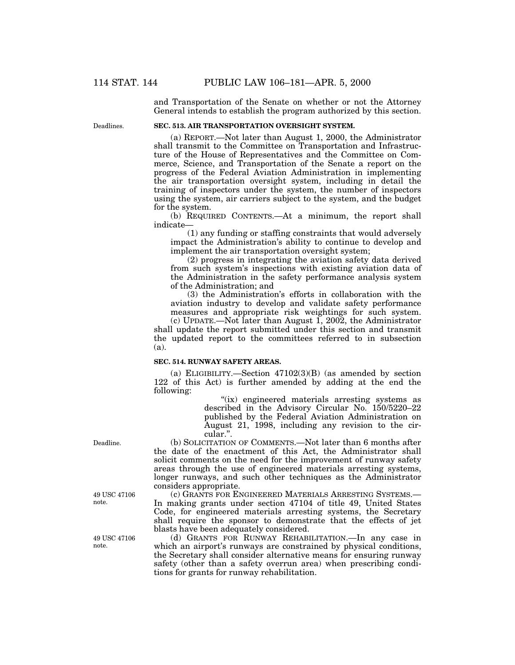and Transportation of the Senate on whether or not the Attorney General intends to establish the program authorized by this section.

Deadlines.

## **SEC. 513. AIR TRANSPORTATION OVERSIGHT SYSTEM.**

(a) REPORT.—Not later than August 1, 2000, the Administrator shall transmit to the Committee on Transportation and Infrastructure of the House of Representatives and the Committee on Commerce, Science, and Transportation of the Senate a report on the progress of the Federal Aviation Administration in implementing the air transportation oversight system, including in detail the training of inspectors under the system, the number of inspectors using the system, air carriers subject to the system, and the budget for the system.

(b) REQUIRED CONTENTS.—At a minimum, the report shall indicate—

(1) any funding or staffing constraints that would adversely impact the Administration's ability to continue to develop and implement the air transportation oversight system;

(2) progress in integrating the aviation safety data derived from such system's inspections with existing aviation data of the Administration in the safety performance analysis system of the Administration; and

(3) the Administration's efforts in collaboration with the aviation industry to develop and validate safety performance measures and appropriate risk weightings for such system.

(c) UPDATE.—Not later than August 1, 2002, the Administrator shall update the report submitted under this section and transmit the updated report to the committees referred to in subsection (a).

## **SEC. 514. RUNWAY SAFETY AREAS.**

(a) ELIGIBILITY.—Section 47102(3)(B) (as amended by section 122 of this Act) is further amended by adding at the end the following:

> "(ix) engineered materials arresting systems as described in the Advisory Circular No. 150/5220–22 published by the Federal Aviation Administration on August 21, 1998, including any revision to the circular.''.

(b) SOLICITATION OF COMMENTS.—Not later than 6 months after the date of the enactment of this Act, the Administrator shall solicit comments on the need for the improvement of runway safety areas through the use of engineered materials arresting systems, longer runways, and such other techniques as the Administrator considers appropriate.

(c) GRANTS FOR ENGINEERED MATERIALS ARRESTING SYSTEMS.— In making grants under section 47104 of title 49, United States Code, for engineered materials arresting systems, the Secretary shall require the sponsor to demonstrate that the effects of jet blasts have been adequately considered.

(d) GRANTS FOR RUNWAY REHABILITATION.—In any case in which an airport's runways are constrained by physical conditions, the Secretary shall consider alternative means for ensuring runway safety (other than a safety overrun area) when prescribing conditions for grants for runway rehabilitation.

Deadline.

49 USC 47106 note.

49 USC 47106 note.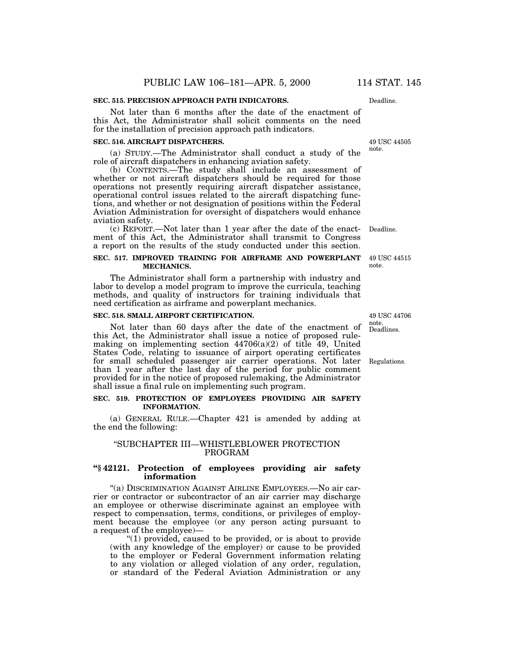#### **SEC. 515. PRECISION APPROACH PATH INDICATORS.**

Not later than 6 months after the date of the enactment of this Act, the Administrator shall solicit comments on the need for the installation of precision approach path indicators.

#### **SEC. 516. AIRCRAFT DISPATCHERS.**

(a) STUDY.—The Administrator shall conduct a study of the role of aircraft dispatchers in enhancing aviation safety.

(b) CONTENTS.—The study shall include an assessment of whether or not aircraft dispatchers should be required for those operations not presently requiring aircraft dispatcher assistance, operational control issues related to the aircraft dispatching functions, and whether or not designation of positions within the Federal Aviation Administration for oversight of dispatchers would enhance aviation safety.

(c) REPORT.—Not later than 1 year after the date of the enactment of this Act, the Administrator shall transmit to Congress a report on the results of the study conducted under this section.

### **SEC. 517. IMPROVED TRAINING FOR AIRFRAME AND POWERPLANT MECHANICS.**

The Administrator shall form a partnership with industry and labor to develop a model program to improve the curricula, teaching methods, and quality of instructors for training individuals that need certification as airframe and powerplant mechanics.

## **SEC. 518. SMALL AIRPORT CERTIFICATION.**

Not later than 60 days after the date of the enactment of this Act, the Administrator shall issue a notice of proposed rulemaking on implementing section  $44706(a)(2)$  of title 49, United States Code, relating to issuance of airport operating certificates for small scheduled passenger air carrier operations. Not later than 1 year after the last day of the period for public comment provided for in the notice of proposed rulemaking, the Administrator shall issue a final rule on implementing such program.

#### **SEC. 519. PROTECTION OF EMPLOYEES PROVIDING AIR SAFETY INFORMATION.**

(a) GENERAL RULE.—Chapter 421 is amended by adding at the end the following:

## ''SUBCHAPTER III—WHISTLEBLOWER PROTECTION PROGRAM

#### **''§ 42121. Protection of employees providing air safety information**

''(a) DISCRIMINATION AGAINST AIRLINE EMPLOYEES.—No air carrier or contractor or subcontractor of an air carrier may discharge an employee or otherwise discriminate against an employee with respect to compensation, terms, conditions, or privileges of employment because the employee (or any person acting pursuant to a request of the employee)-

''(1) provided, caused to be provided, or is about to provide (with any knowledge of the employer) or cause to be provided to the employer or Federal Government information relating to any violation or alleged violation of any order, regulation, or standard of the Federal Aviation Administration or any

Deadline.

49 USC 44505 note.

Deadline.

49 USC 44515 note.

Deadlines. 49 USC 44706 note.

Regulations.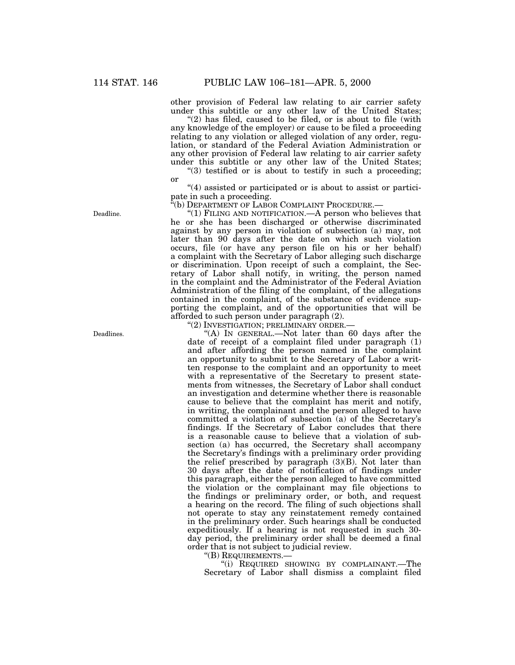other provision of Federal law relating to air carrier safety under this subtitle or any other law of the United States;

" $(2)$  has filed, caused to be filed, or is about to file (with any knowledge of the employer) or cause to be filed a proceeding relating to any violation or alleged violation of any order, regulation, or standard of the Federal Aviation Administration or any other provision of Federal law relating to air carrier safety under this subtitle or any other law of the United States; " $(3)$  testified or is about to testify in such a proceeding;

or

''(4) assisted or participated or is about to assist or participate in such a proceeding.

''(b) DEPARTMENT OF LABOR COMPLAINT PROCEDURE.—

''(1) FILING AND NOTIFICATION.—A person who believes that he or she has been discharged or otherwise discriminated against by any person in violation of subsection (a) may, not later than 90 days after the date on which such violation occurs, file (or have any person file on his or her behalf) a complaint with the Secretary of Labor alleging such discharge or discrimination. Upon receipt of such a complaint, the Secretary of Labor shall notify, in writing, the person named in the complaint and the Administrator of the Federal Aviation Administration of the filing of the complaint, of the allegations contained in the complaint, of the substance of evidence supporting the complaint, and of the opportunities that will be afforded to such person under paragraph (2).

''(2) INVESTIGATION; PRELIMINARY ORDER.—

"(A) In GENERAL.—Not later than 60 days after the date of receipt of a complaint filed under paragraph (1) and after affording the person named in the complaint an opportunity to submit to the Secretary of Labor a written response to the complaint and an opportunity to meet with a representative of the Secretary to present statements from witnesses, the Secretary of Labor shall conduct an investigation and determine whether there is reasonable cause to believe that the complaint has merit and notify, in writing, the complainant and the person alleged to have committed a violation of subsection (a) of the Secretary's findings. If the Secretary of Labor concludes that there is a reasonable cause to believe that a violation of subsection (a) has occurred, the Secretary shall accompany the Secretary's findings with a preliminary order providing the relief prescribed by paragraph (3)(B). Not later than 30 days after the date of notification of findings under this paragraph, either the person alleged to have committed the violation or the complainant may file objections to the findings or preliminary order, or both, and request a hearing on the record. The filing of such objections shall not operate to stay any reinstatement remedy contained in the preliminary order. Such hearings shall be conducted expeditiously. If a hearing is not requested in such 30 day period, the preliminary order shall be deemed a final order that is not subject to judicial review.

''(B) REQUIREMENTS.—

''(i) REQUIRED SHOWING BY COMPLAINANT.—The Secretary of Labor shall dismiss a complaint filed

Deadline.

Deadlines.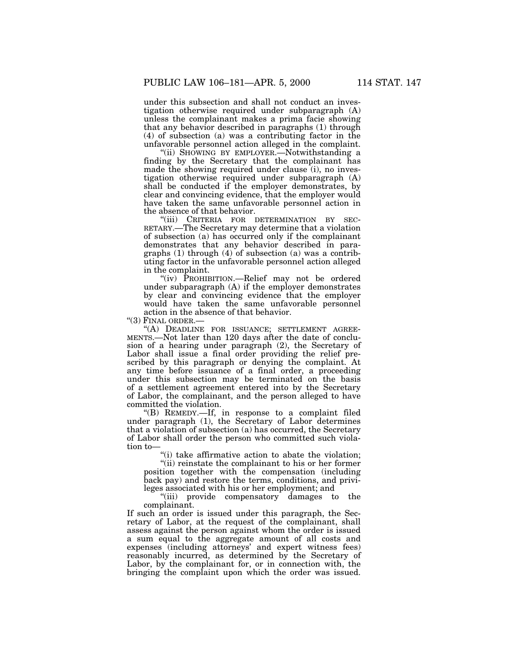under this subsection and shall not conduct an investigation otherwise required under subparagraph (A) unless the complainant makes a prima facie showing that any behavior described in paragraphs (1) through (4) of subsection (a) was a contributing factor in the unfavorable personnel action alleged in the complaint.

''(ii) SHOWING BY EMPLOYER.—Notwithstanding a finding by the Secretary that the complainant has made the showing required under clause (i), no investigation otherwise required under subparagraph (A) shall be conducted if the employer demonstrates, by clear and convincing evidence, that the employer would have taken the same unfavorable personnel action in the absence of that behavior.

''(iii) CRITERIA FOR DETERMINATION BY SEC-RETARY.—The Secretary may determine that a violation of subsection (a) has occurred only if the complainant demonstrates that any behavior described in paragraphs (1) through (4) of subsection (a) was a contributing factor in the unfavorable personnel action alleged in the complaint.

''(iv) PROHIBITION.—Relief may not be ordered under subparagraph (A) if the employer demonstrates by clear and convincing evidence that the employer would have taken the same unfavorable personnel action in the absence of that behavior.

"(3) FINAL ORDER.-

"(A) DEADLINE FOR ISSUANCE; SETTLEMENT AGREE-MENTS.—Not later than 120 days after the date of conclusion of a hearing under paragraph (2), the Secretary of Labor shall issue a final order providing the relief prescribed by this paragraph or denying the complaint. At any time before issuance of a final order, a proceeding under this subsection may be terminated on the basis of a settlement agreement entered into by the Secretary of Labor, the complainant, and the person alleged to have committed the violation.

''(B) REMEDY.—If, in response to a complaint filed under paragraph (1), the Secretary of Labor determines that a violation of subsection (a) has occurred, the Secretary of Labor shall order the person who committed such violation to—

''(i) take affirmative action to abate the violation;

''(ii) reinstate the complainant to his or her former position together with the compensation (including back pay) and restore the terms, conditions, and privileges associated with his or her employment; and

"(iii) provide compensatory damages to the complainant.

If such an order is issued under this paragraph, the Secretary of Labor, at the request of the complainant, shall assess against the person against whom the order is issued a sum equal to the aggregate amount of all costs and expenses (including attorneys' and expert witness fees) reasonably incurred, as determined by the Secretary of Labor, by the complainant for, or in connection with, the bringing the complaint upon which the order was issued.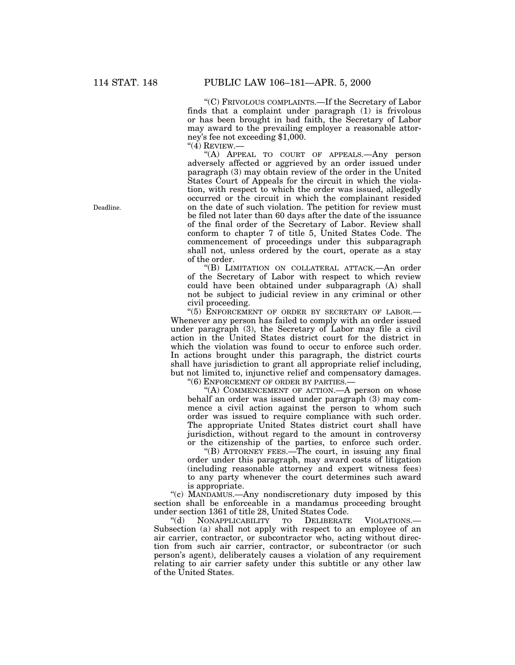''(C) FRIVOLOUS COMPLAINTS.—If the Secretary of Labor finds that a complaint under paragraph (1) is frivolous or has been brought in bad faith, the Secretary of Labor may award to the prevailing employer a reasonable attorney's fee not exceeding \$1,000.

 $"$ (4) REVIEW.—

''(A) APPEAL TO COURT OF APPEALS.—Any person adversely affected or aggrieved by an order issued under paragraph (3) may obtain review of the order in the United States Court of Appeals for the circuit in which the violation, with respect to which the order was issued, allegedly occurred or the circuit in which the complainant resided on the date of such violation. The petition for review must be filed not later than 60 days after the date of the issuance of the final order of the Secretary of Labor. Review shall conform to chapter 7 of title 5, United States Code. The commencement of proceedings under this subparagraph shall not, unless ordered by the court, operate as a stay of the order.

''(B) LIMITATION ON COLLATERAL ATTACK.—An order of the Secretary of Labor with respect to which review could have been obtained under subparagraph (A) shall not be subject to judicial review in any criminal or other civil proceeding.

"(5) ENFORCEMENT OF ORDER BY SECRETARY OF LABOR.-Whenever any person has failed to comply with an order issued under paragraph (3), the Secretary of Labor may file a civil action in the United States district court for the district in which the violation was found to occur to enforce such order. In actions brought under this paragraph, the district courts shall have jurisdiction to grant all appropriate relief including, but not limited to, injunctive relief and compensatory damages.

"(6) ENFORCEMENT OF ORDER BY PARTIES.

"(A) COMMENCEMENT OF ACTION. A person on whose behalf an order was issued under paragraph (3) may commence a civil action against the person to whom such order was issued to require compliance with such order. The appropriate United States district court shall have jurisdiction, without regard to the amount in controversy or the citizenship of the parties, to enforce such order.

''(B) ATTORNEY FEES.—The court, in issuing any final order under this paragraph, may award costs of litigation (including reasonable attorney and expert witness fees) to any party whenever the court determines such award is appropriate.

''(c) MANDAMUS.—Any nondiscretionary duty imposed by this section shall be enforceable in a mandamus proceeding brought under section 1361 of title 28, United States Code.

NONAPPLICABILITY TO DELIBERATE VIOLATIONS.— Subsection (a) shall not apply with respect to an employee of an air carrier, contractor, or subcontractor who, acting without direction from such air carrier, contractor, or subcontractor (or such person's agent), deliberately causes a violation of any requirement relating to air carrier safety under this subtitle or any other law of the United States.

Deadline.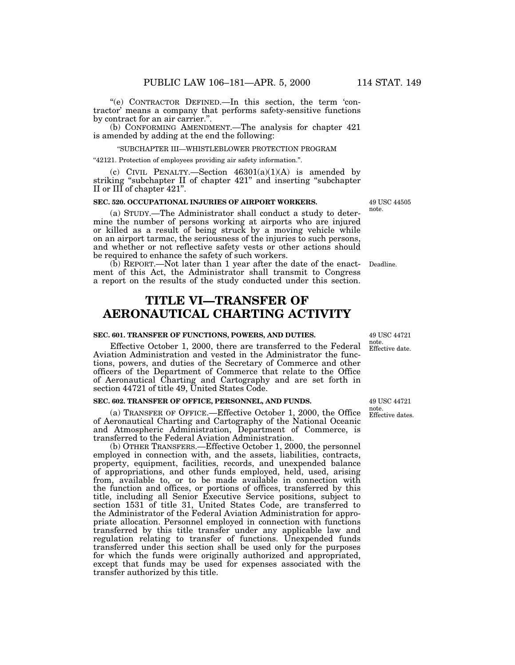''(e) CONTRACTOR DEFINED.—In this section, the term 'contractor' means a company that performs safety-sensitive functions by contract for an air carrier."

(b) CONFORMING AMENDMENT.—The analysis for chapter 421 is amended by adding at the end the following:

#### ''SUBCHAPTER III—WHISTLEBLOWER PROTECTION PROGRAM

''42121. Protection of employees providing air safety information.''.

(c) CIVIL PENALTY.—Section  $46301(a)(1)(A)$  is amended by striking ''subchapter II of chapter 421'' and inserting ''subchapter II or III of chapter 421''.

## **SEC. 520. OCCUPATIONAL INJURIES OF AIRPORT WORKERS.**

(a) STUDY.—The Administrator shall conduct a study to determine the number of persons working at airports who are injured or killed as a result of being struck by a moving vehicle while on an airport tarmac, the seriousness of the injuries to such persons, and whether or not reflective safety vests or other actions should be required to enhance the safety of such workers.

(b) REPORT.—Not later than 1 year after the date of the enactment of this Act, the Administrator shall transmit to Congress a report on the results of the study conducted under this section.

# **TITLE VI—TRANSFER OF AERONAUTICAL CHARTING ACTIVITY**

## **SEC. 601. TRANSFER OF FUNCTIONS, POWERS, AND DUTIES.**

Effective October 1, 2000, there are transferred to the Federal Aviation Administration and vested in the Administrator the functions, powers, and duties of the Secretary of Commerce and other officers of the Department of Commerce that relate to the Office of Aeronautical Charting and Cartography and are set forth in section 44721 of title 49, United States Code.

#### **SEC. 602. TRANSFER OF OFFICE, PERSONNEL, AND FUNDS.**

(a) TRANSFER OF OFFICE.—Effective October 1, 2000, the Office of Aeronautical Charting and Cartography of the National Oceanic and Atmospheric Administration, Department of Commerce, is transferred to the Federal Aviation Administration.

(b) OTHER TRANSFERS.—Effective October 1, 2000, the personnel employed in connection with, and the assets, liabilities, contracts, property, equipment, facilities, records, and unexpended balance of appropriations, and other funds employed, held, used, arising from, available to, or to be made available in connection with the function and offices, or portions of offices, transferred by this title, including all Senior Executive Service positions, subject to section 1531 of title 31, United States Code, are transferred to the Administrator of the Federal Aviation Administration for appropriate allocation. Personnel employed in connection with functions transferred by this title transfer under any applicable law and regulation relating to transfer of functions. Unexpended funds transferred under this section shall be used only for the purposes for which the funds were originally authorized and appropriated, except that funds may be used for expenses associated with the transfer authorized by this title.

49 USC 44505 note.

Deadline.

Effective date. 49 USC 44721 note.

Effective dates. 49 USC 44721 note.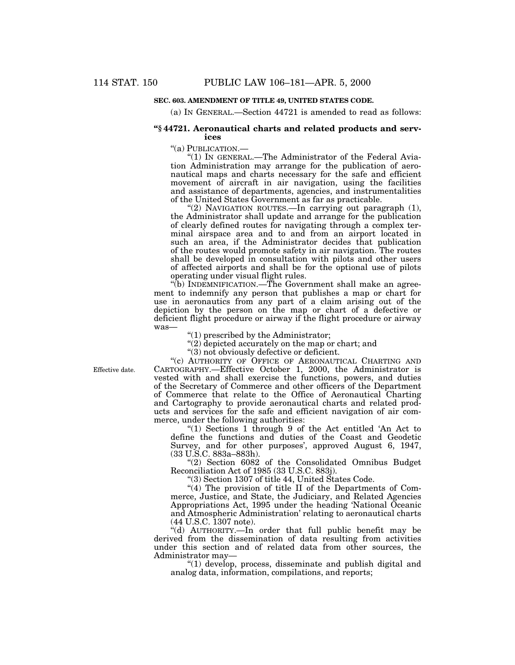## **SEC. 603. AMENDMENT OF TITLE 49, UNITED STATES CODE.**

(a) IN GENERAL.—Section 44721 is amended to read as follows:

#### **''§ 44721. Aeronautical charts and related products and services**

''(a) PUBLICATION.—

"(1) IN GENERAL.—The Administrator of the Federal Aviation Administration may arrange for the publication of aeronautical maps and charts necessary for the safe and efficient movement of aircraft in air navigation, using the facilities and assistance of departments, agencies, and instrumentalities of the United States Government as far as practicable.

"(2) NAVIGATION ROUTES.—In carrying out paragraph (1), the Administrator shall update and arrange for the publication of clearly defined routes for navigating through a complex terminal airspace area and to and from an airport located in such an area, if the Administrator decides that publication of the routes would promote safety in air navigation. The routes shall be developed in consultation with pilots and other users of affected airports and shall be for the optional use of pilots operating under visual flight rules.

''(b) INDEMNIFICATION.—The Government shall make an agreement to indemnify any person that publishes a map or chart for use in aeronautics from any part of a claim arising out of the depiction by the person on the map or chart of a defective or deficient flight procedure or airway if the flight procedure or airway was—

 $''(1)$  prescribed by the Administrator;

 $'(2)$  depicted accurately on the map or chart; and

''(3) not obviously defective or deficient.

Effective date.

"(c) AUTHORITY OF OFFICE OF AERONAUTICAL CHARTING AND CARTOGRAPHY.—Effective October 1, 2000, the Administrator is vested with and shall exercise the functions, powers, and duties of the Secretary of Commerce and other officers of the Department of Commerce that relate to the Office of Aeronautical Charting and Cartography to provide aeronautical charts and related products and services for the safe and efficient navigation of air commerce, under the following authorities:

''(1) Sections 1 through 9 of the Act entitled 'An Act to define the functions and duties of the Coast and Geodetic Survey, and for other purposes', approved August 6, 1947, (33 U.S.C. 883a–883h).

''(2) Section 6082 of the Consolidated Omnibus Budget Reconciliation Act of 1985 (33 U.S.C. 883j).

''(3) Section 1307 of title 44, United States Code.

"(4) The provision of title II of the Departments of Commerce, Justice, and State, the Judiciary, and Related Agencies Appropriations Act, 1995 under the heading 'National Oceanic and Atmospheric Administration' relating to aeronautical charts (44 U.S.C. 1307 note).

"(d) AUTHORITY.—In order that full public benefit may be derived from the dissemination of data resulting from activities under this section and of related data from other sources, the Administrator may—

''(1) develop, process, disseminate and publish digital and analog data, information, compilations, and reports;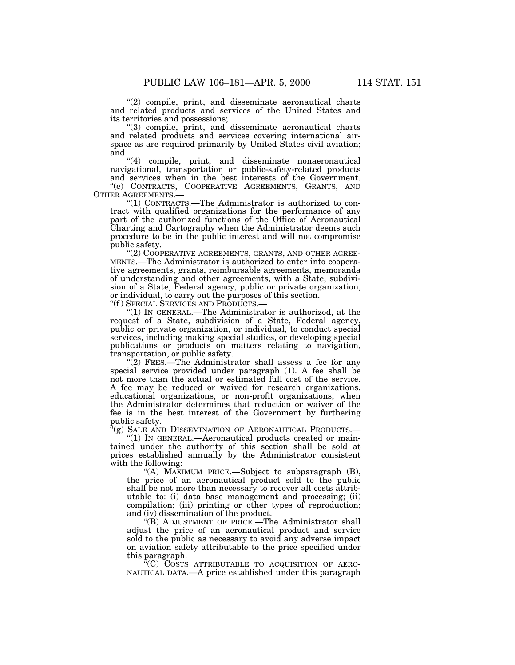"(2) compile, print, and disseminate aeronautical charts and related products and services of the United States and its territories and possessions;

''(3) compile, print, and disseminate aeronautical charts and related products and services covering international airspace as are required primarily by United States civil aviation; and

''(4) compile, print, and disseminate nonaeronautical navigational, transportation or public-safety-related products and services when in the best interests of the Government.

''(e) CONTRACTS, COOPERATIVE AGREEMENTS, GRANTS, AND OTHER AGREEMENTS.—

"(1) CONTRACTS.—The Administrator is authorized to contract with qualified organizations for the performance of any part of the authorized functions of the Office of Aeronautical Charting and Cartography when the Administrator deems such procedure to be in the public interest and will not compromise public safety.

"(2) COOPERATIVE AGREEMENTS, GRANTS, AND OTHER AGREE-MENTS.—The Administrator is authorized to enter into cooperative agreements, grants, reimbursable agreements, memoranda of understanding and other agreements, with a State, subdivision of a State, Federal agency, public or private organization, or individual, to carry out the purposes of this section.

''(f ) SPECIAL SERVICES AND PRODUCTS.—

''(1) IN GENERAL.—The Administrator is authorized, at the request of a State, subdivision of a State, Federal agency, public or private organization, or individual, to conduct special services, including making special studies, or developing special publications or products on matters relating to navigation, transportation, or public safety.

 $\sqrt{\left(2\right)}$  FEES.—The Administrator shall assess a fee for any special service provided under paragraph (1). A fee shall be not more than the actual or estimated full cost of the service. A fee may be reduced or waived for research organizations, educational organizations, or non-profit organizations, when the Administrator determines that reduction or waiver of the fee is in the best interest of the Government by furthering public safety.

 $\mathcal{C}(\mathbf{g})$  Sale and Dissemination of Aeronautical Products.—

" $(1)$  In GENERAL.—Aeronautical products created or maintained under the authority of this section shall be sold at prices established annually by the Administrator consistent with the following:

"(A) MAXIMUM PRICE.—Subject to subparagraph  $(B)$ , the price of an aeronautical product sold to the public shall be not more than necessary to recover all costs attributable to: (i) data base management and processing; (ii) compilation; (iii) printing or other types of reproduction; and (iv) dissemination of the product.

''(B) ADJUSTMENT OF PRICE.—The Administrator shall adjust the price of an aeronautical product and service sold to the public as necessary to avoid any adverse impact on aviation safety attributable to the price specified under this paragraph.

''(C) COSTS ATTRIBUTABLE TO ACQUISITION OF AERO-NAUTICAL DATA.—A price established under this paragraph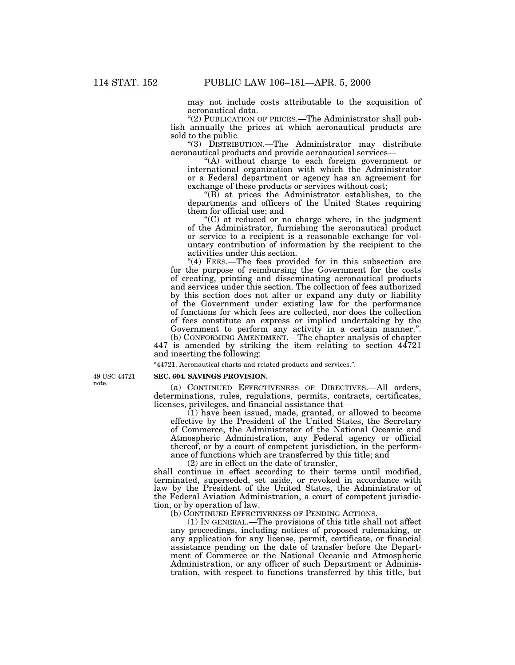may not include costs attributable to the acquisition of aeronautical data.

"(2) PUBLICATION OF PRICES.—The Administrator shall publish annually the prices at which aeronautical products are sold to the public.

''(3) DISTRIBUTION.—The Administrator may distribute aeronautical products and provide aeronautical services—

"(A) without charge to each foreign government or international organization with which the Administrator or a Federal department or agency has an agreement for exchange of these products or services without cost;

 $\sqrt{\text{B}}$  at prices the Administrator establishes, to the departments and officers of the United States requiring them for official use; and

 $C$ ) at reduced or no charge where, in the judgment of the Administrator, furnishing the aeronautical product or service to a recipient is a reasonable exchange for voluntary contribution of information by the recipient to the activities under this section.

"(4) FEES.—The fees provided for in this subsection are for the purpose of reimbursing the Government for the costs of creating, printing and disseminating aeronautical products and services under this section. The collection of fees authorized by this section does not alter or expand any duty or liability of the Government under existing law for the performance of functions for which fees are collected, nor does the collection of fees constitute an express or implied undertaking by the Government to perform any activity in a certain manner.".

(b) CONFORMING AMENDMENT.—The chapter analysis of chapter 447 is amended by striking the item relating to section 44721 and inserting the following:

''44721. Aeronautical charts and related products and services.''.

49 USC 44721 note.

**SEC. 604. SAVINGS PROVISION.**

(a) CONTINUED EFFECTIVENESS OF DIRECTIVES.—All orders, determinations, rules, regulations, permits, contracts, certificates, licenses, privileges, and financial assistance that—

(1) have been issued, made, granted, or allowed to become effective by the President of the United States, the Secretary of Commerce, the Administrator of the National Oceanic and Atmospheric Administration, any Federal agency or official thereof, or by a court of competent jurisdiction, in the performance of functions which are transferred by this title; and

(2) are in effect on the date of transfer,

shall continue in effect according to their terms until modified, terminated, superseded, set aside, or revoked in accordance with law by the President of the United States, the Administrator of the Federal Aviation Administration, a court of competent jurisdiction, or by operation of law.

(b) CONTINUED EFFECTIVENESS OF PENDING ACTIONS.—

(1) IN GENERAL.—The provisions of this title shall not affect any proceedings, including notices of proposed rulemaking, or any application for any license, permit, certificate, or financial assistance pending on the date of transfer before the Department of Commerce or the National Oceanic and Atmospheric Administration, or any officer of such Department or Administration, with respect to functions transferred by this title, but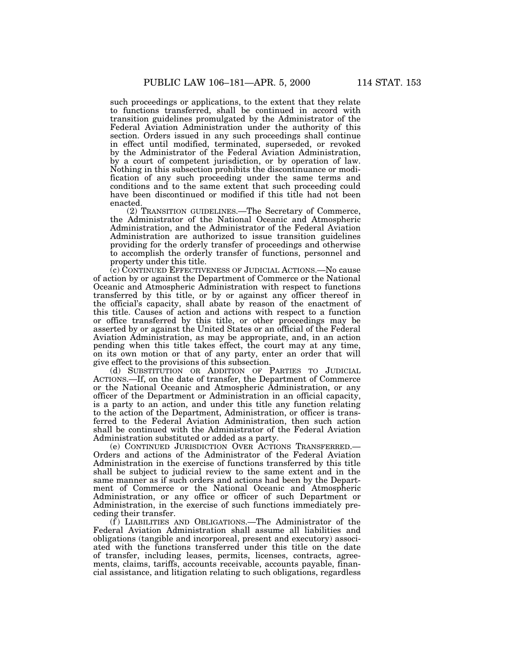such proceedings or applications, to the extent that they relate to functions transferred, shall be continued in accord with transition guidelines promulgated by the Administrator of the Federal Aviation Administration under the authority of this section. Orders issued in any such proceedings shall continue in effect until modified, terminated, superseded, or revoked by the Administrator of the Federal Aviation Administration, by a court of competent jurisdiction, or by operation of law. Nothing in this subsection prohibits the discontinuance or modification of any such proceeding under the same terms and conditions and to the same extent that such proceeding could have been discontinued or modified if this title had not been enacted.

(2) TRANSITION GUIDELINES.—The Secretary of Commerce, the Administrator of the National Oceanic and Atmospheric Administration, and the Administrator of the Federal Aviation Administration are authorized to issue transition guidelines providing for the orderly transfer of proceedings and otherwise to accomplish the orderly transfer of functions, personnel and property under this title.

(c) CONTINUED EFFECTIVENESS OF JUDICIAL ACTIONS.—No cause of action by or against the Department of Commerce or the National Oceanic and Atmospheric Administration with respect to functions transferred by this title, or by or against any officer thereof in the official's capacity, shall abate by reason of the enactment of this title. Causes of action and actions with respect to a function or office transferred by this title, or other proceedings may be asserted by or against the United States or an official of the Federal Aviation Administration, as may be appropriate, and, in an action pending when this title takes effect, the court may at any time, on its own motion or that of any party, enter an order that will give effect to the provisions of this subsection.

(d) SUBSTITUTION OR ADDITION OF PARTIES TO JUDICIAL ACTIONS.—If, on the date of transfer, the Department of Commerce or the National Oceanic and Atmospheric Administration, or any officer of the Department or Administration in an official capacity, is a party to an action, and under this title any function relating to the action of the Department, Administration, or officer is transferred to the Federal Aviation Administration, then such action shall be continued with the Administrator of the Federal Aviation Administration substituted or added as a party.

(e) CONTINUED JURISDICTION OVER ACTIONS TRANSFERRED.— Orders and actions of the Administrator of the Federal Aviation Administration in the exercise of functions transferred by this title shall be subject to judicial review to the same extent and in the same manner as if such orders and actions had been by the Department of Commerce or the National Oceanic and Atmospheric Administration, or any office or officer of such Department or Administration, in the exercise of such functions immediately preceding their transfer.

 $(f)$  LIABILITIES AND OBLIGATIONS.—The Administrator of the Federal Aviation Administration shall assume all liabilities and obligations (tangible and incorporeal, present and executory) associated with the functions transferred under this title on the date of transfer, including leases, permits, licenses, contracts, agreements, claims, tariffs, accounts receivable, accounts payable, financial assistance, and litigation relating to such obligations, regardless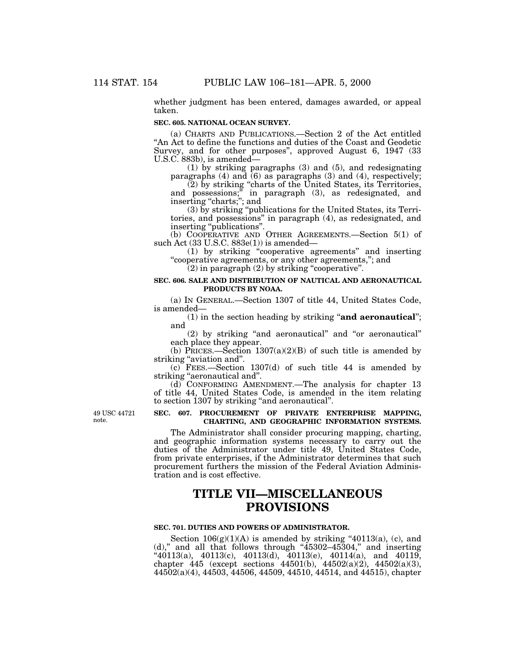whether judgment has been entered, damages awarded, or appeal taken.

## **SEC. 605. NATIONAL OCEAN SURVEY.**

(a) CHARTS AND PUBLICATIONS.—Section 2 of the Act entitled ''An Act to define the functions and duties of the Coast and Geodetic Survey, and for other purposes'', approved August 6, 1947 (33 U.S.C. 883b), is amended—

(1) by striking paragraphs (3) and (5), and redesignating paragraphs  $(4)$  and  $(6)$  as paragraphs  $(3)$  and  $(4)$ , respectively;

(2) by striking ''charts of the United States, its Territories, and possessions;'' in paragraph (3), as redesignated, and inserting ''charts;''; and

(3) by striking ''publications for the United States, its Territories, and possessions'' in paragraph (4), as redesignated, and inserting ''publications''.

(b) COOPERATIVE AND OTHER AGREEMENTS.—Section 5(1) of such Act (33 U.S.C. 883e(1)) is amended—

(1) by striking ''cooperative agreements'' and inserting ''cooperative agreements, or any other agreements,''; and

 $(2)$  in paragraph  $(2)$  by striking "cooperative".

## **SEC. 606. SALE AND DISTRIBUTION OF NAUTICAL AND AERONAUTICAL PRODUCTS BY NOAA.**

(a) IN GENERAL.—Section 1307 of title 44, United States Code, is amended—

(1) in the section heading by striking ''**and aeronautical**''; and

(2) by striking ''and aeronautical'' and ''or aeronautical'' each place they appear.

(b) PRICES.—Section  $1307(a)(2)(B)$  of such title is amended by striking ''aviation and''.

(c) FEES.—Section 1307(d) of such title 44 is amended by striking "aeronautical and".

(d) CONFORMING AMENDMENT.—The analysis for chapter 13 of title 44, United States Code, is amended in the item relating to section 1307 by striking "and aeronautical".

49 USC 44721 note.

## **SEC. 607. PROCUREMENT OF PRIVATE ENTERPRISE MAPPING, CHARTING, AND GEOGRAPHIC INFORMATION SYSTEMS.**

The Administrator shall consider procuring mapping, charting, and geographic information systems necessary to carry out the duties of the Administrator under title 49, United States Code, from private enterprises, if the Administrator determines that such procurement furthers the mission of the Federal Aviation Administration and is cost effective.

# **TITLE VII—MISCELLANEOUS PROVISIONS**

#### **SEC. 701. DUTIES AND POWERS OF ADMINISTRATOR.**

Section  $106(g)(1)(A)$  is amended by striking "40113(a), (c), and (d)," and all that follows through "45302-45304," and inserting  $``40113(a), 40113(c), 40113(d), 40113(e), 40114(a), and 40119,$ chapter 445 (except sections 44501(b), 44502(a)(2), 44502(a)(3), 44502(a)(4), 44503, 44506, 44509, 44510, 44514, and 44515), chapter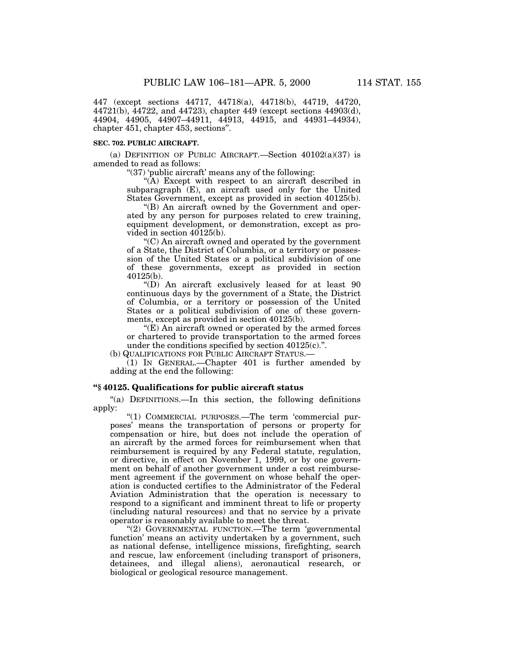447 (except sections 44717, 44718(a), 44718(b), 44719, 44720, 44721(b), 44722, and 44723), chapter 449 (except sections 44903(d), 44904, 44905, 44907–44911, 44913, 44915, and 44931–44934), chapter 451, chapter 453, sections''.

#### **SEC. 702. PUBLIC AIRCRAFT.**

(a) DEFINITION OF PUBLIC AIRCRAFT.—Section  $40102(a)(37)$  is amended to read as follows:

" $(37)$  'public aircraft' means any of the following:

"( $\hat{A}$ ) Except with respect to an aircraft described in subparagraph (E), an aircraft used only for the United States Government, except as provided in section 40125(b).

''(B) An aircraft owned by the Government and operated by any person for purposes related to crew training, equipment development, or demonstration, except as provided in section 40125(b).

''(C) An aircraft owned and operated by the government of a State, the District of Columbia, or a territory or possession of the United States or a political subdivision of one of these governments, except as provided in section 40125(b).

''(D) An aircraft exclusively leased for at least 90 continuous days by the government of a State, the District of Columbia, or a territory or possession of the United States or a political subdivision of one of these governments, except as provided in section 40125(b).

''(E) An aircraft owned or operated by the armed forces or chartered to provide transportation to the armed forces under the conditions specified by section  $40125(c)$ .".

(b) QUALIFICATIONS FOR PUBLIC AIRCRAFT STATUS.—

(1) IN GENERAL.—Chapter 401 is further amended by adding at the end the following:

## **''§ 40125. Qualifications for public aircraft status**

"(a) DEFINITIONS.—In this section, the following definitions apply:

''(1) COMMERCIAL PURPOSES.—The term 'commercial purposes' means the transportation of persons or property for compensation or hire, but does not include the operation of an aircraft by the armed forces for reimbursement when that reimbursement is required by any Federal statute, regulation, or directive, in effect on November 1, 1999, or by one government on behalf of another government under a cost reimbursement agreement if the government on whose behalf the operation is conducted certifies to the Administrator of the Federal Aviation Administration that the operation is necessary to respond to a significant and imminent threat to life or property (including natural resources) and that no service by a private operator is reasonably available to meet the threat.

"(2) GOVERNMENTAL FUNCTION.—The term 'governmental function' means an activity undertaken by a government, such as national defense, intelligence missions, firefighting, search and rescue, law enforcement (including transport of prisoners, detainees, and illegal aliens), aeronautical research, or biological or geological resource management.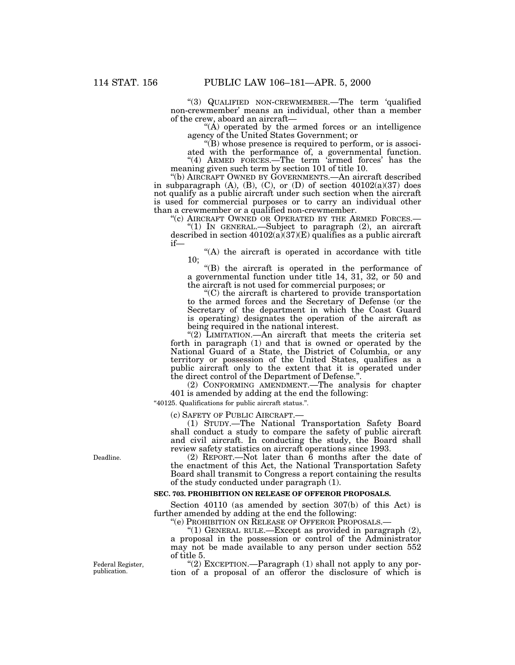''(3) QUALIFIED NON-CREWMEMBER.—The term 'qualified non-crewmember' means an individual, other than a member of the crew, aboard an aircraft—

" $(A)$  operated by the armed forces or an intelligence" agency of the United States Government; or

 $\mathrm{``(B)}$  whose presence is required to perform, or is associ-

ated with the performance of, a governmental function. "(4) ARMED FORCES.—The term 'armed forces' has the meaning given such term by section 101 of title 10.

''(b) AIRCRAFT OWNED BY GOVERNMENTS.—An aircraft described in subparagraph  $(A)$ ,  $(B)$ ,  $(C)$ , or  $(D)$  of section  $40102(a)(37)$  does not qualify as a public aircraft under such section when the aircraft is used for commercial purposes or to carry an individual other than a crewmember or a qualified non-crewmember.<br>"(c) AIRCRAFT OWNED OR OPERATED BY THE ARMED FORCES.—

"(1) IN GENERAL.—Subject to paragraph (2), an aircraft described in section  $40102(a)(37)(E)$  qualifies as a public aircraft if—

''(A) the aircraft is operated in accordance with title 10;

''(B) the aircraft is operated in the performance of a governmental function under title 14, 31, 32, or 50 and the aircraft is not used for commercial purposes; or

 $C$ ) the aircraft is chartered to provide transportation to the armed forces and the Secretary of Defense (or the Secretary of the department in which the Coast Guard is operating) designates the operation of the aircraft as being required in the national interest.

"(2) LIMITATION.—An aircraft that meets the criteria set forth in paragraph (1) and that is owned or operated by the National Guard of a State, the District of Columbia, or any territory or possession of the United States, qualifies as a public aircraft only to the extent that it is operated under the direct control of the Department of Defense.''.

(2) CONFORMING AMENDMENT.—The analysis for chapter 401 is amended by adding at the end the following:

''40125. Qualifications for public aircraft status.''.

(c) SAFETY OF PUBLIC AIRCRAFT.— (1) STUDY.—The National Transportation Safety Board shall conduct a study to compare the safety of public aircraft and civil aircraft. In conducting the study, the Board shall review safety statistics on aircraft operations since 1993.

(2) REPORT.—Not later than  $\dot{6}$  months after the date of the enactment of this Act, the National Transportation Safety Board shall transmit to Congress a report containing the results of the study conducted under paragraph (1).

#### **SEC. 703. PROHIBITION ON RELEASE OF OFFEROR PROPOSALS.**

Section 40110 (as amended by section 307(b) of this Act) is further amended by adding at the end the following:

''(e) PROHIBITION ON RELEASE OF OFFEROR PROPOSALS.—

"(1) GENERAL RULE.—Except as provided in paragraph (2), a proposal in the possession or control of the Administrator may not be made available to any person under section 552 of title 5.

''(2) EXCEPTION.—Paragraph (1) shall not apply to any portion of a proposal of an offeror the disclosure of which is

Deadline.

Federal Register, publication.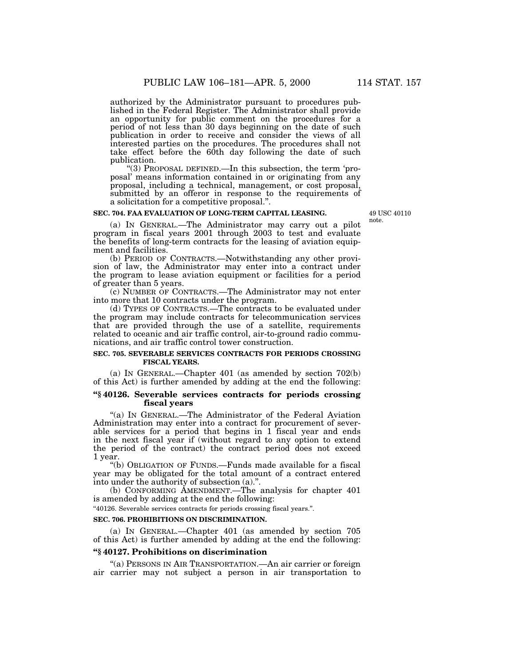authorized by the Administrator pursuant to procedures published in the Federal Register. The Administrator shall provide an opportunity for public comment on the procedures for a period of not less than 30 days beginning on the date of such publication in order to receive and consider the views of all interested parties on the procedures. The procedures shall not take effect before the 60th day following the date of such publication.

''(3) PROPOSAL DEFINED.—In this subsection, the term 'proposal' means information contained in or originating from any proposal, including a technical, management, or cost proposal, submitted by an offeror in response to the requirements of a solicitation for a competitive proposal.''.

## **SEC. 704. FAA EVALUATION OF LONG-TERM CAPITAL LEASING.**

49 USC 40110 note.

(a) IN GENERAL.—The Administrator may carry out a pilot program in fiscal years 2001 through 2003 to test and evaluate the benefits of long-term contracts for the leasing of aviation equipment and facilities.

(b) PERIOD OF CONTRACTS.—Notwithstanding any other provision of law, the Administrator may enter into a contract under the program to lease aviation equipment or facilities for a period of greater than 5 years.

(c) NUMBER OF CONTRACTS.—The Administrator may not enter into more that 10 contracts under the program.

(d) TYPES OF CONTRACTS.—The contracts to be evaluated under the program may include contracts for telecommunication services that are provided through the use of a satellite, requirements related to oceanic and air traffic control, air-to-ground radio communications, and air traffic control tower construction.

#### **SEC. 705. SEVERABLE SERVICES CONTRACTS FOR PERIODS CROSSING FISCAL YEARS.**

(a) IN GENERAL.—Chapter 401 (as amended by section 702(b) of this Act) is further amended by adding at the end the following:

## **''§ 40126. Severable services contracts for periods crossing fiscal years**

''(a) IN GENERAL.—The Administrator of the Federal Aviation Administration may enter into a contract for procurement of severable services for a period that begins in 1 fiscal year and ends in the next fiscal year if (without regard to any option to extend the period of the contract) the contract period does not exceed 1 year.

''(b) OBLIGATION OF FUNDS.—Funds made available for a fiscal year may be obligated for the total amount of a contract entered into under the authority of subsection (a).''.

(b) CONFORMING AMENDMENT.—The analysis for chapter 401 is amended by adding at the end the following:

''40126. Severable services contracts for periods crossing fiscal years.''.

## **SEC. 706. PROHIBITIONS ON DISCRIMINATION.**

(a) IN GENERAL.—Chapter 401 (as amended by section 705 of this Act) is further amended by adding at the end the following:

## **''§ 40127. Prohibitions on discrimination**

''(a) PERSONS IN AIR TRANSPORTATION.—An air carrier or foreign air carrier may not subject a person in air transportation to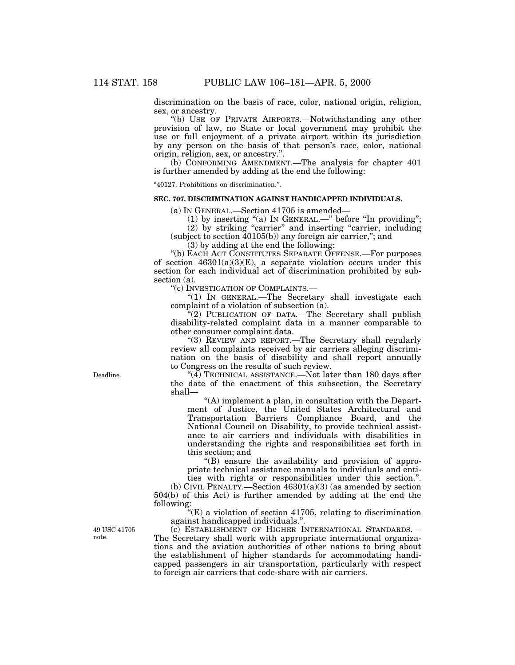discrimination on the basis of race, color, national origin, religion, sex, or ancestry.

''(b) USE OF PRIVATE AIRPORTS.—Notwithstanding any other provision of law, no State or local government may prohibit the use or full enjoyment of a private airport within its jurisdiction by any person on the basis of that person's race, color, national origin, religion, sex, or ancestry.''.

(b) CONFORMING AMENDMENT.—The analysis for chapter 401 is further amended by adding at the end the following:

''40127. Prohibitions on discrimination.''.

## **SEC. 707. DISCRIMINATION AGAINST HANDICAPPED INDIVIDUALS.**

(a) IN GENERAL.—Section 41705 is amended—

(1) by inserting "(a) In GENERAL.—" before "In providing";

(2) by striking ''carrier'' and inserting ''carrier, including (subject to section  $40105(b)$ ) any foreign air carrier,"; and

(3) by adding at the end the following:

''(b) EACH ACT CONSTITUTES SEPARATE OFFENSE.—For purposes of section  $46301(a)(3)(E)$ , a separate violation occurs under this section for each individual act of discrimination prohibited by subsection (a).

''(c) INVESTIGATION OF COMPLAINTS.—

" $(1)$  In GENERAL.—The Secretary shall investigate each complaint of a violation of subsection (a).

''(2) PUBLICATION OF DATA.—The Secretary shall publish disability-related complaint data in a manner comparable to other consumer complaint data.

''(3) REVIEW AND REPORT.—The Secretary shall regularly review all complaints received by air carriers alleging discrimination on the basis of disability and shall report annually to Congress on the results of such review.

"(4) TECHNICAL ASSISTANCE.—Not later than 180 days after the date of the enactment of this subsection, the Secretary shall—

 $(A)$  implement a plan, in consultation with the Department of Justice, the United States Architectural and Transportation Barriers Compliance Board, and the National Council on Disability, to provide technical assistance to air carriers and individuals with disabilities in understanding the rights and responsibilities set forth in this section; and

''(B) ensure the availability and provision of appropriate technical assistance manuals to individuals and entities with rights or responsibilities under this section.''.

(b) CIVIL PENALTY.—Section  $46301(a)(3)$  (as amended by section 504(b) of this Act) is further amended by adding at the end the following:

 $(E)$  a violation of section 41705, relating to discrimination against handicapped individuals.''.

(c) ESTABLISHMENT OF HIGHER INTERNATIONAL STANDARDS.— The Secretary shall work with appropriate international organizations and the aviation authorities of other nations to bring about the establishment of higher standards for accommodating handicapped passengers in air transportation, particularly with respect to foreign air carriers that code-share with air carriers.

Deadline.

49 USC 41705 note.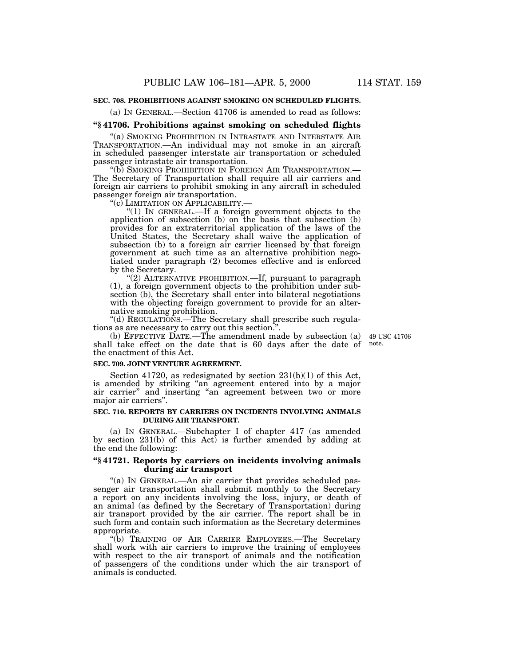## **SEC. 708. PROHIBITIONS AGAINST SMOKING ON SCHEDULED FLIGHTS.**

(a) IN GENERAL.—Section 41706 is amended to read as follows:

## **''§ 41706. Prohibitions against smoking on scheduled flights**

''(a) SMOKING PROHIBITION IN INTRASTATE AND INTERSTATE AIR TRANSPORTATION.—An individual may not smoke in an aircraft in scheduled passenger interstate air transportation or scheduled passenger intrastate air transportation.<br>
"(b) SMOKING PROHIBITION IN FOREIGN AIR TRANSPORTATION.—

The Secretary of Transportation shall require all air carriers and foreign air carriers to prohibit smoking in any aircraft in scheduled passenger foreign air transportation.<br>"(c) LIMITATION ON APPLICABILITY.

"(1) In GENERAL.—If a foreign government objects to the application of subsection (b) on the basis that subsection (b) provides for an extraterritorial application of the laws of the United States, the Secretary shall waive the application of subsection (b) to a foreign air carrier licensed by that foreign government at such time as an alternative prohibition negotiated under paragraph (2) becomes effective and is enforced by the Secretary.

''(2) ALTERNATIVE PROHIBITION.—If, pursuant to paragraph (1), a foreign government objects to the prohibition under subsection (b), the Secretary shall enter into bilateral negotiations with the objecting foreign government to provide for an alternative smoking prohibition.

''(d) REGULATIONS.—The Secretary shall prescribe such regulations as are necessary to carry out this section.''.

(b) EFFECTIVE DATE.—The amendment made by subsection (a) 49 USC 41706 shall take effect on the date that is 60 days after the date of note. the enactment of this Act.

#### **SEC. 709. JOINT VENTURE AGREEMENT.**

Section 41720, as redesignated by section 231(b)(1) of this Act, is amended by striking "an agreement entered into by a major air carrier" and inserting "an agreement between two or more major air carriers''.

#### **SEC. 710. REPORTS BY CARRIERS ON INCIDENTS INVOLVING ANIMALS DURING AIR TRANSPORT.**

(a) IN GENERAL.—Subchapter I of chapter 417 (as amended by section 231(b) of this Act) is further amended by adding at the end the following:

## **''§ 41721. Reports by carriers on incidents involving animals during air transport**

"(a) IN GENERAL.—An air carrier that provides scheduled passenger air transportation shall submit monthly to the Secretary a report on any incidents involving the loss, injury, or death of an animal (as defined by the Secretary of Transportation) during air transport provided by the air carrier. The report shall be in such form and contain such information as the Secretary determines appropriate.

''(b) TRAINING OF AIR CARRIER EMPLOYEES.—The Secretary shall work with air carriers to improve the training of employees with respect to the air transport of animals and the notification of passengers of the conditions under which the air transport of animals is conducted.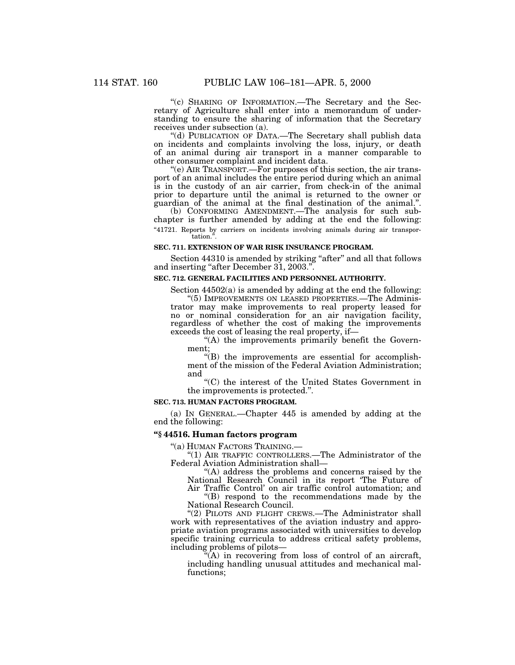''(c) SHARING OF INFORMATION.—The Secretary and the Secretary of Agriculture shall enter into a memorandum of understanding to ensure the sharing of information that the Secretary receives under subsection (a).

''(d) PUBLICATION OF DATA.—The Secretary shall publish data on incidents and complaints involving the loss, injury, or death of an animal during air transport in a manner comparable to other consumer complaint and incident data.

''(e) AIR TRANSPORT.—For purposes of this section, the air transport of an animal includes the entire period during which an animal is in the custody of an air carrier, from check-in of the animal prior to departure until the animal is returned to the owner or guardian of the animal at the final destination of the animal.''.

(b) CONFORMING AMENDMENT.—The analysis for such subchapter is further amended by adding at the end the following: "41721. Reports by carriers on incidents involving animals during air transportation.

# **SEC. 711. EXTENSION OF WAR RISK INSURANCE PROGRAM.**

Section 44310 is amended by striking "after" and all that follows and inserting "after December 31, 2003.".

## **SEC. 712. GENERAL FACILITIES AND PERSONNEL AUTHORITY.**

Section  $44502(a)$  is amended by adding at the end the following:

''(5) IMPROVEMENTS ON LEASED PROPERTIES.—The Administrator may make improvements to real property leased for no or nominal consideration for an air navigation facility, regardless of whether the cost of making the improvements exceeds the cost of leasing the real property, if—

"(A) the improvements primarily benefit the Government;

 $f(B)$  the improvements are essential for accomplishment of the mission of the Federal Aviation Administration; and

''(C) the interest of the United States Government in the improvements is protected.''.

## **SEC. 713. HUMAN FACTORS PROGRAM.**

(a) IN GENERAL.—Chapter 445 is amended by adding at the end the following:

# **''§ 44516. Human factors program**

''(a) HUMAN FACTORS TRAINING.—

"(1) AIR TRAFFIC CONTROLLERS.—The Administrator of the Federal Aviation Administration shall—

''(A) address the problems and concerns raised by the National Research Council in its report 'The Future of

Air Traffic Control' on air traffic control automation; and ''(B) respond to the recommendations made by the National Research Council.

"(2) PILOTS AND FLIGHT CREWS.—The Administrator shall work with representatives of the aviation industry and appropriate aviation programs associated with universities to develop specific training curricula to address critical safety problems, including problems of pilots—

 $(A)$  in recovering from loss of control of an aircraft, including handling unusual attitudes and mechanical malfunctions;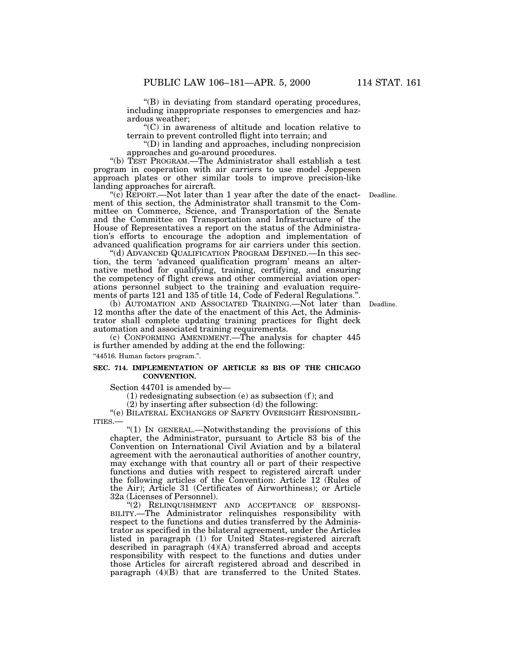''(B) in deviating from standard operating procedures, including inappropriate responses to emergencies and hazardous weather;

''(C) in awareness of altitude and location relative to terrain to prevent controlled flight into terrain; and

''(D) in landing and approaches, including nonprecision approaches and go-around procedures.

''(b) TEST PROGRAM.—The Administrator shall establish a test program in cooperation with air carriers to use model Jeppesen approach plates or other similar tools to improve precision-like landing approaches for aircraft.

"(c) REPORT.—Not later than 1 year after the date of the enactment of this section, the Administrator shall transmit to the Committee on Commerce, Science, and Transportation of the Senate and the Committee on Transportation and Infrastructure of the House of Representatives a report on the status of the Administration's efforts to encourage the adoption and implementation of advanced qualification programs for air carriers under this section.

''(d) ADVANCED QUALIFICATION PROGRAM DEFINED.—In this section, the term 'advanced qualification program' means an alternative method for qualifying, training, certifying, and ensuring the competency of flight crews and other commercial aviation operations personnel subject to the training and evaluation requirements of parts 121 and 135 of title 14, Code of Federal Regulations.''.

(b) AUTOMATION AND ASSOCIATED TRAINING.—Not later than Deadline. 12 months after the date of the enactment of this Act, the Administrator shall complete updating training practices for flight deck automation and associated training requirements.

(c) CONFORMING AMENDMENT.—The analysis for chapter 445 is further amended by adding at the end the following:

''44516. Human factors program.''.

#### **SEC. 714. IMPLEMENTATION OF ARTICLE 83 BIS OF THE CHICAGO CONVENTION.**

Section 44701 is amended by—

 $(1)$  redesignating subsection  $(e)$  as subsection  $(f)$ ; and

(2) by inserting after subsection (d) the following:

''(e) BILATERAL EXCHANGES OF SAFETY OVERSIGHT RESPONSIBIL-ITIES.—

''(1) IN GENERAL.—Notwithstanding the provisions of this chapter, the Administrator, pursuant to Article 83 bis of the Convention on International Civil Aviation and by a bilateral agreement with the aeronautical authorities of another country, may exchange with that country all or part of their respective functions and duties with respect to registered aircraft under the following articles of the Convention: Article 12 (Rules of the Air); Article 31 (Certificates of Airworthiness); or Article 32a (Licenses of Personnel).

"(2) RELINQUISHMENT AND ACCEPTANCE OF RESPONSI-BILITY.—The Administrator relinquishes responsibility with respect to the functions and duties transferred by the Administrator as specified in the bilateral agreement, under the Articles listed in paragraph (1) for United States-registered aircraft described in paragraph (4)(A) transferred abroad and accepts responsibility with respect to the functions and duties under those Articles for aircraft registered abroad and described in paragraph (4)(B) that are transferred to the United States.

Deadline.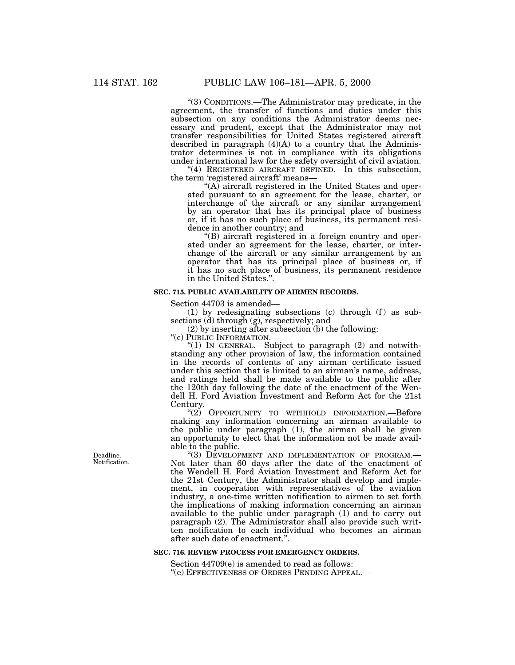''(3) CONDITIONS.—The Administrator may predicate, in the agreement, the transfer of functions and duties under this subsection on any conditions the Administrator deems necessary and prudent, except that the Administrator may not transfer responsibilities for United States registered aircraft described in paragraph  $(4)(A)$  to a country that the Administrator determines is not in compliance with its obligations under international law for the safety oversight of civil aviation.

''(4) REGISTERED AIRCRAFT DEFINED.—In this subsection, the term 'registered aircraft' means—

" $(A)$  aircraft registered in the United States and operated pursuant to an agreement for the lease, charter, or interchange of the aircraft or any similar arrangement by an operator that has its principal place of business or, if it has no such place of business, its permanent residence in another country; and

''(B) aircraft registered in a foreign country and operated under an agreement for the lease, charter, or interchange of the aircraft or any similar arrangement by an operator that has its principal place of business or, if it has no such place of business, its permanent residence in the United States.''.

#### **SEC. 715. PUBLIC AVAILABILITY OF AIRMEN RECORDS.**

Section 44703 is amended—

(1) by redesignating subsections (c) through (f) as subsections (d) through (g), respectively; and

(2) by inserting after subsection (b) the following:

''(c) PUBLIC INFORMATION.—

''(1) IN GENERAL.—Subject to paragraph (2) and notwithstanding any other provision of law, the information contained in the records of contents of any airman certificate issued under this section that is limited to an airman's name, address, and ratings held shall be made available to the public after the 120th day following the date of the enactment of the Wendell H. Ford Aviation Investment and Reform Act for the 21st Century.

"(2) OPPORTUNITY TO WITHHOLD INFORMATION.—Before making any information concerning an airman available to the public under paragraph (1), the airman shall be given an opportunity to elect that the information not be made available to the public.

"(3) DEVELOPMENT AND IMPLEMENTATION OF PROGRAM.-Not later than 60 days after the date of the enactment of the Wendell H. Ford Aviation Investment and Reform Act for the 21st Century, the Administrator shall develop and implement, in cooperation with representatives of the aviation industry, a one-time written notification to airmen to set forth the implications of making information concerning an airman available to the public under paragraph  $(1)$  and to carry out paragraph (2). The Administrator shall also provide such written notification to each individual who becomes an airman after such date of enactment.''.

## **SEC. 716. REVIEW PROCESS FOR EMERGENCY ORDERS.**

Section 44709(e) is amended to read as follows: ''(e) EFFECTIVENESS OF ORDERS PENDING APPEAL.—

Deadline. Notification.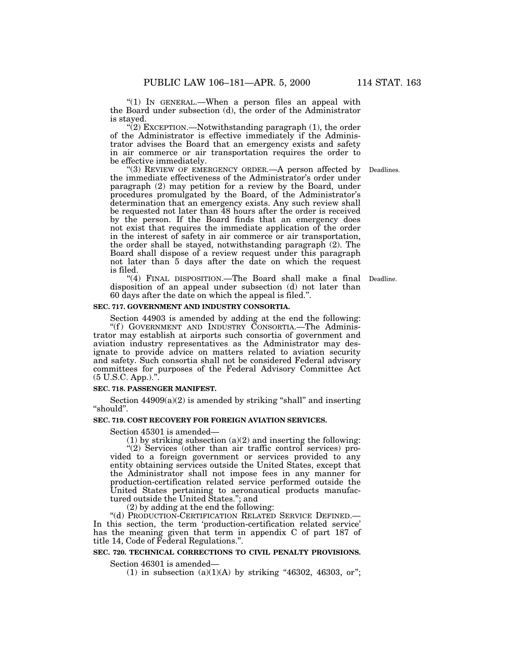"(1) In GENERAL.—When a person files an appeal with the Board under subsection (d), the order of the Administrator is stayed.

 $(2)$  EXCEPTION.—Notwithstanding paragraph  $(1)$ , the order of the Administrator is effective immediately if the Administrator advises the Board that an emergency exists and safety in air commerce or air transportation requires the order to be effective immediately.

"(3) REVIEW OF EMERGENCY ORDER. A person affected by Deadlines. the immediate effectiveness of the Administrator's order under paragraph (2) may petition for a review by the Board, under procedures promulgated by the Board, of the Administrator's determination that an emergency exists. Any such review shall be requested not later than 48 hours after the order is received by the person. If the Board finds that an emergency does not exist that requires the immediate application of the order in the interest of safety in air commerce or air transportation, the order shall be stayed, notwithstanding paragraph (2). The Board shall dispose of a review request under this paragraph not later than 5 days after the date on which the request is filed.

"(4) FINAL DISPOSITION.—The Board shall make a final Deadline. disposition of an appeal under subsection (d) not later than 60 days after the date on which the appeal is filed.''.

#### **SEC. 717. GOVERNMENT AND INDUSTRY CONSORTIA.**

Section 44903 is amended by adding at the end the following: "(f) GOVERNMENT AND INDUSTRY CONSORTIA.—The Administrator may establish at airports such consortia of government and aviation industry representatives as the Administrator may designate to provide advice on matters related to aviation security and safety. Such consortia shall not be considered Federal advisory committees for purposes of the Federal Advisory Committee Act (5 U.S.C. App.).''.

## **SEC. 718. PASSENGER MANIFEST.**

Section  $44909(a)(2)$  is amended by striking "shall" and inserting ''should''.

#### **SEC. 719. COST RECOVERY FOR FOREIGN AVIATION SERVICES.**

Section 45301 is amended—

(1) by striking subsection  $(a)(2)$  and inserting the following:

"(2) Services (other than air traffic control services) provided to a foreign government or services provided to any entity obtaining services outside the United States, except that the Administrator shall not impose fees in any manner for production-certification related service performed outside the United States pertaining to aeronautical products manufactured outside the United States.''; and

(2) by adding at the end the following:

''(d) PRODUCTION-CERTIFICATION RELATED SERVICE DEFINED.— In this section, the term 'production-certification related service' has the meaning given that term in appendix C of part 187 of title 14, Code of Federal Regulations.''.

# **SEC. 720. TECHNICAL CORRECTIONS TO CIVIL PENALTY PROVISIONS.**

Section 46301 is amended—

(1) in subsection  $(a)(1)(A)$  by striking "46302, 46303, or";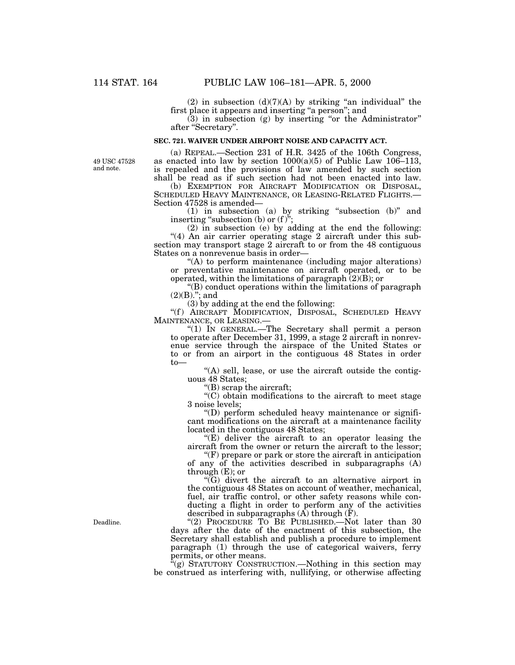(2) in subsection  $(d)(7)(A)$  by striking "an individual" the first place it appears and inserting ''a person''; and

 $(3)$  in subsection  $(g)$  by inserting "or the Administrator" after ''Secretary''.

#### **SEC. 721. WAIVER UNDER AIRPORT NOISE AND CAPACITY ACT.**

49 USC 47528 and note.

(a) REPEAL.—Section 231 of H.R. 3425 of the 106th Congress, as enacted into law by section  $1000(a)(5)$  of Public Law 106–113, is repealed and the provisions of law amended by such section shall be read as if such section had not been enacted into law.

(b) EXEMPTION FOR AIRCRAFT MODIFICATION OR DISPOSAL, SCHEDULED HEAVY MAINTENANCE, OR LEASING-RELATED FLIGHTS.— Section 47528 is amended—

(1) in subsection (a) by striking ''subsection (b)'' and inserting "subsection (b) or  $(f)$ ";

(2) in subsection (e) by adding at the end the following: "(4) An air carrier operating stage 2 aircraft under this subsection may transport stage 2 aircraft to or from the 48 contiguous States on a nonrevenue basis in order—

''(A) to perform maintenance (including major alterations) or preventative maintenance on aircraft operated, or to be operated, within the limitations of paragraph  $(2)(B)$ ; or

''(B) conduct operations within the limitations of paragraph  $(2)(B).$ "; and

(3) by adding at the end the following:

"(f) AIRCRAFT MODIFICATION, DISPOSAL, SCHEDULED HEAVY MAINTENANCE, OR LEASING.—

"(1) IN GENERAL.—The Secretary shall permit a person to operate after December 31, 1999, a stage 2 aircraft in nonrevenue service through the airspace of the United States or to or from an airport in the contiguous 48 States in order to—

 $!(A)$  sell, lease, or use the aircraft outside the contiguous 48 States;

''(B) scrap the aircraft;

''(C) obtain modifications to the aircraft to meet stage 3 noise levels;

''(D) perform scheduled heavy maintenance or significant modifications on the aircraft at a maintenance facility located in the contiguous 48 States;

"(E) deliver the aircraft to an operator leasing the aircraft from the owner or return the aircraft to the lessor;

 $f(F)$  prepare or park or store the aircraft in anticipation of any of the activities described in subparagraphs (A) through  $(E)$ ; or

''(G) divert the aircraft to an alternative airport in the contiguous 48 States on account of weather, mechanical, fuel, air traffic control, or other safety reasons while conducting a flight in order to perform any of the activities described in subparagraphs  $(\overline{A})$  through  $(\overline{F})$ .

''(2) PROCEDURE TO BE PUBLISHED.—Not later than 30 days after the date of the enactment of this subsection, the Secretary shall establish and publish a procedure to implement paragraph (1) through the use of categorical waivers, ferry permits, or other means.

 $\hat{f}(g)$  STATUTORY CONSTRUCTION.—Nothing in this section may be construed as interfering with, nullifying, or otherwise affecting

Deadline.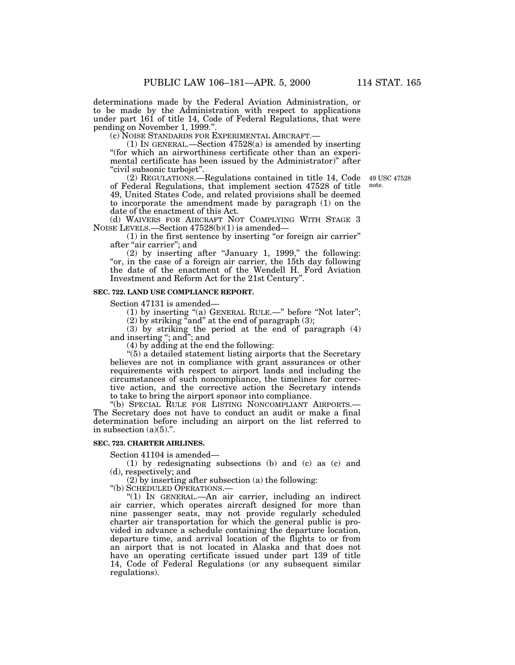determinations made by the Federal Aviation Administration, or to be made by the Administration with respect to applications under part 161 of title 14, Code of Federal Regulations, that were

pending on November 1, 1999.''.

(c) NOISE STANDARDS FOR EXPERIMENTAL AIRCRAFT.—

(1) IN GENERAL.—Section 47528(a) is amended by inserting ''(for which an airworthiness certificate other than an experimental certificate has been issued by the Administrator)" after ''civil subsonic turbojet''.

(2) REGULATIONS.—Regulations contained in title 14, Code 49 USC 47528 of Federal Regulations, that implement section 47528 of title 49, United States Code, and related provisions shall be deemed to incorporate the amendment made by paragraph (1) on the date of the enactment of this Act.

(d) WAIVERS FOR AIRCRAFT NOT COMPLYING WITH STAGE 3 NOISE LEVELS.—Section 47528(b)(1) is amended—

(1) in the first sentence by inserting ''or foreign air carrier'' after "air carrier"; and

(2) by inserting after ''January 1, 1999,'' the following: "or, in the case of a foreign air carrier, the 15th day following the date of the enactment of the Wendell H. Ford Aviation Investment and Reform Act for the 21st Century''.

#### **SEC. 722. LAND USE COMPLIANCE REPORT.**

Section 47131 is amended—

(1) by inserting "(a) GENERAL RULE.—" before "Not later";

 $(2)$  by striking "and" at the end of paragraph  $(3)$ ;

(3) by striking the period at the end of paragraph (4) and inserting ''; and''; and

(4) by adding at the end the following:

 $\cdot$ (5) a detailed statement listing airports that the Secretary believes are not in compliance with grant assurances or other requirements with respect to airport lands and including the circumstances of such noncompliance, the timelines for corrective action, and the corrective action the Secretary intends to take to bring the airport sponsor into compliance.

''(b) SPECIAL RULE FOR LISTING NONCOMPLIANT AIRPORTS.— The Secretary does not have to conduct an audit or make a final determination before including an airport on the list referred to in subsection  $(a)(5)$ .".

#### **SEC. 723. CHARTER AIRLINES.**

Section 41104 is amended—

(1) by redesignating subsections (b) and (c) as (c) and (d), respectively; and

(2) by inserting after subsection (a) the following:

''(b) SCHEDULED OPERATIONS.—

"(1) IN GENERAL.—An air carrier, including an indirect air carrier, which operates aircraft designed for more than nine passenger seats, may not provide regularly scheduled charter air transportation for which the general public is provided in advance a schedule containing the departure location, departure time, and arrival location of the flights to or from an airport that is not located in Alaska and that does not have an operating certificate issued under part 139 of title 14, Code of Federal Regulations (or any subsequent similar regulations).

note.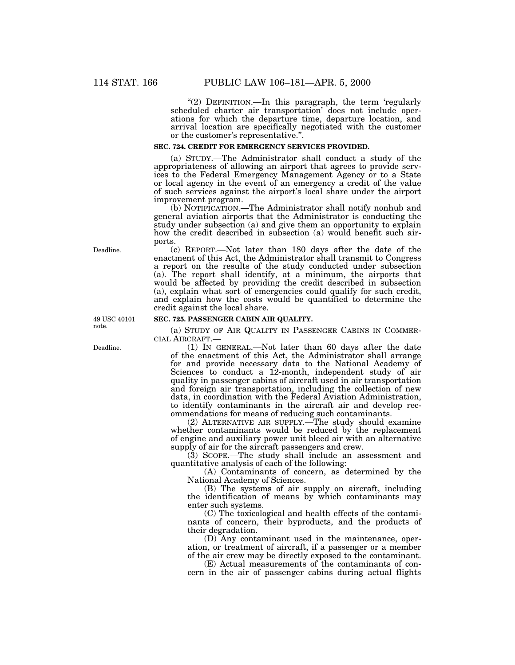"(2) DEFINITION.—In this paragraph, the term 'regularly scheduled charter air transportation' does not include operations for which the departure time, departure location, and arrival location are specifically negotiated with the customer or the customer's representative.''.

## **SEC. 724. CREDIT FOR EMERGENCY SERVICES PROVIDED.**

(a) STUDY.—The Administrator shall conduct a study of the appropriateness of allowing an airport that agrees to provide services to the Federal Emergency Management Agency or to a State or local agency in the event of an emergency a credit of the value of such services against the airport's local share under the airport improvement program.

(b) NOTIFICATION.—The Administrator shall notify nonhub and general aviation airports that the Administrator is conducting the study under subsection (a) and give them an opportunity to explain how the credit described in subsection (a) would benefit such airports.

(c) REPORT.—Not later than 180 days after the date of the enactment of this Act, the Administrator shall transmit to Congress a report on the results of the study conducted under subsection (a). The report shall identify, at a minimum, the airports that would be affected by providing the credit described in subsection (a), explain what sort of emergencies could qualify for such credit, and explain how the costs would be quantified to determine the credit against the local share.

#### **SEC. 725. PASSENGER CABIN AIR QUALITY.**

(a) STUDY OF AIR QUALITY IN PASSENGER CABINS IN COMMER- CIAL AIRCRAFT.— (1) IN GENERAL.—Not later than 60 days after the date

of the enactment of this Act, the Administrator shall arrange for and provide necessary data to the National Academy of Sciences to conduct a 12-month, independent study of air quality in passenger cabins of aircraft used in air transportation and foreign air transportation, including the collection of new data, in coordination with the Federal Aviation Administration, to identify contaminants in the aircraft air and develop recommendations for means of reducing such contaminants.

(2) ALTERNATIVE AIR SUPPLY.—The study should examine whether contaminants would be reduced by the replacement of engine and auxiliary power unit bleed air with an alternative supply of air for the aircraft passengers and crew.

 $(3)$  SCOPE.—The study shall include an assessment and quantitative analysis of each of the following:

(A) Contaminants of concern, as determined by the National Academy of Sciences.

(B) The systems of air supply on aircraft, including the identification of means by which contaminants may enter such systems.

(C) The toxicological and health effects of the contaminants of concern, their byproducts, and the products of their degradation.

(D) Any contaminant used in the maintenance, operation, or treatment of aircraft, if a passenger or a member of the air crew may be directly exposed to the contaminant.

(E) Actual measurements of the contaminants of concern in the air of passenger cabins during actual flights

Deadline.

49 USC 40101 note.

Deadline.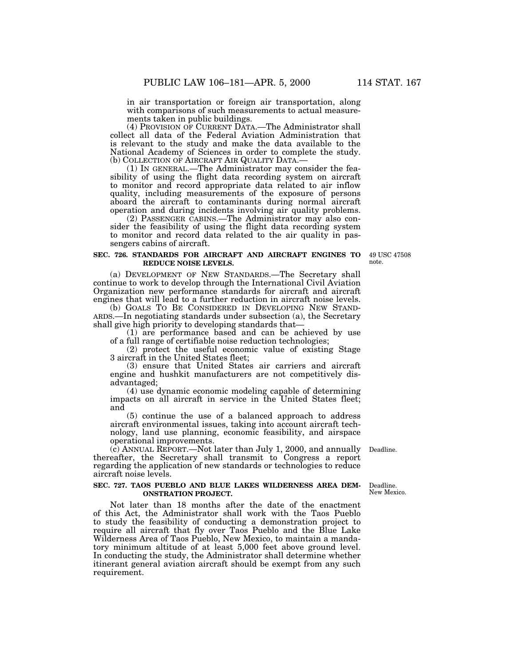in air transportation or foreign air transportation, along with comparisons of such measurements to actual measurements taken in public buildings.

(4) PROVISION OF CURRENT DATA.—The Administrator shall collect all data of the Federal Aviation Administration that is relevant to the study and make the data available to the National Academy of Sciences in order to complete the study.<br>(b) COLLECTION OF AIRCRAFT AIR QUALITY DATA.—

(1) IN GENERAL.—The Administrator may consider the feasibility of using the flight data recording system on aircraft to monitor and record appropriate data related to air inflow quality, including measurements of the exposure of persons aboard the aircraft to contaminants during normal aircraft operation and during incidents involving air quality problems.

(2) PASSENGER CABINS.—The Administrator may also consider the feasibility of using the flight data recording system to monitor and record data related to the air quality in passengers cabins of aircraft.

#### **SEC. 726. STANDARDS FOR AIRCRAFT AND AIRCRAFT ENGINES TO REDUCE NOISE LEVELS.**

49 USC 47508 note.

(a) DEVELOPMENT OF NEW STANDARDS.—The Secretary shall continue to work to develop through the International Civil Aviation Organization new performance standards for aircraft and aircraft engines that will lead to a further reduction in aircraft noise levels.

(b) GOALS TO BE CONSIDERED IN DEVELOPING NEW STAND- ARDS.—In negotiating standards under subsection (a), the Secretary shall give high priority to developing standards that-

(1) are performance based and can be achieved by use of a full range of certifiable noise reduction technologies;

(2) protect the useful economic value of existing Stage 3 aircraft in the United States fleet;

(3) ensure that United States air carriers and aircraft engine and hushkit manufacturers are not competitively disadvantaged;

(4) use dynamic economic modeling capable of determining impacts on all aircraft in service in the United States fleet; and

(5) continue the use of a balanced approach to address aircraft environmental issues, taking into account aircraft technology, land use planning, economic feasibility, and airspace operational improvements.

(c) ANNUAL REPORT.—Not later than July 1, 2000, and annually thereafter, the Secretary shall transmit to Congress a report regarding the application of new standards or technologies to reduce aircraft noise levels. Deadline.

#### **SEC. 727. TAOS PUEBLO AND BLUE LAKES WILDERNESS AREA DEM-ONSTRATION PROJECT.**

Not later than 18 months after the date of the enactment of this Act, the Administrator shall work with the Taos Pueblo to study the feasibility of conducting a demonstration project to require all aircraft that fly over Taos Pueblo and the Blue Lake Wilderness Area of Taos Pueblo, New Mexico, to maintain a mandatory minimum altitude of at least 5,000 feet above ground level. In conducting the study, the Administrator shall determine whether itinerant general aviation aircraft should be exempt from any such requirement.

Deadline. New Mexico.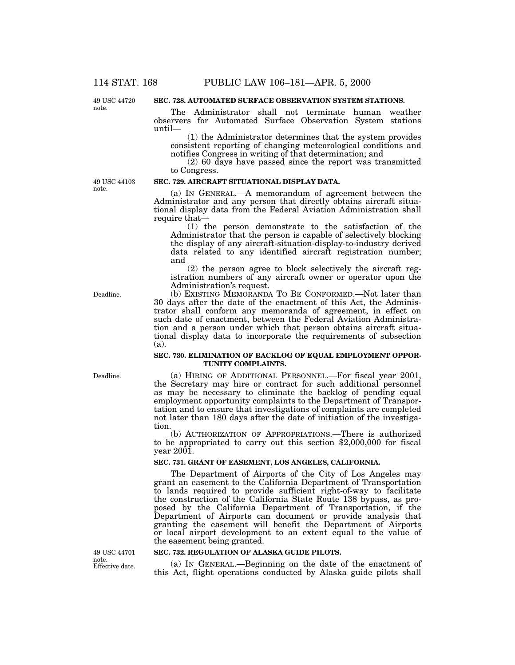49 USC 44720 note.

## **SEC. 728. AUTOMATED SURFACE OBSERVATION SYSTEM STATIONS.**

The Administrator shall not terminate human weather observers for Automated Surface Observation System stations until—

(1) the Administrator determines that the system provides consistent reporting of changing meteorological conditions and notifies Congress in writing of that determination; and

(2) 60 days have passed since the report was transmitted to Congress.

(a) IN GENERAL.—A memorandum of agreement between the Administrator and any person that directly obtains aircraft situational display data from the Federal Aviation Administration shall

49 USC 44103 note.

#### require that— (1) the person demonstrate to the satisfaction of the Administrator that the person is capable of selectively blocking the display of any aircraft-situation-display-to-industry derived

**SEC. 729. AIRCRAFT SITUATIONAL DISPLAY DATA.**

data related to any identified aircraft registration number; and (2) the person agree to block selectively the aircraft reg-

istration numbers of any aircraft owner or operator upon the Administration's request.

(b) EXISTING MEMORANDA TO BE CONFORMED.—Not later than 30 days after the date of the enactment of this Act, the Administrator shall conform any memoranda of agreement, in effect on such date of enactment, between the Federal Aviation Administration and a person under which that person obtains aircraft situational display data to incorporate the requirements of subsection (a).

### **SEC. 730. ELIMINATION OF BACKLOG OF EQUAL EMPLOYMENT OPPOR-TUNITY COMPLAINTS.**

(a) HIRING OF ADDITIONAL PERSONNEL.—For fiscal year 2001, the Secretary may hire or contract for such additional personnel as may be necessary to eliminate the backlog of pending equal employment opportunity complaints to the Department of Transportation and to ensure that investigations of complaints are completed not later than 180 days after the date of initiation of the investigation.

(b) AUTHORIZATION OF APPROPRIATIONS.—There is authorized to be appropriated to carry out this section \$2,000,000 for fiscal year  $200\overline{1}$ .

#### **SEC. 731. GRANT OF EASEMENT, LOS ANGELES, CALIFORNIA.**

The Department of Airports of the City of Los Angeles may grant an easement to the California Department of Transportation to lands required to provide sufficient right-of-way to facilitate the construction of the California State Route 138 bypass, as proposed by the California Department of Transportation, if the Department of Airports can document or provide analysis that granting the easement will benefit the Department of Airports or local airport development to an extent equal to the value of the easement being granted.

#### **SEC. 732. REGULATION OF ALASKA GUIDE PILOTS.**

(a) IN GENERAL.—Beginning on the date of the enactment of this Act, flight operations conducted by Alaska guide pilots shall

Deadline.

Deadline.

Effective date. 49 USC 44701 note.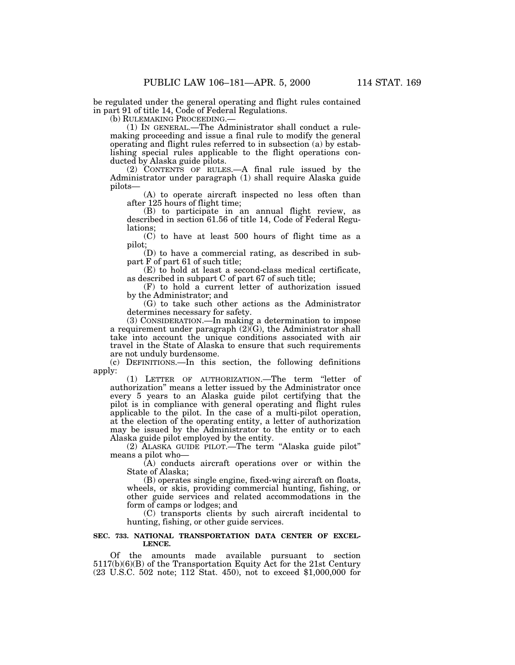be regulated under the general operating and flight rules contained in part 91 of title 14, Code of Federal Regulations.

(1) IN GENERAL.—The Administrator shall conduct a rulemaking proceeding and issue a final rule to modify the general operating and flight rules referred to in subsection (a) by establishing special rules applicable to the flight operations conducted by Alaska guide pilots.

(2) CONTENTS OF RULES.—A final rule issued by the Administrator under paragraph (1) shall require Alaska guide pilots—

(A) to operate aircraft inspected no less often than after 125 hours of flight time;

(B) to participate in an annual flight review, as described in section 61.56 of title 14, Code of Federal Regulations;

(C) to have at least 500 hours of flight time as a pilot;

(D) to have a commercial rating, as described in subpart F of part 61 of such title;

(E) to hold at least a second-class medical certificate, as described in subpart C of part 67 of such title;

(F) to hold a current letter of authorization issued by the Administrator; and

(G) to take such other actions as the Administrator determines necessary for safety.

(3) CONSIDERATION.—In making a determination to impose a requirement under paragraph  $(2)$  $(G)$ , the Administrator shall take into account the unique conditions associated with air travel in the State of Alaska to ensure that such requirements are not unduly burdensome.

(c) DEFINITIONS.—In this section, the following definitions apply:

(1) LETTER OF AUTHORIZATION.—The term ''letter of authorization'' means a letter issued by the Administrator once every 5 years to an Alaska guide pilot certifying that the pilot is in compliance with general operating and flight rules applicable to the pilot. In the case of a multi-pilot operation, at the election of the operating entity, a letter of authorization may be issued by the Administrator to the entity or to each Alaska guide pilot employed by the entity.

(2) ALASKA GUIDE PILOT.—The term ''Alaska guide pilot'' means a pilot who—

(A) conducts aircraft operations over or within the State of Alaska;

(B) operates single engine, fixed-wing aircraft on floats, wheels, or skis, providing commercial hunting, fishing, or other guide services and related accommodations in the form of camps or lodges; and

(C) transports clients by such aircraft incidental to hunting, fishing, or other guide services.

#### **SEC. 733. NATIONAL TRANSPORTATION DATA CENTER OF EXCEL-LENCE.**

Of the amounts made available pursuant to section 5117(b)(6)(B) of the Transportation Equity Act for the 21st Century (23 U.S.C. 502 note; 112 Stat. 450), not to exceed \$1,000,000 for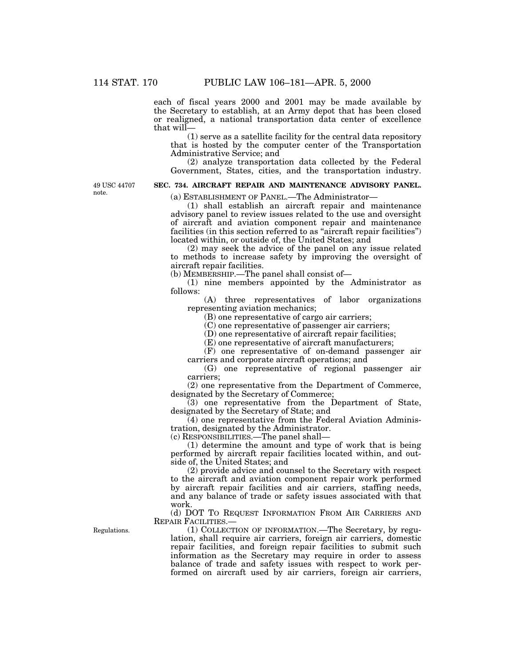each of fiscal years 2000 and 2001 may be made available by the Secretary to establish, at an Army depot that has been closed or realigned, a national transportation data center of excellence that will—

(1) serve as a satellite facility for the central data repository that is hosted by the computer center of the Transportation Administrative Service; and

(2) analyze transportation data collected by the Federal Government, States, cities, and the transportation industry.

49 USC 44707 note.

# **SEC. 734. AIRCRAFT REPAIR AND MAINTENANCE ADVISORY PANEL.**

(a) ESTABLISHMENT OF PANEL.—The Administrator—

(1) shall establish an aircraft repair and maintenance advisory panel to review issues related to the use and oversight of aircraft and aviation component repair and maintenance facilities (in this section referred to as "aircraft repair facilities") located within, or outside of, the United States; and

(2) may seek the advice of the panel on any issue related to methods to increase safety by improving the oversight of aircraft repair facilities.

(b) MEMBERSHIP.—The panel shall consist of—

(1) nine members appointed by the Administrator as follows:

(A) three representatives of labor organizations representing aviation mechanics;

(B) one representative of cargo air carriers;

(C) one representative of passenger air carriers;

(D) one representative of aircraft repair facilities;

(E) one representative of aircraft manufacturers;

(F) one representative of on-demand passenger air carriers and corporate aircraft operations; and

(G) one representative of regional passenger air carriers;

(2) one representative from the Department of Commerce, designated by the Secretary of Commerce;

(3) one representative from the Department of State, designated by the Secretary of State; and

(4) one representative from the Federal Aviation Administration, designated by the Administrator.

(c) RESPONSIBILITIES.—The panel shall—

(1) determine the amount and type of work that is being performed by aircraft repair facilities located within, and outside of, the United States; and

(2) provide advice and counsel to the Secretary with respect to the aircraft and aviation component repair work performed by aircraft repair facilities and air carriers, staffing needs, and any balance of trade or safety issues associated with that work.

(d) DOT TO REQUEST INFORMATION FROM AIR CARRIERS AND REPAIR FACILITIES.—

(1) COLLECTION OF INFORMATION.—The Secretary, by regulation, shall require air carriers, foreign air carriers, domestic repair facilities, and foreign repair facilities to submit such information as the Secretary may require in order to assess balance of trade and safety issues with respect to work performed on aircraft used by air carriers, foreign air carriers,

Regulations.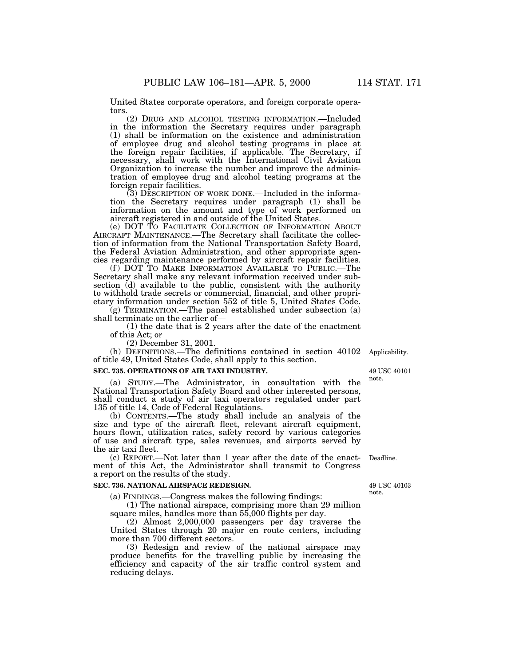United States corporate operators, and foreign corporate operators.

(2) DRUG AND ALCOHOL TESTING INFORMATION.—Included in the information the Secretary requires under paragraph (1) shall be information on the existence and administration of employee drug and alcohol testing programs in place at the foreign repair facilities, if applicable. The Secretary, if necessary, shall work with the International Civil Aviation Organization to increase the number and improve the administration of employee drug and alcohol testing programs at the foreign repair facilities.

(3) DESCRIPTION OF WORK DONE.—Included in the information the Secretary requires under paragraph (1) shall be information on the amount and type of work performed on aircraft registered in and outside of the United States.

(e) DOT TO FACILITATE COLLECTION OF INFORMATION ABOUT AIRCRAFT MAINTENANCE.—The Secretary shall facilitate the collection of information from the National Transportation Safety Board, the Federal Aviation Administration, and other appropriate agencies regarding maintenance performed by aircraft repair facilities.

(f ) DOT TO MAKE INFORMATION AVAILABLE TO PUBLIC.—The Secretary shall make any relevant information received under subsection (d) available to the public, consistent with the authority to withhold trade secrets or commercial, financial, and other proprietary information under section 552 of title 5, United States Code.

 $(g)$  TERMINATION.—The panel established under subsection (a) shall terminate on the earlier of—

(1) the date that is 2 years after the date of the enactment of this Act; or

(2) December 31, 2001.

(h) DEFINITIONS.—The definitions contained in section 40102 Applicability. of title 49, United States Code, shall apply to this section.

# **SEC. 735. OPERATIONS OF AIR TAXI INDUSTRY.**

(a) STUDY.—The Administrator, in consultation with the National Transportation Safety Board and other interested persons, shall conduct a study of air taxi operators regulated under part 135 of title 14, Code of Federal Regulations.

(b) CONTENTS.—The study shall include an analysis of the size and type of the aircraft fleet, relevant aircraft equipment, hours flown, utilization rates, safety record by various categories of use and aircraft type, sales revenues, and airports served by the air taxi fleet.

(c) REPORT.—Not later than 1 year after the date of the enactment of this Act, the Administrator shall transmit to Congress a report on the results of the study.

#### **SEC. 736. NATIONAL AIRSPACE REDESIGN.**

(a) FINDINGS.—Congress makes the following findings:

(1) The national airspace, comprising more than 29 million square miles, handles more than 55,000 flights per day.

(2) Almost 2,000,000 passengers per day traverse the United States through 20 major en route centers, including more than 700 different sectors.

(3) Redesign and review of the national airspace may produce benefits for the travelling public by increasing the efficiency and capacity of the air traffic control system and reducing delays.

49 USC 40101

note.

Deadline.

note.

49 USC 40103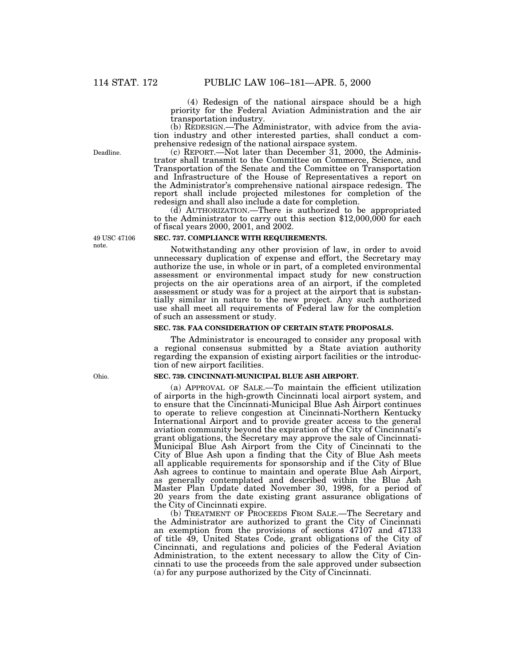(4) Redesign of the national airspace should be a high priority for the Federal Aviation Administration and the air transportation industry.

(b) REDESIGN.—The Administrator, with advice from the aviation industry and other interested parties, shall conduct a comprehensive redesign of the national airspace system.

(c) REPORT.—Not later than December 31, 2000, the Administrator shall transmit to the Committee on Commerce, Science, and Transportation of the Senate and the Committee on Transportation and Infrastructure of the House of Representatives a report on the Administrator's comprehensive national airspace redesign. The report shall include projected milestones for completion of the redesign and shall also include a date for completion.

(d) AUTHORIZATION.—There is authorized to be appropriated to the Administrator to carry out this section \$12,000,000 for each of fiscal years 2000, 2001, and 2002.

# **SEC. 737. COMPLIANCE WITH REQUIREMENTS.**

Notwithstanding any other provision of law, in order to avoid unnecessary duplication of expense and effort, the Secretary may authorize the use, in whole or in part, of a completed environmental assessment or environmental impact study for new construction projects on the air operations area of an airport, if the completed assessment or study was for a project at the airport that is substantially similar in nature to the new project. Any such authorized use shall meet all requirements of Federal law for the completion of such an assessment or study.

# **SEC. 738. FAA CONSIDERATION OF CERTAIN STATE PROPOSALS.**

The Administrator is encouraged to consider any proposal with a regional consensus submitted by a State aviation authority regarding the expansion of existing airport facilities or the introduction of new airport facilities.

#### **SEC. 739. CINCINNATI-MUNICIPAL BLUE ASH AIRPORT.**

(a) APPROVAL OF SALE.—To maintain the efficient utilization of airports in the high-growth Cincinnati local airport system, and to ensure that the Cincinnati-Municipal Blue Ash Airport continues to operate to relieve congestion at Cincinnati-Northern Kentucky International Airport and to provide greater access to the general aviation community beyond the expiration of the City of Cincinnati's grant obligations, the Secretary may approve the sale of Cincinnati-Municipal Blue Ash Airport from the City of Cincinnati to the City of Blue Ash upon a finding that the City of Blue Ash meets all applicable requirements for sponsorship and if the City of Blue Ash agrees to continue to maintain and operate Blue Ash Airport, as generally contemplated and described within the Blue Ash Master Plan Update dated November 30, 1998, for a period of 20 years from the date existing grant assurance obligations of the City of Cincinnati expire.

(b) TREATMENT OF PROCEEDS FROM SALE.—The Secretary and the Administrator are authorized to grant the City of Cincinnati an exemption from the provisions of sections 47107 and 47133 of title 49, United States Code, grant obligations of the City of Cincinnati, and regulations and policies of the Federal Aviation Administration, to the extent necessary to allow the City of Cincinnati to use the proceeds from the sale approved under subsection (a) for any purpose authorized by the City of Cincinnati.

49 USC 47106

Deadline.

note.

Ohio.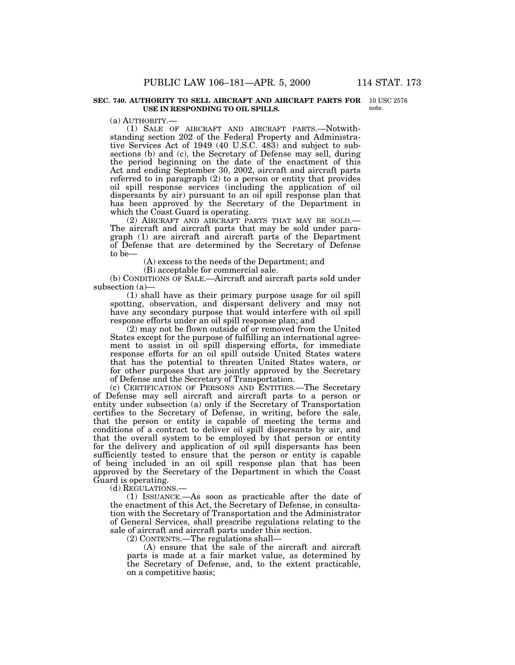#### **SEC. 740. AUTHORITY TO SELL AIRCRAFT AND AIRCRAFT PARTS FOR** 10 USC 2576 **USE IN RESPONDING TO OIL SPILLS.**

note.

(a) AUTHORITY.— (1) SALE OF AIRCRAFT AND AIRCRAFT PARTS.—Notwithstanding section 202 of the Federal Property and Administrative Services Act of 1949 (40 U.S.C. 483) and subject to subsections (b) and (c), the Secretary of Defense may sell, during the period beginning on the date of the enactment of this Act and ending September 30, 2002, aircraft and aircraft parts referred to in paragraph (2) to a person or entity that provides oil spill response services (including the application of oil dispersants by air) pursuant to an oil spill response plan that has been approved by the Secretary of the Department in which the Coast Guard is operating.<br>(2) AIRCRAFT AND AIRCRAFT PARTS THAT MAY BE SOLD.—

The aircraft and aircraft parts that may be sold under paragraph (1) are aircraft and aircraft parts of the Department of Defense that are determined by the Secretary of Defense to be—

(A) excess to the needs of the Department; and

(B) acceptable for commercial sale.

(b) CONDITIONS OF SALE.—Aircraft and aircraft parts sold under subsection (a)—

(1) shall have as their primary purpose usage for oil spill spotting, observation, and dispersant delivery and may not have any secondary purpose that would interfere with oil spill response efforts under an oil spill response plan; and

(2) may not be flown outside of or removed from the United States except for the purpose of fulfilling an international agreement to assist in oil spill dispersing efforts, for immediate response efforts for an oil spill outside United States waters that has the potential to threaten United States waters, or for other purposes that are jointly approved by the Secretary of Defense and the Secretary of Transportation.

(c) CERTIFICATION OF PERSONS AND ENTITIES.—The Secretary of Defense may sell aircraft and aircraft parts to a person or entity under subsection (a) only if the Secretary of Transportation certifies to the Secretary of Defense, in writing, before the sale, that the person or entity is capable of meeting the terms and conditions of a contract to deliver oil spill dispersants by air, and that the overall system to be employed by that person or entity for the delivery and application of oil spill dispersants has been sufficiently tested to ensure that the person or entity is capable of being included in an oil spill response plan that has been approved by the Secretary of the Department in which the Coast Guard is operating.

(d) REGULATIONS.—

(1) ISSUANCE.—As soon as practicable after the date of the enactment of this Act, the Secretary of Defense, in consultation with the Secretary of Transportation and the Administrator of General Services, shall prescribe regulations relating to the sale of aircraft and aircraft parts under this section.

(2) CONTENTS.—The regulations shall—

(A) ensure that the sale of the aircraft and aircraft parts is made at a fair market value, as determined by the Secretary of Defense, and, to the extent practicable, on a competitive basis;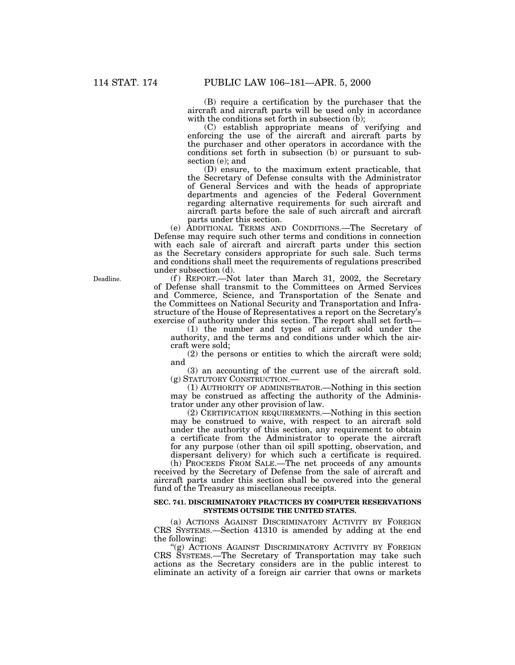(B) require a certification by the purchaser that the aircraft and aircraft parts will be used only in accordance with the conditions set forth in subsection (b);

(C) establish appropriate means of verifying and enforcing the use of the aircraft and aircraft parts by the purchaser and other operators in accordance with the conditions set forth in subsection (b) or pursuant to subsection (e); and

(D) ensure, to the maximum extent practicable, that the Secretary of Defense consults with the Administrator of General Services and with the heads of appropriate departments and agencies of the Federal Government regarding alternative requirements for such aircraft and aircraft parts before the sale of such aircraft and aircraft parts under this section.

(e) ADDITIONAL TERMS AND CONDITIONS.—The Secretary of Defense may require such other terms and conditions in connection with each sale of aircraft and aircraft parts under this section as the Secretary considers appropriate for such sale. Such terms and conditions shall meet the requirements of regulations prescribed under subsection (d).

(f) REPORT.—Not later than March 31, 2002, the Secretary of Defense shall transmit to the Committees on Armed Services and Commerce, Science, and Transportation of the Senate and the Committees on National Security and Transportation and Infrastructure of the House of Representatives a report on the Secretary's exercise of authority under this section. The report shall set forth—

(1) the number and types of aircraft sold under the authority, and the terms and conditions under which the aircraft were sold;

(2) the persons or entities to which the aircraft were sold; and

(3) an accounting of the current use of the aircraft sold. (g) STATUTORY CONSTRUCTION.—

(1) AUTHORITY OF ADMINISTRATOR.—Nothing in this section may be construed as affecting the authority of the Administrator under any other provision of law.

(2) CERTIFICATION REQUIREMENTS.—Nothing in this section may be construed to waive, with respect to an aircraft sold under the authority of this section, any requirement to obtain a certificate from the Administrator to operate the aircraft for any purpose (other than oil spill spotting, observation, and dispersant delivery) for which such a certificate is required.

(h) PROCEEDS FROM SALE.—The net proceeds of any amounts received by the Secretary of Defense from the sale of aircraft and aircraft parts under this section shall be covered into the general fund of the Treasury as miscellaneous receipts.

#### **SEC. 741. DISCRIMINATORY PRACTICES BY COMPUTER RESERVATIONS SYSTEMS OUTSIDE THE UNITED STATES.**

(a) ACTIONS AGAINST DISCRIMINATORY ACTIVITY BY FOREIGN CRS SYSTEMS.—Section 41310 is amended by adding at the end the following:

"(g) ACTIONS AGAINST DISCRIMINATORY ACTIVITY BY FOREIGN CRS SYSTEMS.—The Secretary of Transportation may take such actions as the Secretary considers are in the public interest to eliminate an activity of a foreign air carrier that owns or markets

Deadline.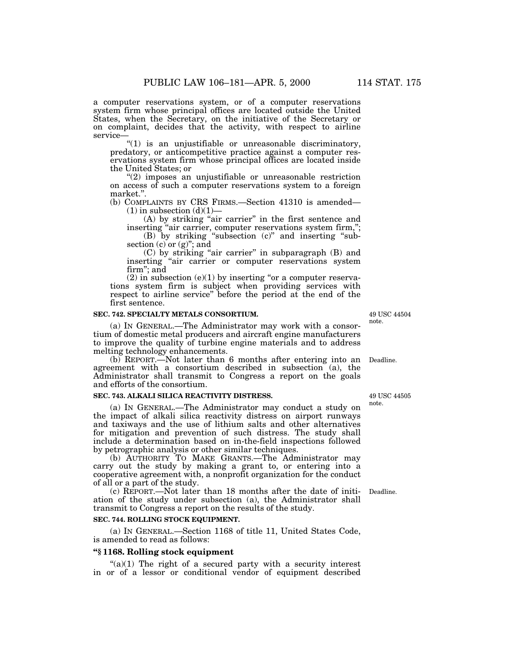a computer reservations system, or of a computer reservations system firm whose principal offices are located outside the United States, when the Secretary, on the initiative of the Secretary or on complaint, decides that the activity, with respect to airline service—

''(1) is an unjustifiable or unreasonable discriminatory, predatory, or anticompetitive practice against a computer reservations system firm whose principal offices are located inside the United States; or

''(2) imposes an unjustifiable or unreasonable restriction on access of such a computer reservations system to a foreign market.''.

(b) COMPLAINTS BY CRS FIRMS.—Section 41310 is amended—  $(1)$  in subsection  $(d)(1)$ —

(A) by striking ''air carrier'' in the first sentence and inserting "air carrier, computer reservations system firm,";

(B) by striking ''subsection (c)'' and inserting ''subsection  $(c)$  or  $(g)$ "; and

(C) by striking ''air carrier'' in subparagraph (B) and inserting ''air carrier or computer reservations system firm''; and

(2) in subsection  $(e)(1)$  by inserting "or a computer reservations system firm is subject when providing services with respect to airline service'' before the period at the end of the first sentence.

# **SEC. 742. SPECIALTY METALS CONSORTIUM.**

(a) IN GENERAL.—The Administrator may work with a consortium of domestic metal producers and aircraft engine manufacturers to improve the quality of turbine engine materials and to address melting technology enhancements.

(b) REPORT.—Not later than 6 months after entering into an Deadline. agreement with a consortium described in subsection (a), the Administrator shall transmit to Congress a report on the goals and efforts of the consortium.

#### **SEC. 743. ALKALI SILICA REACTIVITY DISTRESS.**

(a) IN GENERAL.—The Administrator may conduct a study on the impact of alkali silica reactivity distress on airport runways and taxiways and the use of lithium salts and other alternatives for mitigation and prevention of such distress. The study shall include a determination based on in-the-field inspections followed by petrographic analysis or other similar techniques.

(b) AUTHORITY TO MAKE GRANTS.—The Administrator may carry out the study by making a grant to, or entering into a cooperative agreement with, a nonprofit organization for the conduct of all or a part of the study.

(c) REPORT.—Not later than 18 months after the date of initi-Deadline. ation of the study under subsection (a), the Administrator shall transmit to Congress a report on the results of the study.

## **SEC. 744. ROLLING STOCK EQUIPMENT.**

(a) IN GENERAL.—Section 1168 of title 11, United States Code, is amended to read as follows:

# **''§ 1168. Rolling stock equipment**

" $(a)(1)$  The right of a secured party with a security interest in or of a lessor or conditional vendor of equipment described

49 USC 44505

note.

49 USC 44504 note.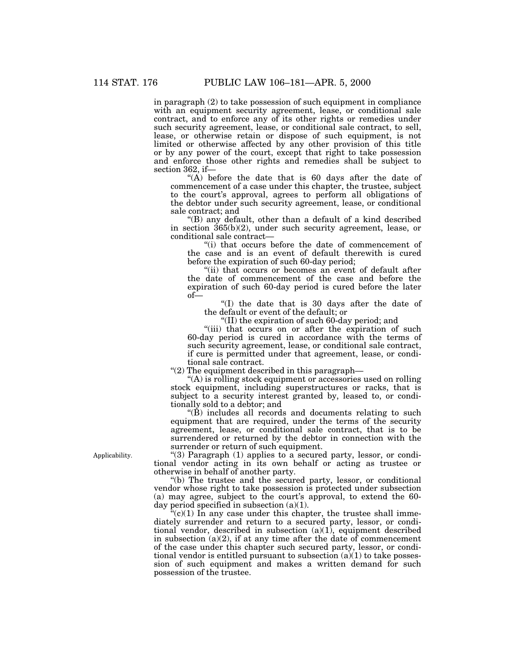in paragraph (2) to take possession of such equipment in compliance with an equipment security agreement, lease, or conditional sale contract, and to enforce any of its other rights or remedies under such security agreement, lease, or conditional sale contract, to sell, lease, or otherwise retain or dispose of such equipment, is not limited or otherwise affected by any other provision of this title or by any power of the court, except that right to take possession and enforce those other rights and remedies shall be subject to section 362, if—

"(A) before the date that is 60 days after the date of commencement of a case under this chapter, the trustee, subject to the court's approval, agrees to perform all obligations of the debtor under such security agreement, lease, or conditional sale contract; and

''(B) any default, other than a default of a kind described in section 365(b)(2), under such security agreement, lease, or conditional sale contract—

''(i) that occurs before the date of commencement of the case and is an event of default therewith is cured before the expiration of such 60-day period;

"(ii) that occurs or becomes an event of default after the date of commencement of the case and before the expiration of such 60-day period is cured before the later of—

''(I) the date that is 30 days after the date of the default or event of the default; or

''(II) the expiration of such 60-day period; and

"(iii) that occurs on or after the expiration of such 60-day period is cured in accordance with the terms of such security agreement, lease, or conditional sale contract, if cure is permitted under that agreement, lease, or conditional sale contract.

''(2) The equipment described in this paragraph—

''(A) is rolling stock equipment or accessories used on rolling stock equipment, including superstructures or racks, that is subject to a security interest granted by, leased to, or conditionally sold to a debtor; and

" $(\dot{B})$  includes all records and documents relating to such equipment that are required, under the terms of the security agreement, lease, or conditional sale contract, that is to be surrendered or returned by the debtor in connection with the surrender or return of such equipment.

" $(3)$  Paragraph  $(1)$  applies to a secured party, lessor, or conditional vendor acting in its own behalf or acting as trustee or otherwise in behalf of another party.

''(b) The trustee and the secured party, lessor, or conditional vendor whose right to take possession is protected under subsection (a) may agree, subject to the court's approval, to extend the 60 day period specified in subsection  $(a)(1)$ .

 $\mathbf{F}(\mathbf{c})(1)$  In any case under this chapter, the trustee shall immediately surrender and return to a secured party, lessor, or conditional vendor, described in subsection  $(a)(1)$ , equipment described in subsection  $(a)(2)$ , if at any time after the date of commencement of the case under this chapter such secured party, lessor, or conditional vendor is entitled pursuant to subsection  $(a)(1)$  to take possession of such equipment and makes a written demand for such possession of the trustee.

Applicability.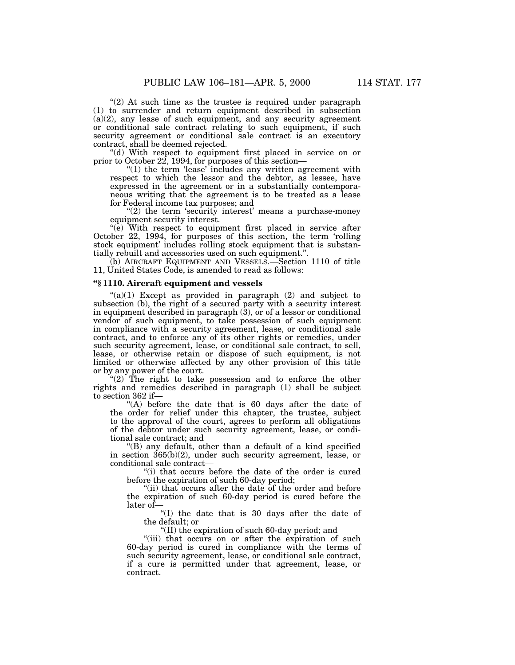" $(2)$  At such time as the trustee is required under paragraph (1) to surrender and return equipment described in subsection  $(a)(2)$ , any lease of such equipment, and any security agreement or conditional sale contract relating to such equipment, if such security agreement or conditional sale contract is an executory contract, shall be deemed rejected.

''(d) With respect to equipment first placed in service on or prior to October 22, 1994, for purposes of this section—

"(1) the term 'lease' includes any written agreement with respect to which the lessor and the debtor, as lessee, have expressed in the agreement or in a substantially contemporaneous writing that the agreement is to be treated as a lease for Federal income tax purposes; and

" $(2)$  the term 'security interest' means a purchase-money equipment security interest.

"(e) With respect to equipment first placed in service after October 22, 1994, for purposes of this section, the term 'rolling stock equipment' includes rolling stock equipment that is substantially rebuilt and accessories used on such equipment.''.

(b) AIRCRAFT EQUIPMENT AND VESSELS.—Section 1110 of title 11, United States Code, is amended to read as follows:

#### **''§ 1110. Aircraft equipment and vessels**

 $\degree$ (a)(1) Except as provided in paragraph (2) and subject to subsection (b), the right of a secured party with a security interest in equipment described in paragraph (3), or of a lessor or conditional vendor of such equipment, to take possession of such equipment in compliance with a security agreement, lease, or conditional sale contract, and to enforce any of its other rights or remedies, under such security agreement, lease, or conditional sale contract, to sell, lease, or otherwise retain or dispose of such equipment, is not limited or otherwise affected by any other provision of this title or by any power of the court.

" $(2)$  The right to take possession and to enforce the other rights and remedies described in paragraph (1) shall be subject to section 362 if—

"(A) before the date that is 60 days after the date of the order for relief under this chapter, the trustee, subject to the approval of the court, agrees to perform all obligations of the debtor under such security agreement, lease, or conditional sale contract; and

''(B) any default, other than a default of a kind specified in section 365(b)(2), under such security agreement, lease, or conditional sale contract—

"(i) that occurs before the date of the order is cured before the expiration of such 60-day period;

"(ii) that occurs after the date of the order and before the expiration of such 60-day period is cured before the later of—

''(I) the date that is 30 days after the date of the default; or

''(II) the expiration of such 60-day period; and

"(iii) that occurs on or after the expiration of such 60-day period is cured in compliance with the terms of such security agreement, lease, or conditional sale contract, if a cure is permitted under that agreement, lease, or contract.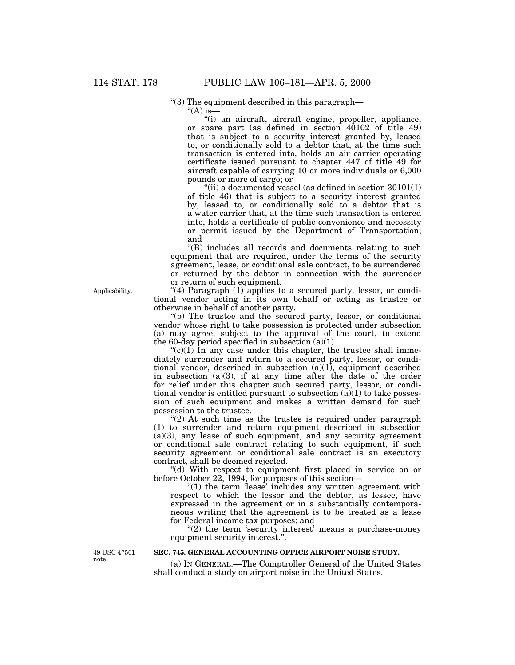''(3) The equipment described in this paragraph—

"(A) is—

''(i) an aircraft, aircraft engine, propeller, appliance, or spare part (as defined in section 40102 of title 49) that is subject to a security interest granted by, leased to, or conditionally sold to a debtor that, at the time such transaction is entered into, holds an air carrier operating certificate issued pursuant to chapter 447 of title 49 for aircraft capable of carrying 10 or more individuals or 6,000 pounds or more of cargo; or

"(ii) a documented vessel (as defined in section  $30101(1)$ of title 46) that is subject to a security interest granted by, leased to, or conditionally sold to a debtor that is a water carrier that, at the time such transaction is entered into, holds a certificate of public convenience and necessity or permit issued by the Department of Transportation; and

''(B) includes all records and documents relating to such equipment that are required, under the terms of the security agreement, lease, or conditional sale contract, to be surrendered or returned by the debtor in connection with the surrender or return of such equipment.

"(4) Paragraph  $(1)$  applies to a secured party, lessor, or conditional vendor acting in its own behalf or acting as trustee or otherwise in behalf of another party.

''(b) The trustee and the secured party, lessor, or conditional vendor whose right to take possession is protected under subsection (a) may agree, subject to the approval of the court, to extend the 60-day period specified in subsection (a)(1).

" $(c)(1)$  In any case under this chapter, the trustee shall immediately surrender and return to a secured party, lessor, or conditional vendor, described in subsection (a)(1), equipment described in subsection (a)(3), if at any time after the date of the order for relief under this chapter such secured party, lessor, or conditional vendor is entitled pursuant to subsection  $(a)(1)$  to take possession of such equipment and makes a written demand for such possession to the trustee.

" $(2)$  At such time as the trustee is required under paragraph (1) to surrender and return equipment described in subsection  $(a)(3)$ , any lease of such equipment, and any security agreement or conditional sale contract relating to such equipment, if such security agreement or conditional sale contract is an executory contract, shall be deemed rejected.

''(d) With respect to equipment first placed in service on or before October 22, 1994, for purposes of this section—

 $''(1)$  the term 'lease' includes any written agreement with respect to which the lessor and the debtor, as lessee, have expressed in the agreement or in a substantially contemporaneous writing that the agreement is to be treated as a lease for Federal income tax purposes; and

 $(2)$  the term 'security interest' means a purchase-money equipment security interest.''.

49 USC 47501 note.

# **SEC. 745. GENERAL ACCOUNTING OFFICE AIRPORT NOISE STUDY.**

(a) IN GENERAL.—The Comptroller General of the United States shall conduct a study on airport noise in the United States.

Applicability.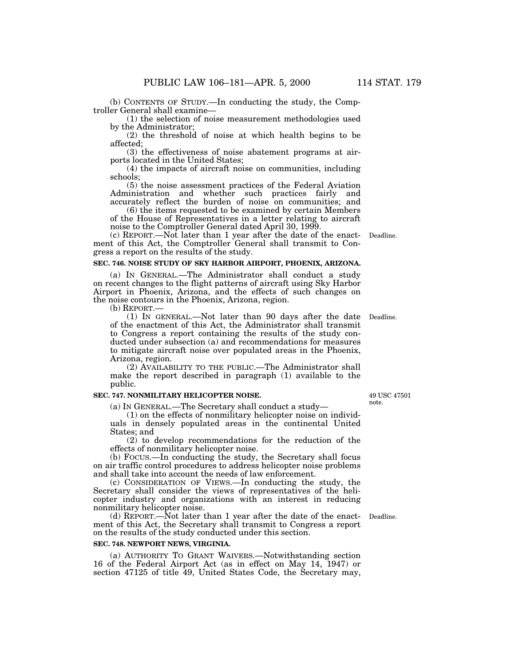(b) CONTENTS OF STUDY.—In conducting the study, the Comptroller General shall examine—

(1) the selection of noise measurement methodologies used by the Administrator;

(2) the threshold of noise at which health begins to be affected;

(3) the effectiveness of noise abatement programs at airports located in the United States;

(4) the impacts of aircraft noise on communities, including schools;

(5) the noise assessment practices of the Federal Aviation Administration and whether such practices fairly and accurately reflect the burden of noise on communities; and

(6) the items requested to be examined by certain Members of the House of Representatives in a letter relating to aircraft noise to the Comptroller General dated April 30, 1999.

(c) REPORT.—Not later than 1 year after the date of the enactment of this Act, the Comptroller General shall transmit to Congress a report on the results of the study.

# **SEC. 746. NOISE STUDY OF SKY HARBOR AIRPORT, PHOENIX, ARIZONA.**

(a) IN GENERAL.—The Administrator shall conduct a study on recent changes to the flight patterns of aircraft using Sky Harbor Airport in Phoenix, Arizona, and the effects of such changes on the noise contours in the Phoenix, Arizona, region.

(b) REPORT.—

(1) IN GENERAL.—Not later than 90 days after the date Deadline. of the enactment of this Act, the Administrator shall transmit to Congress a report containing the results of the study conducted under subsection (a) and recommendations for measures to mitigate aircraft noise over populated areas in the Phoenix, Arizona, region.

(2) AVAILABILITY TO THE PUBLIC.—The Administrator shall make the report described in paragraph (1) available to the public.

## **SEC. 747. NONMILITARY HELICOPTER NOISE.**

(a) IN GENERAL.—The Secretary shall conduct a study—

(1) on the effects of nonmilitary helicopter noise on individuals in densely populated areas in the continental United States; and

(2) to develop recommendations for the reduction of the effects of nonmilitary helicopter noise.

(b) FOCUS.—In conducting the study, the Secretary shall focus on air traffic control procedures to address helicopter noise problems and shall take into account the needs of law enforcement.

(c) CONSIDERATION OF VIEWS.—In conducting the study, the Secretary shall consider the views of representatives of the helicopter industry and organizations with an interest in reducing nonmilitary helicopter noise.

(d) REPORT.—Not later than 1 year after the date of the enact-Deadline. ment of this Act, the Secretary shall transmit to Congress a report on the results of the study conducted under this section.

# **SEC. 748. NEWPORT NEWS, VIRGINIA.**

(a) AUTHORITY TO GRANT WAIVERS.—Notwithstanding section 16 of the Federal Airport Act (as in effect on May 14, 1947) or section 47125 of title 49, United States Code, the Secretary may,

49 USC 47501 note.

Deadline.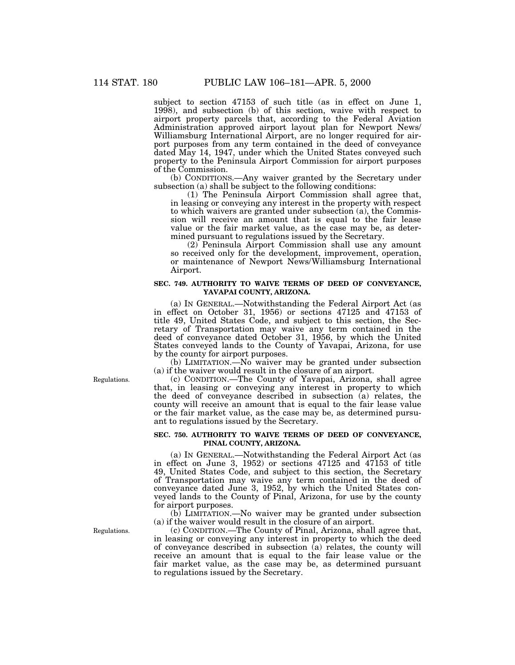subject to section 47153 of such title (as in effect on June 1, 1998), and subsection (b) of this section, waive with respect to airport property parcels that, according to the Federal Aviation Administration approved airport layout plan for Newport News/ Williamsburg International Airport, are no longer required for airport purposes from any term contained in the deed of conveyance dated May 14, 1947, under which the United States conveyed such property to the Peninsula Airport Commission for airport purposes of the Commission.

(b) CONDITIONS.—Any waiver granted by the Secretary under subsection (a) shall be subject to the following conditions:

(1) The Peninsula Airport Commission shall agree that, in leasing or conveying any interest in the property with respect to which waivers are granted under subsection (a), the Commission will receive an amount that is equal to the fair lease value or the fair market value, as the case may be, as determined pursuant to regulations issued by the Secretary.

(2) Peninsula Airport Commission shall use any amount so received only for the development, improvement, operation, or maintenance of Newport News/Williamsburg International Airport.

# **SEC. 749. AUTHORITY TO WAIVE TERMS OF DEED OF CONVEYANCE, YAVAPAI COUNTY, ARIZONA.**

(a) IN GENERAL.—Notwithstanding the Federal Airport Act (as in effect on October 31, 1956) or sections 47125 and 47153 of title 49, United States Code, and subject to this section, the Secretary of Transportation may waive any term contained in the deed of conveyance dated October 31, 1956, by which the United States conveyed lands to the County of Yavapai, Arizona, for use by the county for airport purposes.

(b) LIMITATION.—No waiver may be granted under subsection (a) if the waiver would result in the closure of an airport.

(c) CONDITION.—The County of Yavapai, Arizona, shall agree that, in leasing or conveying any interest in property to which the deed of conveyance described in subsection (a) relates, the county will receive an amount that is equal to the fair lease value or the fair market value, as the case may be, as determined pursuant to regulations issued by the Secretary.

# **SEC. 750. AUTHORITY TO WAIVE TERMS OF DEED OF CONVEYANCE, PINAL COUNTY, ARIZONA.**

(a) IN GENERAL.—Notwithstanding the Federal Airport Act (as in effect on June 3, 1952) or sections 47125 and 47153 of title 49, United States Code, and subject to this section, the Secretary of Transportation may waive any term contained in the deed of conveyance dated June 3, 1952, by which the United States conveyed lands to the County of Pinal, Arizona, for use by the county for airport purposes.

(b) LIMITATION.—No waiver may be granted under subsection (a) if the waiver would result in the closure of an airport.

(c) CONDITION.—The County of Pinal, Arizona, shall agree that, in leasing or conveying any interest in property to which the deed of conveyance described in subsection (a) relates, the county will receive an amount that is equal to the fair lease value or the fair market value, as the case may be, as determined pursuant to regulations issued by the Secretary.

Regulations.

Regulations.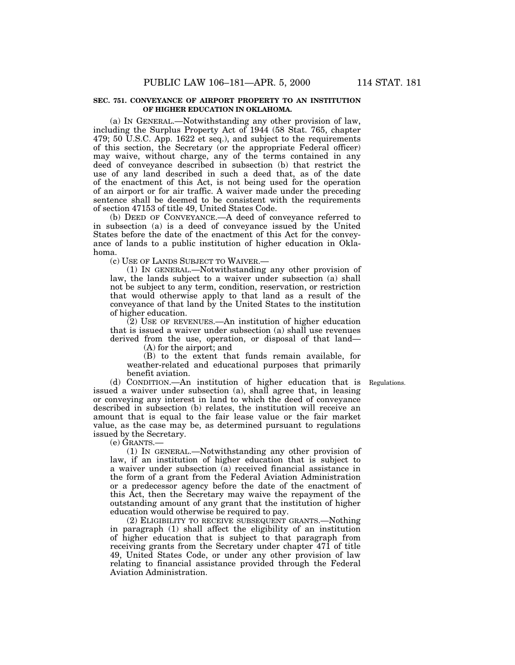# **SEC. 751. CONVEYANCE OF AIRPORT PROPERTY TO AN INSTITUTION OF HIGHER EDUCATION IN OKLAHOMA.**

(a) IN GENERAL.—Notwithstanding any other provision of law, including the Surplus Property Act of 1944 (58 Stat. 765, chapter 479; 50 U.S.C. App. 1622 et seq.), and subject to the requirements of this section, the Secretary (or the appropriate Federal officer) may waive, without charge, any of the terms contained in any deed of conveyance described in subsection (b) that restrict the use of any land described in such a deed that, as of the date of the enactment of this Act, is not being used for the operation of an airport or for air traffic. A waiver made under the preceding sentence shall be deemed to be consistent with the requirements of section 47153 of title 49, United States Code.

(b) DEED OF CONVEYANCE.—A deed of conveyance referred to in subsection (a) is a deed of conveyance issued by the United States before the date of the enactment of this Act for the conveyance of lands to a public institution of higher education in Oklahoma.

(c) USE OF LANDS SUBJECT TO WAIVER.—

(1) IN GENERAL.—Notwithstanding any other provision of law, the lands subject to a waiver under subsection (a) shall not be subject to any term, condition, reservation, or restriction that would otherwise apply to that land as a result of the conveyance of that land by the United States to the institution of higher education.

(2) USE OF REVENUES.—An institution of higher education that is issued a waiver under subsection (a) shall use revenues derived from the use, operation, or disposal of that land—

(A) for the airport; and

(B) to the extent that funds remain available, for weather-related and educational purposes that primarily benefit aviation.

Regulations.

(d) CONDITION.—An institution of higher education that is issued a waiver under subsection (a), shall agree that, in leasing or conveying any interest in land to which the deed of conveyance described in subsection (b) relates, the institution will receive an amount that is equal to the fair lease value or the fair market value, as the case may be, as determined pursuant to regulations issued by the Secretary.

(e) GRANTS.—

(1) IN GENERAL.—Notwithstanding any other provision of law, if an institution of higher education that is subject to a waiver under subsection (a) received financial assistance in the form of a grant from the Federal Aviation Administration or a predecessor agency before the date of the enactment of this Act, then the Secretary may waive the repayment of the outstanding amount of any grant that the institution of higher education would otherwise be required to pay.

(2) ELIGIBILITY TO RECEIVE SUBSEQUENT GRANTS.—Nothing in paragraph (1) shall affect the eligibility of an institution of higher education that is subject to that paragraph from receiving grants from the Secretary under chapter 471 of title 49, United States Code, or under any other provision of law relating to financial assistance provided through the Federal Aviation Administration.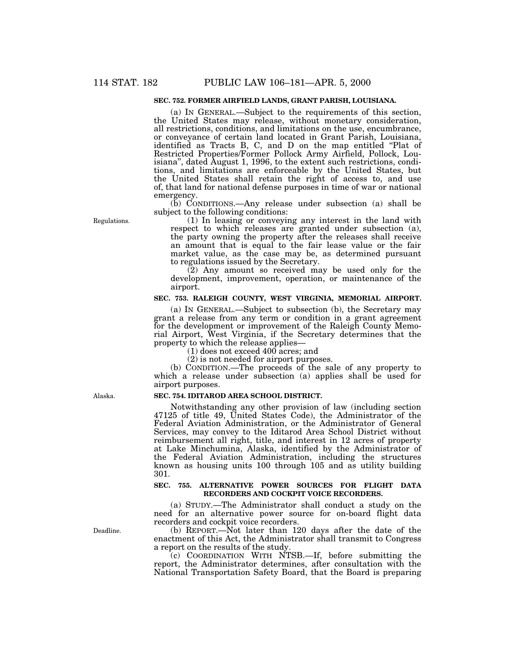# **SEC. 752. FORMER AIRFIELD LANDS, GRANT PARISH, LOUISIANA.**

(a) IN GENERAL.—Subject to the requirements of this section, the United States may release, without monetary consideration, all restrictions, conditions, and limitations on the use, encumbrance, or conveyance of certain land located in Grant Parish, Louisiana, identified as Tracts B, C, and D on the map entitled "Plat of Restricted Properties/Former Pollock Army Airfield, Pollock, Louisiana'', dated August 1, 1996, to the extent such restrictions, conditions, and limitations are enforceable by the United States, but the United States shall retain the right of access to, and use of, that land for national defense purposes in time of war or national emergency.

(b) CONDITIONS.—Any release under subsection (a) shall be subject to the following conditions:

(1) In leasing or conveying any interest in the land with respect to which releases are granted under subsection (a), the party owning the property after the releases shall receive an amount that is equal to the fair lease value or the fair market value, as the case may be, as determined pursuant to regulations issued by the Secretary.

(2) Any amount so received may be used only for the development, improvement, operation, or maintenance of the airport.

# **SEC. 753. RALEIGH COUNTY, WEST VIRGINIA, MEMORIAL AIRPORT.**

(a) IN GENERAL.—Subject to subsection (b), the Secretary may grant a release from any term or condition in a grant agreement for the development or improvement of the Raleigh County Memorial Airport, West Virginia, if the Secretary determines that the property to which the release applies—

(1) does not exceed 400 acres; and

(2) is not needed for airport purposes.

(b) CONDITION.—The proceeds of the sale of any property to which a release under subsection (a) applies shall be used for airport purposes.

## **SEC. 754. IDITAROD AREA SCHOOL DISTRICT.**

Notwithstanding any other provision of law (including section 47125 of title 49, United States Code), the Administrator of the Federal Aviation Administration, or the Administrator of General Services, may convey to the Iditarod Area School District without reimbursement all right, title, and interest in 12 acres of property at Lake Minchumina, Alaska, identified by the Administrator of the Federal Aviation Administration, including the structures known as housing units 100 through 105 and as utility building 301.

## **SEC. 755. ALTERNATIVE POWER SOURCES FOR FLIGHT DATA RECORDERS AND COCKPIT VOICE RECORDERS.**

(a) STUDY.—The Administrator shall conduct a study on the need for an alternative power source for on-board flight data recorders and cockpit voice recorders.

(b) REPORT.—Not later than 120 days after the date of the enactment of this Act, the Administrator shall transmit to Congress a report on the results of the study.

(c) COORDINATION WITH NTSB.—If, before submitting the report, the Administrator determines, after consultation with the National Transportation Safety Board, that the Board is preparing

Alaska.

Deadline.

Regulations.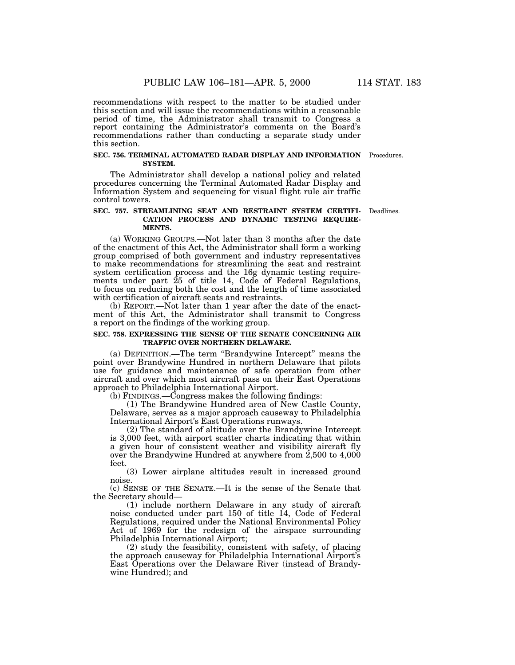recommendations with respect to the matter to be studied under this section and will issue the recommendations within a reasonable period of time, the Administrator shall transmit to Congress a report containing the Administrator's comments on the Board's recommendations rather than conducting a separate study under this section.

#### **SEC. 756. TERMINAL AUTOMATED RADAR DISPLAY AND INFORMATION** Procedures. **SYSTEM.**

The Administrator shall develop a national policy and related procedures concerning the Terminal Automated Radar Display and Information System and sequencing for visual flight rule air traffic control towers.

#### **SEC. 757. STREAMLINING SEAT AND RESTRAINT SYSTEM CERTIFI-CATION PROCESS AND DYNAMIC TESTING REQUIRE-MENTS.** Deadlines.

(a) WORKING GROUPS.—Not later than 3 months after the date of the enactment of this Act, the Administrator shall form a working group comprised of both government and industry representatives to make recommendations for streamlining the seat and restraint system certification process and the 16g dynamic testing requirements under part 25 of title 14, Code of Federal Regulations, to focus on reducing both the cost and the length of time associated with certification of aircraft seats and restraints.

(b) REPORT.—Not later than 1 year after the date of the enactment of this Act, the Administrator shall transmit to Congress a report on the findings of the working group.

# **SEC. 758. EXPRESSING THE SENSE OF THE SENATE CONCERNING AIR TRAFFIC OVER NORTHERN DELAWARE.**

(a) DEFINITION.—The term ''Brandywine Intercept'' means the point over Brandywine Hundred in northern Delaware that pilots use for guidance and maintenance of safe operation from other aircraft and over which most aircraft pass on their East Operations approach to Philadelphia International Airport.

(b) FINDINGS.—Congress makes the following findings:

(1) The Brandywine Hundred area of New Castle County, Delaware, serves as a major approach causeway to Philadelphia International Airport's East Operations runways.

(2) The standard of altitude over the Brandywine Intercept is 3,000 feet, with airport scatter charts indicating that within a given hour of consistent weather and visibility aircraft fly over the Brandywine Hundred at anywhere from 2,500 to 4,000 feet.

(3) Lower airplane altitudes result in increased ground noise.

(c) SENSE OF THE SENATE.—It is the sense of the Senate that the Secretary should—

(1) include northern Delaware in any study of aircraft noise conducted under part 150 of title 14, Code of Federal Regulations, required under the National Environmental Policy Act of 1969 for the redesign of the airspace surrounding Philadelphia International Airport;

(2) study the feasibility, consistent with safety, of placing the approach causeway for Philadelphia International Airport's East Operations over the Delaware River (instead of Brandywine Hundred); and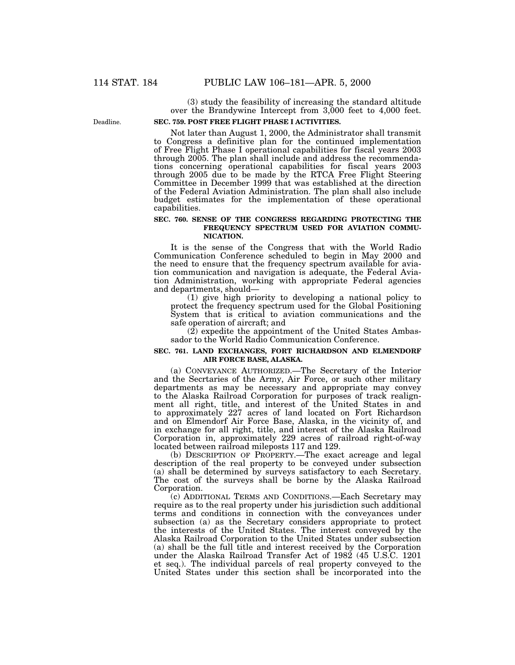Deadline.

(3) study the feasibility of increasing the standard altitude over the Brandywine Intercept from 3,000 feet to 4,000 feet.

# **SEC. 759. POST FREE FLIGHT PHASE I ACTIVITIES.**

Not later than August 1, 2000, the Administrator shall transmit to Congress a definitive plan for the continued implementation of Free Flight Phase I operational capabilities for fiscal years 2003 through 2005. The plan shall include and address the recommendations concerning operational capabilities for fiscal years 2003 through 2005 due to be made by the RTCA Free Flight Steering Committee in December 1999 that was established at the direction of the Federal Aviation Administration. The plan shall also include budget estimates for the implementation of these operational capabilities.

## **SEC. 760. SENSE OF THE CONGRESS REGARDING PROTECTING THE FREQUENCY SPECTRUM USED FOR AVIATION COMMU-NICATION.**

It is the sense of the Congress that with the World Radio Communication Conference scheduled to begin in May 2000 and the need to ensure that the frequency spectrum available for aviation communication and navigation is adequate, the Federal Aviation Administration, working with appropriate Federal agencies and departments, should—

(1) give high priority to developing a national policy to protect the frequency spectrum used for the Global Positioning System that is critical to aviation communications and the safe operation of aircraft; and

 $(2)$  expedite the appointment of the United States Ambassador to the World Radio Communication Conference.

# **SEC. 761. LAND EXCHANGES, FORT RICHARDSON AND ELMENDORF AIR FORCE BASE, ALASKA.**

(a) CONVEYANCE AUTHORIZED.—The Secretary of the Interior and the Secrtaries of the Army, Air Force, or such other military departments as may be necessary and appropriate may convey to the Alaska Railroad Corporation for purposes of track realignment all right, title, and interest of the United States in and to approximately 227 acres of land located on Fort Richardson and on Elmendorf Air Force Base, Alaska, in the vicinity of, and in exchange for all right, title, and interest of the Alaska Railroad Corporation in, approximately 229 acres of railroad right-of-way located between railroad mileposts 117 and 129.

(b) DESCRIPTION OF PROPERTY.—The exact acreage and legal description of the real property to be conveyed under subsection (a) shall be determined by surveys satisfactory to each Secretary. The cost of the surveys shall be borne by the Alaska Railroad Corporation.

(c) ADDITIONAL TERMS AND CONDITIONS.—Each Secretary may require as to the real property under his jurisdiction such additional terms and conditions in connection with the conveyances under subsection (a) as the Secretary considers appropriate to protect the interests of the United States. The interest conveyed by the Alaska Railroad Corporation to the United States under subsection (a) shall be the full title and interest received by the Corporation under the Alaska Railroad Transfer Act of 1982 (45 U.S.C. 1201 et seq.). The individual parcels of real property conveyed to the United States under this section shall be incorporated into the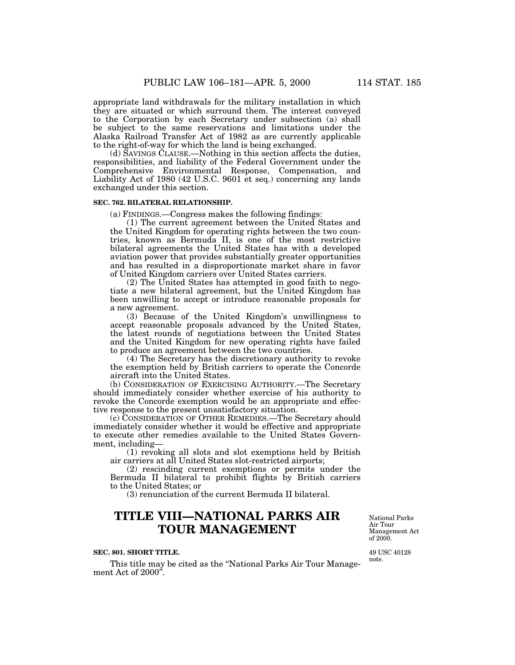appropriate land withdrawals for the military installation in which they are situated or which surround them. The interest conveyed to the Corporation by each Secretary under subsection (a) shall be subject to the same reservations and limitations under the Alaska Railroad Transfer Act of 1982 as are currently applicable to the right-of-way for which the land is being exchanged.

(d) SAVINGS CLAUSE.—Nothing in this section affects the duties, responsibilities, and liability of the Federal Government under the Comprehensive Environmental Response, Compensation, and Liability Act of 1980 (42 U.S.C. 9601 et seq.) concerning any lands exchanged under this section.

## **SEC. 762. BILATERAL RELATIONSHIP.**

(a) FINDINGS.—Congress makes the following findings:

(1) The current agreement between the United States and the United Kingdom for operating rights between the two countries, known as Bermuda II, is one of the most restrictive bilateral agreements the United States has with a developed aviation power that provides substantially greater opportunities and has resulted in a disproportionate market share in favor of United Kingdom carriers over United States carriers.

(2) The United States has attempted in good faith to negotiate a new bilateral agreement, but the United Kingdom has been unwilling to accept or introduce reasonable proposals for a new agreement.

(3) Because of the United Kingdom's unwillingness to accept reasonable proposals advanced by the United States, the latest rounds of negotiations between the United States and the United Kingdom for new operating rights have failed to produce an agreement between the two countries.

(4) The Secretary has the discretionary authority to revoke the exemption held by British carriers to operate the Concorde aircraft into the United States.

(b) CONSIDERATION OF EXERCISING AUTHORITY.—The Secretary should immediately consider whether exercise of his authority to revoke the Concorde exemption would be an appropriate and effective response to the present unsatisfactory situation.

(c) CONSIDERATION OF OTHER REMEDIES.—The Secretary should immediately consider whether it would be effective and appropriate to execute other remedies available to the United States Government, including—

(1) revoking all slots and slot exemptions held by British air carriers at all United States slot-restricted airports;

(2) rescinding current exemptions or permits under the Bermuda II bilateral to prohibit flights by British carriers to the United States; or

(3) renunciation of the current Bermuda II bilateral.

# **TITLE VIII—NATIONAL PARKS AIR TOUR MANAGEMENT**

#### **SEC. 801. SHORT TITLE.**

This title may be cited as the ''National Parks Air Tour Management Act of 2000<sup>"</sup>.

National Parks Air Tour Management Act of 2000.

49 USC 40128 note.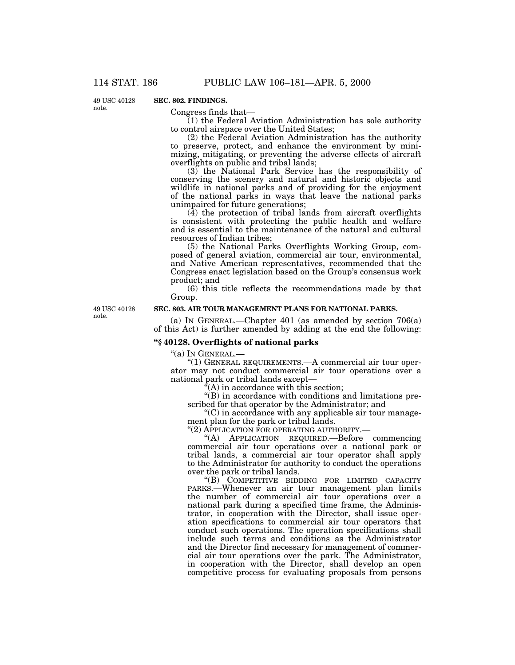49 USC 40128 note.

# **SEC. 802. FINDINGS.**

Congress finds that—

 $(1)$  the Federal Aviation Administration has sole authority to control airspace over the United States;

(2) the Federal Aviation Administration has the authority to preserve, protect, and enhance the environment by minimizing, mitigating, or preventing the adverse effects of aircraft overflights on public and tribal lands;

(3) the National Park Service has the responsibility of conserving the scenery and natural and historic objects and wildlife in national parks and of providing for the enjoyment of the national parks in ways that leave the national parks unimpaired for future generations;

(4) the protection of tribal lands from aircraft overflights is consistent with protecting the public health and welfare and is essential to the maintenance of the natural and cultural resources of Indian tribes;

(5) the National Parks Overflights Working Group, composed of general aviation, commercial air tour, environmental, and Native American representatives, recommended that the Congress enact legislation based on the Group's consensus work product; and

(6) this title reflects the recommendations made by that Group.

49 USC 40128 note.

# **SEC. 803. AIR TOUR MANAGEMENT PLANS FOR NATIONAL PARKS.**

(a) IN GENERAL.—Chapter 401 (as amended by section 706(a) of this Act) is further amended by adding at the end the following:

# **''§ 40128. Overflights of national parks**

''(a) IN GENERAL.—

"(1) GENERAL REQUIREMENTS.—A commercial air tour operator may not conduct commercial air tour operations over a national park or tribal lands except—

 $\hat{f}(A)$  in accordance with this section;

''(B) in accordance with conditions and limitations prescribed for that operator by the Administrator; and

''(C) in accordance with any applicable air tour management plan for the park or tribal lands.

"(2) APPLICATION FOR OPERATING AUTHORITY.—

''(A) APPLICATION REQUIRED.—Before commencing commercial air tour operations over a national park or tribal lands, a commercial air tour operator shall apply to the Administrator for authority to conduct the operations over the park or tribal lands.

''(B) COMPETITIVE BIDDING FOR LIMITED CAPACITY PARKS.—Whenever an air tour management plan limits the number of commercial air tour operations over a national park during a specified time frame, the Administrator, in cooperation with the Director, shall issue operation specifications to commercial air tour operators that conduct such operations. The operation specifications shall include such terms and conditions as the Administrator and the Director find necessary for management of commercial air tour operations over the park. The Administrator, in cooperation with the Director, shall develop an open competitive process for evaluating proposals from persons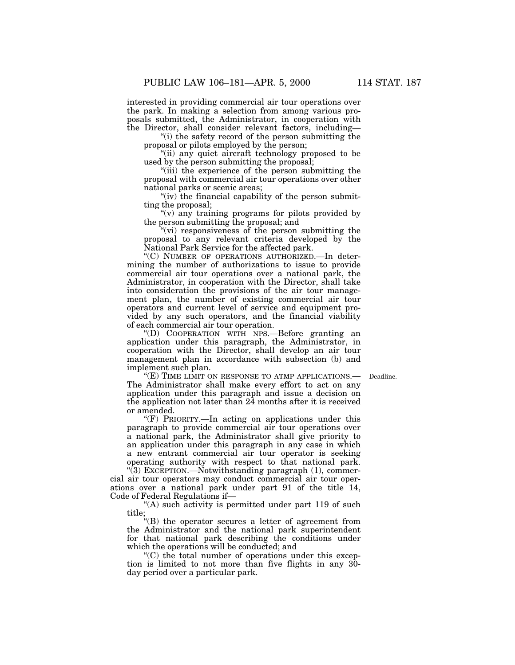interested in providing commercial air tour operations over the park. In making a selection from among various proposals submitted, the Administrator, in cooperation with the Director, shall consider relevant factors, including—

"(i) the safety record of the person submitting the proposal or pilots employed by the person;

''(ii) any quiet aircraft technology proposed to be used by the person submitting the proposal;

''(iii) the experience of the person submitting the proposal with commercial air tour operations over other national parks or scenic areas;

" $(iv)$  the financial capability of the person submitting the proposal;

"(v) any training programs for pilots provided by the person submitting the proposal; and

 $(vi)$  responsiveness of the person submitting the proposal to any relevant criteria developed by the National Park Service for the affected park.

''(C) NUMBER OF OPERATIONS AUTHORIZED.—In determining the number of authorizations to issue to provide commercial air tour operations over a national park, the Administrator, in cooperation with the Director, shall take into consideration the provisions of the air tour management plan, the number of existing commercial air tour operators and current level of service and equipment provided by any such operators, and the financial viability of each commercial air tour operation.

''(D) COOPERATION WITH NPS.—Before granting an application under this paragraph, the Administrator, in cooperation with the Director, shall develop an air tour management plan in accordance with subsection (b) and implement such plan.

"(E) TIME LIMIT ON RESPONSE TO ATMP APPLICATIONS.— Deadline. The Administrator shall make every effort to act on any application under this paragraph and issue a decision on the application not later than 24 months after it is received or amended.

" $(F)$  PRIORITY.—In acting on applications under this paragraph to provide commercial air tour operations over a national park, the Administrator shall give priority to an application under this paragraph in any case in which a new entrant commercial air tour operator is seeking operating authority with respect to that national park.

"(3) EXCEPTION.—Notwithstanding paragraph (1), commercial air tour operators may conduct commercial air tour operations over a national park under part 91 of the title 14, Code of Federal Regulations if—

"(A) such activity is permitted under part 119 of such title;

''(B) the operator secures a letter of agreement from the Administrator and the national park superintendent for that national park describing the conditions under which the operations will be conducted; and

 $C$ ) the total number of operations under this exception is limited to not more than five flights in any 30 day period over a particular park.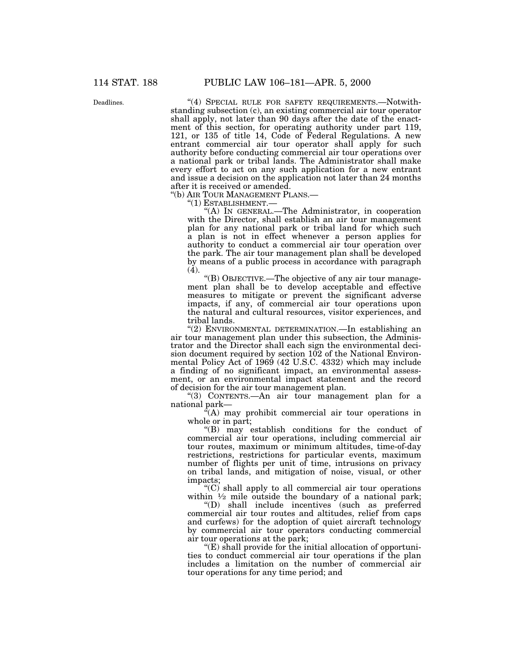Deadlines.

"(4) SPECIAL RULE FOR SAFETY REQUIREMENTS.—Notwithstanding subsection (c), an existing commercial air tour operator shall apply, not later than 90 days after the date of the enactment of this section, for operating authority under part 119, 121, or 135 of title 14, Code of Federal Regulations. A new entrant commercial air tour operator shall apply for such authority before conducting commercial air tour operations over a national park or tribal lands. The Administrator shall make every effort to act on any such application for a new entrant and issue a decision on the application not later than 24 months after it is received or amended.

''(b) AIR TOUR MANAGEMENT PLANS.—

''(1) ESTABLISHMENT.—

''(A) IN GENERAL.—The Administrator, in cooperation with the Director, shall establish an air tour management plan for any national park or tribal land for which such a plan is not in effect whenever a person applies for authority to conduct a commercial air tour operation over the park. The air tour management plan shall be developed by means of a public process in accordance with paragraph (4).

''(B) OBJECTIVE.—The objective of any air tour management plan shall be to develop acceptable and effective measures to mitigate or prevent the significant adverse impacts, if any, of commercial air tour operations upon the natural and cultural resources, visitor experiences, and tribal lands.

''(2) ENVIRONMENTAL DETERMINATION.—In establishing an air tour management plan under this subsection, the Administrator and the Director shall each sign the environmental decision document required by section 102 of the National Environmental Policy Act of 1969 (42 U.S.C. 4332) which may include a finding of no significant impact, an environmental assessment, or an environmental impact statement and the record of decision for the air tour management plan.

''(3) CONTENTS.—An air tour management plan for a national park—

 $\tilde{f}(A)$  may prohibit commercial air tour operations in whole or in part;

''(B) may establish conditions for the conduct of commercial air tour operations, including commercial air tour routes, maximum or minimum altitudes, time-of-day restrictions, restrictions for particular events, maximum number of flights per unit of time, intrusions on privacy on tribal lands, and mitigation of noise, visual, or other impacts;

''(C) shall apply to all commercial air tour operations within  $\frac{1}{2}$  mile outside the boundary of a national park;

''(D) shall include incentives (such as preferred commercial air tour routes and altitudes, relief from caps and curfews) for the adoption of quiet aircraft technology by commercial air tour operators conducting commercial air tour operations at the park;

 $f(E)$  shall provide for the initial allocation of opportunities to conduct commercial air tour operations if the plan includes a limitation on the number of commercial air tour operations for any time period; and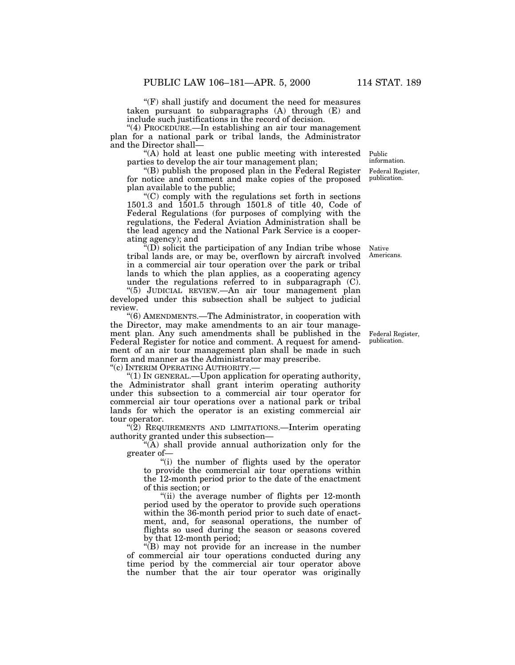$f(F)$  shall justify and document the need for measures taken pursuant to subparagraphs (A) through (E) and include such justifications in the record of decision.

"(4) PROCEDURE.—In establishing an air tour management plan for a national park or tribal lands, the Administrator and the Director shall—

''(A) hold at least one public meeting with interested parties to develop the air tour management plan;

 $'(B)$  publish the proposed plan in the Federal Register for notice and comment and make copies of the proposed plan available to the public;

''(C) comply with the regulations set forth in sections 1501.3 and 1501.5 through 1501.8 of title 40, Code of Federal Regulations (for purposes of complying with the regulations, the Federal Aviation Administration shall be the lead agency and the National Park Service is a cooperating agency); and

 $\mathcal{F}(D)$  solicit the participation of any Indian tribe whose tribal lands are, or may be, overflown by aircraft involved in a commercial air tour operation over the park or tribal lands to which the plan applies, as a cooperating agency under the regulations referred to in subparagraph (C).

"(5) JUDICIAL REVIEW.—An air tour management plan developed under this subsection shall be subject to judicial review.

''(6) AMENDMENTS.—The Administrator, in cooperation with the Director, may make amendments to an air tour management plan. Any such amendments shall be published in the Federal Register for notice and comment. A request for amendment of an air tour management plan shall be made in such form and manner as the Administrator may prescribe.

''(c) INTERIM OPERATING AUTHORITY.—

''(1) IN GENERAL.—Upon application for operating authority, the Administrator shall grant interim operating authority under this subsection to a commercial air tour operator for commercial air tour operations over a national park or tribal lands for which the operator is an existing commercial air tour operator.

''(2) REQUIREMENTS AND LIMITATIONS.—Interim operating authority granted under this subsection—

''(A) shall provide annual authorization only for the greater of—

''(i) the number of flights used by the operator to provide the commercial air tour operations within the 12-month period prior to the date of the enactment of this section; or

''(ii) the average number of flights per 12-month period used by the operator to provide such operations within the 36-month period prior to such date of enactment, and, for seasonal operations, the number of flights so used during the season or seasons covered by that 12-month period;

''(B) may not provide for an increase in the number of commercial air tour operations conducted during any time period by the commercial air tour operator above the number that the air tour operator was originally

Federal Register, publication.

Federal Register, publication. information.

Native Americans.

Public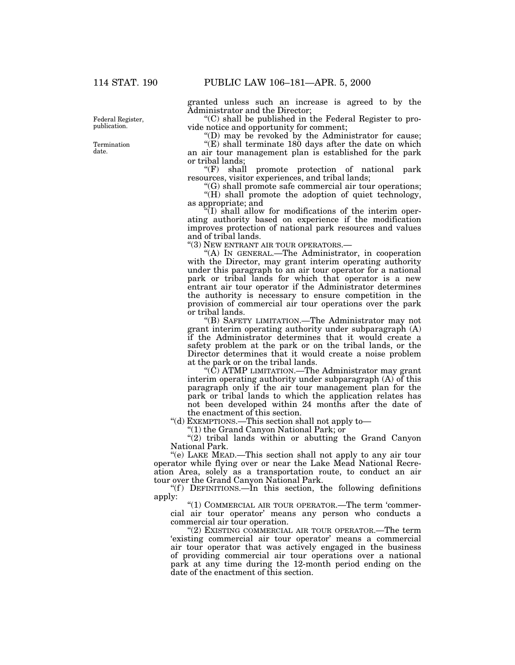Federal Register, publication.

Termination date.

granted unless such an increase is agreed to by the Administrator and the Director;

 $(C)$  shall be published in the Federal Register to provide notice and opportunity for comment;

''(D) may be revoked by the Administrator for cause;

 $\mathcal{L}(E)$  shall terminate 180 days after the date on which an air tour management plan is established for the park or tribal lands;

''(F) shall promote protection of national park resources, visitor experiences, and tribal lands;

''(G) shall promote safe commercial air tour operations; "(H) shall promote the adoption of quiet technology, as appropriate; and

 $\mathcal{F}(I)$  shall allow for modifications of the interim operating authority based on experience if the modification improves protection of national park resources and values and of tribal lands.

''(3) NEW ENTRANT AIR TOUR OPERATORS.—

''(A) IN GENERAL.—The Administrator, in cooperation with the Director, may grant interim operating authority under this paragraph to an air tour operator for a national park or tribal lands for which that operator is a new entrant air tour operator if the Administrator determines the authority is necessary to ensure competition in the provision of commercial air tour operations over the park or tribal lands.

''(B) SAFETY LIMITATION.—The Administrator may not grant interim operating authority under subparagraph (A) if the Administrator determines that it would create a safety problem at the park or on the tribal lands, or the Director determines that it would create a noise problem at the park or on the tribal lands.

''(C) ATMP LIMITATION.—The Administrator may grant interim operating authority under subparagraph (A) of this paragraph only if the air tour management plan for the park or tribal lands to which the application relates has not been developed within 24 months after the date of the enactment of this section.

''(d) EXEMPTIONS.—This section shall not apply to—

''(1) the Grand Canyon National Park; or

"(2) tribal lands within or abutting the Grand Canyon National Park.

''(e) LAKE MEAD.—This section shall not apply to any air tour operator while flying over or near the Lake Mead National Recreation Area, solely as a transportation route, to conduct an air tour over the Grand Canyon National Park.

" $(f)$  DEFINITIONS.—In this section, the following definitions apply:

''(1) COMMERCIAL AIR TOUR OPERATOR.—The term 'commercial air tour operator' means any person who conducts a commercial air tour operation.

''(2) EXISTING COMMERCIAL AIR TOUR OPERATOR.—The term 'existing commercial air tour operator' means a commercial air tour operator that was actively engaged in the business of providing commercial air tour operations over a national park at any time during the 12-month period ending on the date of the enactment of this section.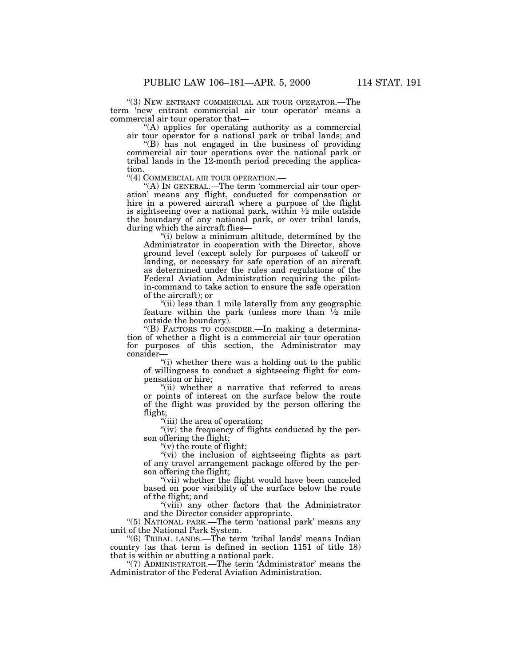"(3) NEW ENTRANT COMMERCIAL AIR TOUR OPERATOR.—The term 'new entrant commercial air tour operator' means a commercial air tour operator that—

''(A) applies for operating authority as a commercial air tour operator for a national park or tribal lands; and

''(B) has not engaged in the business of providing commercial air tour operations over the national park or tribal lands in the 12-month period preceding the application.

"(4) COMMERCIAL AIR TOUR OPERATION.—

''(A) IN GENERAL.—The term 'commercial air tour operation' means any flight, conducted for compensation or hire in a powered aircraft where a purpose of the flight is sightseeing over a national park, within  $\frac{1}{2}$  mile outside the boundary of any national park, or over tribal lands, during which the aircraft flies-

''(i) below a minimum altitude, determined by the Administrator in cooperation with the Director, above ground level (except solely for purposes of takeoff or landing, or necessary for safe operation of an aircraft as determined under the rules and regulations of the Federal Aviation Administration requiring the pilotin-command to take action to ensure the safe operation of the aircraft); or

"(ii) less than 1 mile laterally from any geographic feature within the park (unless more than  $\frac{1}{2}$  mile outside the boundary).

''(B) FACTORS TO CONSIDER.—In making a determination of whether a flight is a commercial air tour operation for purposes of this section, the Administrator may consider—

''(i) whether there was a holding out to the public of willingness to conduct a sightseeing flight for compensation or hire;

"(ii) whether a narrative that referred to areas or points of interest on the surface below the route of the flight was provided by the person offering the flight;

''(iii) the area of operation;

"(iv) the frequency of flights conducted by the person offering the flight;

''(v) the route of flight;

"(vi) the inclusion of sightseeing flights as part of any travel arrangement package offered by the person offering the flight;

"(vii) whether the flight would have been canceled based on poor visibility of the surface below the route of the flight; and

''(viii) any other factors that the Administrator and the Director consider appropriate.

"(5) NATIONAL PARK.—The term 'national park' means any unit of the National Park System.

''(6) TRIBAL LANDS.—The term 'tribal lands' means Indian country (as that term is defined in section 1151 of title 18) that is within or abutting a national park.

"(7) ADMINISTRATOR.—The term 'Administrator' means the Administrator of the Federal Aviation Administration.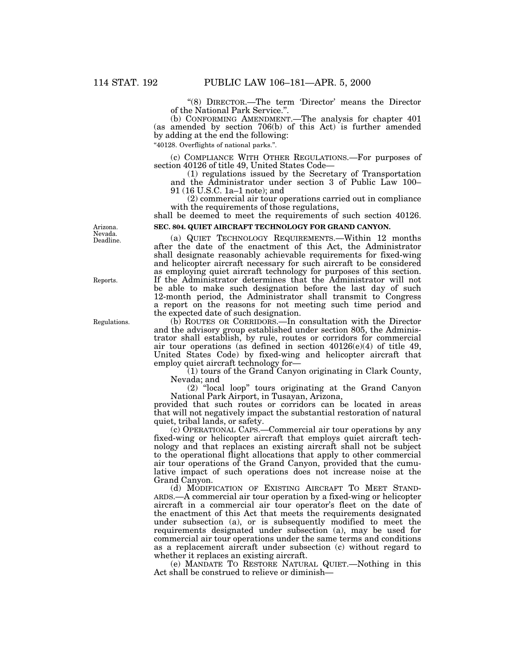''(8) DIRECTOR.—The term 'Director' means the Director of the National Park Service.''.

(b) CONFORMING AMENDMENT.—The analysis for chapter 401 (as amended by section 706(b) of this Act) is further amended by adding at the end the following:

''40128. Overflights of national parks.''.

(c) COMPLIANCE WITH OTHER REGULATIONS.—For purposes of section 40126 of title 49, United States Code—

(1) regulations issued by the Secretary of Transportation and the Administrator under section 3 of Public Law 100– 91 (16 U.S.C. 1a–1 note); and

(2) commercial air tour operations carried out in compliance with the requirements of those regulations,

shall be deemed to meet the requirements of such section 40126. **SEC. 804. QUIET AIRCRAFT TECHNOLOGY FOR GRAND CANYON.**

(a) QUIET TECHNOLOGY REQUIREMENTS.—Within 12 months after the date of the enactment of this Act, the Administrator shall designate reasonably achievable requirements for fixed-wing and helicopter aircraft necessary for such aircraft to be considered as employing quiet aircraft technology for purposes of this section. If the Administrator determines that the Administrator will not be able to make such designation before the last day of such 12-month period, the Administrator shall transmit to Congress a report on the reasons for not meeting such time period and the expected date of such designation.

(b) ROUTES OR CORRIDORS.—In consultation with the Director and the advisory group established under section 805, the Administrator shall establish, by rule, routes or corridors for commercial air tour operations (as defined in section 40126(e)(4) of title 49, United States Code) by fixed-wing and helicopter aircraft that employ quiet aircraft technology for—

(1) tours of the Grand Canyon originating in Clark County, Nevada; and

(2) ''local loop'' tours originating at the Grand Canyon National Park Airport, in Tusayan, Arizona,

provided that such routes or corridors can be located in areas that will not negatively impact the substantial restoration of natural quiet, tribal lands, or safety.

(c) OPERATIONAL CAPS.—Commercial air tour operations by any fixed-wing or helicopter aircraft that employs quiet aircraft technology and that replaces an existing aircraft shall not be subject to the operational flight allocations that apply to other commercial air tour operations of the Grand Canyon, provided that the cumulative impact of such operations does not increase noise at the Grand Canyon.

(d) MODIFICATION OF EXISTING AIRCRAFT TO MEET STAND-ARDS.—A commercial air tour operation by a fixed-wing or helicopter aircraft in a commercial air tour operator's fleet on the date of the enactment of this Act that meets the requirements designated under subsection (a), or is subsequently modified to meet the requirements designated under subsection (a), may be used for commercial air tour operations under the same terms and conditions as a replacement aircraft under subsection (c) without regard to whether it replaces an existing aircraft.

(e) MANDATE TO RESTORE NATURAL QUIET.—Nothing in this Act shall be construed to relieve or diminish—

Deadline. Arizona. Nevada.

Reports.

Regulations.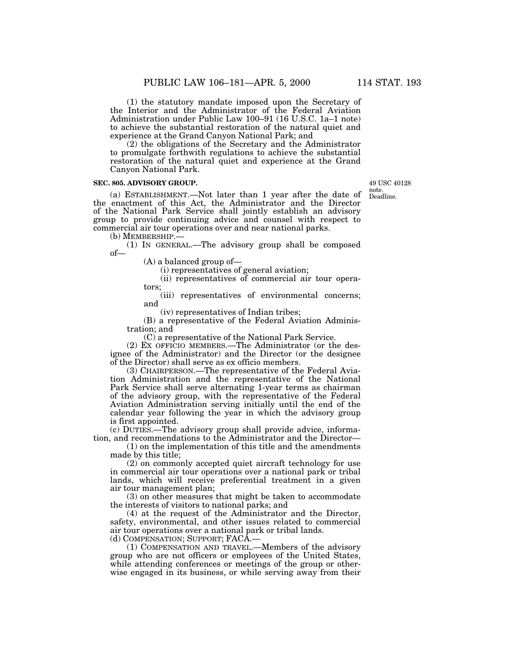(1) the statutory mandate imposed upon the Secretary of the Interior and the Administrator of the Federal Aviation Administration under Public Law 100–91 (16 U.S.C. 1a–1 note) to achieve the substantial restoration of the natural quiet and experience at the Grand Canyon National Park; and

(2) the obligations of the Secretary and the Administrator to promulgate forthwith regulations to achieve the substantial restoration of the natural quiet and experience at the Grand Canyon National Park.

#### **SEC. 805. ADVISORY GROUP.**

(a) ESTABLISHMENT.—Not later than 1 year after the date of the enactment of this Act, the Administrator and the Director of the National Park Service shall jointly establish an advisory group to provide continuing advice and counsel with respect to commercial air tour operations over and near national parks.

(b) MEMBERSHIP.—

(1) IN GENERAL.—The advisory group shall be composed of—

(A) a balanced group of—

(i) representatives of general aviation;

(ii) representatives of commercial air tour operators;

(iii) representatives of environmental concerns; and

(iv) representatives of Indian tribes;

(B) a representative of the Federal Aviation Administration; and

(C) a representative of the National Park Service.

(2) EX OFFICIO MEMBERS.—The Administrator (or the designee of the Administrator) and the Director (or the designee of the Director) shall serve as ex officio members.

(3) CHAIRPERSON.—The representative of the Federal Aviation Administration and the representative of the National Park Service shall serve alternating 1-year terms as chairman of the advisory group, with the representative of the Federal Aviation Administration serving initially until the end of the calendar year following the year in which the advisory group is first appointed.

(c) DUTIES.—The advisory group shall provide advice, information, and recommendations to the Administrator and the Director—

(1) on the implementation of this title and the amendments made by this title;

(2) on commonly accepted quiet aircraft technology for use in commercial air tour operations over a national park or tribal lands, which will receive preferential treatment in a given air tour management plan;

(3) on other measures that might be taken to accommodate the interests of visitors to national parks; and

(4) at the request of the Administrator and the Director, safety, environmental, and other issues related to commercial air tour operations over a national park or tribal lands.

(d) COMPENSATION; SUPPORT; FACA.—

(1) COMPENSATION AND TRAVEL.—Members of the advisory group who are not officers or employees of the United States, while attending conferences or meetings of the group or otherwise engaged in its business, or while serving away from their

Deadline. 49 USC 40128 note.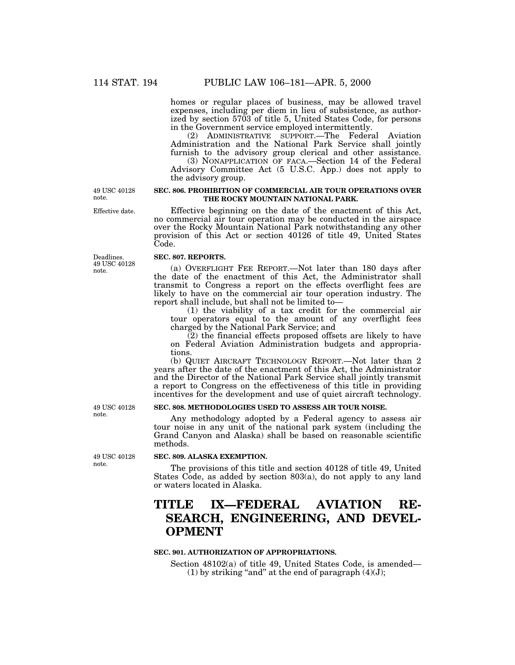homes or regular places of business, may be allowed travel expenses, including per diem in lieu of subsistence, as authorized by section 5703 of title 5, United States Code, for persons in the Government service employed intermittently.

(2) ADMINISTRATIVE SUPPORT.—The Federal Aviation Administration and the National Park Service shall jointly furnish to the advisory group clerical and other assistance.

(3) NONAPPLICATION OF FACA.—Section 14 of the Federal Advisory Committee Act (5 U.S.C. App.) does not apply to the advisory group.

## **SEC. 806. PROHIBITION OF COMMERCIAL AIR TOUR OPERATIONS OVER THE ROCKY MOUNTAIN NATIONAL PARK.**

Effective beginning on the date of the enactment of this Act, no commercial air tour operation may be conducted in the airspace over the Rocky Mountain National Park notwithstanding any other provision of this Act or section 40126 of title 49, United States Code.

# **SEC. 807. REPORTS.**

(a) OVERFLIGHT FEE REPORT.—Not later than 180 days after the date of the enactment of this Act, the Administrator shall transmit to Congress a report on the effects overflight fees are likely to have on the commercial air tour operation industry. The report shall include, but shall not be limited to—

(1) the viability of a tax credit for the commercial air tour operators equal to the amount of any overflight fees charged by the National Park Service; and

 $(2)$  the financial effects proposed offsets are likely to have on Federal Aviation Administration budgets and appropriations.

(b) QUIET AIRCRAFT TECHNOLOGY REPORT.—Not later than 2 years after the date of the enactment of this Act, the Administrator and the Director of the National Park Service shall jointly transmit a report to Congress on the effectiveness of this title in providing incentives for the development and use of quiet aircraft technology.

# **SEC. 808. METHODOLOGIES USED TO ASSESS AIR TOUR NOISE.**

Any methodology adopted by a Federal agency to assess air tour noise in any unit of the national park system (including the Grand Canyon and Alaska) shall be based on reasonable scientific methods.

# **SEC. 809. ALASKA EXEMPTION.**

The provisions of this title and section 40128 of title 49, United States Code, as added by section 803(a), do not apply to any land or waters located in Alaska.

# **TITLE IX—FEDERAL AVIATION RE-SEARCH, ENGINEERING, AND DEVEL-OPMENT**

# **SEC. 901. AUTHORIZATION OF APPROPRIATIONS.**

Section 48102(a) of title 49, United States Code, is amended— (1) by striking "and" at the end of paragraph  $(4)(J)$ ;

49 USC 40128 note.

49 USC 40128 note.

Deadlines. 49 USC 40128 note.

Effective date.

49 USC 40128 note.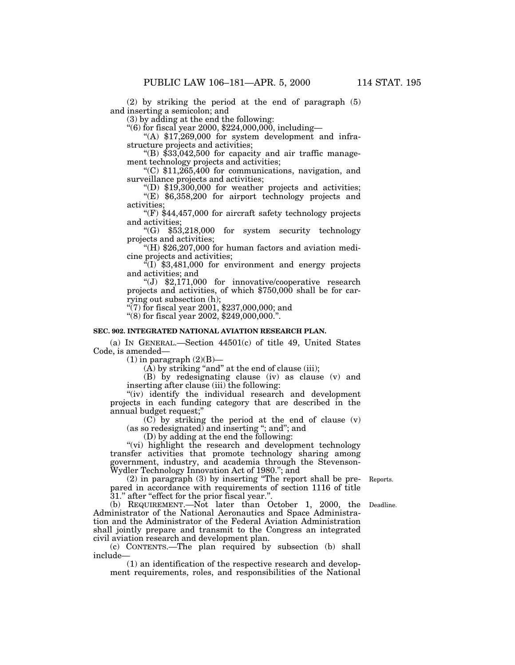(2) by striking the period at the end of paragraph (5) and inserting a semicolon; and

(3) by adding at the end the following:

 $(6)$  for fiscal year 2000, \$224,000,000, including-

"(A)  $$17,269,000$  for system development and infrastructure projects and activities;

"(B)  $$33,042,500$  for capacity and air traffic management technology projects and activities;

 $(C)$  \$11,265,400 for communications, navigation, and surveillance projects and activities;

 $\text{``(D)}$  \$19,300,000 for weather projects and activities; ''(E) \$6,358,200 for airport technology projects and

activities; " $(F)$  \$44,457,000 for aircraft safety technology projects and activities;

''(G) \$53,218,000 for system security technology projects and activities;

''(H) \$26,207,000 for human factors and aviation medicine projects and activities;

 $^{4}(I)$  \$3,481,000 for environment and energy projects and activities; and

 $'(J)$  \$2,171,000 for innovative/cooperative research projects and activities, of which \$750,000 shall be for carrying out subsection (h);

 $(7)$  for fiscal year 2001, \$237,000,000; and

''(8) for fiscal year 2002, \$249,000,000.''.

# **SEC. 902. INTEGRATED NATIONAL AVIATION RESEARCH PLAN.**

(a) IN GENERAL.—Section 44501(c) of title 49, United States Code, is amended—

 $(1)$  in paragraph  $(2)(B)$ —

 $(\overline{A})$  by striking "and" at the end of clause (iii);

(B) by redesignating clause (iv) as clause (v) and inserting after clause (iii) the following:

"(iv) identify the individual research and development projects in each funding category that are described in the annual budget request;''

(C) by striking the period at the end of clause (v)  $(as so redesired)$  and inserting "; and"; and

(D) by adding at the end the following:

"(vi) highlight the research and development technology transfer activities that promote technology sharing among government, industry, and academia through the Stevenson-Wydler Technology Innovation Act of 1980.''; and

Reports.

(2) in paragraph (3) by inserting ''The report shall be prepared in accordance with requirements of section 1116 of title 31.'' after ''effect for the prior fiscal year.''.

Deadline.

(b) REQUIREMENT.—Not later than October 1, 2000, the Administrator of the National Aeronautics and Space Administration and the Administrator of the Federal Aviation Administration shall jointly prepare and transmit to the Congress an integrated civil aviation research and development plan.

(c) CONTENTS.—The plan required by subsection (b) shall include—

(1) an identification of the respective research and development requirements, roles, and responsibilities of the National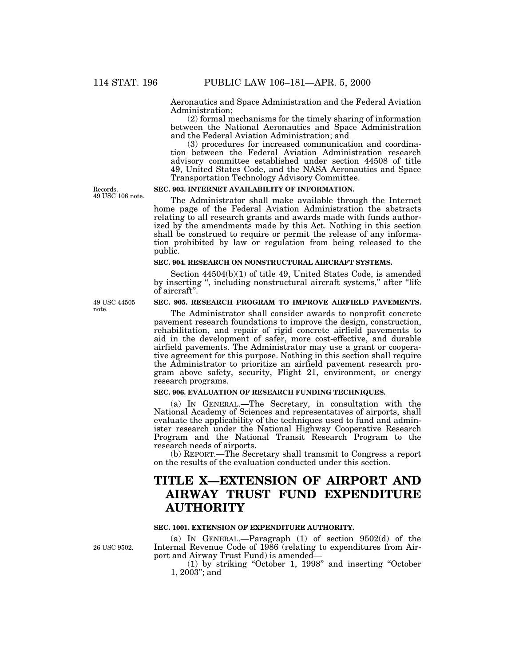Aeronautics and Space Administration and the Federal Aviation Administration;

(2) formal mechanisms for the timely sharing of information between the National Aeronautics and Space Administration and the Federal Aviation Administration; and

(3) procedures for increased communication and coordination between the Federal Aviation Administration research advisory committee established under section 44508 of title 49, United States Code, and the NASA Aeronautics and Space Transportation Technology Advisory Committee.

Records. 49 USC 106 note.

# **SEC. 903. INTERNET AVAILABILITY OF INFORMATION.**

The Administrator shall make available through the Internet home page of the Federal Aviation Administration the abstracts relating to all research grants and awards made with funds authorized by the amendments made by this Act. Nothing in this section shall be construed to require or permit the release of any information prohibited by law or regulation from being released to the public.

# **SEC. 904. RESEARCH ON NONSTRUCTURAL AIRCRAFT SYSTEMS.**

Section 44504(b)(1) of title 49, United States Code, is amended by inserting '', including nonstructural aircraft systems,'' after ''life of aircraft''.

**SEC. 905. RESEARCH PROGRAM TO IMPROVE AIRFIELD PAVEMENTS.**

The Administrator shall consider awards to nonprofit concrete pavement research foundations to improve the design, construction, rehabilitation, and repair of rigid concrete airfield pavements to aid in the development of safer, more cost-effective, and durable airfield pavements. The Administrator may use a grant or cooperative agreement for this purpose. Nothing in this section shall require the Administrator to prioritize an airfield pavement research program above safety, security, Flight 21, environment, or energy research programs.

# **SEC. 906. EVALUATION OF RESEARCH FUNDING TECHNIQUES.**

(a) IN GENERAL.—The Secretary, in consultation with the National Academy of Sciences and representatives of airports, shall evaluate the applicability of the techniques used to fund and administer research under the National Highway Cooperative Research Program and the National Transit Research Program to the research needs of airports.

(b) REPORT.—The Secretary shall transmit to Congress a report on the results of the evaluation conducted under this section.

# **TITLE X—EXTENSION OF AIRPORT AND AIRWAY TRUST FUND EXPENDITURE AUTHORITY**

#### **SEC. 1001. EXTENSION OF EXPENDITURE AUTHORITY.**

26 USC 9502.

(a) IN GENERAL.—Paragraph  $(1)$  of section  $9502(d)$  of the Internal Revenue Code of 1986 (relating to expenditures from Airport and Airway Trust Fund) is amended—

(1) by striking ''October 1, 1998'' and inserting ''October 1, 2003''; and

49 USC 44505 note.